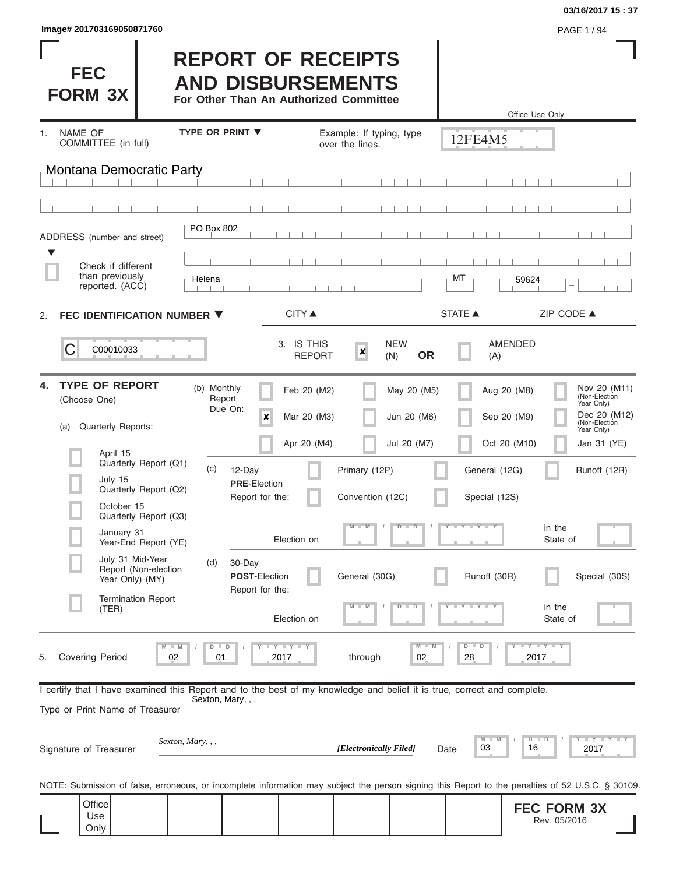| lmage#201703169050871760 | <b>PAGE 1/94</b> |
|--------------------------|------------------|
|--------------------------|------------------|

**FEC FORM 3X** **03/16/2017 15 : 37**

# **REPORT OF RECEIPTS AND DISBURSEMENTS**

**For Other Than An Authorized Committee**

|                                                                                                                                                            |                                       |                             |                                             |                                           |                                    | Office Use Only                                            |  |
|------------------------------------------------------------------------------------------------------------------------------------------------------------|---------------------------------------|-----------------------------|---------------------------------------------|-------------------------------------------|------------------------------------|------------------------------------------------------------|--|
| <b>NAME OF</b><br>1.<br>COMMITTEE (in full)                                                                                                                | <b>TYPE OR PRINT ▼</b>                |                             | Example: If typing, type<br>over the lines. |                                           | 12FE4M5                            |                                                            |  |
| Montana Democratic Party                                                                                                                                   |                                       |                             |                                             |                                           |                                    |                                                            |  |
|                                                                                                                                                            |                                       |                             |                                             |                                           |                                    |                                                            |  |
| ADDRESS (number and street)                                                                                                                                | PO Box 802                            |                             |                                             |                                           |                                    |                                                            |  |
| Check if different<br>than previously<br>reported. (ACC)                                                                                                   | Helena                                |                             |                                             |                                           | МT                                 | 59624                                                      |  |
| FEC IDENTIFICATION NUMBER ▼<br>2.                                                                                                                          |                                       | <b>CITY</b> ▲               |                                             |                                           | <b>STATE ▲</b>                     | ZIP CODE ▲                                                 |  |
| C<br>C00010033                                                                                                                                             |                                       | 3. IS THIS<br><b>REPORT</b> | ×                                           | <b>NEW</b><br>(N)<br><b>OR</b>            | (A)                                | <b>AMENDED</b>                                             |  |
| <b>TYPE OF REPORT</b><br>4.<br>(Choose One)                                                                                                                | (b) Monthly<br>Report                 | Feb 20 (M2)                 |                                             | May 20 (M5)                               |                                    | Nov 20 (M11)<br>(Non-Election<br>Aug 20 (M8)<br>Year Only) |  |
| <b>Quarterly Reports:</b><br>(a)                                                                                                                           | Due On:<br>×                          | Mar 20 (M3)                 |                                             | Jun 20 (M6)                               |                                    | Dec 20 (M12)<br>(Non-Election<br>Sep 20 (M9)<br>Year Only) |  |
| April 15<br>Quarterly Report (Q1)                                                                                                                          |                                       | Apr 20 (M4)                 |                                             | Jul 20 (M7)                               |                                    | Oct 20 (M10)<br>Jan 31 (YE)                                |  |
| July 15<br>Quarterly Report (Q2)                                                                                                                           | (c)<br>12-Day<br><b>PRE-Election</b>  |                             | Primary (12P)                               |                                           | General (12G)                      | Runoff (12R)                                               |  |
| October 15                                                                                                                                                 | Report for the:                       |                             | Convention (12C)                            |                                           | Special (12S)                      |                                                            |  |
| Quarterly Report (Q3)<br>January 31<br>Year-End Report (YE)                                                                                                |                                       | Election on                 | $-M$                                        | $\overline{D}$<br>$\overline{\mathbb{D}}$ | Y L Y L Y                          | in the<br>State of                                         |  |
| July 31 Mid-Year<br>Report (Non-election<br>Year Only) (MY)                                                                                                | 30-Day<br>(d)<br><b>POST-Election</b> |                             | General (30G)                               |                                           | Runoff (30R)                       | Special (30S)                                              |  |
| <b>Termination Report</b><br>(TER)                                                                                                                         | Report for the:                       | Election on                 | $M$ $M$ $N$                                 |                                           |                                    | in the<br>State of                                         |  |
| <b>Covering Period</b><br>02<br>5.                                                                                                                         | $D$ $D$<br>01                         | Y LY LY<br>2017             | through                                     | 02                                        | $D$ $\Box$<br>$\overline{D}$<br>28 | $Y = Y = Y$<br>2017                                        |  |
| I certify that I have examined this Report and to the best of my knowledge and belief it is true, correct and complete.<br>Type or Print Name of Treasurer | Sexton, Mary, , ,                     |                             |                                             |                                           |                                    |                                                            |  |
| Signature of Treasurer                                                                                                                                     | Sexton, Mary, , ,                     |                             | [Electronically Filed]                      |                                           | M<br>03<br>Date                    | $Y - Y$<br>$D$ $D$<br>16<br>2017                           |  |
| NOTE: Submission of false, erroneous, or incomplete information may subject the person signing this Report to the penalties of 52 U.S.C. § 30109.          |                                       |                             |                                             |                                           |                                    |                                                            |  |
| Office<br>Use<br>Only                                                                                                                                      |                                       |                             |                                             |                                           |                                    | <b>FEC FORM 3X</b><br>Rev. 05/2016                         |  |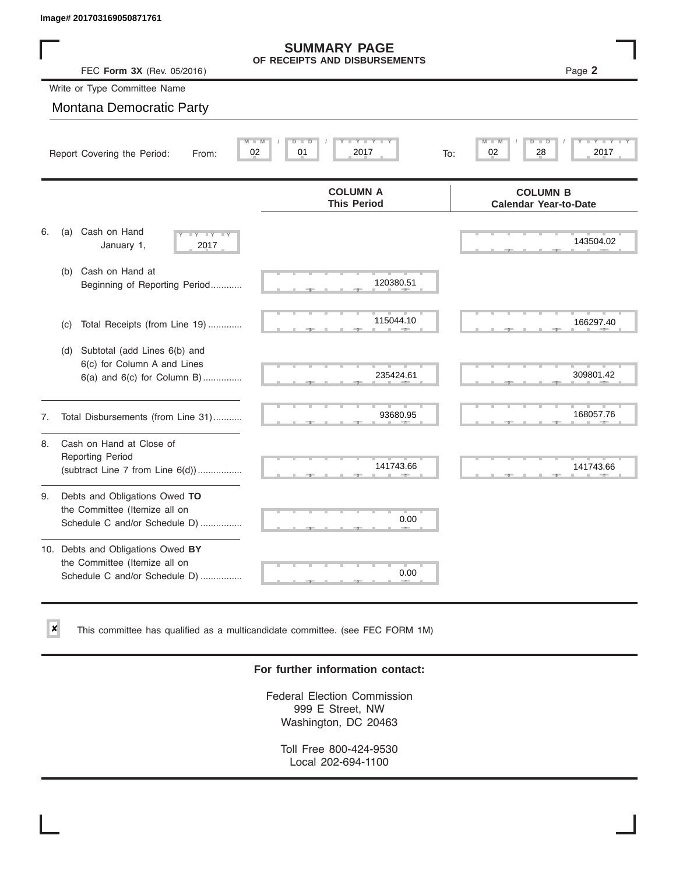$\vert x \vert$ 

|    | Image# 201703169050871761                                                                             |                                                                 |                                                 |
|----|-------------------------------------------------------------------------------------------------------|-----------------------------------------------------------------|-------------------------------------------------|
|    | FEC Form 3X (Rev. 05/2016)                                                                            | <b>SUMMARY PAGE</b><br>OF RECEIPTS AND DISBURSEMENTS            | Page 2                                          |
|    | Write or Type Committee Name                                                                          |                                                                 |                                                 |
|    | <b>Montana Democratic Party</b>                                                                       |                                                                 |                                                 |
|    | Report Covering the Period:<br>From:                                                                  | $Y - Y$<br>$D - I$<br>$\overline{D}$<br>01<br>02<br>2017<br>To: | Y L<br>$\Box$<br>D<br>02<br>28<br>2017          |
|    |                                                                                                       | <b>COLUMN A</b><br><b>This Period</b>                           | <b>COLUMN B</b><br><b>Calendar Year-to-Date</b> |
| 6. | Cash on Hand<br>(a)<br>$Y = \bot Y$<br>January 1,<br>2017                                             |                                                                 | 143504.02                                       |
|    | (b) Cash on Hand at<br>Beginning of Reporting Period                                                  | 120380.51                                                       |                                                 |
|    | Total Receipts (from Line 19)<br>(c)                                                                  | 115044.10                                                       | 166297.40                                       |
|    | Subtotal (add Lines 6(b) and<br>(d)<br>6(c) for Column A and Lines<br>$6(a)$ and $6(c)$ for Column B) | 235424.61                                                       | 309801.42                                       |
| 7. | Total Disbursements (from Line 31)                                                                    | 93680.95                                                        | 168057.76                                       |
| 8. | Cash on Hand at Close of<br><b>Reporting Period</b><br>(subtract Line 7 from Line 6(d))               | 141743.66                                                       | 141743.66                                       |
| 9. | Debts and Obligations Owed TO<br>the Committee (Itemize all on<br>Schedule C and/or Schedule D)       | 0.00                                                            |                                                 |
|    | 10. Debts and Obligations Owed BY<br>the Committee (Itemize all on<br>Schedule C and/or Schedule D)   | 0.00                                                            |                                                 |

This committee has qualified as a multicandidate committee. (see FEC FORM 1M)

#### **For further information contact:**

Federal Election Commission 999 E Street, NW Washington, DC 20463

Toll Free 800-424-9530 Local 202-694-1100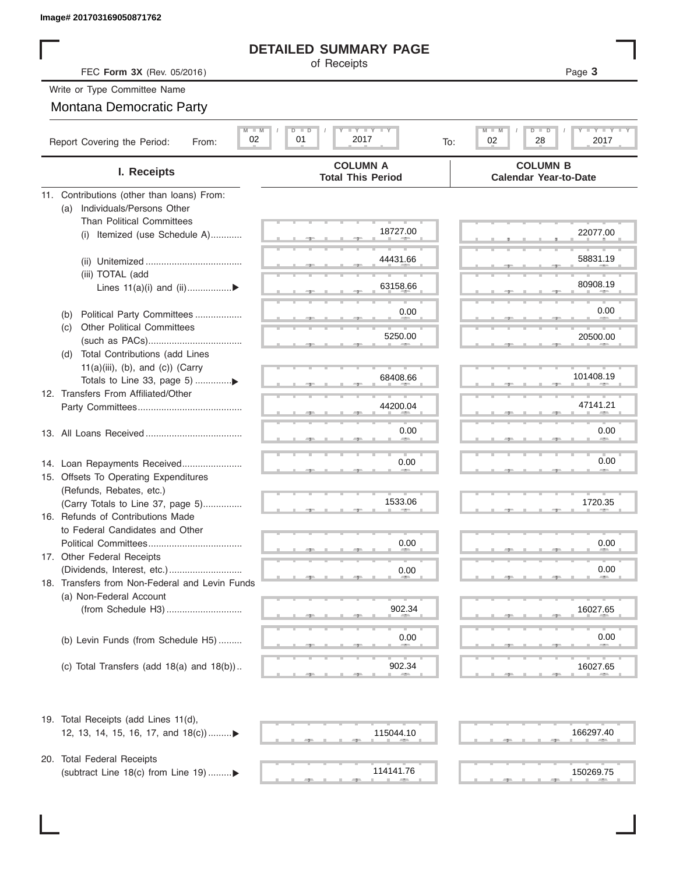# **DETAILED SUMMARY PAGE**

|  | of Receipts |
|--|-------------|
|--|-------------|

|                                                                   | <b>DETAILED SUMMARY PAGE</b>                            |                                                                       |
|-------------------------------------------------------------------|---------------------------------------------------------|-----------------------------------------------------------------------|
| FEC Form 3X (Rev. 05/2016)                                        | of Receipts                                             | Page 3                                                                |
| Write or Type Committee Name                                      |                                                         |                                                                       |
| <b>Montana Democratic Party</b>                                   |                                                         |                                                                       |
|                                                                   |                                                         |                                                                       |
| $M - M$<br>02<br>Report Covering the Period:<br>From:             | $I - Y - I - Y - I - Y$<br>$D$ $D$<br>01<br>2017<br>To: | $T - Y - T - Y - T$<br>$M - M$<br>$D$ $\Box$<br>ъ<br>02<br>28<br>2017 |
| I. Receipts                                                       | <b>COLUMN A</b><br><b>Total This Period</b>             | <b>COLUMN B</b><br><b>Calendar Year-to-Date</b>                       |
| 11. Contributions (other than loans) From:                        |                                                         |                                                                       |
| Individuals/Persons Other<br>(a)                                  |                                                         |                                                                       |
| <b>Than Political Committees</b><br>(i) Itemized (use Schedule A) | 18727.00                                                | 22077.00                                                              |
|                                                                   |                                                         |                                                                       |
|                                                                   | 44431.66                                                | 58831.19                                                              |
| (iii) TOTAL (add                                                  |                                                         |                                                                       |
| Lines 11(a)(i) and (ii)▶                                          | 63158.66                                                | 80908.19                                                              |
|                                                                   |                                                         |                                                                       |
| Political Party Committees<br>(b)                                 | 0.00                                                    | 0.00                                                                  |
| <b>Other Political Committees</b><br>(C)                          | 5250.00                                                 | 20500.00                                                              |
| Total Contributions (add Lines<br>(d)                             |                                                         |                                                                       |
| $11(a)(iii)$ , (b), and (c)) (Carry                               |                                                         |                                                                       |
| Totals to Line 33, page 5) ▶                                      | 68408.66                                                | 101408.19                                                             |
| 12. Transfers From Affiliated/Other                               |                                                         |                                                                       |
|                                                                   | 44200.04                                                | 47141.21                                                              |
|                                                                   |                                                         |                                                                       |
|                                                                   | 0.00                                                    | 0.00                                                                  |
|                                                                   |                                                         |                                                                       |
| 14. Loan Repayments Received                                      | 0.00                                                    | 0.00                                                                  |
| 15. Offsets To Operating Expenditures<br>(Refunds, Rebates, etc.) |                                                         |                                                                       |
| (Carry Totals to Line 37, page 5)                                 | 1533.06                                                 | 1720.35                                                               |
| 16. Refunds of Contributions Made                                 |                                                         |                                                                       |
| to Federal Candidates and Other                                   |                                                         |                                                                       |
| Political Committees                                              | 0.00                                                    | 0.00                                                                  |
| 17. Other Federal Receipts                                        |                                                         |                                                                       |
|                                                                   | 0.00                                                    | 0.00                                                                  |
| 18. Transfers from Non-Federal and Levin Funds                    |                                                         |                                                                       |
| (a) Non-Federal Account                                           | 902.34                                                  | 16027.65                                                              |
|                                                                   |                                                         |                                                                       |
| (b) Levin Funds (from Schedule H5)                                | 0.00                                                    | 0.00                                                                  |
|                                                                   |                                                         |                                                                       |
| (c) Total Transfers (add $18(a)$ and $18(b)$ )                    | 902.34                                                  | 16027.65                                                              |
|                                                                   |                                                         |                                                                       |
| 19. Total Receipts (add Lines 11(d),                              |                                                         |                                                                       |
| 12, 13, 14, 15, 16, 17, and 18(c)                                 | 115044.10                                               | 166297.40                                                             |
| 20. Total Federal Receipts                                        |                                                         |                                                                       |
| (subtract Line 18(c) from Line 19) ▶                              | 114141.76                                               | 150269.75                                                             |
|                                                                   | <b>AREA</b>                                             |                                                                       |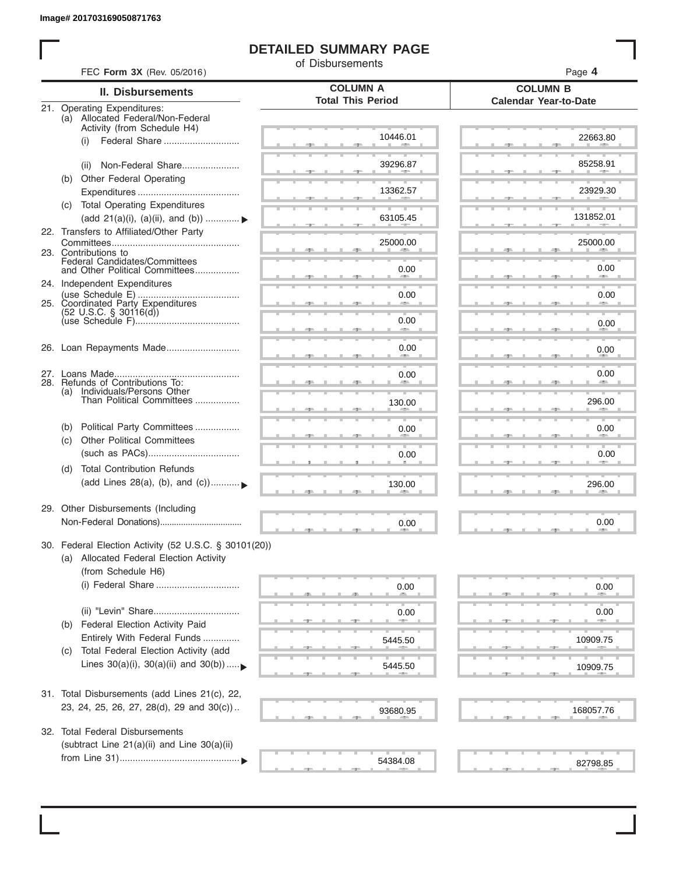ı

# **DETAILED SUMMARY PAGE**

of Disbursements

|     | <b>II. Disbursements</b>                                                                         | <b>COLUMN A</b><br><b>Total This Period</b> | <b>COLUMN B</b>              |  |  |
|-----|--------------------------------------------------------------------------------------------------|---------------------------------------------|------------------------------|--|--|
|     | 21. Operating Expenditures:                                                                      |                                             | <b>Calendar Year-to-Date</b> |  |  |
|     | (a) Allocated Federal/Non-Federal<br>Activity (from Schedule H4)                                 |                                             |                              |  |  |
|     | Federal Share<br>(i)                                                                             | 10446.01                                    | 22663.80                     |  |  |
|     |                                                                                                  |                                             |                              |  |  |
|     | Non-Federal Share<br>(ii)                                                                        | 39296.87                                    | 85258.91                     |  |  |
|     | (b) Other Federal Operating                                                                      |                                             |                              |  |  |
|     |                                                                                                  | 13362.57                                    | 23929.30                     |  |  |
| (C) | <b>Total Operating Expenditures</b>                                                              |                                             |                              |  |  |
|     | (add 21(a)(i), (a)(ii), and (b))                                                                 | 63105.45                                    | 131852.01                    |  |  |
|     | 22. Transfers to Affiliated/Other Party                                                          | 25000.00                                    | 25000.00                     |  |  |
|     | 23. Contributions to                                                                             |                                             |                              |  |  |
|     | Federal Candidates/Committees<br>and Other Political Committees                                  | 0.00                                        | 0.00                         |  |  |
|     | 24. Independent Expenditures                                                                     |                                             | <b>Allen</b>                 |  |  |
|     |                                                                                                  | 0.00                                        | 0.00                         |  |  |
|     | 25. Coordinated Party Expenditures<br>$(52 \text{ U.S.C. }$ § 30116(d))                          |                                             |                              |  |  |
|     |                                                                                                  | 0.00<br><b>SERVICE</b>                      | 0.00                         |  |  |
|     |                                                                                                  |                                             |                              |  |  |
|     | 26. Loan Repayments Made                                                                         | 0.00                                        | 0.00                         |  |  |
|     |                                                                                                  |                                             |                              |  |  |
|     | 28. Refunds of Contributions To:                                                                 | 0.00                                        | 0.00                         |  |  |
|     | (a) Individuals/Persons Other<br>Than Political Committees                                       |                                             |                              |  |  |
|     |                                                                                                  | 130.00                                      | 296.00                       |  |  |
| (b) | Political Party Committees                                                                       | 0.00                                        | 0.00                         |  |  |
| (c) | <b>Other Political Committees</b>                                                                |                                             |                              |  |  |
|     |                                                                                                  | 0.00                                        | 0.00                         |  |  |
| (d) | <b>Total Contribution Refunds</b>                                                                |                                             |                              |  |  |
|     | (add Lines 28(a), (b), and (c))                                                                  | 130.00                                      | 296.00                       |  |  |
|     |                                                                                                  |                                             |                              |  |  |
|     | 29. Other Disbursements (Including                                                               |                                             |                              |  |  |
|     |                                                                                                  | 0.00                                        | 0.00                         |  |  |
|     |                                                                                                  |                                             |                              |  |  |
|     | 30. Federal Election Activity (52 U.S.C. § 30101(20))<br>(a) Allocated Federal Election Activity |                                             |                              |  |  |
|     | (from Schedule H6)                                                                               |                                             |                              |  |  |
|     |                                                                                                  | 0.00                                        |                              |  |  |
|     |                                                                                                  |                                             | 0.00                         |  |  |
|     |                                                                                                  | 0.00                                        | 0.00                         |  |  |
| (b) | Federal Election Activity Paid                                                                   |                                             |                              |  |  |
|     | Entirely With Federal Funds<br>.                                                                 | 5445.50                                     | 10909.75                     |  |  |
| (C) | Total Federal Election Activity (add                                                             |                                             |                              |  |  |
|     | Lines $30(a)(i)$ , $30(a)(ii)$ and $30(b))$                                                      | 5445.50                                     | 10909.75                     |  |  |
|     |                                                                                                  |                                             |                              |  |  |
|     | 31. Total Disbursements (add Lines 21(c), 22,                                                    |                                             |                              |  |  |
|     | 23, 24, 25, 26, 27, 28(d), 29 and 30(c))                                                         | 93680.95                                    | 168057.76                    |  |  |
|     |                                                                                                  |                                             |                              |  |  |
|     | 32. Total Federal Disbursements                                                                  |                                             |                              |  |  |
|     | (subtract Line $21(a)(ii)$ and Line $30(a)(ii)$                                                  |                                             |                              |  |  |
|     |                                                                                                  | 54384.08                                    | 82798.85                     |  |  |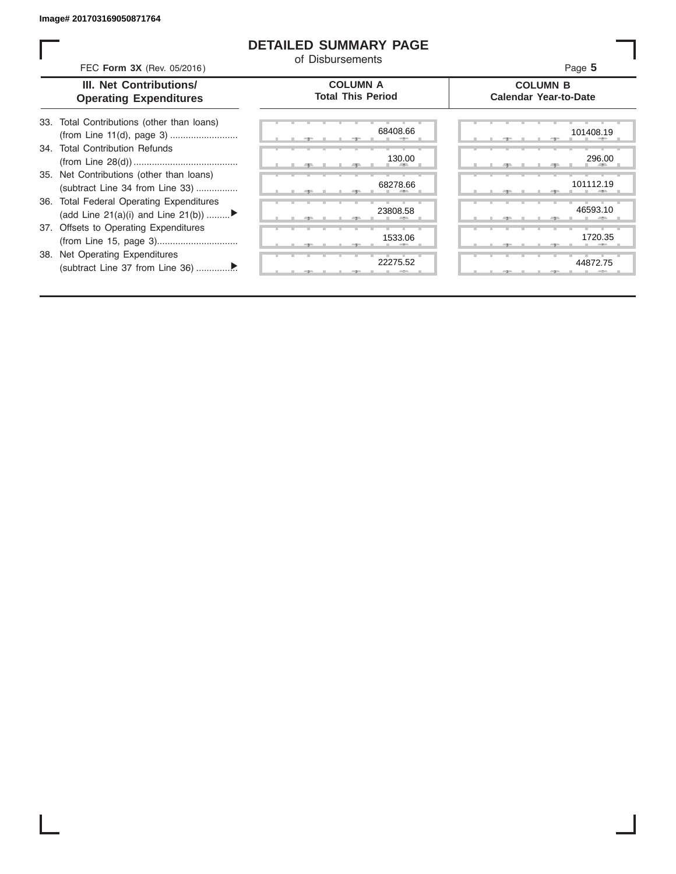### **DETAILED SUMMARY PAGE**

of Disbursements

FEC **Form 3X** (Rev. 05/2016) Page **5**

|  | <b>III. Net Contributions/</b> |
|--|--------------------------------|
|  | <b>Operating Expenditures</b>  |

#### **COLUMN A Total This Period**

#### **COLUMN B Calendar Year-to-Date**

| 33. Total Contributions (other than loans) |  |
|--------------------------------------------|--|
| 34. Total Contribution Refunds             |  |
|                                            |  |
| 35. Net Contributions (other than loans)   |  |
| (subtract Line 34 from Line 33)            |  |
| 36. Total Federal Operating Expenditures   |  |
| (add Line 21(a)(i) and Line 21(b))         |  |
| 37. Offsets to Operating Expenditures      |  |
|                                            |  |
| 38. Net Operating Expenditures             |  |
|                                            |  |

|  | э   |   | 5 L   | 68408.66           |
|--|-----|---|-------|--------------------|
|  |     |   |       | 130.00             |
|  | - 7 |   | л.    |                    |
|  | 胆   |   | ட     | 68278.66           |
|  |     |   |       | 23808.58           |
|  | 51  |   | 5.    | 皿                  |
|  |     |   |       | 1533.06            |
|  | -7- |   | $-7-$ |                    |
|  | ٠   | т | т     | ш<br>т<br>22275.52 |
|  |     |   |       |                    |

|  |  | 68408.66                       |  |  |  | 101408.19            |
|--|--|--------------------------------|--|--|--|----------------------|
|  |  | 130.00<br><b>All Contracts</b> |  |  |  | 296.00<br><b>ALL</b> |
|  |  | 68278.66                       |  |  |  | 101112.19            |
|  |  | 23808.58                       |  |  |  | 46593.10             |
|  |  | 1533.06                        |  |  |  | 1720.35              |
|  |  | 22275.52                       |  |  |  | 44872.75             |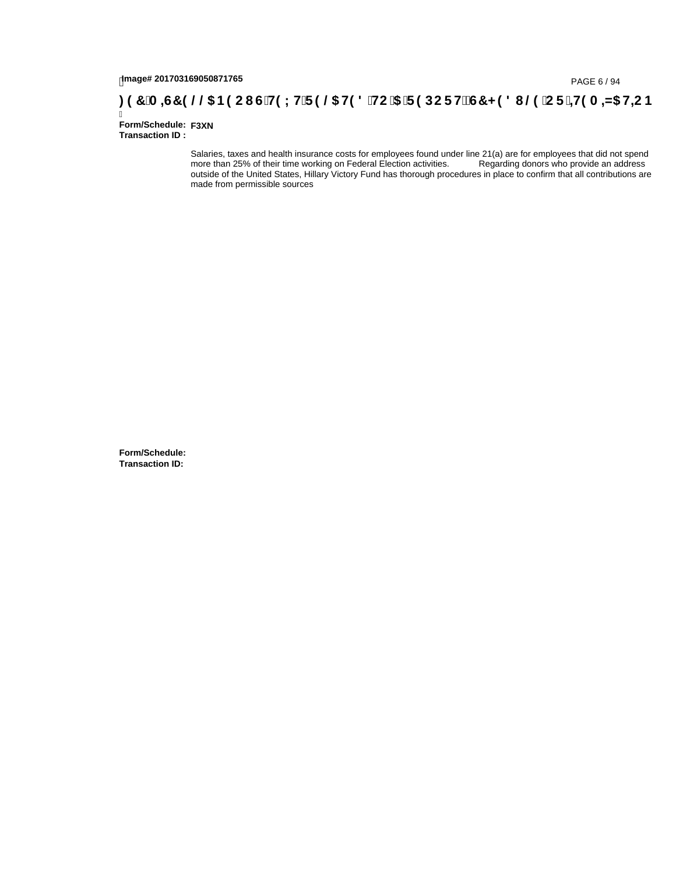# tmage# 201703169050871765<br>DAGE 6 / 94 DHC 8 (B9 CI G`H9 LH`F 9 **4 DHC 15** T 9 DC F HŽ G7 < 9 8 I 4 O C F<sup>1</sup> + H9 A + N5 H + C B

Ī **Form/Schedule: F3XN Transaction ID :** 

> Salaries, taxes and health insurance costs for employees found under line 21(a) are for employees that did not spend<br>more than 25% of their time working on Federal Election activities.<br>Regarding donors who provide an addre more than 25% of their time working on Federal Election activities. outside of the United States, Hillary Victory Fund has thorough procedures in place to confirm that all contributions are made from permissible sources

**Form/Schedule: Transaction ID:**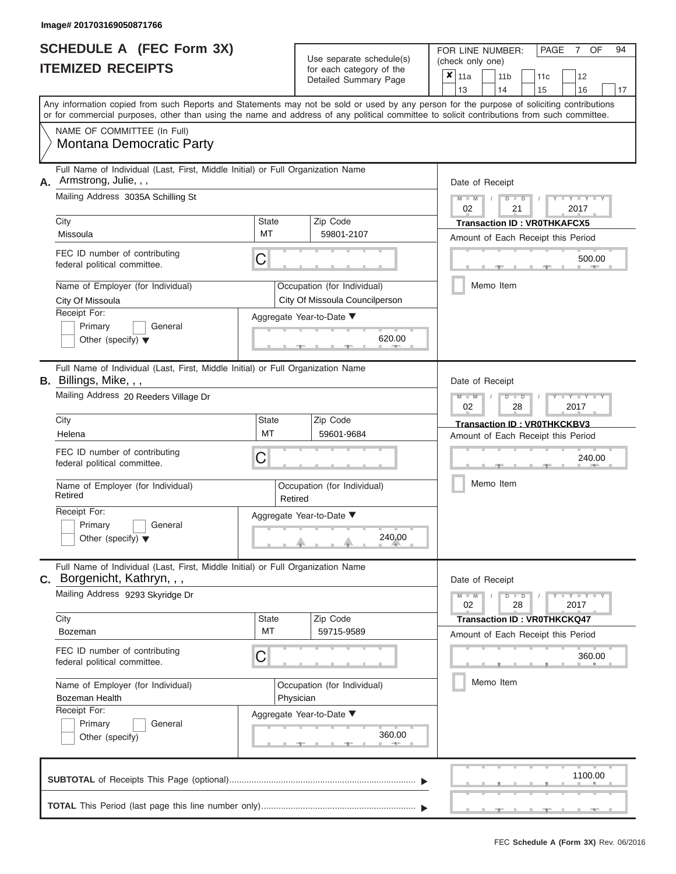|                          | <b>SCHEDULE A (FEC Form 3X)</b> |
|--------------------------|---------------------------------|
| <b>ITEMIZED RECEIPTS</b> |                                 |

| SCHEDULE A (FEC Form 3X)<br><b>ITEMIZED RECEIPTS</b> |                                                                                                                                                                                                                                                                                         |                    | Use separate schedule(s)<br>for each category of the           | 94<br>FOR LINE NUMBER:<br>PAGE<br>OF<br>7<br>(check only one)<br>$\boldsymbol{x}$                                                   |  |  |  |
|------------------------------------------------------|-----------------------------------------------------------------------------------------------------------------------------------------------------------------------------------------------------------------------------------------------------------------------------------------|--------------------|----------------------------------------------------------------|-------------------------------------------------------------------------------------------------------------------------------------|--|--|--|
|                                                      |                                                                                                                                                                                                                                                                                         |                    | Detailed Summary Page                                          | 11a<br>11 <sub>b</sub><br>12<br>11 <sub>c</sub><br>13<br>14<br>15<br>16<br>17                                                       |  |  |  |
|                                                      | Any information copied from such Reports and Statements may not be sold or used by any person for the purpose of soliciting contributions<br>or for commercial purposes, other than using the name and address of any political committee to solicit contributions from such committee. |                    |                                                                |                                                                                                                                     |  |  |  |
|                                                      | NAME OF COMMITTEE (In Full)<br>Montana Democratic Party                                                                                                                                                                                                                                 |                    |                                                                |                                                                                                                                     |  |  |  |
| А.                                                   | Full Name of Individual (Last, First, Middle Initial) or Full Organization Name<br>Armstrong, Julie, , ,                                                                                                                                                                                |                    |                                                                | Date of Receipt                                                                                                                     |  |  |  |
|                                                      | Mailing Address 3035A Schilling St                                                                                                                                                                                                                                                      |                    |                                                                | $M = M$ /<br>$D$ $D$<br>$Y - Y - I$<br>02<br>21<br>2017                                                                             |  |  |  |
|                                                      | City<br>Missoula                                                                                                                                                                                                                                                                        | <b>State</b><br>МT | Zip Code<br>59801-2107                                         | <b>Transaction ID: VR0THKAFCX5</b><br>Amount of Each Receipt this Period                                                            |  |  |  |
|                                                      | FEC ID number of contributing<br>federal political committee.                                                                                                                                                                                                                           | C                  |                                                                | 500.00<br><b>STATISTICS</b>                                                                                                         |  |  |  |
|                                                      | Name of Employer (for Individual)<br>City Of Missoula                                                                                                                                                                                                                                   |                    | Occupation (for Individual)<br>City Of Missoula Councilperson  | Memo Item                                                                                                                           |  |  |  |
|                                                      | Receipt For:<br>Primary<br>General<br>Other (specify) $\blacktriangledown$                                                                                                                                                                                                              |                    | Aggregate Year-to-Date ▼<br>620.00<br><b>Contract Contract</b> |                                                                                                                                     |  |  |  |
|                                                      | Full Name of Individual (Last, First, Middle Initial) or Full Organization Name<br>B. Billings, Mike, , ,                                                                                                                                                                               |                    |                                                                | Date of Receipt                                                                                                                     |  |  |  |
|                                                      | Mailing Address 20 Reeders Village Dr                                                                                                                                                                                                                                                   |                    |                                                                | $M - M$<br>$D$ $D$<br>$\blacksquare$ $\blacksquare$ $\blacksquare$ $\blacksquare$ $\blacksquare$ $\blacksquare$<br>02<br>2017<br>28 |  |  |  |
|                                                      | City<br>Helena                                                                                                                                                                                                                                                                          | <b>State</b><br>MT | Zip Code<br>59601-9684                                         | Transaction ID: VR0THKCKBV3                                                                                                         |  |  |  |
|                                                      | FEC ID number of contributing<br>federal political committee.                                                                                                                                                                                                                           | C                  |                                                                | Amount of Each Receipt this Period<br>240.00                                                                                        |  |  |  |
|                                                      | Name of Employer (for Individual)<br>Retired                                                                                                                                                                                                                                            |                    | Occupation (for Individual)<br>Retired                         | Memo Item                                                                                                                           |  |  |  |
|                                                      | Receipt For:<br>Primary<br>General<br>Other (specify) $\blacktriangledown$                                                                                                                                                                                                              |                    | Aggregate Year-to-Date ▼<br>240.00                             |                                                                                                                                     |  |  |  |
|                                                      | Full Name of Individual (Last, First, Middle Initial) or Full Organization Name<br>C. Borgenicht, Kathryn, , ,                                                                                                                                                                          |                    |                                                                | Date of Receipt                                                                                                                     |  |  |  |
|                                                      | Mailing Address 9293 Skyridge Dr                                                                                                                                                                                                                                                        |                    |                                                                | $M - M$<br>$D$ $D$<br>$\mathbf{I} = \mathbf{Y} + \mathbf{I} - \mathbf{Y} + \mathbf{I}$<br>02<br>28<br>2017                          |  |  |  |
|                                                      | City<br>Bozeman                                                                                                                                                                                                                                                                         | <b>State</b><br>МT | Zip Code<br>59715-9589                                         | <b>Transaction ID: VR0THKCKQ47</b><br>Amount of Each Receipt this Period                                                            |  |  |  |
|                                                      | FEC ID number of contributing<br>federal political committee.                                                                                                                                                                                                                           | C                  |                                                                | 360.00                                                                                                                              |  |  |  |
|                                                      | Name of Employer (for Individual)<br>Bozeman Health                                                                                                                                                                                                                                     |                    | Occupation (for Individual)<br>Physician                       | Memo Item                                                                                                                           |  |  |  |
|                                                      | Receipt For:<br>Primary<br>General<br>Other (specify)                                                                                                                                                                                                                                   |                    | Aggregate Year-to-Date ▼<br>360.00                             |                                                                                                                                     |  |  |  |
|                                                      |                                                                                                                                                                                                                                                                                         |                    |                                                                | 1100.00                                                                                                                             |  |  |  |
|                                                      |                                                                                                                                                                                                                                                                                         |                    |                                                                |                                                                                                                                     |  |  |  |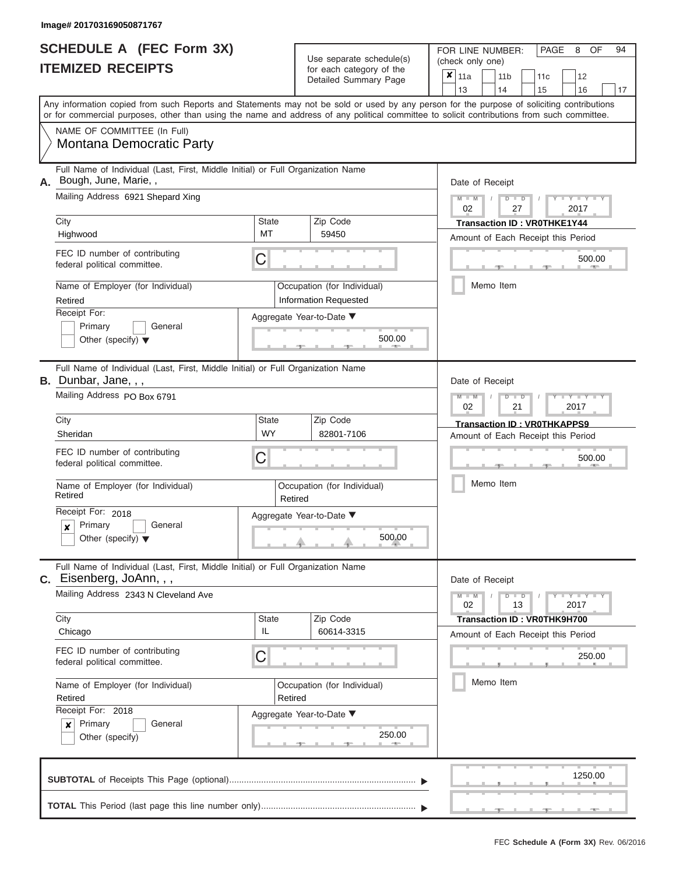|                          | <b>SCHEDULE A (FEC Form 3X)</b> |
|--------------------------|---------------------------------|
| <b>ITEMIZED RECEIPTS</b> |                                 |

| SCHEDULE A (FEC Form 3X)<br><b>ITEMIZED RECEIPTS</b>                                                          | Use separate schedule(s)                                    | 94<br>FOR LINE NUMBER:<br>PAGE<br>OF<br>8<br>(check only one)                                                                                                                                                                                                                           |
|---------------------------------------------------------------------------------------------------------------|-------------------------------------------------------------|-----------------------------------------------------------------------------------------------------------------------------------------------------------------------------------------------------------------------------------------------------------------------------------------|
|                                                                                                               | for each category of the<br>Detailed Summary Page           | $\boldsymbol{x}$<br>11a<br>11 <sub>b</sub><br>12<br>11c<br>13<br>14<br>15<br>16<br>17                                                                                                                                                                                                   |
|                                                                                                               |                                                             | Any information copied from such Reports and Statements may not be sold or used by any person for the purpose of soliciting contributions<br>or for commercial purposes, other than using the name and address of any political committee to solicit contributions from such committee. |
| NAME OF COMMITTEE (In Full)<br>Montana Democratic Party                                                       |                                                             |                                                                                                                                                                                                                                                                                         |
| Full Name of Individual (Last, First, Middle Initial) or Full Organization Name<br>Bough, June, Marie,,<br>Α. |                                                             | Date of Receipt                                                                                                                                                                                                                                                                         |
| Mailing Address 6921 Shepard Xing<br>City                                                                     | <b>State</b><br>Zip Code                                    | $M = M$ /<br>$D$ $D$<br>$Y - Y - I$<br>02<br>27<br>2017                                                                                                                                                                                                                                 |
| Highwood                                                                                                      | МT<br>59450                                                 | <b>Transaction ID: VR0THKE1Y44</b><br>Amount of Each Receipt this Period                                                                                                                                                                                                                |
| FEC ID number of contributing<br>federal political committee.                                                 | C                                                           | 500.00<br><b>AND</b>                                                                                                                                                                                                                                                                    |
| Name of Employer (for Individual)<br>Retired                                                                  | Occupation (for Individual)<br><b>Information Requested</b> | Memo Item                                                                                                                                                                                                                                                                               |
| Receipt For:                                                                                                  | Aggregate Year-to-Date ▼                                    |                                                                                                                                                                                                                                                                                         |
| Primary<br>General<br>Other (specify) $\blacktriangledown$                                                    | 500.00<br><b>British Allen</b>                              |                                                                                                                                                                                                                                                                                         |
| Full Name of Individual (Last, First, Middle Initial) or Full Organization Name<br>B. Dunbar, Jane, , ,       |                                                             | Date of Receipt                                                                                                                                                                                                                                                                         |
| Mailing Address PO Box 6791                                                                                   |                                                             | $M - M$<br>$D$ $D$<br>$\blacksquare$ $\blacksquare$ $\blacksquare$ $\blacksquare$ $\blacksquare$ $\blacksquare$<br>02<br>21<br>2017                                                                                                                                                     |
| City                                                                                                          | State<br>Zip Code                                           | <b>Transaction ID: VR0THKAPPS9</b>                                                                                                                                                                                                                                                      |
| Sheridan                                                                                                      | <b>WY</b><br>82801-7106                                     | Amount of Each Receipt this Period                                                                                                                                                                                                                                                      |
| FEC ID number of contributing<br>federal political committee.                                                 | C                                                           | 500.00                                                                                                                                                                                                                                                                                  |
| Name of Employer (for Individual)<br>Retired                                                                  | Occupation (for Individual)<br>Retired                      | Memo Item                                                                                                                                                                                                                                                                               |
| Receipt For: 2018                                                                                             | Aggregate Year-to-Date ▼                                    |                                                                                                                                                                                                                                                                                         |
| Primary<br>General<br>$\pmb{\times}$<br>Other (specify) $\blacktriangledown$                                  | 500.00                                                      |                                                                                                                                                                                                                                                                                         |
| Full Name of Individual (Last, First, Middle Initial) or Full Organization Name<br>C. Eisenberg, JoAnn, , ,   |                                                             | Date of Receipt                                                                                                                                                                                                                                                                         |
| Mailing Address 2343 N Cleveland Ave                                                                          |                                                             | $M - M$<br>$D$ $D$<br>$T-T$ $T$ $T$ $T$ $T$ $T$<br>02<br>2017<br>13                                                                                                                                                                                                                     |
| City<br>Chicago                                                                                               | <b>State</b><br>Zip Code<br>IL<br>60614-3315                | Transaction ID: VR0THK9H700<br>Amount of Each Receipt this Period                                                                                                                                                                                                                       |
| FEC ID number of contributing<br>federal political committee.                                                 | C                                                           | 250.00                                                                                                                                                                                                                                                                                  |
| Name of Employer (for Individual)<br>Retired                                                                  | Occupation (for Individual)<br>Retired                      | Memo Item                                                                                                                                                                                                                                                                               |
| Receipt For: 2018<br>Primary<br>General<br>×<br>Other (specify)                                               | Aggregate Year-to-Date ▼<br>250.00                          |                                                                                                                                                                                                                                                                                         |
|                                                                                                               |                                                             | 1250.00                                                                                                                                                                                                                                                                                 |
|                                                                                                               |                                                             |                                                                                                                                                                                                                                                                                         |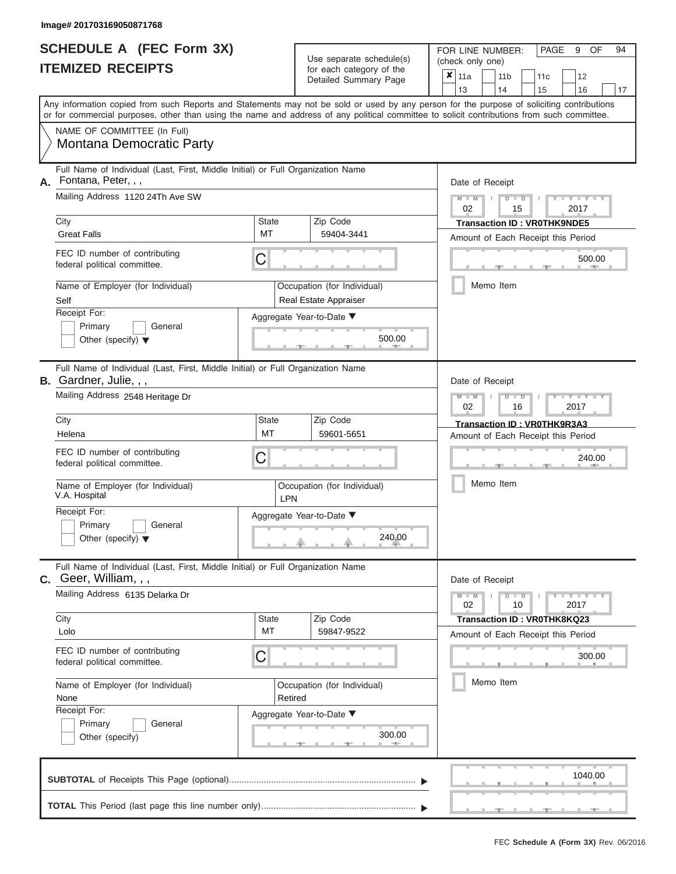|                          | <b>SCHEDULE A (FEC Form 3X)</b> |
|--------------------------|---------------------------------|
| <b>ITEMIZED RECEIPTS</b> |                                 |

Use separate schedule(s) (check only one)<br>for each category of the  $\begin{array}{|c|c|c|c|c|}\n\hline\n\text{Initial Summary goes} & & \text{with } & \text{with } & \text{with } & \text{with } & \text{with } & \text{with } & \text{with } & \text{with } & \text{with } & \text{with } & \text{with } & \text{with } & \text{with } & \text{with } & \text{with } & \text{with } & \text{with } & \text{with } & \text{with } & \text{with } & \text$ 

FOR LINE NUMBER:

 $\overline{\phantom{0}}$ 

PAGE 9 OF 94

 $\overline{\phantom{0}}$ 

|    |                                                                                                                                                                                                                                                                                         | Detailed Summary Page | $\boldsymbol{x}$ | 11a<br>13                                            |                                                                                                                                                | 14              | 11 <sub>b</sub> | 11c<br>15 |                                        | 12<br>16                                                          | 17 |                 |  |  |  |  |
|----|-----------------------------------------------------------------------------------------------------------------------------------------------------------------------------------------------------------------------------------------------------------------------------------------|-----------------------|------------------|------------------------------------------------------|------------------------------------------------------------------------------------------------------------------------------------------------|-----------------|-----------------|-----------|----------------------------------------|-------------------------------------------------------------------|----|-----------------|--|--|--|--|
|    | Any information copied from such Reports and Statements may not be sold or used by any person for the purpose of soliciting contributions<br>or for commercial purposes, other than using the name and address of any political committee to solicit contributions from such committee. |                       |                  |                                                      |                                                                                                                                                |                 |                 |           |                                        |                                                                   |    |                 |  |  |  |  |
|    | NAME OF COMMITTEE (In Full)<br>Montana Democratic Party                                                                                                                                                                                                                                 |                       |                  |                                                      |                                                                                                                                                |                 |                 |           |                                        |                                                                   |    |                 |  |  |  |  |
| А. | Full Name of Individual (Last, First, Middle Initial) or Full Organization Name<br>Fontana, Peter, , ,                                                                                                                                                                                  |                       |                  |                                                      | Date of Receipt                                                                                                                                |                 |                 |           |                                        |                                                                   |    |                 |  |  |  |  |
|    | Mailing Address 1120 24Th Ave SW                                                                                                                                                                                                                                                        |                       |                  |                                                      | $\overline{D}$<br>$\overline{D}$<br>2017<br>02<br>15                                                                                           |                 |                 |           |                                        |                                                                   |    |                 |  |  |  |  |
|    | City<br><b>Great Falls</b>                                                                                                                                                                                                                                                              | <b>State</b><br>MT    |                  | Zip Code<br>59404-3441                               | <b>Transaction ID: VR0THK9NDE5</b>                                                                                                             |                 |                 |           |                                        |                                                                   |    |                 |  |  |  |  |
|    | FEC ID number of contributing<br>federal political committee.                                                                                                                                                                                                                           | С                     |                  |                                                      | Amount of Each Receipt this Period<br>500.00                                                                                                   |                 |                 |           |                                        |                                                                   |    |                 |  |  |  |  |
|    | Name of Employer (for Individual)<br>Self                                                                                                                                                                                                                                               |                       |                  | Occupation (for Individual)<br>Real Estate Appraiser |                                                                                                                                                |                 | Memo Item       |           |                                        |                                                                   |    |                 |  |  |  |  |
|    | Receipt For:<br>Primary<br>General<br>Other (specify) $\blacktriangledown$                                                                                                                                                                                                              |                       |                  | Aggregate Year-to-Date ▼<br>500.00                   |                                                                                                                                                |                 |                 |           |                                        |                                                                   |    |                 |  |  |  |  |
|    | Full Name of Individual (Last, First, Middle Initial) or Full Organization Name<br>B. Gardner, Julie, , ,                                                                                                                                                                               |                       |                  |                                                      |                                                                                                                                                | Date of Receipt |                 |           |                                        |                                                                   |    |                 |  |  |  |  |
|    | Mailing Address 2548 Heritage Dr                                                                                                                                                                                                                                                        |                       |                  |                                                      | $\overline{\phantom{a}}$<br>$M - M$<br>$D$ $\Box$ $D$<br>02<br>2017<br>16<br>Transaction ID: VR0THK9R3A3<br>Amount of Each Receipt this Period |                 |                 |           |                                        |                                                                   |    |                 |  |  |  |  |
|    | City<br>Helena                                                                                                                                                                                                                                                                          | <b>State</b><br>МT    |                  | Zip Code<br>59601-5651                               |                                                                                                                                                |                 |                 |           |                                        |                                                                   |    |                 |  |  |  |  |
|    | FEC ID number of contributing<br>federal political committee.                                                                                                                                                                                                                           | С                     |                  |                                                      |                                                                                                                                                |                 |                 |           |                                        | 240.00                                                            |    |                 |  |  |  |  |
|    | Name of Employer (for Individual)<br>V.A. Hospital                                                                                                                                                                                                                                      | LPN                   |                  | Occupation (for Individual)                          |                                                                                                                                                |                 | Memo Item       |           |                                        |                                                                   |    |                 |  |  |  |  |
|    | Receipt For:<br>Primary<br>General<br>Other (specify) $\blacktriangledown$                                                                                                                                                                                                              |                       |                  | Aggregate Year-to-Date ▼<br>240.00                   |                                                                                                                                                |                 |                 |           |                                        |                                                                   |    |                 |  |  |  |  |
| С. | Full Name of Individual (Last, First, Middle Initial) or Full Organization Name<br>Geer, William, , ,                                                                                                                                                                                   |                       |                  |                                                      |                                                                                                                                                | Date of Receipt |                 |           |                                        |                                                                   |    |                 |  |  |  |  |
|    | Mailing Address 6135 Delarka Dr                                                                                                                                                                                                                                                         |                       |                  |                                                      |                                                                                                                                                | $M - M$<br>02   |                 |           | $\overline{D}$<br>$\blacksquare$<br>10 |                                                                   |    | $Y = Y$<br>2017 |  |  |  |  |
|    | City<br>Lolo                                                                                                                                                                                                                                                                            | <b>State</b><br>MT    |                  | Zip Code<br>59847-9522                               |                                                                                                                                                |                 |                 |           |                                        | Transaction ID: VR0THK8KQ23<br>Amount of Each Receipt this Period |    |                 |  |  |  |  |
|    | FEC ID number of contributing<br>federal political committee.                                                                                                                                                                                                                           | C                     |                  |                                                      |                                                                                                                                                |                 |                 |           |                                        |                                                                   |    | 300.00          |  |  |  |  |
|    | Name of Employer (for Individual)<br>None                                                                                                                                                                                                                                               | Retired               |                  | Occupation (for Individual)                          | Memo Item                                                                                                                                      |                 |                 |           |                                        |                                                                   |    |                 |  |  |  |  |
|    | Receipt For:<br>Primary<br>General<br>Other (specify)                                                                                                                                                                                                                                   |                       |                  | Aggregate Year-to-Date ▼<br>300.00                   |                                                                                                                                                |                 |                 |           |                                        |                                                                   |    |                 |  |  |  |  |
|    |                                                                                                                                                                                                                                                                                         |                       |                  |                                                      |                                                                                                                                                |                 |                 |           |                                        |                                                                   |    | 1040.00         |  |  |  |  |
|    |                                                                                                                                                                                                                                                                                         |                       |                  |                                                      |                                                                                                                                                |                 |                 |           |                                        |                                                                   |    |                 |  |  |  |  |

J

 $\frac{1}{2}$  ,  $\frac{1}{2}$  ,  $\frac{1}{2}$  ,  $\frac{1}{2}$  ,  $\frac{1}{2}$  ,  $\frac{1}{2}$  ,  $\frac{1}{2}$  ,  $\frac{1}{2}$  ,  $\frac{1}{2}$  ,  $\frac{1}{2}$  ,  $\frac{1}{2}$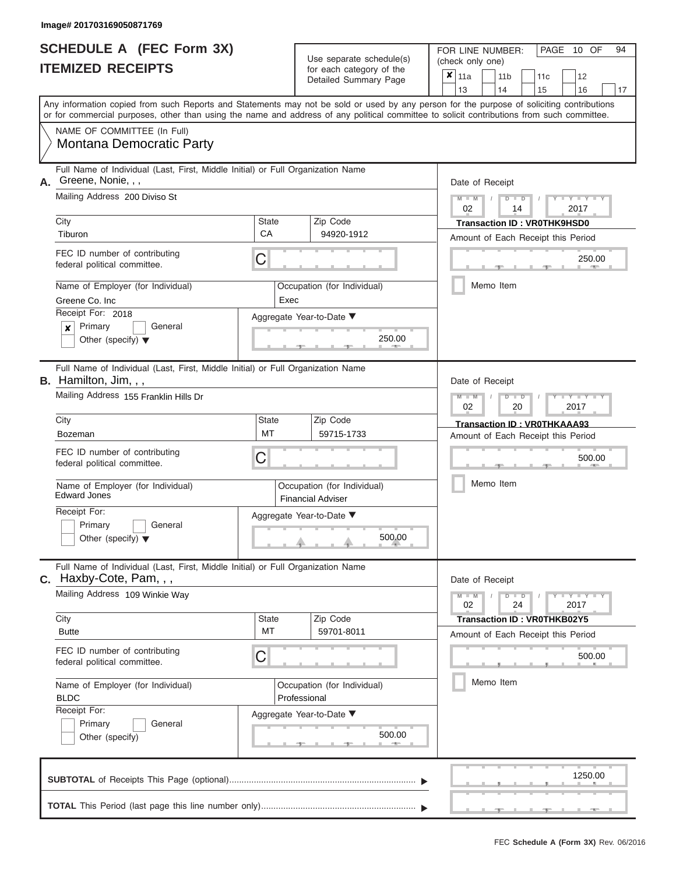|                          | <b>SCHEDULE A (FEC Form 3X)</b> |
|--------------------------|---------------------------------|
| <b>ITEMIZED RECEIPTS</b> |                                 |

FOR LINE NUMBER:<br>(check only one)

PAGE 10 OF 94

|  |                                                                                                                                                                                                                                                                                         |                   |                                                    | ioi ouoii outogory oi trio<br>Detailed Summary Page     | x | 11a                                                                                                   |  | 11 <sub>b</sub>                                                | 11 <sub>c</sub>                    | 12      |               |  |  |  |  |  |  |  |
|--|-----------------------------------------------------------------------------------------------------------------------------------------------------------------------------------------------------------------------------------------------------------------------------------------|-------------------|----------------------------------------------------|---------------------------------------------------------|---|-------------------------------------------------------------------------------------------------------|--|----------------------------------------------------------------|------------------------------------|---------|---------------|--|--|--|--|--|--|--|
|  |                                                                                                                                                                                                                                                                                         |                   |                                                    |                                                         |   | 13                                                                                                    |  | 14                                                             | 15                                 | 16      | 17            |  |  |  |  |  |  |  |
|  | Any information copied from such Reports and Statements may not be sold or used by any person for the purpose of soliciting contributions<br>or for commercial purposes, other than using the name and address of any political committee to solicit contributions from such committee. |                   |                                                    |                                                         |   |                                                                                                       |  |                                                                |                                    |         |               |  |  |  |  |  |  |  |
|  | NAME OF COMMITTEE (In Full)                                                                                                                                                                                                                                                             |                   |                                                    |                                                         |   |                                                                                                       |  |                                                                |                                    |         |               |  |  |  |  |  |  |  |
|  | Montana Democratic Party                                                                                                                                                                                                                                                                |                   |                                                    |                                                         |   |                                                                                                       |  |                                                                |                                    |         |               |  |  |  |  |  |  |  |
|  | Full Name of Individual (Last, First, Middle Initial) or Full Organization Name                                                                                                                                                                                                         |                   |                                                    |                                                         |   |                                                                                                       |  |                                                                |                                    |         |               |  |  |  |  |  |  |  |
|  | Greene, Nonie, , ,                                                                                                                                                                                                                                                                      |                   |                                                    |                                                         |   | Date of Receipt                                                                                       |  |                                                                |                                    |         |               |  |  |  |  |  |  |  |
|  | Mailing Address 200 Diviso St                                                                                                                                                                                                                                                           |                   | $M = M$ /<br>$D$ $D$<br>Y TY T<br>02<br>2017<br>14 |                                                         |   |                                                                                                       |  |                                                                |                                    |         |               |  |  |  |  |  |  |  |
|  | City                                                                                                                                                                                                                                                                                    | State             |                                                    | Zip Code                                                |   |                                                                                                       |  |                                                                | <b>Transaction ID: VR0THK9HSD0</b> |         |               |  |  |  |  |  |  |  |
|  | Tiburon                                                                                                                                                                                                                                                                                 | CA                |                                                    | 94920-1912                                              |   |                                                                                                       |  |                                                                | Amount of Each Receipt this Period |         |               |  |  |  |  |  |  |  |
|  | FEC ID number of contributing<br>federal political committee.                                                                                                                                                                                                                           | C                 |                                                    |                                                         |   |                                                                                                       |  |                                                                |                                    |         | 250.00<br>$-$ |  |  |  |  |  |  |  |
|  | Name of Employer (for Individual)<br>Greene Co. Inc.                                                                                                                                                                                                                                    | Exec              |                                                    | Occupation (for Individual)                             |   |                                                                                                       |  | Memo Item                                                      |                                    |         |               |  |  |  |  |  |  |  |
|  | Receipt For: 2018                                                                                                                                                                                                                                                                       |                   |                                                    | Aggregate Year-to-Date ▼                                |   |                                                                                                       |  |                                                                |                                    |         |               |  |  |  |  |  |  |  |
|  | Primary<br>General<br>$\boldsymbol{x}$                                                                                                                                                                                                                                                  |                   |                                                    |                                                         |   |                                                                                                       |  |                                                                |                                    |         |               |  |  |  |  |  |  |  |
|  | Other (specify) $\blacktriangledown$                                                                                                                                                                                                                                                    |                   |                                                    | 250.00<br><b>COLLECTION</b>                             |   |                                                                                                       |  |                                                                |                                    |         |               |  |  |  |  |  |  |  |
|  | Full Name of Individual (Last, First, Middle Initial) or Full Organization Name<br>B. Hamilton, Jim, , ,                                                                                                                                                                                |                   |                                                    |                                                         |   | Date of Receipt                                                                                       |  |                                                                |                                    |         |               |  |  |  |  |  |  |  |
|  | Mailing Address 155 Franklin Hills Dr                                                                                                                                                                                                                                                   |                   |                                                    |                                                         |   | $M - M$                                                                                               |  | $D$ $D$                                                        |                                    |         |               |  |  |  |  |  |  |  |
|  |                                                                                                                                                                                                                                                                                         |                   |                                                    |                                                         |   |                                                                                                       |  | $\Box$ $\Upsilon$ $\Box$ $\Upsilon$ $\Box$<br>02<br>20<br>2017 |                                    |         |               |  |  |  |  |  |  |  |
|  | City                                                                                                                                                                                                                                                                                    | State             |                                                    | Zip Code                                                |   | Transaction ID: VR0THKAAA93                                                                           |  |                                                                |                                    |         |               |  |  |  |  |  |  |  |
|  | Bozeman                                                                                                                                                                                                                                                                                 | MT                |                                                    | 59715-1733                                              |   | Amount of Each Receipt this Period                                                                    |  |                                                                |                                    |         |               |  |  |  |  |  |  |  |
|  | FEC ID number of contributing<br>federal political committee.                                                                                                                                                                                                                           |                   | 500.00                                             |                                                         |   |                                                                                                       |  |                                                                |                                    |         |               |  |  |  |  |  |  |  |
|  | Name of Employer (for Individual)<br><b>Edward Jones</b>                                                                                                                                                                                                                                |                   |                                                    | Occupation (for Individual)<br><b>Financial Adviser</b> |   |                                                                                                       |  | Memo Item                                                      |                                    |         |               |  |  |  |  |  |  |  |
|  | Receipt For:                                                                                                                                                                                                                                                                            |                   |                                                    | Aggregate Year-to-Date ▼                                |   |                                                                                                       |  |                                                                |                                    |         |               |  |  |  |  |  |  |  |
|  | Primary<br>Other (specify) $\blacktriangledown$                                                                                                                                                                                                                                         | General<br>500.00 |                                                    |                                                         |   |                                                                                                       |  |                                                                |                                    |         |               |  |  |  |  |  |  |  |
|  | Full Name of Individual (Last, First, Middle Initial) or Full Organization Name<br>$c.$ Haxby-Cote, Pam, , ,                                                                                                                                                                            |                   |                                                    |                                                         |   | Date of Receipt                                                                                       |  |                                                                |                                    |         |               |  |  |  |  |  |  |  |
|  | Mailing Address 109 Winkie Way                                                                                                                                                                                                                                                          |                   |                                                    |                                                         |   | $M - M$<br>$D$ $D$<br>$\blacksquare$ $\vdash$ $\vdash$ $\vdash$ $\vdash$ $\vdash$<br>02<br>24<br>2017 |  |                                                                |                                    |         |               |  |  |  |  |  |  |  |
|  | City                                                                                                                                                                                                                                                                                    | State<br>MT       |                                                    | Zip Code                                                |   |                                                                                                       |  |                                                                | <b>Transaction ID: VR0THKB02Y5</b> |         |               |  |  |  |  |  |  |  |
|  | <b>Butte</b>                                                                                                                                                                                                                                                                            |                   |                                                    | 59701-8011                                              |   |                                                                                                       |  |                                                                | Amount of Each Receipt this Period |         |               |  |  |  |  |  |  |  |
|  | FEC ID number of contributing<br>federal political committee.                                                                                                                                                                                                                           | C                 |                                                    |                                                         |   |                                                                                                       |  |                                                                |                                    |         | 500.00        |  |  |  |  |  |  |  |
|  | Name of Employer (for Individual)<br><b>BLDC</b>                                                                                                                                                                                                                                        |                   |                                                    | Occupation (for Individual)<br>Professional             |   |                                                                                                       |  | Memo Item                                                      |                                    |         |               |  |  |  |  |  |  |  |
|  | Receipt For:                                                                                                                                                                                                                                                                            |                   |                                                    | Aggregate Year-to-Date ▼                                |   |                                                                                                       |  |                                                                |                                    |         |               |  |  |  |  |  |  |  |
|  | General<br>Primary<br>Other (specify)                                                                                                                                                                                                                                                   |                   |                                                    | 500.00<br>-91                                           |   |                                                                                                       |  |                                                                |                                    |         |               |  |  |  |  |  |  |  |
|  |                                                                                                                                                                                                                                                                                         |                   |                                                    |                                                         |   |                                                                                                       |  |                                                                |                                    | 1250.00 |               |  |  |  |  |  |  |  |
|  |                                                                                                                                                                                                                                                                                         |                   |                                                    |                                                         |   |                                                                                                       |  |                                                                |                                    |         |               |  |  |  |  |  |  |  |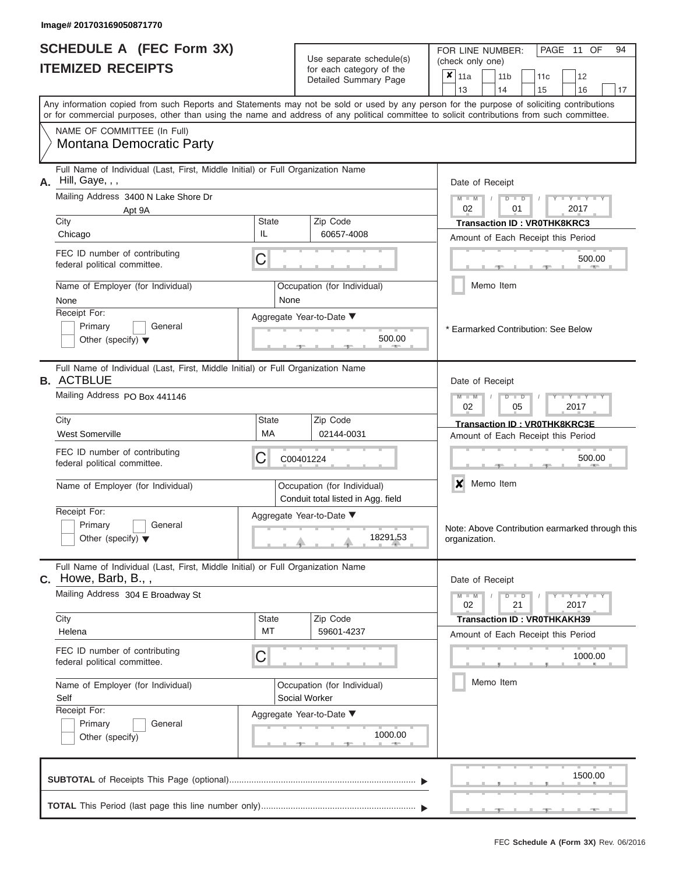|                          | <b>SCHEDULE A (FEC Form 3X)</b> |
|--------------------------|---------------------------------|
| <b>ITEMIZED RECEIPTS</b> |                                 |

FOR LINE NUMBER:<br>(check only one) Use separate schedule(s)

| IIEMIZED RECEIPIS                                                                                                                          |                          | for each category of the<br>Detailed Summary Page                 | ×<br>12<br>11a<br>11 <sub>b</sub><br>11c<br>13<br>14<br>15<br>16<br>17                                                                    |  |  |  |  |  |  |  |  |
|--------------------------------------------------------------------------------------------------------------------------------------------|--------------------------|-------------------------------------------------------------------|-------------------------------------------------------------------------------------------------------------------------------------------|--|--|--|--|--|--|--|--|
| or for commercial purposes, other than using the name and address of any political committee to solicit contributions from such committee. |                          |                                                                   | Any information copied from such Reports and Statements may not be sold or used by any person for the purpose of soliciting contributions |  |  |  |  |  |  |  |  |
| NAME OF COMMITTEE (In Full)<br>Montana Democratic Party                                                                                    |                          |                                                                   |                                                                                                                                           |  |  |  |  |  |  |  |  |
| Full Name of Individual (Last, First, Middle Initial) or Full Organization Name<br>Hill, Gaye, , ,<br>А.                                   |                          |                                                                   | Date of Receipt                                                                                                                           |  |  |  |  |  |  |  |  |
| Mailing Address 3400 N Lake Shore Dr<br>Apt 9A<br>City                                                                                     | <b>State</b>             | Zip Code                                                          | $Y = Y$<br>M<br>D<br>$\overline{D}$<br>2017<br>02<br>01<br><b>Transaction ID: VR0THK8KRC3</b>                                             |  |  |  |  |  |  |  |  |
| Chicago                                                                                                                                    | IL                       | 60657-4008                                                        | Amount of Each Receipt this Period                                                                                                        |  |  |  |  |  |  |  |  |
| FEC ID number of contributing<br>federal political committee.                                                                              | C                        |                                                                   | 500.00                                                                                                                                    |  |  |  |  |  |  |  |  |
| Name of Employer (for Individual)<br>None                                                                                                  | None                     | Occupation (for Individual)                                       | Memo Item                                                                                                                                 |  |  |  |  |  |  |  |  |
| Receipt For:<br>Primary<br>General<br>Other (specify) $\blacktriangledown$                                                                 | Aggregate Year-to-Date ▼ | 500.00                                                            | * Earmarked Contribution: See Below                                                                                                       |  |  |  |  |  |  |  |  |
| Full Name of Individual (Last, First, Middle Initial) or Full Organization Name<br><b>B. ACTBLUE</b>                                       |                          |                                                                   | Date of Receipt                                                                                                                           |  |  |  |  |  |  |  |  |
| Mailing Address PO Box 441146                                                                                                              |                          |                                                                   | $M - I$<br>Y I Y I<br>$\overline{\mathbf{M}}$<br>ъ<br>$\overline{\mathbb{D}}$<br>02<br>05<br>2017                                         |  |  |  |  |  |  |  |  |
| City<br><b>West Somerville</b>                                                                                                             | State<br>МA              | Zip Code<br>02144-0031                                            | Transaction ID: VR0THK8KRC3E<br>Amount of Each Receipt this Period                                                                        |  |  |  |  |  |  |  |  |
| FEC ID number of contributing<br>federal political committee.                                                                              | С<br>C00401224           |                                                                   | 500.00                                                                                                                                    |  |  |  |  |  |  |  |  |
| Name of Employer (for Individual)                                                                                                          |                          | Occupation (for Individual)<br>Conduit total listed in Agg. field | Memo Item<br>x                                                                                                                            |  |  |  |  |  |  |  |  |
| Receipt For:<br>Primary<br>General<br>Other (specify) $\blacktriangledown$                                                                 | Aggregate Year-to-Date ▼ | 18291.53                                                          | Note: Above Contribution earmarked through this<br>organization.                                                                          |  |  |  |  |  |  |  |  |
| Full Name of Individual (Last, First, Middle Initial) or Full Organization Name<br>$C.$ Howe, Barb, B.,,                                   |                          |                                                                   | Date of Receipt                                                                                                                           |  |  |  |  |  |  |  |  |
| Mailing Address 304 E Broadway St                                                                                                          |                          |                                                                   | $Y = Y =$<br>$D$ $D$<br>$M - M$<br>02<br>21<br>2017                                                                                       |  |  |  |  |  |  |  |  |
| City<br>Helena                                                                                                                             | State<br>MT              | Zip Code<br>59601-4237                                            | <b>Transaction ID: VR0THKAKH39</b><br>Amount of Each Receipt this Period                                                                  |  |  |  |  |  |  |  |  |
| FEC ID number of contributing<br>federal political committee.                                                                              | C                        |                                                                   | 1000.00                                                                                                                                   |  |  |  |  |  |  |  |  |
| Name of Employer (for Individual)<br>Self                                                                                                  | Social Worker            | Occupation (for Individual)                                       | Memo Item                                                                                                                                 |  |  |  |  |  |  |  |  |
| Receipt For:<br>Primary<br>General<br>Other (specify)                                                                                      | Aggregate Year-to-Date ▼ | 1000.00                                                           |                                                                                                                                           |  |  |  |  |  |  |  |  |
|                                                                                                                                            |                          |                                                                   | 1500.00                                                                                                                                   |  |  |  |  |  |  |  |  |
|                                                                                                                                            |                          |                                                                   |                                                                                                                                           |  |  |  |  |  |  |  |  |

PAGE 11 OF 94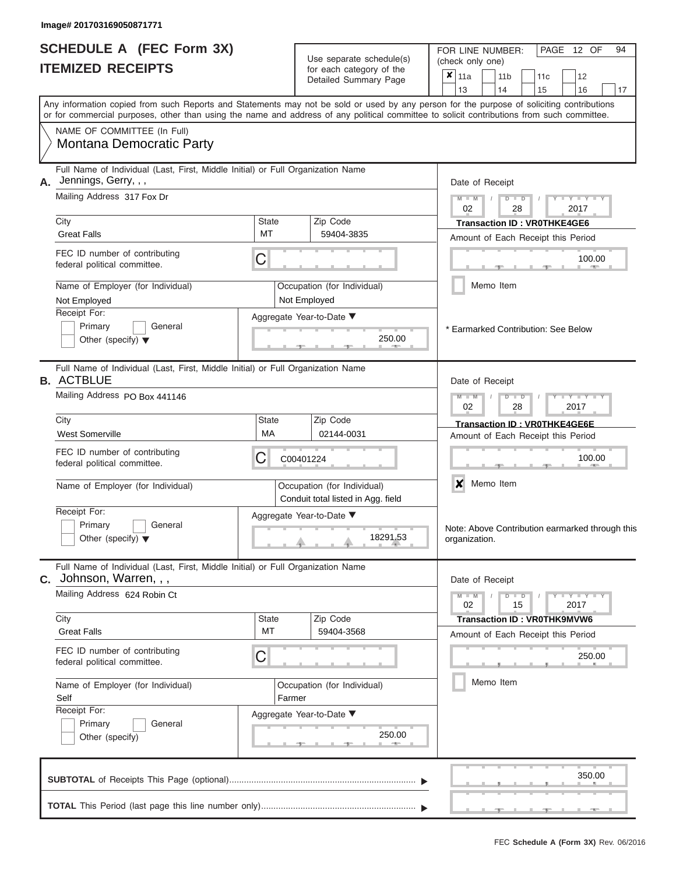|                          | <b>SCHEDULE A (FEC Form 3X)</b> |
|--------------------------|---------------------------------|
| <b>ITEMIZED RECEIPTS</b> |                                 |

FOR LINE NUMBER:<br>(check only one)

PAGE 12 OF 94

|                                                                                                                                            |                | badii balogory of life<br>Detailed Summary Page                   | x      | 11a                                                     |  | 11 <sub>b</sub> |                      | 11c | 12                                  |                                                 |  |  |  |  |  |
|--------------------------------------------------------------------------------------------------------------------------------------------|----------------|-------------------------------------------------------------------|--------|---------------------------------------------------------|--|-----------------|----------------------|-----|-------------------------------------|-------------------------------------------------|--|--|--|--|--|
| Any information copied from such Reports and Statements may not be sold or used by any person for the purpose of soliciting contributions  |                |                                                                   |        | 13                                                      |  | 14              |                      | 15  | 16                                  | 17                                              |  |  |  |  |  |
| or for commercial purposes, other than using the name and address of any political committee to solicit contributions from such committee. |                |                                                                   |        |                                                         |  |                 |                      |     |                                     |                                                 |  |  |  |  |  |
| NAME OF COMMITTEE (In Full)<br>Montana Democratic Party                                                                                    |                |                                                                   |        |                                                         |  |                 |                      |     |                                     |                                                 |  |  |  |  |  |
| Full Name of Individual (Last, First, Middle Initial) or Full Organization Name<br>A. Jennings, Gerry, , ,                                 |                |                                                                   |        | Date of Receipt                                         |  |                 |                      |     |                                     |                                                 |  |  |  |  |  |
| Mailing Address 317 Fox Dr                                                                                                                 |                |                                                                   |        | $M - M$ /<br>$D$ $D$<br>$Y - Y - I$<br>28<br>2017<br>02 |  |                 |                      |     |                                     |                                                 |  |  |  |  |  |
| City<br><b>Great Falls</b>                                                                                                                 | State<br>MT    | Zip Code                                                          |        |                                                         |  |                 |                      |     | <b>Transaction ID: VR0THKE4GE6</b>  |                                                 |  |  |  |  |  |
|                                                                                                                                            |                | 59404-3835                                                        |        |                                                         |  |                 |                      |     | Amount of Each Receipt this Period  |                                                 |  |  |  |  |  |
| FEC ID number of contributing<br>federal political committee.                                                                              | С              |                                                                   | 100.00 |                                                         |  |                 |                      |     |                                     |                                                 |  |  |  |  |  |
| Name of Employer (for Individual)<br>Not Employed                                                                                          |                | Occupation (for Individual)<br>Not Employed                       |        |                                                         |  | Memo Item       |                      |     |                                     |                                                 |  |  |  |  |  |
| Receipt For:                                                                                                                               |                | Aggregate Year-to-Date ▼                                          |        |                                                         |  |                 |                      |     |                                     |                                                 |  |  |  |  |  |
| Primary<br>General<br>Other (specify) $\blacktriangledown$                                                                                 |                | 250.00                                                            |        |                                                         |  |                 |                      |     | * Earmarked Contribution: See Below |                                                 |  |  |  |  |  |
| Full Name of Individual (Last, First, Middle Initial) or Full Organization Name<br><b>B. ACTBLUE</b>                                       |                |                                                                   |        | Date of Receipt                                         |  |                 |                      |     |                                     |                                                 |  |  |  |  |  |
| Mailing Address PO Box 441146                                                                                                              |                |                                                                   |        | $M - M$<br>02                                           |  |                 | $D$ $\Box$ $D$<br>28 |     | $Y - Y$<br>2017                     |                                                 |  |  |  |  |  |
| City                                                                                                                                       | <b>State</b>   | Zip Code                                                          |        |                                                         |  |                 |                      |     | <b>Transaction ID: VR0THKE4GE6E</b> |                                                 |  |  |  |  |  |
| <b>West Somerville</b>                                                                                                                     | MA             | 02144-0031                                                        |        |                                                         |  |                 |                      |     | Amount of Each Receipt this Period  |                                                 |  |  |  |  |  |
| FEC ID number of contributing<br>federal political committee.                                                                              | С<br>C00401224 |                                                                   | 100.00 |                                                         |  |                 |                      |     |                                     |                                                 |  |  |  |  |  |
| Name of Employer (for Individual)                                                                                                          |                | Occupation (for Individual)<br>Conduit total listed in Agg. field |        | X<br>Memo Item                                          |  |                 |                      |     |                                     |                                                 |  |  |  |  |  |
| Receipt For:<br>Primary<br>General<br>Other (specify) $\blacktriangledown$                                                                 |                | Aggregate Year-to-Date ▼<br>18291.53                              |        | organization.                                           |  |                 |                      |     |                                     | Note: Above Contribution earmarked through this |  |  |  |  |  |
| Full Name of Individual (Last, First, Middle Initial) or Full Organization Name<br>$C.$ Johnson, Warren, $,$                               |                |                                                                   |        | Date of Receipt                                         |  |                 |                      |     |                                     |                                                 |  |  |  |  |  |
| Mailing Address 624 Robin Ct                                                                                                               |                |                                                                   |        | $M - M$<br>02                                           |  |                 | $D$ $D$<br>15        |     | $T - Y = T - Y - T - Y$<br>2017     |                                                 |  |  |  |  |  |
| City                                                                                                                                       | <b>State</b>   | Zip Code                                                          |        |                                                         |  |                 |                      |     | <b>Transaction ID: VR0THK9MVW6</b>  |                                                 |  |  |  |  |  |
| <b>Great Falls</b>                                                                                                                         | MT             | 59404-3568                                                        |        |                                                         |  |                 |                      |     | Amount of Each Receipt this Period  |                                                 |  |  |  |  |  |
| FEC ID number of contributing<br>federal political committee.                                                                              | С              |                                                                   |        |                                                         |  |                 |                      |     |                                     | 250.00                                          |  |  |  |  |  |
| Name of Employer (for Individual)<br>Self                                                                                                  | Farmer         | Occupation (for Individual)                                       |        |                                                         |  | Memo Item       |                      |     |                                     |                                                 |  |  |  |  |  |
| Receipt For:                                                                                                                               |                | Aggregate Year-to-Date ▼                                          |        |                                                         |  |                 |                      |     |                                     |                                                 |  |  |  |  |  |
| Primary<br>General<br>Other (specify)                                                                                                      |                | 250.00                                                            |        |                                                         |  |                 |                      |     |                                     |                                                 |  |  |  |  |  |
|                                                                                                                                            |                |                                                                   |        |                                                         |  |                 |                      |     |                                     | 350.00                                          |  |  |  |  |  |
|                                                                                                                                            |                |                                                                   |        |                                                         |  |                 |                      |     |                                     |                                                 |  |  |  |  |  |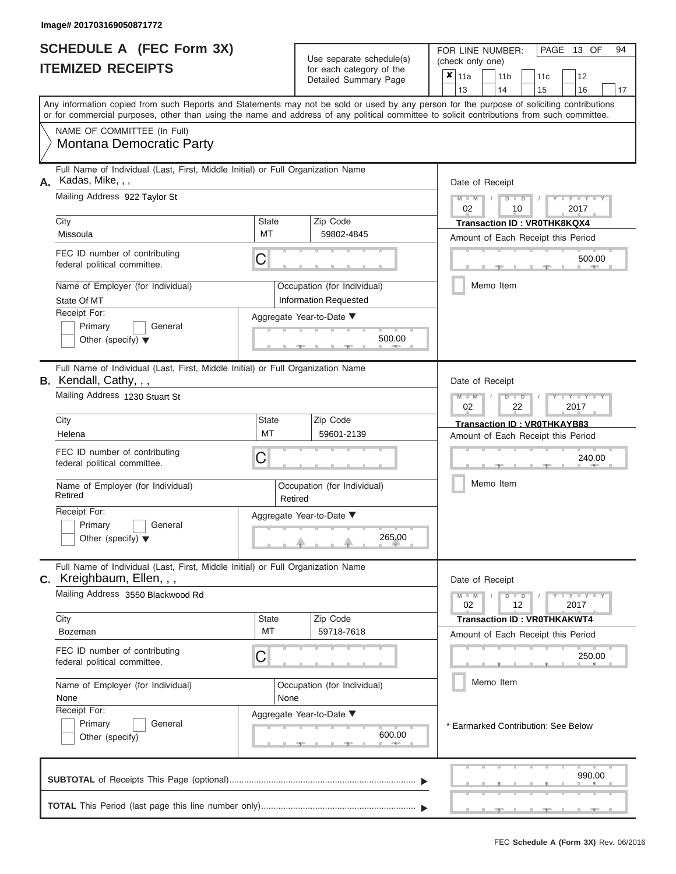|                          | <b>SCHEDULE A (FEC Form 3X)</b> |
|--------------------------|---------------------------------|
| <b>ITEMIZED RECEIPTS</b> |                                 |

FOR LINE NUMBER:<br>(check only one)

PAGE 13 OF 94

|    | LD IILVLII IV                                                                                                                              |                    |                             | ioi caoii caicgoig oi inc<br>Detailed Summary Page | x                                               | 11a                                                                            |  |                                                       | 11 <sub>b</sub> |  | 11c                                 |  | 12                          |    |  |  |  |
|----|--------------------------------------------------------------------------------------------------------------------------------------------|--------------------|-----------------------------|----------------------------------------------------|-------------------------------------------------|--------------------------------------------------------------------------------|--|-------------------------------------------------------|-----------------|--|-------------------------------------|--|-----------------------------|----|--|--|--|
|    | Any information copied from such Reports and Statements may not be sold or used by any person for the purpose of soliciting contributions  |                    |                             |                                                    |                                                 | 13                                                                             |  |                                                       | 14              |  | 15                                  |  | 16                          | 17 |  |  |  |
|    | or for commercial purposes, other than using the name and address of any political committee to solicit contributions from such committee. |                    |                             |                                                    |                                                 |                                                                                |  |                                                       |                 |  |                                     |  |                             |    |  |  |  |
|    | NAME OF COMMITTEE (In Full)                                                                                                                |                    |                             |                                                    |                                                 |                                                                                |  |                                                       |                 |  |                                     |  |                             |    |  |  |  |
|    | Montana Democratic Party                                                                                                                   |                    |                             |                                                    |                                                 |                                                                                |  |                                                       |                 |  |                                     |  |                             |    |  |  |  |
| А. | Full Name of Individual (Last, First, Middle Initial) or Full Organization Name<br>Kadas, Mike, , ,                                        |                    |                             |                                                    |                                                 | Date of Receipt                                                                |  |                                                       |                 |  |                                     |  |                             |    |  |  |  |
|    | Mailing Address 922 Taylor St                                                                                                              |                    |                             |                                                    | $M - M$ /<br>$D$ $D$<br>$Y - Y - I$             |                                                                                |  |                                                       |                 |  |                                     |  |                             |    |  |  |  |
|    |                                                                                                                                            |                    |                             |                                                    | 02<br>10<br>2017<br>Transaction ID: VR0THK8KQX4 |                                                                                |  |                                                       |                 |  |                                     |  |                             |    |  |  |  |
|    | City                                                                                                                                       | <b>State</b><br>МT |                             | Zip Code                                           |                                                 |                                                                                |  |                                                       |                 |  |                                     |  |                             |    |  |  |  |
|    | Missoula                                                                                                                                   |                    |                             | 59802-4845                                         |                                                 |                                                                                |  |                                                       |                 |  | Amount of Each Receipt this Period  |  |                             |    |  |  |  |
|    | FEC ID number of contributing<br>federal political committee.                                                                              | C                  |                             |                                                    |                                                 |                                                                                |  |                                                       |                 |  |                                     |  | 500.00<br><b>CONTRACTOR</b> |    |  |  |  |
|    | Name of Employer (for Individual)                                                                                                          |                    |                             | Occupation (for Individual)                        |                                                 |                                                                                |  |                                                       | Memo Item       |  |                                     |  |                             |    |  |  |  |
|    | State Of MT                                                                                                                                |                    |                             | Information Requested                              |                                                 |                                                                                |  |                                                       |                 |  |                                     |  |                             |    |  |  |  |
|    | Receipt For:                                                                                                                               |                    |                             | Aggregate Year-to-Date ▼                           |                                                 |                                                                                |  |                                                       |                 |  |                                     |  |                             |    |  |  |  |
|    | Primary<br>General<br>Other (specify) $\blacktriangledown$                                                                                 |                    |                             | 500.00                                             |                                                 |                                                                                |  |                                                       |                 |  |                                     |  |                             |    |  |  |  |
|    |                                                                                                                                            |                    |                             | <b>CONTRACTOR</b>                                  |                                                 |                                                                                |  |                                                       |                 |  |                                     |  |                             |    |  |  |  |
|    | Full Name of Individual (Last, First, Middle Initial) or Full Organization Name<br>B. Kendall, Cathy, , ,                                  |                    |                             |                                                    |                                                 | Date of Receipt                                                                |  |                                                       |                 |  |                                     |  |                             |    |  |  |  |
|    | Mailing Address 1230 Stuart St                                                                                                             |                    |                             |                                                    |                                                 |                                                                                |  | $M - M$<br>$D$ $\Box$ $D$<br>Y TY<br>02<br>2017<br>22 |                 |  |                                     |  |                             |    |  |  |  |
|    | City                                                                                                                                       | <b>State</b>       | Zip Code                    |                                                    | Transaction ID: VR0THKAYB83                     |                                                                                |  |                                                       |                 |  |                                     |  |                             |    |  |  |  |
|    | Helena                                                                                                                                     | MT                 | 59601-2139                  |                                                    | Amount of Each Receipt this Period              |                                                                                |  |                                                       |                 |  |                                     |  |                             |    |  |  |  |
|    | FEC ID number of contributing<br>federal political committee.                                                                              | C                  |                             |                                                    |                                                 | 240.00                                                                         |  |                                                       |                 |  |                                     |  |                             |    |  |  |  |
|    | Name of Employer (for Individual)<br>Retired                                                                                               | Retired            | Occupation (for Individual) |                                                    |                                                 |                                                                                |  | Memo Item                                             |                 |  |                                     |  |                             |    |  |  |  |
|    | Receipt For:<br>Primary<br>General                                                                                                         |                    |                             | Aggregate Year-to-Date ▼                           |                                                 |                                                                                |  |                                                       |                 |  |                                     |  |                             |    |  |  |  |
|    | Other (specify) $\blacktriangledown$                                                                                                       |                    |                             | 265.00                                             |                                                 |                                                                                |  |                                                       |                 |  |                                     |  |                             |    |  |  |  |
|    | Full Name of Individual (Last, First, Middle Initial) or Full Organization Name<br>C. Kreighbaum, Ellen, , ,                               |                    |                             |                                                    |                                                 |                                                                                |  |                                                       |                 |  |                                     |  |                             |    |  |  |  |
|    | Mailing Address 3550 Blackwood Rd                                                                                                          |                    |                             |                                                    |                                                 | Date of Receipt<br>$M - M$<br>$D$ $D$<br>$T - Y = Y - T Y$<br>02<br>12<br>2017 |  |                                                       |                 |  |                                     |  |                             |    |  |  |  |
|    | City                                                                                                                                       | <b>State</b>       |                             | Zip Code                                           |                                                 |                                                                                |  |                                                       |                 |  | <b>Transaction ID: VR0THKAKWT4</b>  |  |                             |    |  |  |  |
|    | Bozeman                                                                                                                                    | MT                 |                             | 59718-7618                                         |                                                 |                                                                                |  |                                                       |                 |  | Amount of Each Receipt this Period  |  |                             |    |  |  |  |
|    | FEC ID number of contributing<br>federal political committee.                                                                              | C                  |                             |                                                    |                                                 |                                                                                |  |                                                       |                 |  |                                     |  | 250.00                      |    |  |  |  |
|    | Name of Employer (for Individual)                                                                                                          |                    |                             | Occupation (for Individual)                        |                                                 | Memo Item                                                                      |  |                                                       |                 |  |                                     |  |                             |    |  |  |  |
|    | None                                                                                                                                       | None               |                             |                                                    |                                                 |                                                                                |  |                                                       |                 |  |                                     |  |                             |    |  |  |  |
|    | Receipt For:<br>Primary<br>General                                                                                                         |                    |                             | Aggregate Year-to-Date ▼                           |                                                 |                                                                                |  |                                                       |                 |  |                                     |  |                             |    |  |  |  |
|    | Other (specify)                                                                                                                            |                    |                             | 600.00                                             |                                                 |                                                                                |  |                                                       |                 |  | * Earmarked Contribution: See Below |  |                             |    |  |  |  |
|    |                                                                                                                                            |                    |                             |                                                    |                                                 |                                                                                |  |                                                       |                 |  |                                     |  | 990.00                      |    |  |  |  |
|    |                                                                                                                                            |                    |                             |                                                    |                                                 |                                                                                |  |                                                       |                 |  |                                     |  |                             |    |  |  |  |
|    |                                                                                                                                            |                    |                             |                                                    |                                                 |                                                                                |  |                                                       |                 |  |                                     |  |                             |    |  |  |  |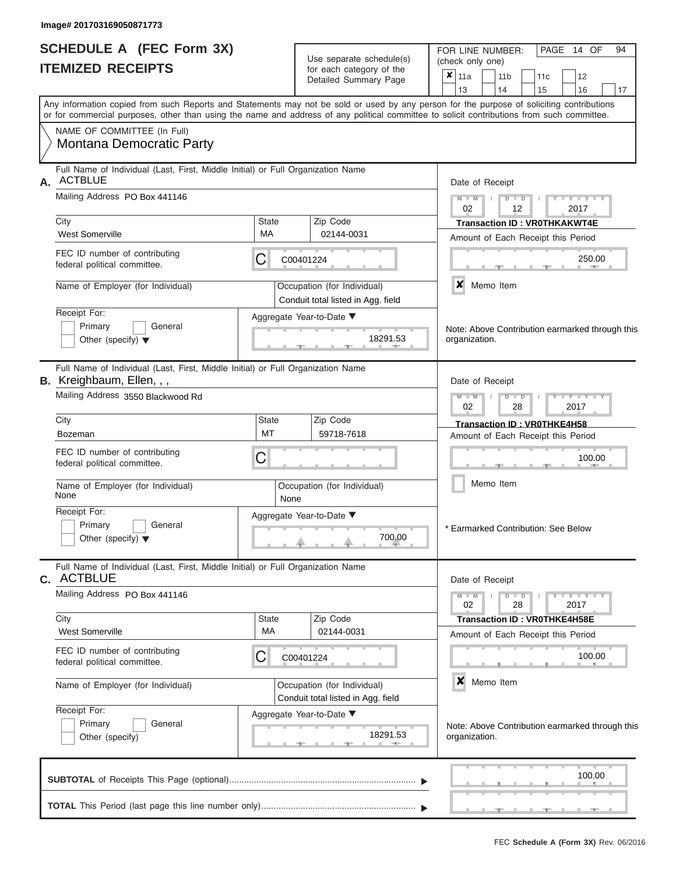|                          | <b>SCHEDULE A (FEC Form 3X)</b> |
|--------------------------|---------------------------------|
| <b>ITEMIZED RECEIPTS</b> |                                 |

FOR LINE NUMBER:<br>(check only one)

PAGE 14 OF 94

|                |                                                                                                                                                                                                                                                                                         |                          | Detailed Summary Page                                             | x                                   | 11a                                                              |  | 11 <sub>b</sub> |                                                                                                                                     | 11c | 12                                  |    |  |  |  |  |  |
|----------------|-----------------------------------------------------------------------------------------------------------------------------------------------------------------------------------------------------------------------------------------------------------------------------------------|--------------------------|-------------------------------------------------------------------|-------------------------------------|------------------------------------------------------------------|--|-----------------|-------------------------------------------------------------------------------------------------------------------------------------|-----|-------------------------------------|----|--|--|--|--|--|
|                |                                                                                                                                                                                                                                                                                         |                          |                                                                   |                                     | 13                                                               |  | 14              |                                                                                                                                     | 15  | 16                                  | 17 |  |  |  |  |  |
|                | Any information copied from such Reports and Statements may not be sold or used by any person for the purpose of soliciting contributions<br>or for commercial purposes, other than using the name and address of any political committee to solicit contributions from such committee. |                          |                                                                   |                                     |                                                                  |  |                 |                                                                                                                                     |     |                                     |    |  |  |  |  |  |
|                | NAME OF COMMITTEE (In Full)                                                                                                                                                                                                                                                             |                          |                                                                   |                                     |                                                                  |  |                 |                                                                                                                                     |     |                                     |    |  |  |  |  |  |
|                | Montana Democratic Party                                                                                                                                                                                                                                                                |                          |                                                                   |                                     |                                                                  |  |                 |                                                                                                                                     |     |                                     |    |  |  |  |  |  |
| Α.             | Full Name of Individual (Last, First, Middle Initial) or Full Organization Name<br><b>ACTBLUE</b>                                                                                                                                                                                       |                          |                                                                   |                                     | Date of Receipt                                                  |  |                 |                                                                                                                                     |     |                                     |    |  |  |  |  |  |
|                | Mailing Address PO Box 441146                                                                                                                                                                                                                                                           |                          |                                                                   |                                     | $M$ $M$ $I$<br>$D$ $D$<br>Y TY<br>02<br>12<br>2017               |  |                 |                                                                                                                                     |     |                                     |    |  |  |  |  |  |
| City           |                                                                                                                                                                                                                                                                                         | <b>State</b>             | Zip Code                                                          |                                     | <b>Transaction ID: VR0THKAKWT4E</b>                              |  |                 |                                                                                                                                     |     |                                     |    |  |  |  |  |  |
|                | <b>West Somerville</b>                                                                                                                                                                                                                                                                  | MA                       | 02144-0031                                                        | Amount of Each Receipt this Period  |                                                                  |  |                 |                                                                                                                                     |     |                                     |    |  |  |  |  |  |
|                | FEC ID number of contributing<br>federal political committee.                                                                                                                                                                                                                           | C                        | C00401224                                                         |                                     | 250.00                                                           |  |                 |                                                                                                                                     |     |                                     |    |  |  |  |  |  |
|                | Name of Employer (for Individual)                                                                                                                                                                                                                                                       |                          | Occupation (for Individual)<br>Conduit total listed in Agg. field |                                     | ×                                                                |  | Memo Item       |                                                                                                                                     |     |                                     |    |  |  |  |  |  |
|                | Receipt For:                                                                                                                                                                                                                                                                            |                          | Aggregate Year-to-Date ▼                                          |                                     |                                                                  |  |                 |                                                                                                                                     |     |                                     |    |  |  |  |  |  |
|                | Primary<br>General<br>Other (specify) $\blacktriangledown$                                                                                                                                                                                                                              |                          | 18291.53                                                          |                                     | Note: Above Contribution earmarked through this<br>organization. |  |                 |                                                                                                                                     |     |                                     |    |  |  |  |  |  |
|                | Full Name of Individual (Last, First, Middle Initial) or Full Organization Name<br>B. Kreighbaum, Ellen, , ,                                                                                                                                                                            |                          |                                                                   |                                     |                                                                  |  | Date of Receipt |                                                                                                                                     |     |                                     |    |  |  |  |  |  |
|                | Mailing Address 3550 Blackwood Rd                                                                                                                                                                                                                                                       |                          |                                                                   |                                     |                                                                  |  |                 | $M - M$<br>$\blacksquare$ $\blacksquare$ $\blacksquare$ $\blacksquare$ $\blacksquare$ $\blacksquare$<br>$D$ $D$<br>2017<br>02<br>28 |     |                                     |    |  |  |  |  |  |
| City           |                                                                                                                                                                                                                                                                                         | <b>State</b>             | Zip Code                                                          |                                     | Transaction ID: VR0THKE4H58                                      |  |                 |                                                                                                                                     |     |                                     |    |  |  |  |  |  |
| <b>Bozeman</b> |                                                                                                                                                                                                                                                                                         | MT                       | 59718-7618                                                        |                                     |                                                                  |  |                 |                                                                                                                                     |     | Amount of Each Receipt this Period  |    |  |  |  |  |  |
|                | FEC ID number of contributing<br>federal political committee.                                                                                                                                                                                                                           | C                        |                                                                   |                                     |                                                                  |  |                 | 100.00                                                                                                                              |     |                                     |    |  |  |  |  |  |
| None           | Name of Employer (for Individual)                                                                                                                                                                                                                                                       | None                     | Occupation (for Individual)                                       |                                     | Memo Item                                                        |  |                 |                                                                                                                                     |     |                                     |    |  |  |  |  |  |
|                | Receipt For:<br>Primary<br>General<br>Other (specify) $\blacktriangledown$                                                                                                                                                                                                              | Aggregate Year-to-Date ▼ |                                                                   | * Earmarked Contribution: See Below |                                                                  |  |                 |                                                                                                                                     |     |                                     |    |  |  |  |  |  |
|                | Full Name of Individual (Last, First, Middle Initial) or Full Organization Name<br><b>c.</b> ACTBLUE                                                                                                                                                                                    |                          |                                                                   |                                     | Date of Receipt                                                  |  |                 |                                                                                                                                     |     |                                     |    |  |  |  |  |  |
|                | Mailing Address PO Box 441146                                                                                                                                                                                                                                                           |                          |                                                                   |                                     | $M - M$<br>Y - Y - Y - Y<br>$D$ $D$<br>02<br>28<br>2017          |  |                 |                                                                                                                                     |     |                                     |    |  |  |  |  |  |
| City           | <b>West Somerville</b>                                                                                                                                                                                                                                                                  | <b>State</b><br>MA       | Zip Code<br>02144-0031                                            |                                     |                                                                  |  |                 |                                                                                                                                     |     | <b>Transaction ID: VR0THKE4H58E</b> |    |  |  |  |  |  |
|                |                                                                                                                                                                                                                                                                                         |                          |                                                                   |                                     |                                                                  |  |                 |                                                                                                                                     |     | Amount of Each Receipt this Period  |    |  |  |  |  |  |
|                | FEC ID number of contributing<br>federal political committee.                                                                                                                                                                                                                           | С                        | C00401224                                                         |                                     |                                                                  |  |                 |                                                                                                                                     |     | 100.00                              |    |  |  |  |  |  |
|                | Name of Employer (for Individual)                                                                                                                                                                                                                                                       |                          | Occupation (for Individual)<br>Conduit total listed in Agg. field |                                     | ×<br>Memo Item                                                   |  |                 |                                                                                                                                     |     |                                     |    |  |  |  |  |  |
|                | Receipt For:<br>Primary<br>General<br>Other (specify)                                                                                                                                                                                                                                   |                          | Aggregate Year-to-Date ▼<br>18291.53                              |                                     |                                                                  |  |                 | Note: Above Contribution earmarked through this<br>organization.                                                                    |     |                                     |    |  |  |  |  |  |
|                |                                                                                                                                                                                                                                                                                         |                          |                                                                   |                                     |                                                                  |  |                 |                                                                                                                                     |     | 100.00                              |    |  |  |  |  |  |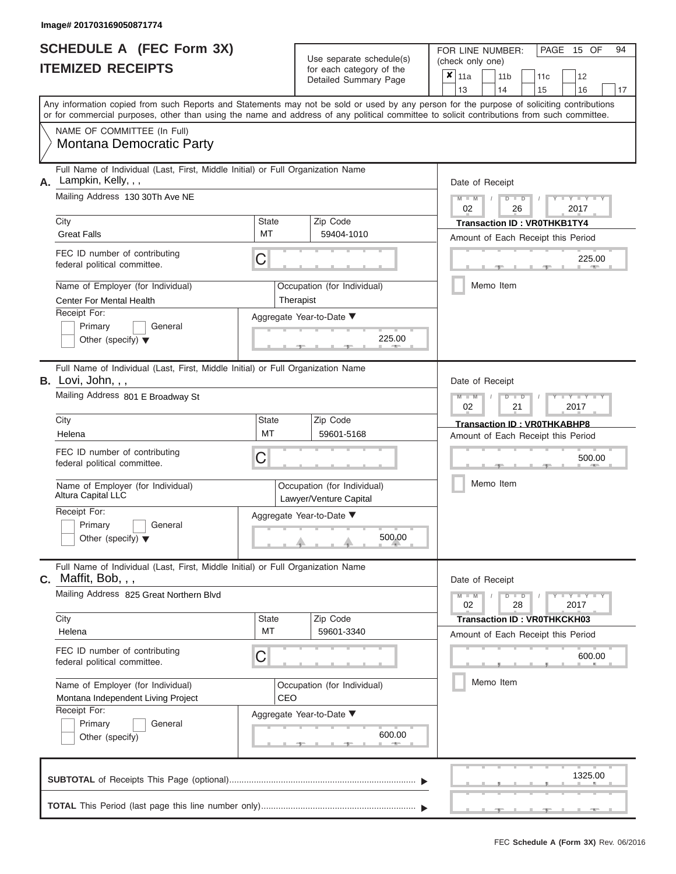|                          | <b>SCHEDULE A (FEC Form 3X)</b> |
|--------------------------|---------------------------------|
| <b>ITEMIZED RECEIPTS</b> |                                 |

Use separate schedule(s) (check only one) for each category of the  $\Box$ 

FOR LINE NUMBER:<br>(check only one)

PAGE 15 OF 94

|    | TEMIZED RECEIPTS                                                                                                                           |                                                       |                                    | for each category of the<br>Detailed Summary Page | $\pmb{\times}$                                                                                                                            | 11a<br>13                                                                                          |                                                                                   | 11 <sub>b</sub><br>14     | 11 <sub>c</sub><br>15                                                    | 12<br>16        | 17 |  |  |  |  |
|----|--------------------------------------------------------------------------------------------------------------------------------------------|-------------------------------------------------------|------------------------------------|---------------------------------------------------|-------------------------------------------------------------------------------------------------------------------------------------------|----------------------------------------------------------------------------------------------------|-----------------------------------------------------------------------------------|---------------------------|--------------------------------------------------------------------------|-----------------|----|--|--|--|--|
|    | or for commercial purposes, other than using the name and address of any political committee to solicit contributions from such committee. |                                                       |                                    |                                                   | Any information copied from such Reports and Statements may not be sold or used by any person for the purpose of soliciting contributions |                                                                                                    |                                                                                   |                           |                                                                          |                 |    |  |  |  |  |
|    | NAME OF COMMITTEE (In Full)<br>Montana Democratic Party                                                                                    |                                                       |                                    |                                                   |                                                                                                                                           |                                                                                                    |                                                                                   |                           |                                                                          |                 |    |  |  |  |  |
| А. | Full Name of Individual (Last, First, Middle Initial) or Full Organization Name<br>Lampkin, Kelly, , ,<br>Mailing Address 130 30Th Ave NE  |                                                       |                                    |                                                   |                                                                                                                                           | Date of Receipt                                                                                    |                                                                                   |                           |                                                                          |                 |    |  |  |  |  |
|    | City                                                                                                                                       | <b>State</b>                                          |                                    | Zip Code                                          |                                                                                                                                           | $Y = Y$<br>D<br>$\overline{\phantom{a}}$<br>2017<br>02<br>26<br><b>Transaction ID: VR0THKB1TY4</b> |                                                                                   |                           |                                                                          |                 |    |  |  |  |  |
|    | <b>Great Falls</b>                                                                                                                         | МT                                                    |                                    | 59404-1010                                        |                                                                                                                                           | Amount of Each Receipt this Period                                                                 |                                                                                   |                           |                                                                          |                 |    |  |  |  |  |
|    | FEC ID number of contributing<br>federal political committee.                                                                              | С                                                     |                                    |                                                   |                                                                                                                                           |                                                                                                    |                                                                                   | 225.00                    |                                                                          |                 |    |  |  |  |  |
|    | Name of Employer (for Individual)<br><b>Center For Mental Health</b>                                                                       |                                                       | Therapist                          | Occupation (for Individual)                       |                                                                                                                                           |                                                                                                    | Memo Item                                                                         |                           |                                                                          |                 |    |  |  |  |  |
|    | Receipt For:<br>Primary<br>General<br>Other (specify) $\blacktriangledown$                                                                 |                                                       |                                    | Aggregate Year-to-Date ▼<br>225.00                |                                                                                                                                           |                                                                                                    |                                                                                   |                           |                                                                          |                 |    |  |  |  |  |
|    | Full Name of Individual (Last, First, Middle Initial) or Full Organization Name<br>B. Lovi, John, , ,                                      |                                                       |                                    |                                                   |                                                                                                                                           |                                                                                                    | Date of Receipt<br>Y TYT<br>$\overline{\mathsf{M}}$<br>D<br>ם<br>2017<br>02<br>21 |                           |                                                                          |                 |    |  |  |  |  |
|    | Mailing Address 801 E Broadway St                                                                                                          |                                                       |                                    |                                                   |                                                                                                                                           |                                                                                                    |                                                                                   |                           |                                                                          |                 |    |  |  |  |  |
|    | City<br>Helena                                                                                                                             | <b>State</b><br>МT                                    |                                    | Zip Code<br>59601-5168                            |                                                                                                                                           | <b>Transaction ID: VR0THKABHP8</b><br>Amount of Each Receipt this Period                           |                                                                                   |                           |                                                                          |                 |    |  |  |  |  |
|    | FEC ID number of contributing<br>С<br>federal political committee.                                                                         |                                                       |                                    |                                                   |                                                                                                                                           |                                                                                                    | 500.00                                                                            |                           |                                                                          |                 |    |  |  |  |  |
|    | Name of Employer (for Individual)<br>Altura Capital LLC                                                                                    | Occupation (for Individual)<br>Lawyer/Venture Capital |                                    | Memo Item                                         |                                                                                                                                           |                                                                                                    |                                                                                   |                           |                                                                          |                 |    |  |  |  |  |
|    | Receipt For:<br>Primary<br>General<br>Other (specify) $\blacktriangledown$                                                                 |                                                       |                                    | Aggregate Year-to-Date ▼<br>500.00                |                                                                                                                                           |                                                                                                    |                                                                                   |                           |                                                                          |                 |    |  |  |  |  |
|    | Full Name of Individual (Last, First, Middle Initial) or Full Organization Name<br>C. Maffit, Bob, , ,                                     |                                                       |                                    |                                                   |                                                                                                                                           | Date of Receipt                                                                                    |                                                                                   |                           |                                                                          |                 |    |  |  |  |  |
|    | Mailing Address 825 Great Northern Blvd                                                                                                    |                                                       |                                    |                                                   |                                                                                                                                           | $M - M$<br>02                                                                                      |                                                                                   | D<br>$\blacksquare$<br>28 |                                                                          | Y L Y L<br>2017 |    |  |  |  |  |
|    | City<br>Helena                                                                                                                             | <b>State</b><br>МT                                    |                                    | Zip Code<br>59601-3340                            |                                                                                                                                           |                                                                                                    |                                                                                   |                           | <b>Transaction ID: VR0THKCKH03</b><br>Amount of Each Receipt this Period |                 |    |  |  |  |  |
|    | FEC ID number of contributing<br>federal political committee.                                                                              | С                                                     |                                    |                                                   |                                                                                                                                           | 600.00                                                                                             |                                                                                   |                           |                                                                          |                 |    |  |  |  |  |
|    | Name of Employer (for Individual)<br>Montana Independent Living Project                                                                    | Occupation (for Individual)<br>CEO                    |                                    |                                                   |                                                                                                                                           |                                                                                                    | Memo Item                                                                         |                           |                                                                          |                 |    |  |  |  |  |
|    | Receipt For:<br>Primary<br>General<br>Other (specify)                                                                                      |                                                       | Aggregate Year-to-Date ▼<br>600.00 |                                                   |                                                                                                                                           |                                                                                                    |                                                                                   |                           |                                                                          |                 |    |  |  |  |  |
|    |                                                                                                                                            |                                                       |                                    |                                                   |                                                                                                                                           |                                                                                                    |                                                                                   |                           |                                                                          | 1325.00         |    |  |  |  |  |
|    |                                                                                                                                            |                                                       |                                    |                                                   |                                                                                                                                           |                                                                                                    |                                                                                   |                           |                                                                          |                 |    |  |  |  |  |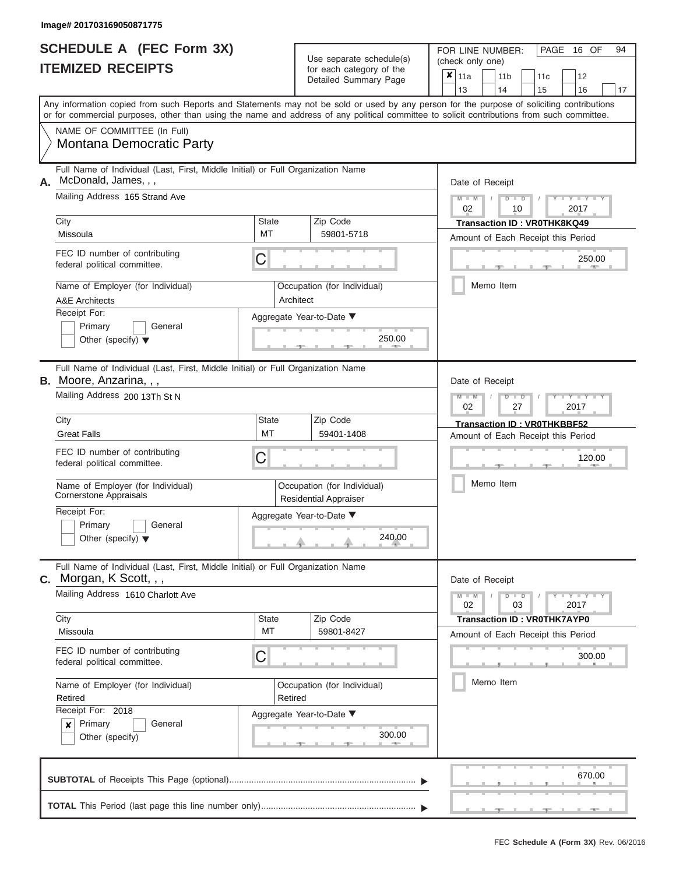|                          | <b>SCHEDULE A (FEC Form 3X)</b> |
|--------------------------|---------------------------------|
| <b>ITEMIZED RECEIPTS</b> |                                 |

FOR LINE NUMBER:<br>(check only one)

PAGE 16 OF 94

|    | IILMILLU NLVLIF IJ                                                                                                                                                                                                                                                                      |                                                                                 | ior each calegory or the<br>Detailed Summary Page           |           | ×<br>11a                                                                 |  | 11 <sub>b</sub>                       | 11c                                |           | 12                    |    |  |  |  |  |  |  |  |  |  |  |
|----|-----------------------------------------------------------------------------------------------------------------------------------------------------------------------------------------------------------------------------------------------------------------------------------------|---------------------------------------------------------------------------------|-------------------------------------------------------------|-----------|--------------------------------------------------------------------------|--|---------------------------------------|------------------------------------|-----------|-----------------------|----|--|--|--|--|--|--|--|--|--|--|
|    |                                                                                                                                                                                                                                                                                         |                                                                                 |                                                             |           | 13                                                                       |  | 14                                    | 15                                 |           | 16                    | 17 |  |  |  |  |  |  |  |  |  |  |
|    | Any information copied from such Reports and Statements may not be sold or used by any person for the purpose of soliciting contributions<br>or for commercial purposes, other than using the name and address of any political committee to solicit contributions from such committee. |                                                                                 |                                                             |           |                                                                          |  |                                       |                                    |           |                       |    |  |  |  |  |  |  |  |  |  |  |
|    | NAME OF COMMITTEE (In Full)                                                                                                                                                                                                                                                             |                                                                                 |                                                             |           |                                                                          |  |                                       |                                    |           |                       |    |  |  |  |  |  |  |  |  |  |  |
|    | Montana Democratic Party                                                                                                                                                                                                                                                                |                                                                                 |                                                             |           |                                                                          |  |                                       |                                    |           |                       |    |  |  |  |  |  |  |  |  |  |  |
| А. | Full Name of Individual (Last, First, Middle Initial) or Full Organization Name<br>McDonald, James, , ,                                                                                                                                                                                 |                                                                                 |                                                             |           | Date of Receipt                                                          |  |                                       |                                    |           |                       |    |  |  |  |  |  |  |  |  |  |  |
|    | Mailing Address 165 Strand Ave                                                                                                                                                                                                                                                          |                                                                                 |                                                             |           | $M - M$<br>$D$ $D$<br>02<br>2017<br>10                                   |  |                                       |                                    |           |                       |    |  |  |  |  |  |  |  |  |  |  |
|    | City                                                                                                                                                                                                                                                                                    | State<br>MT                                                                     | Zip Code                                                    |           | <b>Transaction ID: VR0THK8KQ49</b><br>Amount of Each Receipt this Period |  |                                       |                                    |           |                       |    |  |  |  |  |  |  |  |  |  |  |
|    | Missoula                                                                                                                                                                                                                                                                                |                                                                                 | 59801-5718                                                  |           |                                                                          |  |                                       |                                    |           |                       |    |  |  |  |  |  |  |  |  |  |  |
|    | FEC ID number of contributing<br>federal political committee.                                                                                                                                                                                                                           | С                                                                               |                                                             | 250.00    |                                                                          |  |                                       |                                    |           |                       |    |  |  |  |  |  |  |  |  |  |  |
|    | Name of Employer (for Individual)<br><b>A&amp;E Architects</b>                                                                                                                                                                                                                          |                                                                                 | Occupation (for Individual)<br>Architect                    |           | Memo Item                                                                |  |                                       |                                    |           |                       |    |  |  |  |  |  |  |  |  |  |  |
|    | Receipt For:                                                                                                                                                                                                                                                                            | Aggregate Year-to-Date ▼                                                        |                                                             |           |                                                                          |  |                                       |                                    |           |                       |    |  |  |  |  |  |  |  |  |  |  |
|    | Primary<br>General<br>Other (specify) $\blacktriangledown$                                                                                                                                                                                                                              |                                                                                 | 250.00                                                      |           |                                                                          |  |                                       |                                    |           |                       |    |  |  |  |  |  |  |  |  |  |  |
|    | <b>B.</b> Moore, Anzarina, , ,                                                                                                                                                                                                                                                          | Full Name of Individual (Last, First, Middle Initial) or Full Organization Name |                                                             |           |                                                                          |  |                                       |                                    |           | Date of Receipt       |    |  |  |  |  |  |  |  |  |  |  |
|    | Mailing Address 200 13Th St N                                                                                                                                                                                                                                                           |                                                                                 |                                                             |           |                                                                          |  | $M - M$<br>$\Box$<br>02<br>2017<br>27 |                                    |           |                       |    |  |  |  |  |  |  |  |  |  |  |
|    | City                                                                                                                                                                                                                                                                                    | State                                                                           | Zip Code                                                    |           |                                                                          |  |                                       | <b>Transaction ID: VR0THKBBF52</b> |           |                       |    |  |  |  |  |  |  |  |  |  |  |
|    | <b>Great Falls</b>                                                                                                                                                                                                                                                                      | MT                                                                              | 59401-1408                                                  |           |                                                                          |  |                                       | Amount of Each Receipt this Period |           |                       |    |  |  |  |  |  |  |  |  |  |  |
|    | FEC ID number of contributing<br>federal political committee.                                                                                                                                                                                                                           |                                                                                 | 120.00                                                      |           |                                                                          |  |                                       |                                    |           |                       |    |  |  |  |  |  |  |  |  |  |  |
|    | Name of Employer (for Individual)<br>Cornerstone Appraisals                                                                                                                                                                                                                             |                                                                                 | Occupation (for Individual)<br><b>Residential Appraiser</b> | Memo Item |                                                                          |  |                                       |                                    |           |                       |    |  |  |  |  |  |  |  |  |  |  |
|    | Receipt For:                                                                                                                                                                                                                                                                            |                                                                                 | Aggregate Year-to-Date ▼                                    |           |                                                                          |  |                                       |                                    |           |                       |    |  |  |  |  |  |  |  |  |  |  |
|    | Primary<br>General<br>Other (specify) $\blacktriangledown$                                                                                                                                                                                                                              |                                                                                 | 240.00                                                      |           |                                                                          |  |                                       |                                    |           |                       |    |  |  |  |  |  |  |  |  |  |  |
| С. | Full Name of Individual (Last, First, Middle Initial) or Full Organization Name<br>Morgan, K Scott, , ,                                                                                                                                                                                 |                                                                                 |                                                             |           | Date of Receipt                                                          |  |                                       |                                    |           |                       |    |  |  |  |  |  |  |  |  |  |  |
|    | Mailing Address 1610 Charlott Ave                                                                                                                                                                                                                                                       |                                                                                 |                                                             |           | $M - M$<br>02                                                            |  | $D$ $D$<br>03                         |                                    |           | $-Y - Y - TY$<br>2017 |    |  |  |  |  |  |  |  |  |  |  |
|    | City                                                                                                                                                                                                                                                                                    | State                                                                           | Zip Code                                                    |           |                                                                          |  |                                       | Transaction ID: VR0THK7AYP0        |           |                       |    |  |  |  |  |  |  |  |  |  |  |
|    | Missoula                                                                                                                                                                                                                                                                                | МT                                                                              | 59801-8427                                                  |           |                                                                          |  |                                       | Amount of Each Receipt this Period |           |                       |    |  |  |  |  |  |  |  |  |  |  |
|    | FEC ID number of contributing<br>federal political committee.                                                                                                                                                                                                                           | C                                                                               |                                                             |           |                                                                          |  |                                       |                                    |           | 300.00                |    |  |  |  |  |  |  |  |  |  |  |
|    | Name of Employer (for Individual)<br>Retired                                                                                                                                                                                                                                            | Occupation (for Individual)<br>Retired                                          |                                                             |           |                                                                          |  |                                       |                                    | Memo Item |                       |    |  |  |  |  |  |  |  |  |  |  |
|    | Receipt For: 2018                                                                                                                                                                                                                                                                       |                                                                                 | Aggregate Year-to-Date ▼                                    |           |                                                                          |  |                                       |                                    |           |                       |    |  |  |  |  |  |  |  |  |  |  |
|    | Primary<br>General<br>$\boldsymbol{x}$<br>Other (specify)                                                                                                                                                                                                                               |                                                                                 |                                                             |           |                                                                          |  |                                       |                                    |           |                       |    |  |  |  |  |  |  |  |  |  |  |
|    |                                                                                                                                                                                                                                                                                         |                                                                                 |                                                             |           |                                                                          |  |                                       |                                    |           | 670.00                |    |  |  |  |  |  |  |  |  |  |  |
|    |                                                                                                                                                                                                                                                                                         |                                                                                 |                                                             |           |                                                                          |  |                                       |                                    |           |                       |    |  |  |  |  |  |  |  |  |  |  |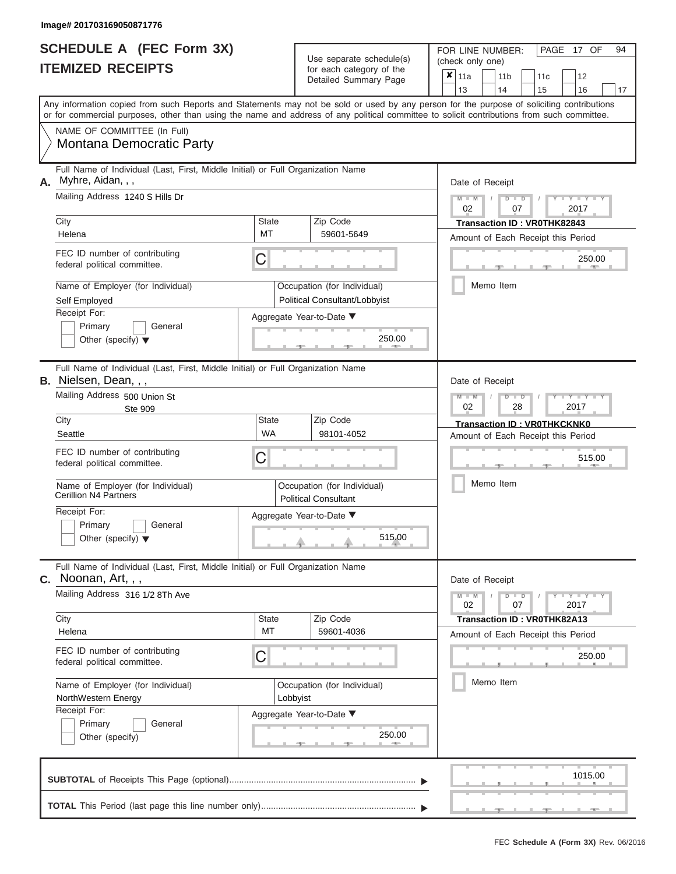|                          | <b>SCHEDULE A (FEC Form 3X)</b> |
|--------------------------|---------------------------------|
| <b>ITEMIZED RECEIPTS</b> |                                 |

FOR LINE NUMBER:<br>(check only one)

PAGE 17 OF 94

|    |                                                                                                                                                                                                                                                                                         |              | ivi vavii valvyviy vi liiv<br>Detailed Summary Page          | x                                                                        | 11a             |           | 11 <sub>b</sub>                    | 11c | 12                           |    |  |  |  |
|----|-----------------------------------------------------------------------------------------------------------------------------------------------------------------------------------------------------------------------------------------------------------------------------------------|--------------|--------------------------------------------------------------|--------------------------------------------------------------------------|-----------------|-----------|------------------------------------|-----|------------------------------|----|--|--|--|
|    |                                                                                                                                                                                                                                                                                         |              |                                                              |                                                                          | 13              |           | 14                                 | 15  | 16                           | 17 |  |  |  |
|    | Any information copied from such Reports and Statements may not be sold or used by any person for the purpose of soliciting contributions<br>or for commercial purposes, other than using the name and address of any political committee to solicit contributions from such committee. |              |                                                              |                                                                          |                 |           |                                    |     |                              |    |  |  |  |
|    | NAME OF COMMITTEE (In Full)                                                                                                                                                                                                                                                             |              |                                                              |                                                                          |                 |           |                                    |     |                              |    |  |  |  |
|    | Montana Democratic Party                                                                                                                                                                                                                                                                |              |                                                              |                                                                          |                 |           |                                    |     |                              |    |  |  |  |
| А. | Full Name of Individual (Last, First, Middle Initial) or Full Organization Name<br>Myhre, Aidan, , ,                                                                                                                                                                                    |              |                                                              |                                                                          | Date of Receipt |           |                                    |     |                              |    |  |  |  |
|    | Mailing Address 1240 S Hills Dr                                                                                                                                                                                                                                                         |              |                                                              | $M - M$<br>$D$ $D$<br>$Y - Y - I$<br>02<br>07<br>2017                    |                 |           |                                    |     |                              |    |  |  |  |
|    | City                                                                                                                                                                                                                                                                                    | <b>State</b> | Zip Code                                                     | <b>Transaction ID: VR0THK82843</b>                                       |                 |           |                                    |     |                              |    |  |  |  |
|    | Helena                                                                                                                                                                                                                                                                                  | MT           | 59601-5649                                                   | Amount of Each Receipt this Period                                       |                 |           |                                    |     |                              |    |  |  |  |
|    | FEC ID number of contributing<br>federal political committee.                                                                                                                                                                                                                           | С            |                                                              | 250.00<br><b>CONTRACTOR</b><br>$-1$                                      |                 |           |                                    |     |                              |    |  |  |  |
|    | Name of Employer (for Individual)<br>Self Employed                                                                                                                                                                                                                                      |              | Occupation (for Individual)<br>Political Consultant/Lobbyist |                                                                          |                 | Memo Item |                                    |     |                              |    |  |  |  |
|    | Receipt For:                                                                                                                                                                                                                                                                            |              | Aggregate Year-to-Date ▼                                     |                                                                          |                 |           |                                    |     |                              |    |  |  |  |
|    | Primary<br>General<br>Other (specify) $\blacktriangledown$                                                                                                                                                                                                                              |              | 250.00                                                       |                                                                          |                 |           |                                    |     |                              |    |  |  |  |
|    | Full Name of Individual (Last, First, Middle Initial) or Full Organization Name<br>B. Nielsen, Dean, , ,                                                                                                                                                                                |              |                                                              | Date of Receipt<br>$M - M$<br>$D$ $\Box$ $D$<br>Y TY<br>2017<br>02<br>28 |                 |           |                                    |     |                              |    |  |  |  |
|    | Mailing Address 500 Union St<br><b>Ste 909</b>                                                                                                                                                                                                                                          |              |                                                              |                                                                          |                 |           |                                    |     |                              |    |  |  |  |
|    | City                                                                                                                                                                                                                                                                                    | State        | Zip Code                                                     | <b>Transaction ID: VR0THKCKNK0</b><br>Amount of Each Receipt this Period |                 |           |                                    |     |                              |    |  |  |  |
|    | Seattle                                                                                                                                                                                                                                                                                 | <b>WA</b>    | 98101-4052                                                   |                                                                          |                 |           |                                    |     |                              |    |  |  |  |
|    | FEC ID number of contributing<br>federal political committee.                                                                                                                                                                                                                           | С            |                                                              |                                                                          |                 |           |                                    |     | 515.00                       |    |  |  |  |
|    | Name of Employer (for Individual)<br>Cerillion N4 Partners                                                                                                                                                                                                                              |              | Occupation (for Individual)<br><b>Political Consultant</b>   |                                                                          | Memo Item       |           |                                    |     |                              |    |  |  |  |
|    | Receipt For:                                                                                                                                                                                                                                                                            |              | Aggregate Year-to-Date ▼                                     |                                                                          |                 |           |                                    |     |                              |    |  |  |  |
|    | Primary<br>General<br>Other (specify) $\blacktriangledown$                                                                                                                                                                                                                              |              | 515.00                                                       |                                                                          |                 |           |                                    |     |                              |    |  |  |  |
|    | Full Name of Individual (Last, First, Middle Initial) or Full Organization Name                                                                                                                                                                                                         |              |                                                              |                                                                          |                 |           |                                    |     |                              |    |  |  |  |
| С. | Noonan, Art, , ,                                                                                                                                                                                                                                                                        |              |                                                              |                                                                          | Date of Receipt |           |                                    |     |                              |    |  |  |  |
|    | Mailing Address 316 1/2 8Th Ave                                                                                                                                                                                                                                                         |              |                                                              |                                                                          | $M - M$<br>02   |           | $D$ $D$<br>07                      |     | $-1 - Y - 1 - Y - 1$<br>2017 |    |  |  |  |
|    | City<br>Helena                                                                                                                                                                                                                                                                          | State<br>MT  | Zip Code<br>59601-4036                                       |                                                                          |                 |           | <b>Transaction ID: VR0THK82A13</b> |     |                              |    |  |  |  |
|    |                                                                                                                                                                                                                                                                                         |              |                                                              |                                                                          |                 |           | Amount of Each Receipt this Period |     |                              |    |  |  |  |
|    | FEC ID number of contributing<br>federal political committee.                                                                                                                                                                                                                           | С            |                                                              |                                                                          |                 |           |                                    |     | 250.00                       |    |  |  |  |
|    | Name of Employer (for Individual)<br>NorthWestern Energy                                                                                                                                                                                                                                | Lobbyist     | Occupation (for Individual)                                  |                                                                          |                 |           | Memo Item                          |     |                              |    |  |  |  |
|    | Receipt For:                                                                                                                                                                                                                                                                            |              | Aggregate Year-to-Date ▼                                     |                                                                          |                 |           |                                    |     |                              |    |  |  |  |
|    | Primary<br>General<br>Other (specify)                                                                                                                                                                                                                                                   |              | 250.00<br>$-1$                                               |                                                                          |                 |           |                                    |     |                              |    |  |  |  |
|    |                                                                                                                                                                                                                                                                                         |              |                                                              |                                                                          |                 |           |                                    |     | 1015.00                      |    |  |  |  |
|    |                                                                                                                                                                                                                                                                                         |              |                                                              |                                                                          |                 |           |                                    |     |                              |    |  |  |  |
|    |                                                                                                                                                                                                                                                                                         |              |                                                              |                                                                          |                 |           |                                    |     |                              |    |  |  |  |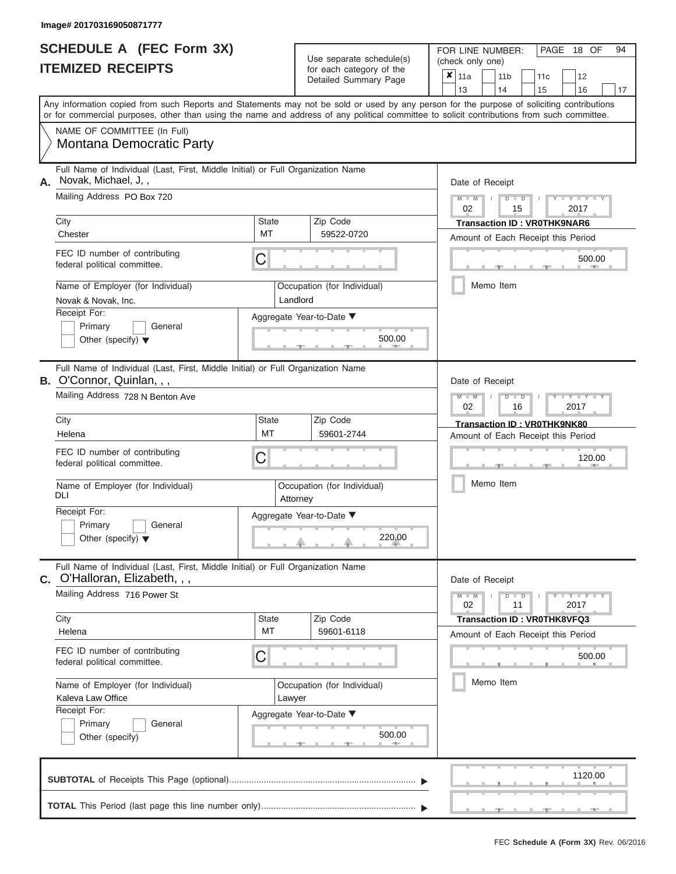|                          | <b>SCHEDULE A (FEC Form 3X)</b> |
|--------------------------|---------------------------------|
| <b>ITEMIZED RECEIPTS</b> |                                 |

FOR LINE NUMBER:<br>(check only one)

PAGE 18 OF 94

|    | IILMILLU NLVLII IJ                                                                                                                         |              | iui eauli caleguiy ul lile<br>Detailed Summary Page                                         |                                    |                                                                           |                 | 11 <sub>b</sub> | 11c                                |  | 12      |    |  |  |  |  |  |
|----|--------------------------------------------------------------------------------------------------------------------------------------------|--------------|---------------------------------------------------------------------------------------------|------------------------------------|---------------------------------------------------------------------------|-----------------|-----------------|------------------------------------|--|---------|----|--|--|--|--|--|
|    | Any information copied from such Reports and Statements may not be sold or used by any person for the purpose of soliciting contributions  |              |                                                                                             |                                    | 13                                                                        |                 | 14              | 15                                 |  | 16      | 17 |  |  |  |  |  |
|    | or for commercial purposes, other than using the name and address of any political committee to solicit contributions from such committee. |              |                                                                                             |                                    |                                                                           |                 |                 |                                    |  |         |    |  |  |  |  |  |
|    | NAME OF COMMITTEE (In Full)                                                                                                                |              |                                                                                             |                                    |                                                                           |                 |                 |                                    |  |         |    |  |  |  |  |  |
|    | Montana Democratic Party                                                                                                                   |              |                                                                                             |                                    |                                                                           |                 |                 |                                    |  |         |    |  |  |  |  |  |
| А. | Full Name of Individual (Last, First, Middle Initial) or Full Organization Name<br>Novak, Michael, J,,                                     |              |                                                                                             |                                    |                                                                           |                 |                 |                                    |  |         |    |  |  |  |  |  |
|    |                                                                                                                                            |              | Date of Receipt                                                                             |                                    |                                                                           |                 |                 |                                    |  |         |    |  |  |  |  |  |
|    | Mailing Address PO Box 720                                                                                                                 |              |                                                                                             |                                    | $M - M$<br>$D$ $\Box$ $D$<br>$\overline{\phantom{a}}$<br>02<br>15<br>2017 |                 |                 |                                    |  |         |    |  |  |  |  |  |
|    | City                                                                                                                                       | <b>State</b> | Zip Code                                                                                    |                                    | <b>Transaction ID: VR0THK9NAR6</b>                                        |                 |                 |                                    |  |         |    |  |  |  |  |  |
|    | Chester                                                                                                                                    | MT           | 59522-0720                                                                                  | Amount of Each Receipt this Period |                                                                           |                 |                 |                                    |  |         |    |  |  |  |  |  |
|    | FEC ID number of contributing<br>federal political committee.                                                                              | C            |                                                                                             |                                    | 500.00                                                                    |                 |                 |                                    |  |         |    |  |  |  |  |  |
|    | Name of Employer (for Individual)<br>Novak & Novak, Inc.                                                                                   |              | Occupation (for Individual)<br>Landlord                                                     |                                    |                                                                           |                 | Memo Item       |                                    |  |         |    |  |  |  |  |  |
|    | Receipt For:                                                                                                                               |              | Aggregate Year-to-Date ▼                                                                    |                                    |                                                                           |                 |                 |                                    |  |         |    |  |  |  |  |  |
|    | Primary<br>General                                                                                                                         |              |                                                                                             |                                    |                                                                           |                 |                 |                                    |  |         |    |  |  |  |  |  |
|    | Other (specify) $\blacktriangledown$                                                                                                       |              | 500.00                                                                                      |                                    |                                                                           |                 |                 |                                    |  |         |    |  |  |  |  |  |
|    | Full Name of Individual (Last, First, Middle Initial) or Full Organization Name                                                            |              |                                                                                             |                                    |                                                                           |                 |                 |                                    |  |         |    |  |  |  |  |  |
|    | B. O'Connor, Quinlan, , ,                                                                                                                  |              |                                                                                             |                                    |                                                                           | Date of Receipt |                 |                                    |  |         |    |  |  |  |  |  |
|    | Mailing Address 728 N Benton Ave                                                                                                           |              | $M - M$<br>$D$ $D$<br>$\overline{\phantom{a}}$ $\overline{\phantom{a}}$<br>02<br>2017<br>16 |                                    |                                                                           |                 |                 |                                    |  |         |    |  |  |  |  |  |
|    | City                                                                                                                                       | <b>State</b> | Zip Code                                                                                    |                                    |                                                                           |                 |                 | Transaction ID: VR0THK9NK80        |  |         |    |  |  |  |  |  |
|    | Helena                                                                                                                                     | MT           | 59601-2744                                                                                  |                                    |                                                                           |                 |                 | Amount of Each Receipt this Period |  |         |    |  |  |  |  |  |
|    | FEC ID number of contributing<br>federal political committee.                                                                              | C            |                                                                                             |                                    |                                                                           |                 |                 |                                    |  | 120.00  |    |  |  |  |  |  |
|    | Name of Employer (for Individual)<br>DLI                                                                                                   |              | Occupation (for Individual)<br>Attorney                                                     |                                    |                                                                           |                 | Memo Item       |                                    |  |         |    |  |  |  |  |  |
|    | Receipt For:                                                                                                                               |              | Aggregate Year-to-Date ▼                                                                    |                                    |                                                                           |                 |                 |                                    |  |         |    |  |  |  |  |  |
|    | Primary<br>General<br>Other (specify) $\blacktriangledown$                                                                                 |              | 220.00                                                                                      |                                    |                                                                           |                 |                 |                                    |  |         |    |  |  |  |  |  |
|    | Full Name of Individual (Last, First, Middle Initial) or Full Organization Name                                                            |              |                                                                                             |                                    |                                                                           |                 |                 |                                    |  |         |    |  |  |  |  |  |
|    | c. O'Halloran, Elizabeth, , ,<br>Mailing Address 716 Power St                                                                              |              |                                                                                             |                                    | Date of Receipt<br>$M - M$<br>$D$ $D$<br>$Y - Y - Y$<br>02<br>2017<br>11  |                 |                 |                                    |  |         |    |  |  |  |  |  |
|    | City                                                                                                                                       | <b>State</b> | Zip Code                                                                                    |                                    |                                                                           |                 |                 | Transaction ID: VR0THK8VFQ3        |  |         |    |  |  |  |  |  |
|    | Helena                                                                                                                                     | MT           | 59601-6118                                                                                  |                                    |                                                                           |                 |                 | Amount of Each Receipt this Period |  |         |    |  |  |  |  |  |
|    | FEC ID number of contributing<br>federal political committee.                                                                              | C            |                                                                                             |                                    |                                                                           |                 |                 |                                    |  | 500.00  |    |  |  |  |  |  |
|    | Name of Employer (for Individual)                                                                                                          |              | Occupation (for Individual)                                                                 |                                    | Memo Item                                                                 |                 |                 |                                    |  |         |    |  |  |  |  |  |
|    | Kaleva Law Office                                                                                                                          | Lawyer       |                                                                                             |                                    |                                                                           |                 |                 |                                    |  |         |    |  |  |  |  |  |
|    | Receipt For:                                                                                                                               |              | Aggregate Year-to-Date ▼                                                                    |                                    |                                                                           |                 |                 |                                    |  |         |    |  |  |  |  |  |
|    | Primary<br>General                                                                                                                         |              |                                                                                             |                                    |                                                                           |                 |                 |                                    |  |         |    |  |  |  |  |  |
|    | Other (specify)                                                                                                                            |              | 500.00                                                                                      |                                    |                                                                           |                 |                 |                                    |  |         |    |  |  |  |  |  |
|    |                                                                                                                                            |              |                                                                                             |                                    |                                                                           |                 |                 |                                    |  | 1120.00 |    |  |  |  |  |  |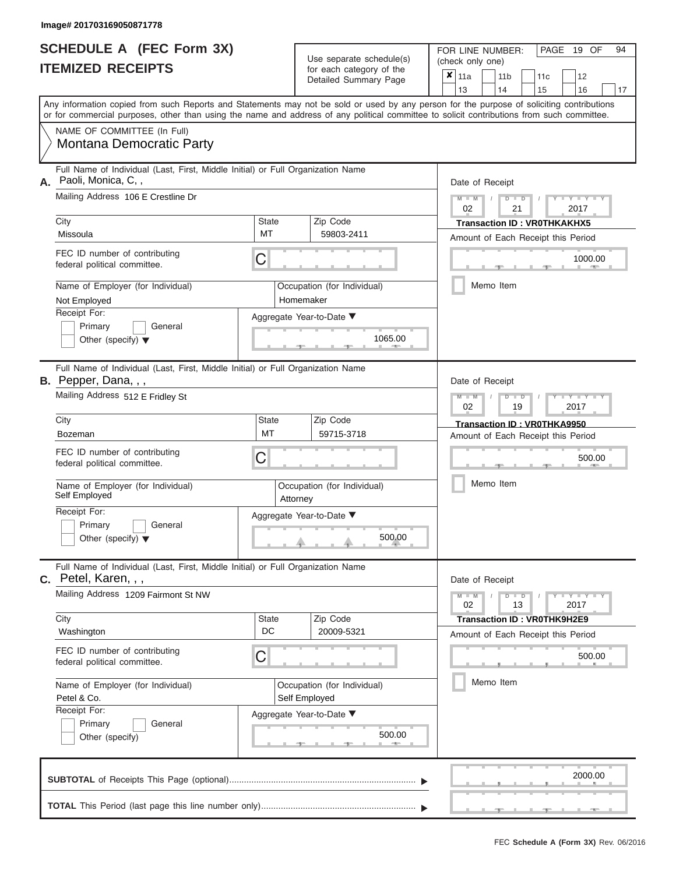|                          | <b>SCHEDULE A (FEC Form 3X)</b> |
|--------------------------|---------------------------------|
| <b>ITEMIZED RECEIPTS</b> |                                 |

FOR LINE NUMBER:<br>(check only one)

PAGE 19 OF 94

|    |                                                                                                                                                                                                                                                                                         |                                         | badii balogory of life<br>Detailed Summary Page           | x         | 11a<br>13                                              |  | 11 <sub>b</sub><br>14     | 11c<br>15                                                                | 12<br>16     | 17 |  |  |  |  |  |  |  |
|----|-----------------------------------------------------------------------------------------------------------------------------------------------------------------------------------------------------------------------------------------------------------------------------------------|-----------------------------------------|-----------------------------------------------------------|-----------|--------------------------------------------------------|--|---------------------------|--------------------------------------------------------------------------|--------------|----|--|--|--|--|--|--|--|
|    | Any information copied from such Reports and Statements may not be sold or used by any person for the purpose of soliciting contributions<br>or for commercial purposes, other than using the name and address of any political committee to solicit contributions from such committee. |                                         |                                                           |           |                                                        |  |                           |                                                                          |              |    |  |  |  |  |  |  |  |
|    | NAME OF COMMITTEE (In Full)<br>Montana Democratic Party                                                                                                                                                                                                                                 |                                         |                                                           |           |                                                        |  |                           |                                                                          |              |    |  |  |  |  |  |  |  |
| А. | Full Name of Individual (Last, First, Middle Initial) or Full Organization Name<br>Paoli, Monica, C,,<br>Mailing Address 106 E Crestline Dr                                                                                                                                             |                                         |                                                           |           | Date of Receipt<br>$M - M$<br>$D$ $D$<br>$Y - Y - I$   |  |                           |                                                                          |              |    |  |  |  |  |  |  |  |
|    | City                                                                                                                                                                                                                                                                                    | <b>State</b>                            | Zip Code                                                  |           | 02<br>2017<br>21<br><b>Transaction ID: VR0THKAKHX5</b> |  |                           |                                                                          |              |    |  |  |  |  |  |  |  |
|    | Missoula                                                                                                                                                                                                                                                                                | MT                                      | 59803-2411                                                |           | Amount of Each Receipt this Period                     |  |                           |                                                                          |              |    |  |  |  |  |  |  |  |
|    | FEC ID number of contributing<br>federal political committee.                                                                                                                                                                                                                           | С                                       |                                                           |           | 1000.00                                                |  |                           |                                                                          |              |    |  |  |  |  |  |  |  |
|    | Name of Employer (for Individual)<br>Not Employed                                                                                                                                                                                                                                       |                                         | Occupation (for Individual)<br>Homemaker                  |           | Memo Item                                              |  |                           |                                                                          |              |    |  |  |  |  |  |  |  |
|    | Receipt For:<br>Primary<br>General<br>Other (specify) $\blacktriangledown$                                                                                                                                                                                                              |                                         | Aggregate Year-to-Date ▼<br>1065.00                       |           |                                                        |  |                           |                                                                          |              |    |  |  |  |  |  |  |  |
|    | Full Name of Individual (Last, First, Middle Initial) or Full Organization Name<br>B. Pepper, Dana, , ,                                                                                                                                                                                 |                                         |                                                           |           |                                                        |  | Date of Receipt           |                                                                          |              |    |  |  |  |  |  |  |  |
|    | Mailing Address 512 E Fridley St                                                                                                                                                                                                                                                        |                                         | $M - M$<br>₽<br>Y Y<br>$\blacksquare$<br>2017<br>02<br>19 |           |                                                        |  |                           |                                                                          |              |    |  |  |  |  |  |  |  |
|    | City<br><b>Bozeman</b>                                                                                                                                                                                                                                                                  | <b>State</b><br>MT                      | Zip Code<br>59715-3718                                    |           |                                                        |  |                           | Transaction ID: VR0THKA9950                                              |              |    |  |  |  |  |  |  |  |
|    | FEC ID number of contributing<br>federal political committee.                                                                                                                                                                                                                           |                                         | Amount of Each Receipt this Period<br>500.00              |           |                                                        |  |                           |                                                                          |              |    |  |  |  |  |  |  |  |
|    | Name of Employer (for Individual)<br>Self Employed                                                                                                                                                                                                                                      | Occupation (for Individual)<br>Attorney |                                                           | Memo Item |                                                        |  |                           |                                                                          |              |    |  |  |  |  |  |  |  |
|    | Receipt For:<br>Primary<br>General<br>Other (specify) $\blacktriangledown$                                                                                                                                                                                                              |                                         | Aggregate Year-to-Date ▼<br>500.00                        |           |                                                        |  |                           |                                                                          |              |    |  |  |  |  |  |  |  |
|    | Full Name of Individual (Last, First, Middle Initial) or Full Organization Name<br>C. Petel, Karen, , ,                                                                                                                                                                                 |                                         |                                                           |           | Date of Receipt                                        |  |                           |                                                                          |              |    |  |  |  |  |  |  |  |
|    | Mailing Address 1209 Fairmont St NW                                                                                                                                                                                                                                                     |                                         |                                                           |           | $M - M$<br>02                                          |  | D<br>$\overline{D}$<br>13 |                                                                          | Y TY<br>2017 |    |  |  |  |  |  |  |  |
|    | City<br>Washington                                                                                                                                                                                                                                                                      | <b>State</b><br>DC                      | Zip Code<br>20009-5321                                    |           |                                                        |  |                           | <b>Transaction ID: VR0THK9H2E9</b><br>Amount of Each Receipt this Period |              |    |  |  |  |  |  |  |  |
|    | FEC ID number of contributing<br>federal political committee.                                                                                                                                                                                                                           | С                                       |                                                           |           |                                                        |  |                           |                                                                          | 500.00       |    |  |  |  |  |  |  |  |
|    | Name of Employer (for Individual)<br>Petel & Co.                                                                                                                                                                                                                                        |                                         | Occupation (for Individual)<br>Self Employed              |           | Memo Item                                              |  |                           |                                                                          |              |    |  |  |  |  |  |  |  |
|    | Receipt For:<br>General<br>Primary<br>Other (specify)                                                                                                                                                                                                                                   |                                         | Aggregate Year-to-Date ▼<br>500.00                        |           |                                                        |  |                           |                                                                          |              |    |  |  |  |  |  |  |  |
|    |                                                                                                                                                                                                                                                                                         |                                         |                                                           |           |                                                        |  |                           |                                                                          | 2000.00      |    |  |  |  |  |  |  |  |
|    |                                                                                                                                                                                                                                                                                         |                                         |                                                           |           |                                                        |  |                           |                                                                          |              |    |  |  |  |  |  |  |  |

 ▲ ▲ ▲ , , .

a.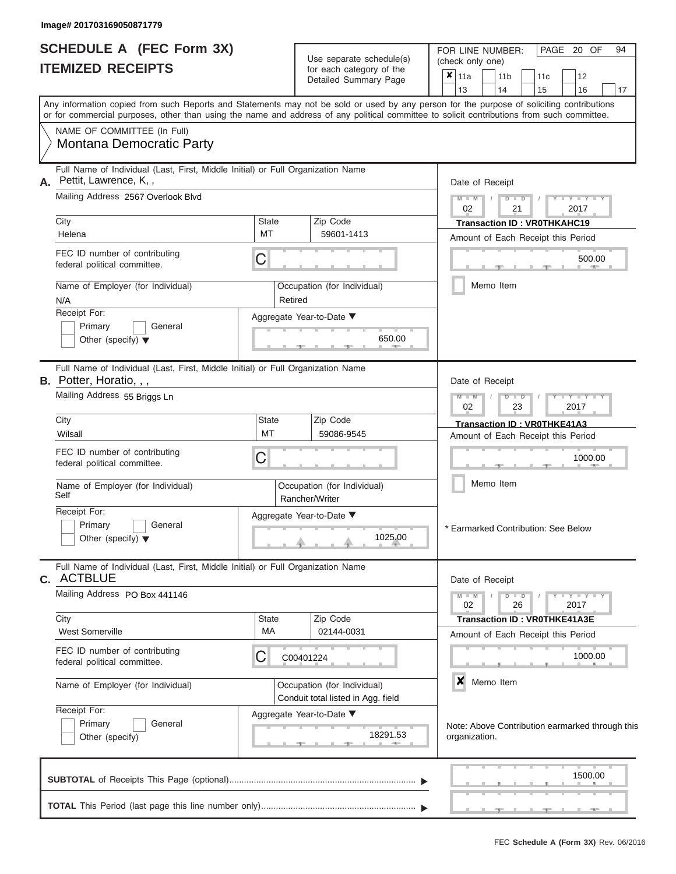|                          | <b>SCHEDULE A (FEC Form 3X)</b> |
|--------------------------|---------------------------------|
| <b>ITEMIZED RECEIPTS</b> |                                 |

Use separate schedule(s) (check only one)<br>for each category of the  $\begin{array}{|c|c|c|c|c|}\n\hline\n\text{Initial Summary goes} & & \text{with } & \text{with } & \text{with } & \text{with } & \text{with } & \text{with } & \text{with } & \text{with } & \text{with } & \text{with } & \text{with } & \text{with } & \text{with } & \text{with } & \text{with } & \text{with } & \text{with } & \text{with } & \text{with } & \text{with } & \text$ 

FOR LINE NUMBER:

 $\Box$ 

PAGE 20 OF 94

 $\Box$ 

| 11 <sub>c</sub><br>12                                                                                                                                       |  |  |  |  |  |  |  |  |  |  |  |
|-------------------------------------------------------------------------------------------------------------------------------------------------------------|--|--|--|--|--|--|--|--|--|--|--|
| 15<br>16<br>17<br>Any information copied from such Reports and Statements may not be sold or used by any person for the purpose of soliciting contributions |  |  |  |  |  |  |  |  |  |  |  |
| or for commercial purposes, other than using the name and address of any political committee to solicit contributions from such committee.                  |  |  |  |  |  |  |  |  |  |  |  |
|                                                                                                                                                             |  |  |  |  |  |  |  |  |  |  |  |
|                                                                                                                                                             |  |  |  |  |  |  |  |  |  |  |  |
| $Y = Y + Y + Y$<br>$M - M$<br>$D$ $D$<br>02<br>21<br>2017                                                                                                   |  |  |  |  |  |  |  |  |  |  |  |
| <b>Transaction ID: VR0THKAHC19</b>                                                                                                                          |  |  |  |  |  |  |  |  |  |  |  |
| Amount of Each Receipt this Period                                                                                                                          |  |  |  |  |  |  |  |  |  |  |  |
| 500.00<br><b>British Allen</b>                                                                                                                              |  |  |  |  |  |  |  |  |  |  |  |
|                                                                                                                                                             |  |  |  |  |  |  |  |  |  |  |  |
|                                                                                                                                                             |  |  |  |  |  |  |  |  |  |  |  |
|                                                                                                                                                             |  |  |  |  |  |  |  |  |  |  |  |
|                                                                                                                                                             |  |  |  |  |  |  |  |  |  |  |  |
| $D - I - D$<br>$Y = Y = Y + Y + Y$<br>$M - M$<br>02<br>2017<br>23                                                                                           |  |  |  |  |  |  |  |  |  |  |  |
| Transaction ID: VR0THKE41A3                                                                                                                                 |  |  |  |  |  |  |  |  |  |  |  |
| Amount of Each Receipt this Period                                                                                                                          |  |  |  |  |  |  |  |  |  |  |  |
| 1000.00                                                                                                                                                     |  |  |  |  |  |  |  |  |  |  |  |
|                                                                                                                                                             |  |  |  |  |  |  |  |  |  |  |  |
| * Earmarked Contribution: See Below                                                                                                                         |  |  |  |  |  |  |  |  |  |  |  |
|                                                                                                                                                             |  |  |  |  |  |  |  |  |  |  |  |
| Date of Receipt<br>$Y - Y - Y - Y$<br>$M - M$<br>$D$ $D$<br>26<br>02<br>2017                                                                                |  |  |  |  |  |  |  |  |  |  |  |
| <b>Transaction ID: VR0THKE41A3E</b>                                                                                                                         |  |  |  |  |  |  |  |  |  |  |  |
| Amount of Each Receipt this Period                                                                                                                          |  |  |  |  |  |  |  |  |  |  |  |
| 1000.00                                                                                                                                                     |  |  |  |  |  |  |  |  |  |  |  |
|                                                                                                                                                             |  |  |  |  |  |  |  |  |  |  |  |
| Note: Above Contribution earmarked through this                                                                                                             |  |  |  |  |  |  |  |  |  |  |  |
| 1500.00                                                                                                                                                     |  |  |  |  |  |  |  |  |  |  |  |
|                                                                                                                                                             |  |  |  |  |  |  |  |  |  |  |  |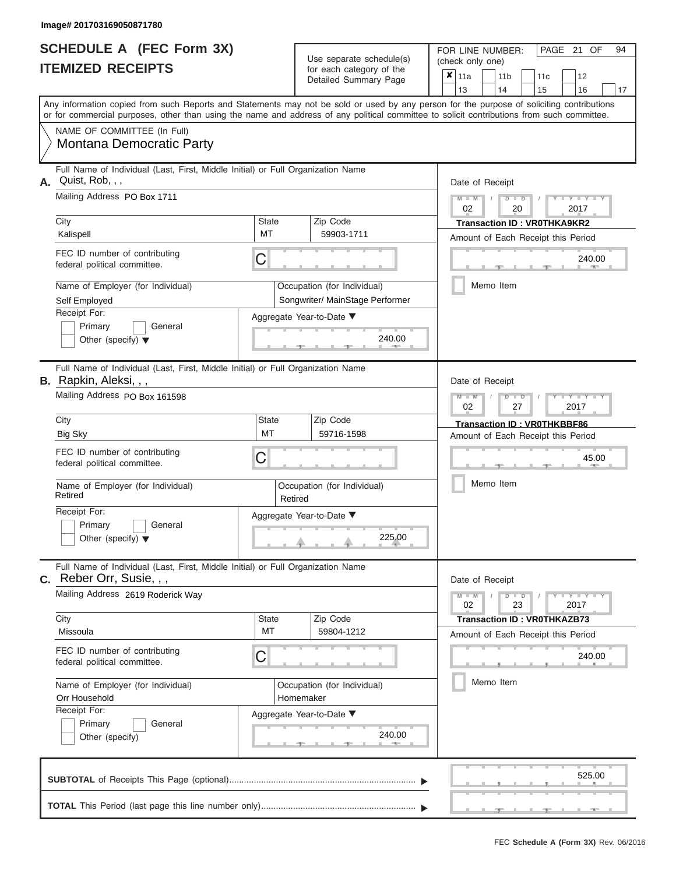|                          | <b>SCHEDULE A (FEC Form 3X)</b> |
|--------------------------|---------------------------------|
| <b>ITEMIZED RECEIPTS</b> |                                 |

FOR LINE NUMBER:<br>(check only one)

PAGE 21 OF 94

|    | IILMILLU INLVLII I                                                                                                                                                                                                                                                                      |             | וטו סמטוו טמוסטטון טו נווכ<br>Detailed Summary Page            | x                                                                        | 11a<br>13                                    |  | 11 <sub>b</sub><br>14                                             | 11c |  | 12                                          |        |    |  |  |  |  |  |  |  |
|----|-----------------------------------------------------------------------------------------------------------------------------------------------------------------------------------------------------------------------------------------------------------------------------------------|-------------|----------------------------------------------------------------|--------------------------------------------------------------------------|----------------------------------------------|--|-------------------------------------------------------------------|-----|--|---------------------------------------------|--------|----|--|--|--|--|--|--|--|
|    | Any information copied from such Reports and Statements may not be sold or used by any person for the purpose of soliciting contributions<br>or for commercial purposes, other than using the name and address of any political committee to solicit contributions from such committee. |             |                                                                |                                                                          |                                              |  |                                                                   | 15  |  | 16                                          |        | 17 |  |  |  |  |  |  |  |
|    | NAME OF COMMITTEE (In Full)<br>Montana Democratic Party                                                                                                                                                                                                                                 |             |                                                                |                                                                          |                                              |  |                                                                   |     |  |                                             |        |    |  |  |  |  |  |  |  |
| А. | Full Name of Individual (Last, First, Middle Initial) or Full Organization Name<br>Quist, Rob, , ,<br>Mailing Address PO Box 1711                                                                                                                                                       |             |                                                                |                                                                          | Date of Receipt<br>$M - M$<br>$D$ $\Box$ $D$ |  |                                                                   |     |  |                                             |        |    |  |  |  |  |  |  |  |
|    | City                                                                                                                                                                                                                                                                                    | State<br>MT | Zip Code<br>59903-1711                                         | 02<br>20<br>2017<br><b>Transaction ID: VR0THKA9KR2</b>                   |                                              |  |                                                                   |     |  |                                             |        |    |  |  |  |  |  |  |  |
|    | Kalispell<br>FEC ID number of contributing<br>federal political committee.                                                                                                                                                                                                              | С           |                                                                | Amount of Each Receipt this Period<br>240.00<br><b>AREA</b>              |                                              |  |                                                                   |     |  |                                             |        |    |  |  |  |  |  |  |  |
|    | Name of Employer (for Individual)<br>Self Employed<br>Receipt For:                                                                                                                                                                                                                      |             | Occupation (for Individual)<br>Songwriter/ MainStage Performer | Memo Item                                                                |                                              |  |                                                                   |     |  |                                             |        |    |  |  |  |  |  |  |  |
|    | Primary<br>General<br>Other (specify) $\blacktriangledown$                                                                                                                                                                                                                              |             | Aggregate Year-to-Date ▼<br>240.00                             |                                                                          |                                              |  |                                                                   |     |  |                                             |        |    |  |  |  |  |  |  |  |
|    | Full Name of Individual (Last, First, Middle Initial) or Full Organization Name<br>B. Rapkin, Aleksi, , ,                                                                                                                                                                               |             |                                                                |                                                                          | Date of Receipt                              |  |                                                                   |     |  |                                             |        |    |  |  |  |  |  |  |  |
|    | Mailing Address PO Box 161598                                                                                                                                                                                                                                                           |             |                                                                |                                                                          |                                              |  |                                                                   |     |  | $M - M$<br>$D$ $D$<br>т<br>02<br>27<br>2017 |        |    |  |  |  |  |  |  |  |
|    | City<br>Big Sky                                                                                                                                                                                                                                                                         | State<br>MT | Zip Code<br>59716-1598                                         | <b>Transaction ID: VR0THKBBF86</b><br>Amount of Each Receipt this Period |                                              |  |                                                                   |     |  |                                             |        |    |  |  |  |  |  |  |  |
|    | FEC ID number of contributing<br>federal political committee.                                                                                                                                                                                                                           | C           |                                                                |                                                                          | 45.00                                        |  |                                                                   |     |  |                                             |        |    |  |  |  |  |  |  |  |
|    | Name of Employer (for Individual)<br>Retired                                                                                                                                                                                                                                            | Retired     | Occupation (for Individual)                                    |                                                                          | Memo Item                                    |  |                                                                   |     |  |                                             |        |    |  |  |  |  |  |  |  |
|    | Receipt For:<br>Primary<br>General<br>Other (specify) $\blacktriangledown$                                                                                                                                                                                                              |             | Aggregate Year-to-Date ▼<br>225.00                             |                                                                          |                                              |  |                                                                   |     |  |                                             |        |    |  |  |  |  |  |  |  |
| С. | Full Name of Individual (Last, First, Middle Initial) or Full Organization Name<br>Reber Orr, Susie, , ,                                                                                                                                                                                |             |                                                                |                                                                          | Date of Receipt                              |  |                                                                   |     |  |                                             |        |    |  |  |  |  |  |  |  |
|    | Mailing Address 2619 Roderick Way                                                                                                                                                                                                                                                       |             |                                                                |                                                                          | $M - M$<br>02                                |  | $D$ $D$<br>23                                                     |     |  | $Y = Y =$<br>2017                           |        |    |  |  |  |  |  |  |  |
|    | City<br>Missoula                                                                                                                                                                                                                                                                        | State<br>MT | Zip Code<br>59804-1212                                         |                                                                          |                                              |  | Transaction ID: VR0THKAZB73<br>Amount of Each Receipt this Period |     |  |                                             |        |    |  |  |  |  |  |  |  |
|    | FEC ID number of contributing<br>federal political committee.                                                                                                                                                                                                                           | C           |                                                                |                                                                          |                                              |  |                                                                   |     |  |                                             | 240.00 |    |  |  |  |  |  |  |  |
|    | Name of Employer (for Individual)<br>Orr Household                                                                                                                                                                                                                                      |             | Occupation (for Individual)<br>Homemaker                       | Memo Item                                                                |                                              |  |                                                                   |     |  |                                             |        |    |  |  |  |  |  |  |  |
|    | Receipt For:<br>Primary<br>General<br>Other (specify)                                                                                                                                                                                                                                   |             | Aggregate Year-to-Date ▼<br>240.00                             |                                                                          |                                              |  |                                                                   |     |  |                                             |        |    |  |  |  |  |  |  |  |
|    |                                                                                                                                                                                                                                                                                         |             |                                                                |                                                                          |                                              |  |                                                                   |     |  |                                             | 525.00 |    |  |  |  |  |  |  |  |
|    |                                                                                                                                                                                                                                                                                         |             |                                                                |                                                                          |                                              |  |                                                                   |     |  |                                             |        |    |  |  |  |  |  |  |  |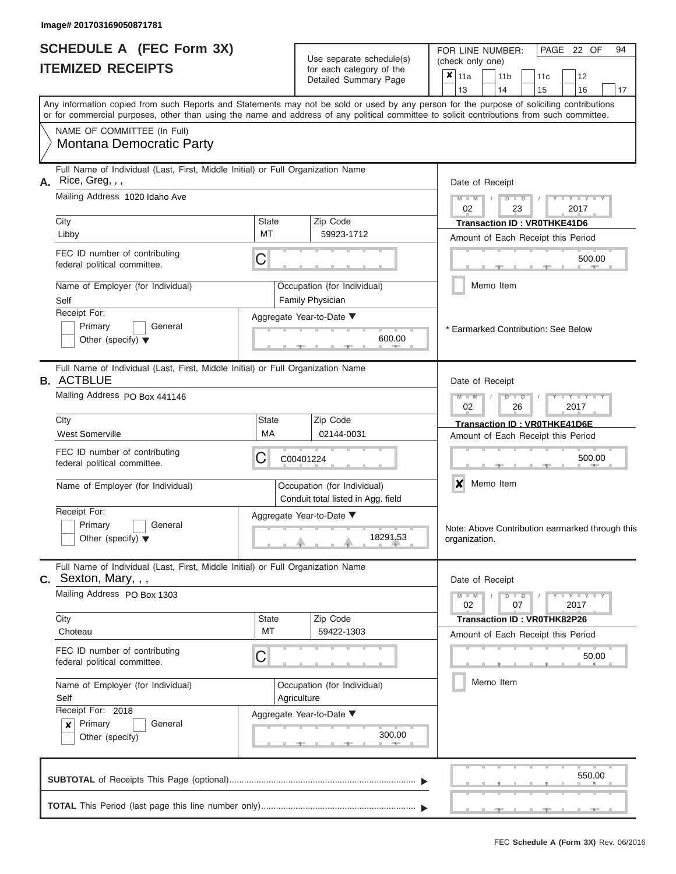|                          | <b>SCHEDULE A (FEC Form 3X)</b> |
|--------------------------|---------------------------------|
| <b>ITEMIZED RECEIPTS</b> |                                 |

FOR LINE NUMBER:<br>(check only one)

PAGE 22 OF 94

|    | II EMILED REVEIF I J                                                                                                                                                                                                                                                                    |                                                 |                                                                           | ior each category of the                                                 | ×         | 11a                                 |               | 11 <sub>b</sub> |  | 11c                                |  | 12     |                                                 |  |  |  |  |
|----|-----------------------------------------------------------------------------------------------------------------------------------------------------------------------------------------------------------------------------------------------------------------------------------------|-------------------------------------------------|---------------------------------------------------------------------------|--------------------------------------------------------------------------|-----------|-------------------------------------|---------------|-----------------|--|------------------------------------|--|--------|-------------------------------------------------|--|--|--|--|
|    |                                                                                                                                                                                                                                                                                         |                                                 |                                                                           | Detailed Summary Page                                                    |           | 13                                  |               | 14              |  | 15                                 |  | 16     | 17                                              |  |  |  |  |
|    | Any information copied from such Reports and Statements may not be sold or used by any person for the purpose of soliciting contributions<br>or for commercial purposes, other than using the name and address of any political committee to solicit contributions from such committee. |                                                 |                                                                           |                                                                          |           |                                     |               |                 |  |                                    |  |        |                                                 |  |  |  |  |
|    | NAME OF COMMITTEE (In Full)<br>Montana Democratic Party                                                                                                                                                                                                                                 |                                                 |                                                                           |                                                                          |           |                                     |               |                 |  |                                    |  |        |                                                 |  |  |  |  |
| Α. | Full Name of Individual (Last, First, Middle Initial) or Full Organization Name<br>Rice, Greg, , ,                                                                                                                                                                                      |                                                 |                                                                           |                                                                          |           | Date of Receipt                     |               |                 |  |                                    |  |        |                                                 |  |  |  |  |
|    | Mailing Address 1020 Idaho Ave                                                                                                                                                                                                                                                          |                                                 | $M - M$<br>$Y = Y$<br>$D$ $D$<br>02<br>23<br>2017                         |                                                                          |           |                                     |               |                 |  |                                    |  |        |                                                 |  |  |  |  |
|    | City<br>Libby                                                                                                                                                                                                                                                                           | State<br>MT                                     | Zip Code<br>59923-1712                                                    | <b>Transaction ID: VR0THKE41D6</b><br>Amount of Each Receipt this Period |           |                                     |               |                 |  |                                    |  |        |                                                 |  |  |  |  |
|    | FEC ID number of contributing<br>federal political committee.                                                                                                                                                                                                                           | С                                               |                                                                           | 500.00                                                                   |           |                                     |               |                 |  |                                    |  |        |                                                 |  |  |  |  |
|    | Name of Employer (for Individual)<br>Self                                                                                                                                                                                                                                               | Occupation (for Individual)<br>Family Physician |                                                                           |                                                                          |           |                                     |               |                 |  |                                    |  |        |                                                 |  |  |  |  |
|    | Receipt For:<br>Primary<br>General<br>Other (specify) $\blacktriangledown$                                                                                                                                                                                                              | Aggregate Year-to-Date ▼                        |                                                                           | 600.00                                                                   |           | * Earmarked Contribution: See Below |               |                 |  |                                    |  |        |                                                 |  |  |  |  |
|    | Full Name of Individual (Last, First, Middle Initial) or Full Organization Name<br><b>B. ACTBLUE</b>                                                                                                                                                                                    |                                                 |                                                                           |                                                                          |           |                                     |               | Date of Receipt |  |                                    |  |        |                                                 |  |  |  |  |
|    | Mailing Address PO Box 441146                                                                                                                                                                                                                                                           |                                                 | $M - M$<br>$D$ $\Box$ $D$<br>$\overline{\phantom{a}}$<br>02<br>26<br>2017 |                                                                          |           |                                     |               |                 |  |                                    |  |        |                                                 |  |  |  |  |
|    | City<br><b>West Somerville</b>                                                                                                                                                                                                                                                          | State<br>MA                                     | Zip Code<br>02144-0031                                                    | Transaction ID: VR0THKE41D6E<br>Amount of Each Receipt this Period       |           |                                     |               |                 |  |                                    |  |        |                                                 |  |  |  |  |
|    | FEC ID number of contributing<br>federal political committee.                                                                                                                                                                                                                           |                                                 | 500.00                                                                    |                                                                          |           |                                     |               |                 |  |                                    |  |        |                                                 |  |  |  |  |
|    | Name of Employer (for Individual)                                                                                                                                                                                                                                                       |                                                 |                                                                           | Occupation (for Individual)<br>Conduit total listed in Agg. field        |           | X<br>Memo Item                      |               |                 |  |                                    |  |        |                                                 |  |  |  |  |
|    | Receipt For:<br>Primary<br>General<br>Other (specify) $\blacktriangledown$                                                                                                                                                                                                              | Aggregate Year-to-Date ▼                        |                                                                           | 18291.53                                                                 |           | organization.                       |               |                 |  |                                    |  |        | Note: Above Contribution earmarked through this |  |  |  |  |
|    | Full Name of Individual (Last, First, Middle Initial) or Full Organization Name<br>$C.$ Sexton, Mary, $,$ ,                                                                                                                                                                             |                                                 |                                                                           |                                                                          |           | Date of Receipt                     |               |                 |  |                                    |  |        |                                                 |  |  |  |  |
|    | Mailing Address PO Box 1303                                                                                                                                                                                                                                                             |                                                 |                                                                           | $M - M$<br>02                                                            |           |                                     | $D$ $D$<br>07 |                 |  | $T - Y = T - Y - T - Y$<br>2017    |  |        |                                                 |  |  |  |  |
|    | City<br>Choteau                                                                                                                                                                                                                                                                         | State<br>МT                                     | Zip Code                                                                  | 59422-1303                                                               |           | Amount of Each Receipt this Period  |               |                 |  | <b>Transaction ID: VR0THK82P26</b> |  |        |                                                 |  |  |  |  |
|    | FEC ID number of contributing<br>federal political committee.                                                                                                                                                                                                                           | C                                               |                                                                           |                                                                          |           |                                     |               |                 |  | 50.00                              |  |        |                                                 |  |  |  |  |
|    | Name of Employer (for Individual)<br>Self                                                                                                                                                                                                                                               |                                                 |                                                                           |                                                                          | Memo Item |                                     |               |                 |  |                                    |  |        |                                                 |  |  |  |  |
|    | Receipt For: 2018<br>Primary<br>General<br>x<br>Other (specify)                                                                                                                                                                                                                         | Aggregate Year-to-Date ▼                        |                                                                           | 300.00                                                                   |           |                                     |               |                 |  |                                    |  |        |                                                 |  |  |  |  |
|    |                                                                                                                                                                                                                                                                                         |                                                 |                                                                           |                                                                          |           |                                     |               |                 |  |                                    |  | 550.00 |                                                 |  |  |  |  |
|    |                                                                                                                                                                                                                                                                                         |                                                 |                                                                           |                                                                          |           |                                     |               |                 |  |                                    |  |        |                                                 |  |  |  |  |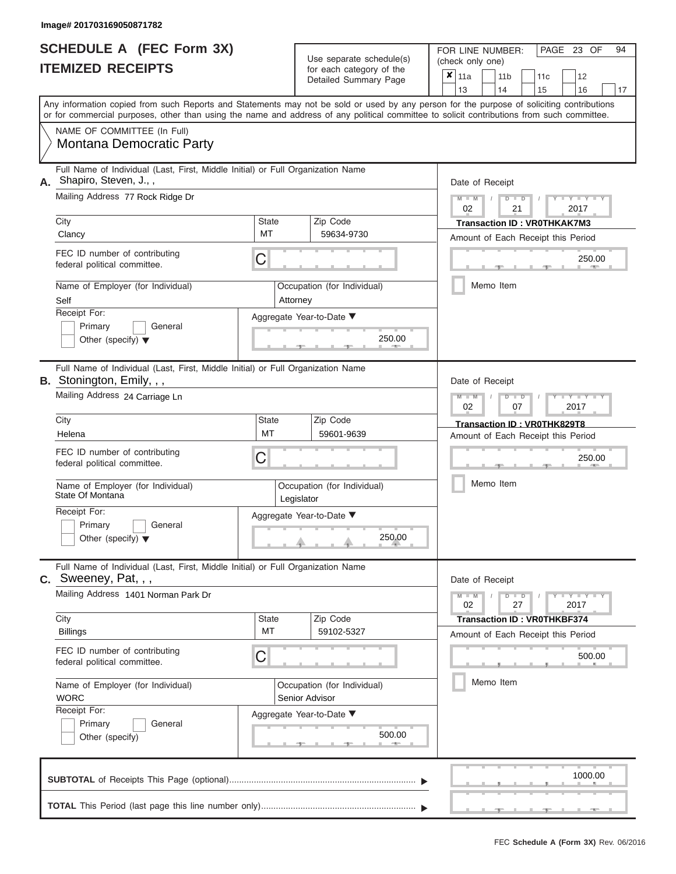|                          | <b>SCHEDULE A (FEC Form 3X)</b> |
|--------------------------|---------------------------------|
| <b>ITEMIZED RECEIPTS</b> |                                 |

Use separate schedule(s) (check only one) for each category of the

FOR LINE NUMBER:<br>(check only one)

PAGE 23 OF 94

|    | <b>ILEMIZED RECEIPIS</b>                                                                                                                                                                                                                                                                |                                               |                                                        | for each category of the<br>Detailed Summary Page |                                                                          | $\pmb{\times}$                                                    | 11a<br>13                                                                |                                            | 14 | 11 b    | 15 | 11c |        | 12<br>16        |  | 17 |
|----|-----------------------------------------------------------------------------------------------------------------------------------------------------------------------------------------------------------------------------------------------------------------------------------------|-----------------------------------------------|--------------------------------------------------------|---------------------------------------------------|--------------------------------------------------------------------------|-------------------------------------------------------------------|--------------------------------------------------------------------------|--------------------------------------------|----|---------|----|-----|--------|-----------------|--|----|
|    | Any information copied from such Reports and Statements may not be sold or used by any person for the purpose of soliciting contributions<br>or for commercial purposes, other than using the name and address of any political committee to solicit contributions from such committee. |                                               |                                                        |                                                   |                                                                          |                                                                   |                                                                          |                                            |    |         |    |     |        |                 |  |    |
|    | NAME OF COMMITTEE (In Full)<br>Montana Democratic Party                                                                                                                                                                                                                                 |                                               |                                                        |                                                   |                                                                          |                                                                   |                                                                          |                                            |    |         |    |     |        |                 |  |    |
| А. | Full Name of Individual (Last, First, Middle Initial) or Full Organization Name<br>Shapiro, Steven, J.,,                                                                                                                                                                                |                                               |                                                        |                                                   |                                                                          |                                                                   | Date of Receipt                                                          |                                            |    |         |    |     |        |                 |  |    |
|    | Mailing Address 77 Rock Ridge Dr                                                                                                                                                                                                                                                        |                                               |                                                        |                                                   |                                                                          |                                                                   | 02                                                                       |                                            |    | D<br>21 |    |     |        | $Y = Y$<br>2017 |  |    |
|    | City<br>Clancy                                                                                                                                                                                                                                                                          | <b>State</b><br>МT                            |                                                        | Zip Code<br>59634-9730                            | <b>Transaction ID: VR0THKAK7M3</b><br>Amount of Each Receipt this Period |                                                                   |                                                                          |                                            |    |         |    |     |        |                 |  |    |
|    | FEC ID number of contributing<br>federal political committee.                                                                                                                                                                                                                           | C                                             |                                                        |                                                   |                                                                          |                                                                   |                                                                          |                                            |    |         |    |     |        | 250.00          |  |    |
|    | Name of Employer (for Individual)<br>Self                                                                                                                                                                                                                                               |                                               | Attorney                                               | Occupation (for Individual)                       |                                                                          |                                                                   |                                                                          | Memo Item                                  |    |         |    |     |        |                 |  |    |
|    | Receipt For:<br>Primary<br>General<br>Other (specify) $\blacktriangledown$                                                                                                                                                                                                              |                                               |                                                        | Aggregate Year-to-Date ▼<br>250.00                |                                                                          |                                                                   |                                                                          |                                            |    |         |    |     |        |                 |  |    |
|    | Full Name of Individual (Last, First, Middle Initial) or Full Organization Name<br><b>B.</b> Stonington, Emily, , ,                                                                                                                                                                     |                                               |                                                        |                                                   |                                                                          |                                                                   |                                                                          |                                            |    |         |    |     |        |                 |  |    |
|    | Mailing Address 24 Carriage Ln                                                                                                                                                                                                                                                          |                                               |                                                        |                                                   |                                                                          |                                                                   |                                                                          | Date of Receipt<br>Y Y<br>2017<br>02<br>07 |    |         |    |     |        |                 |  |    |
|    | City<br>Helena                                                                                                                                                                                                                                                                          | <b>State</b><br>MT                            |                                                        | Zip Code<br>59601-9639                            |                                                                          | Transaction ID: VR0THK829T8<br>Amount of Each Receipt this Period |                                                                          |                                            |    |         |    |     |        |                 |  |    |
|    | FEC ID number of contributing<br>federal political committee.                                                                                                                                                                                                                           |                                               |                                                        |                                                   |                                                                          |                                                                   |                                                                          |                                            |    |         |    |     | 250.00 |                 |  |    |
|    | Name of Employer (for Individual)<br>State Of Montana                                                                                                                                                                                                                                   |                                               | Memo Item<br>Occupation (for Individual)<br>Legislator |                                                   |                                                                          |                                                                   |                                                                          |                                            |    |         |    |     |        |                 |  |    |
|    | Receipt For:<br>Aggregate Year-to-Date ▼<br>Primary<br>General<br>250.00<br>Other (specify) $\blacktriangledown$                                                                                                                                                                        |                                               |                                                        |                                                   |                                                                          |                                                                   |                                                                          |                                            |    |         |    |     |        |                 |  |    |
|    | Full Name of Individual (Last, First, Middle Initial) or Full Organization Name<br>$c.$ Sweeney, Pat, , ,                                                                                                                                                                               |                                               |                                                        |                                                   |                                                                          |                                                                   | Date of Receipt                                                          |                                            |    |         |    |     |        |                 |  |    |
|    | Mailing Address 1401 Norman Park Dr                                                                                                                                                                                                                                                     |                                               |                                                        |                                                   | $Y - Y$<br>$\overline{D}$<br>$\overline{D}$<br>02<br>27<br>2017          |                                                                   |                                                                          |                                            |    |         |    |     |        |                 |  |    |
|    | City<br><b>Billings</b>                                                                                                                                                                                                                                                                 | <b>State</b><br>МT                            |                                                        | Zip Code<br>59102-5327                            |                                                                          |                                                                   | <b>Transaction ID: VR0THKBF374</b><br>Amount of Each Receipt this Period |                                            |    |         |    |     |        |                 |  |    |
|    | FEC ID number of contributing<br>federal political committee.                                                                                                                                                                                                                           | С                                             |                                                        |                                                   |                                                                          |                                                                   |                                                                          |                                            |    |         |    |     |        | 500.00          |  |    |
|    | Name of Employer (for Individual)<br><b>WORC</b>                                                                                                                                                                                                                                        | Occupation (for Individual)<br>Senior Advisor |                                                        |                                                   |                                                                          |                                                                   |                                                                          | Memo Item                                  |    |         |    |     |        |                 |  |    |
|    | Receipt For:<br>Primary<br>General<br>Other (specify)                                                                                                                                                                                                                                   | Aggregate Year-to-Date ▼                      |                                                        |                                                   |                                                                          |                                                                   |                                                                          |                                            |    |         |    |     |        |                 |  |    |
|    |                                                                                                                                                                                                                                                                                         |                                               |                                                        |                                                   |                                                                          |                                                                   |                                                                          |                                            |    |         |    |     |        | 1000.00         |  |    |
|    |                                                                                                                                                                                                                                                                                         |                                               |                                                        |                                                   |                                                                          |                                                                   |                                                                          |                                            |    |         |    |     |        |                 |  |    |

 $\frac{1}{2}$  ,  $\frac{1}{2}$  ,  $\frac{1}{2}$  ,  $\frac{1}{2}$  ,  $\frac{1}{2}$  ,  $\frac{1}{2}$  ,  $\frac{1}{2}$  ,  $\frac{1}{2}$  ,  $\frac{1}{2}$  ,  $\frac{1}{2}$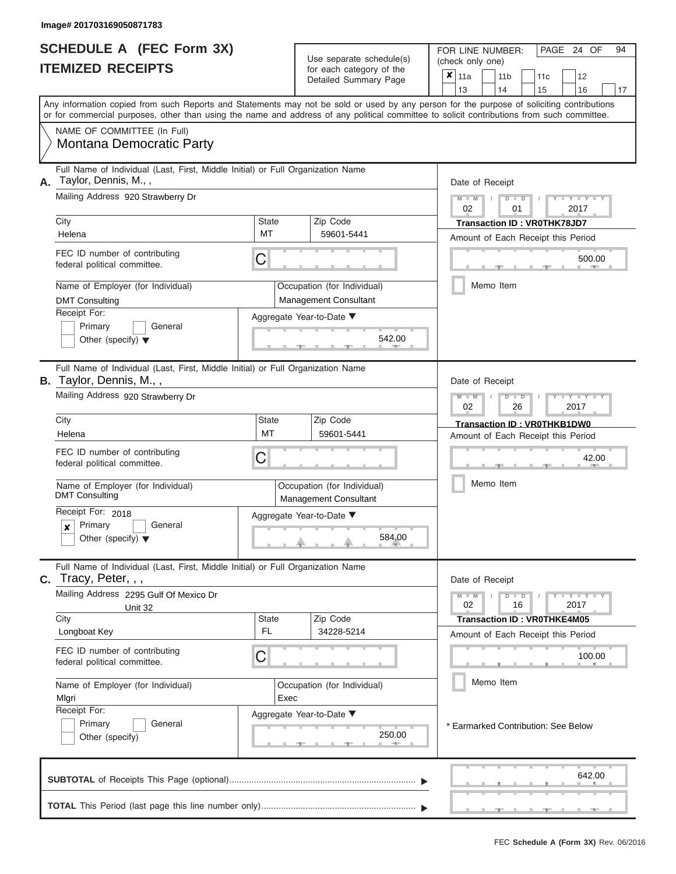|                          | <b>SCHEDULE A (FEC Form 3X)</b> |
|--------------------------|---------------------------------|
| <b>ITEMIZED RECEIPTS</b> |                                 |

FOR LINE NUMBER:<br>(check only one)

PAGE 24 OF 94

|                                                                                                                                                                                                                                                                                         |                                    | $0.0011$ $0.000$ gury $01$ $0.00$<br>Detailed Summary Page  | x                                  | 11a                                                                                           |  | 11 <sub>b</sub> | 11c                         | 12                                  |    |  |  |  |  |  |
|-----------------------------------------------------------------------------------------------------------------------------------------------------------------------------------------------------------------------------------------------------------------------------------------|------------------------------------|-------------------------------------------------------------|------------------------------------|-----------------------------------------------------------------------------------------------|--|-----------------|-----------------------------|-------------------------------------|----|--|--|--|--|--|
|                                                                                                                                                                                                                                                                                         |                                    |                                                             |                                    | 13                                                                                            |  | 14              | 15                          | 16                                  | 17 |  |  |  |  |  |
| Any information copied from such Reports and Statements may not be sold or used by any person for the purpose of soliciting contributions<br>or for commercial purposes, other than using the name and address of any political committee to solicit contributions from such committee. |                                    |                                                             |                                    |                                                                                               |  |                 |                             |                                     |    |  |  |  |  |  |
| NAME OF COMMITTEE (In Full)                                                                                                                                                                                                                                                             |                                    |                                                             |                                    |                                                                                               |  |                 |                             |                                     |    |  |  |  |  |  |
| Montana Democratic Party                                                                                                                                                                                                                                                                |                                    |                                                             |                                    |                                                                                               |  |                 |                             |                                     |    |  |  |  |  |  |
| Full Name of Individual (Last, First, Middle Initial) or Full Organization Name<br>Taylor, Dennis, M.,,<br>Α.                                                                                                                                                                           |                                    |                                                             |                                    | Date of Receipt                                                                               |  |                 |                             |                                     |    |  |  |  |  |  |
| Mailing Address 920 Strawberry Dr                                                                                                                                                                                                                                                       |                                    |                                                             |                                    |                                                                                               |  |                 |                             |                                     |    |  |  |  |  |  |
| City                                                                                                                                                                                                                                                                                    | State                              | Zip Code                                                    | <b>Transaction ID: VR0THK78JD7</b> |                                                                                               |  |                 |                             |                                     |    |  |  |  |  |  |
| Helena                                                                                                                                                                                                                                                                                  | MT                                 | 59601-5441                                                  |                                    |                                                                                               |  |                 |                             | Amount of Each Receipt this Period  |    |  |  |  |  |  |
| FEC ID number of contributing<br>federal political committee.                                                                                                                                                                                                                           | C                                  |                                                             |                                    |                                                                                               |  |                 |                             | 500.00                              |    |  |  |  |  |  |
| Name of Employer (for Individual)<br><b>DMT Consulting</b>                                                                                                                                                                                                                              |                                    | Occupation (for Individual)<br><b>Management Consultant</b> |                                    |                                                                                               |  | Memo Item       |                             |                                     |    |  |  |  |  |  |
| Receipt For:                                                                                                                                                                                                                                                                            | Aggregate Year-to-Date ▼           |                                                             |                                    |                                                                                               |  |                 |                             |                                     |    |  |  |  |  |  |
| Primary<br>General<br>Other (specify) $\blacktriangledown$                                                                                                                                                                                                                              |                                    | 542.00                                                      |                                    |                                                                                               |  |                 |                             |                                     |    |  |  |  |  |  |
| Full Name of Individual (Last, First, Middle Initial) or Full Organization Name<br>B. Taylor, Dennis, M.,,                                                                                                                                                                              |                                    |                                                             |                                    | Date of Receipt                                                                               |  |                 |                             |                                     |    |  |  |  |  |  |
| Mailing Address 920 Strawberry Dr                                                                                                                                                                                                                                                       |                                    |                                                             |                                    |                                                                                               |  |                 |                             | Y TY<br>2017                        |    |  |  |  |  |  |
| City                                                                                                                                                                                                                                                                                    | State                              | Zip Code                                                    |                                    |                                                                                               |  |                 | Transaction ID: VR0THKB1DW0 |                                     |    |  |  |  |  |  |
| Helena                                                                                                                                                                                                                                                                                  | MT                                 | 59601-5441                                                  |                                    |                                                                                               |  |                 |                             | Amount of Each Receipt this Period  |    |  |  |  |  |  |
| FEC ID number of contributing<br>federal political committee.                                                                                                                                                                                                                           | C                                  |                                                             |                                    |                                                                                               |  |                 |                             | 42.00                               |    |  |  |  |  |  |
| Name of Employer (for Individual)<br><b>DMT Consulting</b>                                                                                                                                                                                                                              |                                    | Occupation (for Individual)<br>Management Consultant        |                                    |                                                                                               |  | Memo Item       |                             |                                     |    |  |  |  |  |  |
| Receipt For: 2018<br>Primary<br>General<br>$\pmb{\times}$<br>Other (specify) $\blacktriangledown$                                                                                                                                                                                       | Aggregate Year-to-Date ▼<br>584.00 |                                                             |                                    |                                                                                               |  |                 |                             |                                     |    |  |  |  |  |  |
| Full Name of Individual (Last, First, Middle Initial) or Full Organization Name<br>Tracy, Peter, , ,<br>$\mathbf{C}$ .                                                                                                                                                                  |                                    |                                                             |                                    | Date of Receipt                                                                               |  |                 |                             |                                     |    |  |  |  |  |  |
| Mailing Address 2295 Gulf Of Mexico Dr<br>Unit 32                                                                                                                                                                                                                                       |                                    |                                                             |                                    | $M - M$<br>$\mathbf{I} = \mathbf{Y} + \mathbf{Y} + \mathbf{I}$<br>$D$ $D$<br>02<br>16<br>2017 |  |                 |                             |                                     |    |  |  |  |  |  |
| City<br>Longboat Key                                                                                                                                                                                                                                                                    | <b>State</b><br>FL.                | Zip Code<br>34228-5214                                      |                                    |                                                                                               |  |                 | Transaction ID: VR0THKE4M05 |                                     |    |  |  |  |  |  |
|                                                                                                                                                                                                                                                                                         |                                    |                                                             |                                    |                                                                                               |  |                 |                             | Amount of Each Receipt this Period  |    |  |  |  |  |  |
| FEC ID number of contributing<br>federal political committee.                                                                                                                                                                                                                           | C                                  |                                                             |                                    |                                                                                               |  |                 |                             | 100.00                              |    |  |  |  |  |  |
| Name of Employer (for Individual)<br>Mlgri                                                                                                                                                                                                                                              | Exec                               | Occupation (for Individual)                                 |                                    |                                                                                               |  | Memo Item       |                             |                                     |    |  |  |  |  |  |
| Receipt For:<br>General<br>Primary<br>Other (specify)                                                                                                                                                                                                                                   |                                    | Aggregate Year-to-Date ▼<br>250.00                          |                                    |                                                                                               |  |                 |                             | * Earmarked Contribution: See Below |    |  |  |  |  |  |
|                                                                                                                                                                                                                                                                                         |                                    |                                                             |                                    |                                                                                               |  |                 |                             | 642.00                              |    |  |  |  |  |  |
|                                                                                                                                                                                                                                                                                         |                                    |                                                             |                                    |                                                                                               |  |                 |                             |                                     |    |  |  |  |  |  |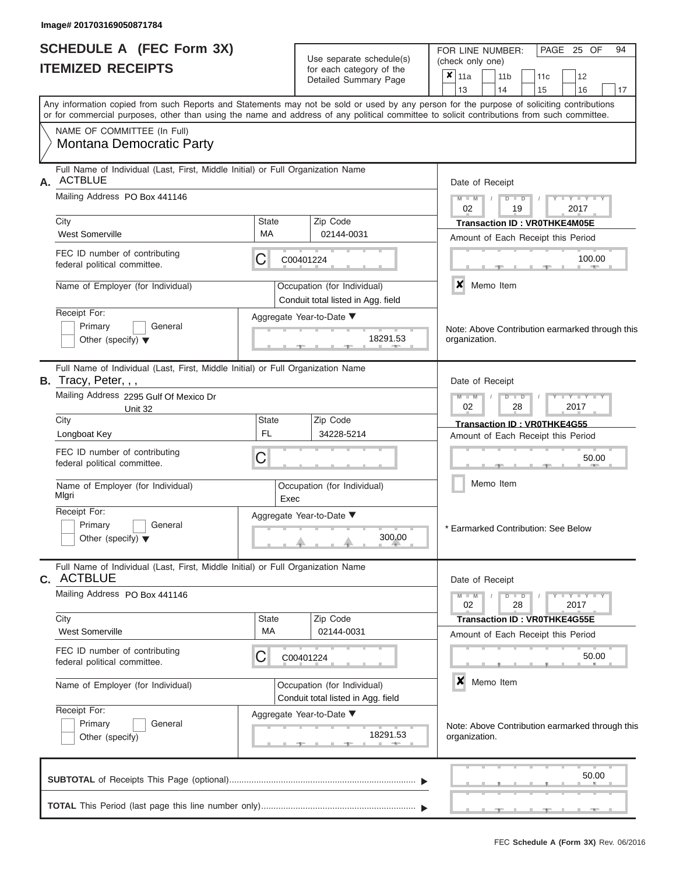|                          | <b>SCHEDULE A (FEC Form 3X)</b> |
|--------------------------|---------------------------------|
| <b>ITEMIZED RECEIPTS</b> |                                 |

Use separate schedule(s) (check only one) for each category of the

FOR LINE NUMBER:<br>(check only one)

PAGE 25 OF 94

|    | <b>IIEMIZED RECEIPIS</b>                                                                                       |                                                                                 | for each category of the<br>Detailed Summary Page                 | ×<br>11a<br>11 <sub>b</sub><br>11c<br>12<br>13<br>14<br>15<br>16<br>17                                                                                                                                                                                                                  |  |  |  |  |  |  |  |  |  |  |  |
|----|----------------------------------------------------------------------------------------------------------------|---------------------------------------------------------------------------------|-------------------------------------------------------------------|-----------------------------------------------------------------------------------------------------------------------------------------------------------------------------------------------------------------------------------------------------------------------------------------|--|--|--|--|--|--|--|--|--|--|--|
|    |                                                                                                                |                                                                                 |                                                                   | Any information copied from such Reports and Statements may not be sold or used by any person for the purpose of soliciting contributions<br>or for commercial purposes, other than using the name and address of any political committee to solicit contributions from such committee. |  |  |  |  |  |  |  |  |  |  |  |
|    | NAME OF COMMITTEE (In Full)<br>Montana Democratic Party                                                        |                                                                                 |                                                                   |                                                                                                                                                                                                                                                                                         |  |  |  |  |  |  |  |  |  |  |  |
| А. | <b>ACTBLUE</b>                                                                                                 | Full Name of Individual (Last, First, Middle Initial) or Full Organization Name |                                                                   |                                                                                                                                                                                                                                                                                         |  |  |  |  |  |  |  |  |  |  |  |
|    | Mailing Address PO Box 441146                                                                                  | $Y = Y$<br>$M - M$<br>$\overline{D}$<br>$\Box$<br>2017<br>02<br>19              |                                                                   |                                                                                                                                                                                                                                                                                         |  |  |  |  |  |  |  |  |  |  |  |
|    | City<br><b>West Somerville</b>                                                                                 | <b>State</b><br>МA                                                              | Zip Code<br>02144-0031                                            | <b>Transaction ID: VR0THKE4M05E</b><br>Amount of Each Receipt this Period                                                                                                                                                                                                               |  |  |  |  |  |  |  |  |  |  |  |
|    | FEC ID number of contributing<br>federal political committee.                                                  | С                                                                               | C00401224                                                         | 100.00                                                                                                                                                                                                                                                                                  |  |  |  |  |  |  |  |  |  |  |  |
|    | Name of Employer (for Individual)                                                                              |                                                                                 | Occupation (for Individual)<br>Conduit total listed in Agg. field | X<br>Memo Item                                                                                                                                                                                                                                                                          |  |  |  |  |  |  |  |  |  |  |  |
|    | Receipt For:<br>Primary<br>General<br>Other (specify) $\blacktriangledown$                                     | Note: Above Contribution earmarked through this<br>organization.                |                                                                   |                                                                                                                                                                                                                                                                                         |  |  |  |  |  |  |  |  |  |  |  |
|    | Full Name of Individual (Last, First, Middle Initial) or Full Organization Name<br><b>B.</b> Tracy, Peter, , , | Date of Receipt                                                                 |                                                                   |                                                                                                                                                                                                                                                                                         |  |  |  |  |  |  |  |  |  |  |  |
|    | Mailing Address 2295 Gulf Of Mexico Dr<br>Unit 32                                                              |                                                                                 |                                                                   | $Y - Y$<br>M<br>$\Box$<br>M<br>D<br>28<br>2017<br>02                                                                                                                                                                                                                                    |  |  |  |  |  |  |  |  |  |  |  |
|    | City<br>Longboat Key                                                                                           | <b>State</b><br>FL.                                                             | Zip Code<br>34228-5214                                            | Transaction ID: VR0THKE4G55<br>Amount of Each Receipt this Period                                                                                                                                                                                                                       |  |  |  |  |  |  |  |  |  |  |  |
|    | FEC ID number of contributing<br>federal political committee.                                                  | С                                                                               |                                                                   | 50.00                                                                                                                                                                                                                                                                                   |  |  |  |  |  |  |  |  |  |  |  |
|    | Name of Employer (for Individual)<br>Mlgri                                                                     | Exec                                                                            | Occupation (for Individual)                                       | Memo Item                                                                                                                                                                                                                                                                               |  |  |  |  |  |  |  |  |  |  |  |
|    | Receipt For:<br>Primary<br>General<br>Other (specify) $\blacktriangledown$                                     | * Earmarked Contribution: See Below                                             |                                                                   |                                                                                                                                                                                                                                                                                         |  |  |  |  |  |  |  |  |  |  |  |
|    | Full Name of Individual (Last, First, Middle Initial) or Full Organization Name<br><b>c.</b> ACTBLUE           |                                                                                 |                                                                   | Date of Receipt                                                                                                                                                                                                                                                                         |  |  |  |  |  |  |  |  |  |  |  |
|    | Mailing Address PO Box 441146                                                                                  |                                                                                 |                                                                   | $Y = Y + Y$<br>$\Box$<br>$M - M$<br>$\overline{D}$<br>28<br>2017<br>02                                                                                                                                                                                                                  |  |  |  |  |  |  |  |  |  |  |  |
|    | City<br><b>West Somerville</b>                                                                                 | <b>State</b><br>МA                                                              | Zip Code<br>02144-0031                                            | <b>Transaction ID: VR0THKE4G55E</b><br>Amount of Each Receipt this Period                                                                                                                                                                                                               |  |  |  |  |  |  |  |  |  |  |  |
|    | FEC ID number of contributing<br>federal political committee.                                                  | С                                                                               | C00401224                                                         | 50.00                                                                                                                                                                                                                                                                                   |  |  |  |  |  |  |  |  |  |  |  |
|    | Name of Employer (for Individual)                                                                              |                                                                                 | Occupation (for Individual)<br>Conduit total listed in Agg. field | ×<br>Memo Item                                                                                                                                                                                                                                                                          |  |  |  |  |  |  |  |  |  |  |  |
|    | Receipt For:<br>Primary<br>General<br>Other (specify)                                                          |                                                                                 | Aggregate Year-to-Date ▼<br>18291.53                              | Note: Above Contribution earmarked through this<br>organization.                                                                                                                                                                                                                        |  |  |  |  |  |  |  |  |  |  |  |
|    |                                                                                                                |                                                                                 |                                                                   | 50.00                                                                                                                                                                                                                                                                                   |  |  |  |  |  |  |  |  |  |  |  |
|    |                                                                                                                |                                                                                 |                                                                   |                                                                                                                                                                                                                                                                                         |  |  |  |  |  |  |  |  |  |  |  |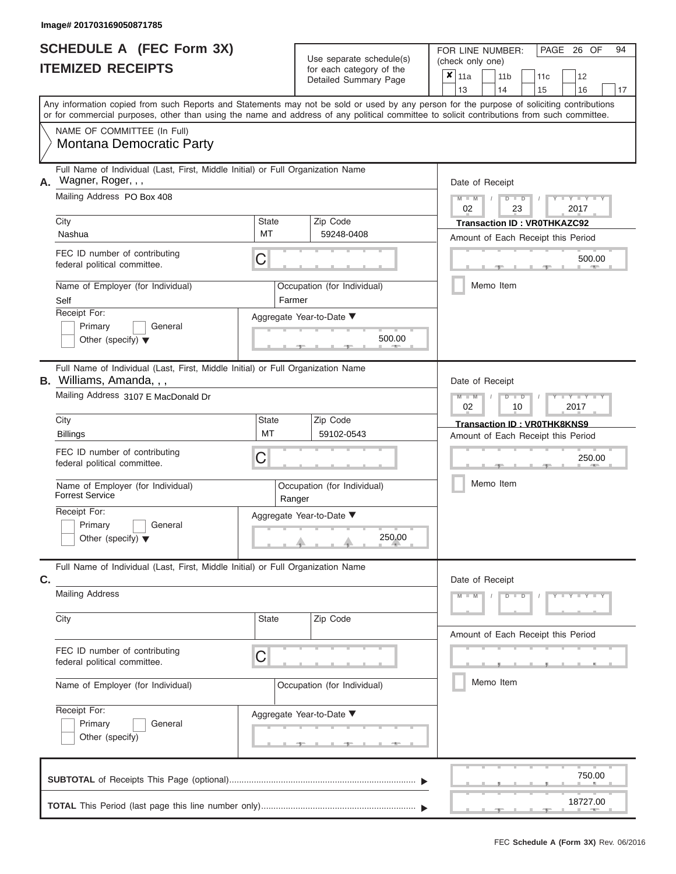|                          | <b>SCHEDULE A (FEC Form 3X)</b> |
|--------------------------|---------------------------------|
| <b>ITEMIZED RECEIPTS</b> |                                 |

| SCHEDULE A (FEC Form 3X)<br><b>ITEMIZED RECEIPTS</b>                                                                                                                                                                                                                                    |        | Use separate schedule(s)<br>for each category of the<br>Detailed Summary Page | 94<br>FOR LINE NUMBER:<br>PAGE 26 OF<br>(check only one)<br>$\overline{\mathbf{x}}$   11a<br>11 <sub>b</sub><br>12<br>11c |
|-----------------------------------------------------------------------------------------------------------------------------------------------------------------------------------------------------------------------------------------------------------------------------------------|--------|-------------------------------------------------------------------------------|---------------------------------------------------------------------------------------------------------------------------|
|                                                                                                                                                                                                                                                                                         |        |                                                                               | 13<br>14<br>15<br>16<br>17                                                                                                |
| Any information copied from such Reports and Statements may not be sold or used by any person for the purpose of soliciting contributions<br>or for commercial purposes, other than using the name and address of any political committee to solicit contributions from such committee. |        |                                                                               |                                                                                                                           |
| NAME OF COMMITTEE (In Full)<br>Montana Democratic Party                                                                                                                                                                                                                                 |        |                                                                               |                                                                                                                           |
| Full Name of Individual (Last, First, Middle Initial) or Full Organization Name<br>Wagner, Roger, , ,<br>А.                                                                                                                                                                             |        |                                                                               | Date of Receipt                                                                                                           |
| Mailing Address PO Box 408                                                                                                                                                                                                                                                              |        |                                                                               | $M - M$<br>$D$ $D$<br>$Y - Y - I$<br>$\sqrt{ }$<br>02<br>23<br>2017                                                       |
| City                                                                                                                                                                                                                                                                                    | State  | Zip Code                                                                      | <b>Transaction ID: VR0THKAZC92</b>                                                                                        |
| Nashua                                                                                                                                                                                                                                                                                  | MT     | 59248-0408                                                                    | Amount of Each Receipt this Period                                                                                        |
| FEC ID number of contributing<br>federal political committee.                                                                                                                                                                                                                           | С      |                                                                               | 500.00<br><b>STATION</b>                                                                                                  |
| Name of Employer (for Individual)<br>Self                                                                                                                                                                                                                                               | Farmer | Occupation (for Individual)                                                   | Memo Item                                                                                                                 |
| Receipt For:                                                                                                                                                                                                                                                                            |        | Aggregate Year-to-Date ▼                                                      |                                                                                                                           |
| Primary<br>General<br>Other (specify) $\blacktriangledown$                                                                                                                                                                                                                              |        | 500.00                                                                        |                                                                                                                           |
| Full Name of Individual (Last, First, Middle Initial) or Full Organization Name<br><b>B.</b> Williams, Amanda, , ,                                                                                                                                                                      |        |                                                                               | Date of Receipt                                                                                                           |
| Mailing Address 3107 E MacDonald Dr                                                                                                                                                                                                                                                     |        |                                                                               | $M - M$<br>$D$ $\Box$ $D$<br>Y TYT<br>2017<br>02<br>10                                                                    |
| City                                                                                                                                                                                                                                                                                    | State  | Zip Code                                                                      | Transaction ID: VR0THK8KNS9                                                                                               |
| <b>Billings</b>                                                                                                                                                                                                                                                                         | MT     | 59102-0543                                                                    | Amount of Each Receipt this Period                                                                                        |
| FEC ID number of contributing<br>federal political committee.                                                                                                                                                                                                                           | С      |                                                                               | 250.00                                                                                                                    |
| Name of Employer (for Individual)<br><b>Forrest Service</b>                                                                                                                                                                                                                             | Ranger | Occupation (for Individual)                                                   | Memo Item                                                                                                                 |
| Receipt For:                                                                                                                                                                                                                                                                            |        | Aggregate Year-to-Date ▼                                                      |                                                                                                                           |
| Primary<br>General<br>Other (specify) $\blacktriangledown$                                                                                                                                                                                                                              |        | 250.00                                                                        |                                                                                                                           |
| Full Name of Individual (Last, First, Middle Initial) or Full Organization Name<br>C.                                                                                                                                                                                                   |        |                                                                               | Date of Receipt                                                                                                           |
| <b>Mailing Address</b>                                                                                                                                                                                                                                                                  |        |                                                                               | $M - M$<br>$D$ $D$<br>Y FYTYTY                                                                                            |
| City                                                                                                                                                                                                                                                                                    | State  | Zip Code                                                                      | Amount of Each Receipt this Period                                                                                        |
| FEC ID number of contributing<br>federal political committee.                                                                                                                                                                                                                           | С      |                                                                               |                                                                                                                           |
| Name of Employer (for Individual)                                                                                                                                                                                                                                                       |        | Occupation (for Individual)                                                   | Memo Item                                                                                                                 |
| Receipt For:<br>Primary                                                                                                                                                                                                                                                                 |        | Aggregate Year-to-Date ▼                                                      |                                                                                                                           |
| General<br>Other (specify)                                                                                                                                                                                                                                                              |        |                                                                               |                                                                                                                           |
|                                                                                                                                                                                                                                                                                         |        |                                                                               | 750.00                                                                                                                    |
|                                                                                                                                                                                                                                                                                         |        |                                                                               | 18727.00                                                                                                                  |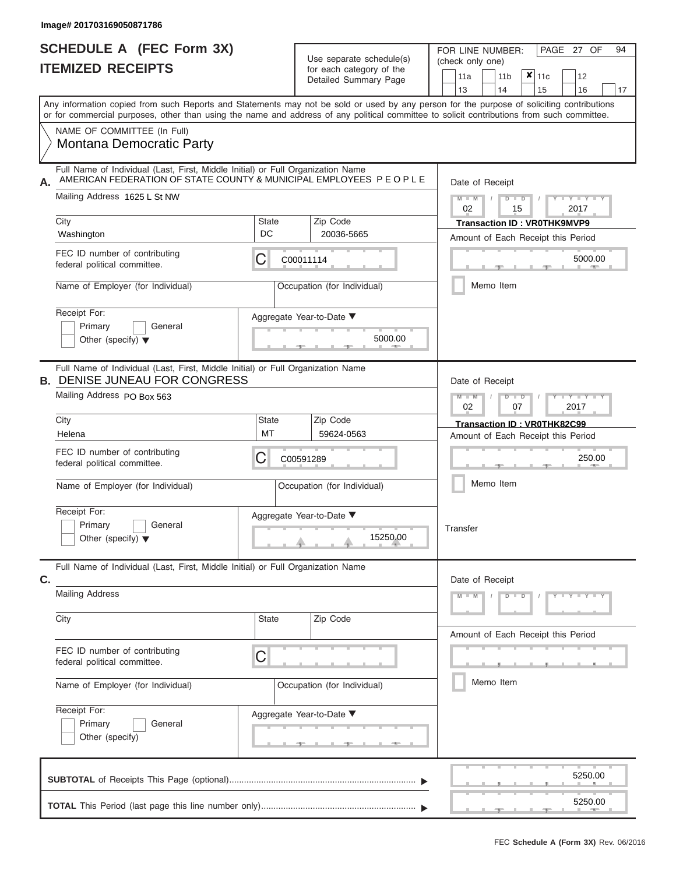| <b>SCHEDULE A (FEC Form 3X)</b> |  |  |
|---------------------------------|--|--|
| <b>ITEMIZED RECEIPTS</b>        |  |  |

| SCHEDULE A (FEC Form 3X) |                                                                                                                                                                                                                                                                                         |                             | Use separate schedule(s)                          | 94<br>FOR LINE NUMBER:<br>PAGE 27 OF<br>(check only one) |                                                                                        |                                                                   |  |  |  |  |  |  |  |  |
|--------------------------|-----------------------------------------------------------------------------------------------------------------------------------------------------------------------------------------------------------------------------------------------------------------------------------------|-----------------------------|---------------------------------------------------|----------------------------------------------------------|----------------------------------------------------------------------------------------|-------------------------------------------------------------------|--|--|--|--|--|--|--|--|
| <b>ITEMIZED RECEIPTS</b> |                                                                                                                                                                                                                                                                                         |                             | for each category of the<br>Detailed Summary Page | 11a<br>13                                                | 11 <sub>b</sub><br>14                                                                  | $\overline{\mathbf{x}}$   11c<br>12<br>15<br>16<br>17             |  |  |  |  |  |  |  |  |
|                          | Any information copied from such Reports and Statements may not be sold or used by any person for the purpose of soliciting contributions<br>or for commercial purposes, other than using the name and address of any political committee to solicit contributions from such committee. |                             |                                                   |                                                          |                                                                                        |                                                                   |  |  |  |  |  |  |  |  |
|                          | NAME OF COMMITTEE (In Full)<br>Montana Democratic Party                                                                                                                                                                                                                                 |                             |                                                   |                                                          |                                                                                        |                                                                   |  |  |  |  |  |  |  |  |
| А.                       | Full Name of Individual (Last, First, Middle Initial) or Full Organization Name<br>AMERICAN FEDERATION OF STATE COUNTY & MUNICIPAL EMPLOYEES PEOPLE<br>Mailing Address 1625 L St NW                                                                                                     |                             |                                                   | $M - M$ /                                                | Date of Receipt<br>$D$ $D$                                                             | $Y - Y - T$                                                       |  |  |  |  |  |  |  |  |
|                          | City<br>Washington                                                                                                                                                                                                                                                                      | <b>State</b><br>DC.         | Zip Code<br>20036-5665                            | 02                                                       | 2017<br>15<br><b>Transaction ID: VR0THK9MVP9</b><br>Amount of Each Receipt this Period |                                                                   |  |  |  |  |  |  |  |  |
|                          | FEC ID number of contributing<br>federal political committee.                                                                                                                                                                                                                           | С                           | C00011114                                         |                                                          |                                                                                        | 5000.00<br><b>AND IN</b>                                          |  |  |  |  |  |  |  |  |
|                          | Name of Employer (for Individual)                                                                                                                                                                                                                                                       |                             | Occupation (for Individual)                       |                                                          | Memo Item                                                                              |                                                                   |  |  |  |  |  |  |  |  |
|                          | Receipt For:<br>Primary<br>General<br>Other (specify) $\blacktriangledown$                                                                                                                                                                                                              |                             | Aggregate Year-to-Date ▼<br>5000.00               |                                                          |                                                                                        |                                                                   |  |  |  |  |  |  |  |  |
|                          | Full Name of Individual (Last, First, Middle Initial) or Full Organization Name<br><b>B. DENISE JUNEAU FOR CONGRESS</b><br>Mailing Address PO Box 563                                                                                                                                   |                             |                                                   | $M - M$<br>02                                            | Date of Receipt<br>$D$ $D$<br>07                                                       | Y TYT<br>2017                                                     |  |  |  |  |  |  |  |  |
|                          | City<br>Helena                                                                                                                                                                                                                                                                          | <b>State</b><br>MT          | Zip Code<br>59624-0563                            |                                                          |                                                                                        | Transaction ID: VR0THK82C99<br>Amount of Each Receipt this Period |  |  |  |  |  |  |  |  |
|                          | FEC ID number of contributing<br>federal political committee.                                                                                                                                                                                                                           | С                           | C00591289                                         |                                                          | 250.00                                                                                 |                                                                   |  |  |  |  |  |  |  |  |
|                          | Name of Employer (for Individual)                                                                                                                                                                                                                                                       |                             | Occupation (for Individual)                       |                                                          | Memo Item                                                                              |                                                                   |  |  |  |  |  |  |  |  |
|                          | Receipt For:<br>Primary<br>General<br>Other (specify) $\blacktriangledown$                                                                                                                                                                                                              |                             | Aggregate Year-to-Date ▼<br>15250.00              | Transfer                                                 |                                                                                        |                                                                   |  |  |  |  |  |  |  |  |
| C.                       | Full Name of Individual (Last, First, Middle Initial) or Full Organization Name                                                                                                                                                                                                         |                             |                                                   |                                                          | Date of Receipt                                                                        |                                                                   |  |  |  |  |  |  |  |  |
|                          | <b>Mailing Address</b>                                                                                                                                                                                                                                                                  |                             |                                                   | $M - M$                                                  | $D$ $\Box$ $D$                                                                         | $Y - Y - Y - Y - I - Y$                                           |  |  |  |  |  |  |  |  |
|                          | City                                                                                                                                                                                                                                                                                    | State                       | Zip Code                                          |                                                          |                                                                                        | Amount of Each Receipt this Period                                |  |  |  |  |  |  |  |  |
|                          | FEC ID number of contributing<br>С<br>federal political committee.                                                                                                                                                                                                                      |                             |                                                   |                                                          |                                                                                        |                                                                   |  |  |  |  |  |  |  |  |
|                          | Name of Employer (for Individual)                                                                                                                                                                                                                                                       | Occupation (for Individual) |                                                   |                                                          | Memo Item                                                                              |                                                                   |  |  |  |  |  |  |  |  |
|                          | Receipt For:<br>Primary<br>General<br>Other (specify)                                                                                                                                                                                                                                   |                             | Aggregate Year-to-Date ▼<br>_________________     |                                                          |                                                                                        |                                                                   |  |  |  |  |  |  |  |  |
|                          |                                                                                                                                                                                                                                                                                         |                             |                                                   |                                                          |                                                                                        | 5250.00                                                           |  |  |  |  |  |  |  |  |
|                          |                                                                                                                                                                                                                                                                                         |                             |                                                   |                                                          |                                                                                        | 5250.00                                                           |  |  |  |  |  |  |  |  |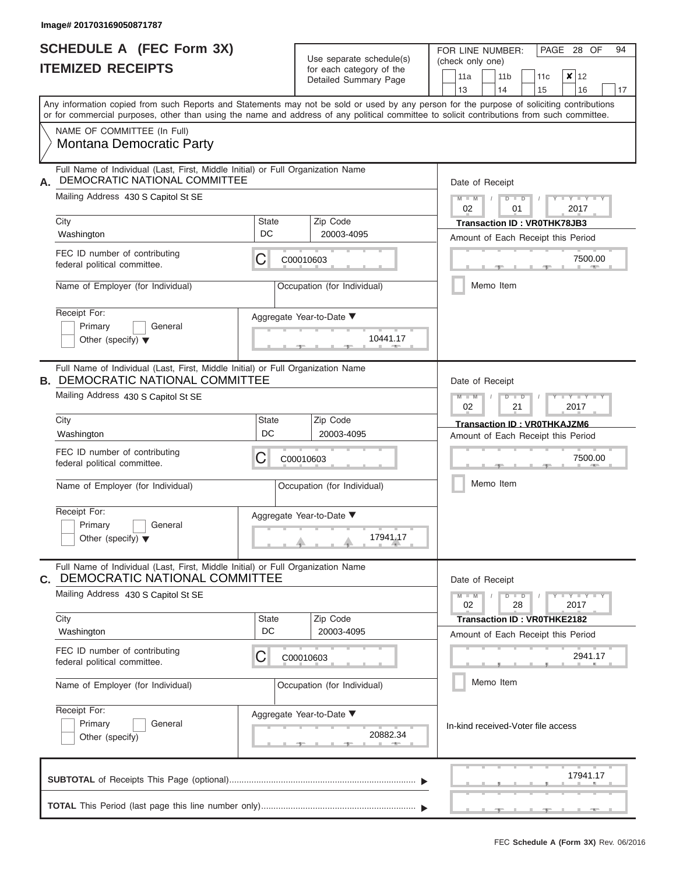|                          | <b>SCHEDULE A (FEC Form 3X)</b> |
|--------------------------|---------------------------------|
| <b>ITEMIZED RECEIPTS</b> |                                 |

FOR LINE NUMBER:<br>(check only one)

PAGE 28 OF 94

|                                   |                                                                                                                                                                                                                                                                                         |                                      |  | ivi cacii calcyory or life<br>Detailed Summary Page |         | 11a<br>13                                                                |                                    |  | 11 <sub>b</sub><br>14                                                    | 11 <sub>c</sub><br>15 |  | $x \mid 12$<br>16               | 17 |  |  |  |
|-----------------------------------|-----------------------------------------------------------------------------------------------------------------------------------------------------------------------------------------------------------------------------------------------------------------------------------------|--------------------------------------|--|-----------------------------------------------------|---------|--------------------------------------------------------------------------|------------------------------------|--|--------------------------------------------------------------------------|-----------------------|--|---------------------------------|----|--|--|--|
|                                   | Any information copied from such Reports and Statements may not be sold or used by any person for the purpose of soliciting contributions<br>or for commercial purposes, other than using the name and address of any political committee to solicit contributions from such committee. |                                      |  |                                                     |         |                                                                          |                                    |  |                                                                          |                       |  |                                 |    |  |  |  |
|                                   | NAME OF COMMITTEE (In Full)<br>Montana Democratic Party                                                                                                                                                                                                                                 |                                      |  |                                                     |         |                                                                          |                                    |  |                                                                          |                       |  |                                 |    |  |  |  |
| Α.                                | Full Name of Individual (Last, First, Middle Initial) or Full Organization Name<br>DEMOCRATIC NATIONAL COMMITTEE                                                                                                                                                                        |                                      |  |                                                     |         | Date of Receipt                                                          |                                    |  |                                                                          |                       |  |                                 |    |  |  |  |
|                                   | Mailing Address 430 S Capitol St SE                                                                                                                                                                                                                                                     |                                      |  |                                                     |         | $M - M$<br>$D$ $D$<br>$\overline{\phantom{a}}$<br>02<br>01<br>2017       |                                    |  |                                                                          |                       |  |                                 |    |  |  |  |
|                                   | City<br>Washington                                                                                                                                                                                                                                                                      | <b>State</b><br>DC                   |  | Zip Code<br>20003-4095                              |         | <b>Transaction ID: VR0THK78JB3</b><br>Amount of Each Receipt this Period |                                    |  |                                                                          |                       |  |                                 |    |  |  |  |
|                                   | FEC ID number of contributing<br>federal political committee.                                                                                                                                                                                                                           | С                                    |  | C00010603                                           | 7500.00 |                                                                          |                                    |  |                                                                          |                       |  |                                 |    |  |  |  |
|                                   | Name of Employer (for Individual)                                                                                                                                                                                                                                                       |                                      |  | Occupation (for Individual)                         |         |                                                                          |                                    |  | Memo Item                                                                |                       |  |                                 |    |  |  |  |
|                                   | Receipt For:<br>Primary<br>General<br>Other (specify) $\blacktriangledown$                                                                                                                                                                                                              |                                      |  | Aggregate Year-to-Date ▼<br>10441.17                |         |                                                                          |                                    |  |                                                                          |                       |  |                                 |    |  |  |  |
|                                   | Full Name of Individual (Last, First, Middle Initial) or Full Organization Name<br><b>B. DEMOCRATIC NATIONAL COMMITTEE</b>                                                                                                                                                              |                                      |  |                                                     |         | Date of Receipt                                                          |                                    |  |                                                                          |                       |  |                                 |    |  |  |  |
|                                   | Mailing Address 430 S Capitol St SE                                                                                                                                                                                                                                                     |                                      |  |                                                     |         | $M - M$<br>$D$ $D$<br>$Y - Y$<br>02<br>2017<br>21                        |                                    |  |                                                                          |                       |  |                                 |    |  |  |  |
|                                   | City<br>Washington                                                                                                                                                                                                                                                                      | <b>State</b><br>DC                   |  | Zip Code<br>20003-4095                              |         |                                                                          |                                    |  | Transaction ID: VR0THKAJZM6                                              |                       |  |                                 |    |  |  |  |
|                                   | FEC ID number of contributing<br>federal political committee.                                                                                                                                                                                                                           | С                                    |  | C00010603                                           |         | Amount of Each Receipt this Period<br>7500.00                            |                                    |  |                                                                          |                       |  |                                 |    |  |  |  |
|                                   | Name of Employer (for Individual)                                                                                                                                                                                                                                                       |                                      |  | Occupation (for Individual)                         |         |                                                                          |                                    |  | Memo Item                                                                |                       |  |                                 |    |  |  |  |
|                                   | Receipt For:<br>Primary<br>General<br>Other (specify) $\blacktriangledown$                                                                                                                                                                                                              |                                      |  | Aggregate Year-to-Date ▼<br>17941.17                |         |                                                                          |                                    |  |                                                                          |                       |  |                                 |    |  |  |  |
| C.                                | Full Name of Individual (Last, First, Middle Initial) or Full Organization Name<br>DEMOCRATIC NATIONAL COMMITTEE                                                                                                                                                                        |                                      |  |                                                     |         | Date of Receipt                                                          |                                    |  |                                                                          |                       |  |                                 |    |  |  |  |
|                                   | Mailing Address 430 S Capitol St SE                                                                                                                                                                                                                                                     |                                      |  |                                                     |         | $M - M$                                                                  | 02                                 |  | $D$ $D$<br>28                                                            |                       |  | $T - Y = T - Y = T - Y$<br>2017 |    |  |  |  |
|                                   | City<br>Washington                                                                                                                                                                                                                                                                      | <b>State</b><br>DC                   |  | Zip Code<br>20003-4095                              |         |                                                                          |                                    |  | <b>Transaction ID: VR0THKE2182</b><br>Amount of Each Receipt this Period |                       |  |                                 |    |  |  |  |
|                                   | FEC ID number of contributing<br>federal political committee.                                                                                                                                                                                                                           | С                                    |  | C00010603                                           |         |                                                                          |                                    |  |                                                                          |                       |  | 2941.17                         |    |  |  |  |
| Name of Employer (for Individual) |                                                                                                                                                                                                                                                                                         |                                      |  | Occupation (for Individual)                         |         |                                                                          |                                    |  | Memo Item                                                                |                       |  |                                 |    |  |  |  |
|                                   | Receipt For:<br>General<br>Primary<br>Other (specify)                                                                                                                                                                                                                                   | Aggregate Year-to-Date ▼<br>20882.34 |  |                                                     |         |                                                                          | In-kind received-Voter file access |  |                                                                          |                       |  |                                 |    |  |  |  |
|                                   |                                                                                                                                                                                                                                                                                         |                                      |  |                                                     |         |                                                                          |                                    |  |                                                                          |                       |  | 17941.17                        |    |  |  |  |
|                                   |                                                                                                                                                                                                                                                                                         |                                      |  |                                                     |         |                                                                          |                                    |  |                                                                          |                       |  |                                 |    |  |  |  |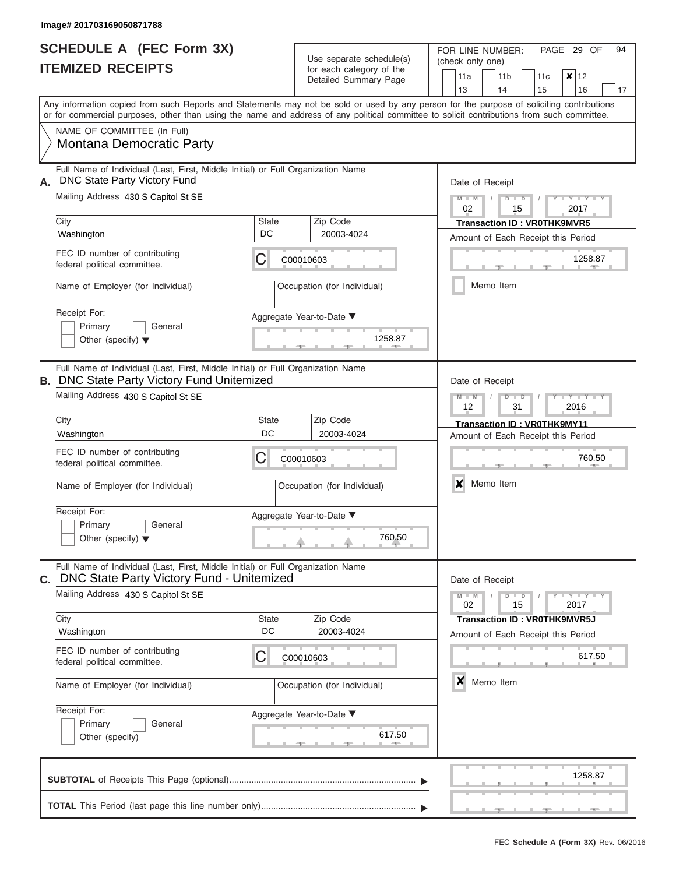|                          | <b>SCHEDULE A (FEC Form 3X)</b> |
|--------------------------|---------------------------------|
| <b>ITEMIZED RECEIPTS</b> |                                 |

| SCHEDULE A (FEC Form 3X)                                           |                                                                                                                                                                                                                                                                                         |                    | Use separate schedule(s)                          | 94<br>FOR LINE NUMBER:<br>PAGE 29 OF<br>(check only one)                                                                                           |
|--------------------------------------------------------------------|-----------------------------------------------------------------------------------------------------------------------------------------------------------------------------------------------------------------------------------------------------------------------------------------|--------------------|---------------------------------------------------|----------------------------------------------------------------------------------------------------------------------------------------------------|
|                                                                    | <b>ITEMIZED RECEIPTS</b>                                                                                                                                                                                                                                                                |                    | for each category of the<br>Detailed Summary Page | $x \mid 12$<br>11a<br>11 <sub>b</sub><br>11c<br>13<br>14<br>15<br>16<br>17                                                                         |
|                                                                    | Any information copied from such Reports and Statements may not be sold or used by any person for the purpose of soliciting contributions<br>or for commercial purposes, other than using the name and address of any political committee to solicit contributions from such committee. |                    |                                                   |                                                                                                                                                    |
|                                                                    | NAME OF COMMITTEE (In Full)<br>Montana Democratic Party                                                                                                                                                                                                                                 |                    |                                                   |                                                                                                                                                    |
|                                                                    | Full Name of Individual (Last, First, Middle Initial) or Full Organization Name<br>DNC State Party Victory Fund                                                                                                                                                                         |                    |                                                   | Date of Receipt                                                                                                                                    |
|                                                                    | Mailing Address 430 S Capitol St SE<br>City                                                                                                                                                                                                                                             | State              | Zip Code                                          | Y I Y I<br>$M - M$<br>$D$ $D$<br>02<br>15<br>2017                                                                                                  |
|                                                                    | Washington                                                                                                                                                                                                                                                                              | DC                 | 20003-4024                                        | Transaction ID: VR0THK9MVR5<br>Amount of Each Receipt this Period                                                                                  |
| FEC ID number of contributing<br>С<br>federal political committee. |                                                                                                                                                                                                                                                                                         |                    | C00010603                                         | 1258.87                                                                                                                                            |
|                                                                    | Name of Employer (for Individual)                                                                                                                                                                                                                                                       |                    | Occupation (for Individual)                       | Memo Item                                                                                                                                          |
|                                                                    | Receipt For:<br>Primary<br>General<br>Other (specify) $\blacktriangledown$                                                                                                                                                                                                              |                    | Aggregate Year-to-Date ▼<br>1258.87               |                                                                                                                                                    |
|                                                                    | Full Name of Individual (Last, First, Middle Initial) or Full Organization Name<br><b>B.</b> DNC State Party Victory Fund Unitemized<br>Mailing Address 430 S Capitol St SE                                                                                                             |                    |                                                   | Date of Receipt<br>$M - M$<br>$D$ $\Box$ $D$<br>$\blacksquare$ $\blacksquare$ $\blacksquare$ $\blacksquare$ $\blacksquare$ $\blacksquare$          |
|                                                                    | City                                                                                                                                                                                                                                                                                    | <b>State</b>       | Zip Code                                          | 12<br>2016<br>31                                                                                                                                   |
|                                                                    | Washington                                                                                                                                                                                                                                                                              | DC                 | 20003-4024                                        | Transaction ID: VR0THK9MY11<br>Amount of Each Receipt this Period                                                                                  |
|                                                                    | FEC ID number of contributing<br>federal political committee.                                                                                                                                                                                                                           | C                  | C00010603                                         | 760.50                                                                                                                                             |
|                                                                    | Name of Employer (for Individual)                                                                                                                                                                                                                                                       |                    | Occupation (for Individual)                       | $\boldsymbol{x}$<br>Memo Item                                                                                                                      |
|                                                                    | Receipt For:<br>General                                                                                                                                                                                                                                                                 |                    | Aggregate Year-to-Date ▼                          |                                                                                                                                                    |
|                                                                    | Primary<br>Other (specify) $\blacktriangledown$                                                                                                                                                                                                                                         |                    | 760.50                                            |                                                                                                                                                    |
| $\mathbf{C}$ .                                                     | Full Name of Individual (Last, First, Middle Initial) or Full Organization Name<br><b>DNC State Party Victory Fund - Unitemized</b>                                                                                                                                                     |                    |                                                   | Date of Receipt                                                                                                                                    |
|                                                                    | Mailing Address 430 S Capitol St SE                                                                                                                                                                                                                                                     |                    |                                                   | $\blacksquare \blacksquare \mathsf{Y} \mathrel{\sqsubseteq} \mathsf{Y} \mathrel{\sqsubseteq} \mathsf{Y}$<br>$M - M$<br>$D$ $D$<br>02<br>15<br>2017 |
|                                                                    | City<br>Washington                                                                                                                                                                                                                                                                      | <b>State</b><br>DC | Zip Code<br>20003-4024                            | <b>Transaction ID: VR0THK9MVR5J</b><br>Amount of Each Receipt this Period                                                                          |
|                                                                    | FEC ID number of contributing<br>federal political committee.                                                                                                                                                                                                                           | C                  | C00010603                                         | 617.50                                                                                                                                             |
| Name of Employer (for Individual)                                  |                                                                                                                                                                                                                                                                                         |                    | Occupation (for Individual)                       | ×<br>Memo Item                                                                                                                                     |
|                                                                    | Receipt For:<br>Primary<br>General<br>Other (specify)                                                                                                                                                                                                                                   |                    | Aggregate Year-to-Date ▼<br>617.50<br>$-1$        |                                                                                                                                                    |
|                                                                    |                                                                                                                                                                                                                                                                                         |                    |                                                   | 1258.87                                                                                                                                            |
|                                                                    |                                                                                                                                                                                                                                                                                         |                    |                                                   |                                                                                                                                                    |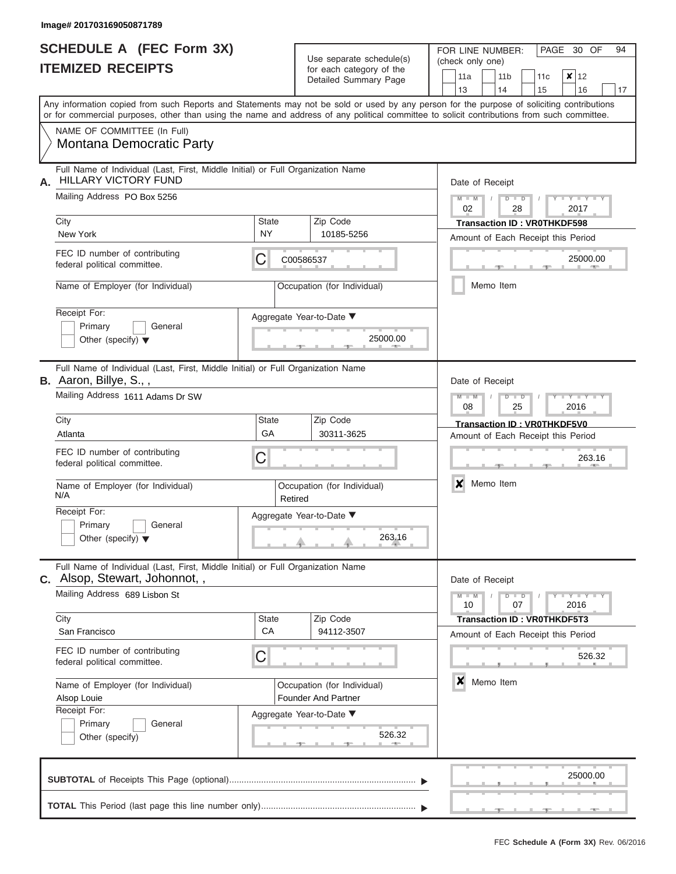|                          | <b>SCHEDULE A (FEC Form 3X)</b> |
|--------------------------|---------------------------------|
| <b>ITEMIZED RECEIPTS</b> |                                 |

| SCHEDULE A (FEC Form 3X)                                                                                                                      |              | Use separate schedule(s)                                  | 94<br>FOR LINE NUMBER:<br>PAGE 30 OF<br>(check only one)                                                                                                                                                                                                                                |
|-----------------------------------------------------------------------------------------------------------------------------------------------|--------------|-----------------------------------------------------------|-----------------------------------------------------------------------------------------------------------------------------------------------------------------------------------------------------------------------------------------------------------------------------------------|
| <b>ITEMIZED RECEIPTS</b>                                                                                                                      |              | for each category of the<br>Detailed Summary Page         | $x \mid 12$<br>11a<br>11 <sub>b</sub><br>11c<br>13<br>14<br>15<br>16<br>17                                                                                                                                                                                                              |
|                                                                                                                                               |              |                                                           | Any information copied from such Reports and Statements may not be sold or used by any person for the purpose of soliciting contributions<br>or for commercial purposes, other than using the name and address of any political committee to solicit contributions from such committee. |
| NAME OF COMMITTEE (In Full)<br>Montana Democratic Party                                                                                       |              |                                                           |                                                                                                                                                                                                                                                                                         |
| Full Name of Individual (Last, First, Middle Initial) or Full Organization Name<br><b>HILLARY VICTORY FUND</b>                                |              |                                                           | Date of Receipt                                                                                                                                                                                                                                                                         |
| Mailing Address PO Box 5256<br>City                                                                                                           | State        | Zip Code                                                  | Y I Y I<br>$M - M$<br>$D$ $D$<br>02<br>28<br>2017                                                                                                                                                                                                                                       |
| New York                                                                                                                                      | <b>NY</b>    | 10185-5256                                                | Transaction ID: VR0THKDF598<br>Amount of Each Receipt this Period                                                                                                                                                                                                                       |
| FEC ID number of contributing<br>federal political committee.                                                                                 | С            | C00586537                                                 | 25000.00<br><b>AND IN</b>                                                                                                                                                                                                                                                               |
| Name of Employer (for Individual)                                                                                                             |              | Occupation (for Individual)                               | Memo Item                                                                                                                                                                                                                                                                               |
| Receipt For:<br>Primary<br>General<br>Other (specify) $\blacktriangledown$                                                                    |              | Aggregate Year-to-Date ▼<br>25000.00                      |                                                                                                                                                                                                                                                                                         |
| Full Name of Individual (Last, First, Middle Initial) or Full Organization Name<br>B. Aaron, Billye, S.,,<br>Mailing Address 1611 Adams Dr SW |              |                                                           | Date of Receipt<br>$M - M$<br>$D$ $\Box$ $D$<br>$T - Y = T - Y = T$                                                                                                                                                                                                                     |
| City                                                                                                                                          | <b>State</b> | Zip Code                                                  | 08<br>2016<br>25                                                                                                                                                                                                                                                                        |
| Atlanta                                                                                                                                       | GA           | 30311-3625                                                | Transaction ID: VR0THKDF5V0<br>Amount of Each Receipt this Period                                                                                                                                                                                                                       |
| FEC ID number of contributing<br>federal political committee.                                                                                 | С            |                                                           | 263.16                                                                                                                                                                                                                                                                                  |
| Name of Employer (for Individual)<br>N/A                                                                                                      | Retired      | Occupation (for Individual)                               | $\boldsymbol{x}$<br>Memo Item                                                                                                                                                                                                                                                           |
| Receipt For:<br>Primary<br>General                                                                                                            |              | Aggregate Year-to-Date ▼                                  |                                                                                                                                                                                                                                                                                         |
| Other (specify) $\blacktriangledown$                                                                                                          |              | 263.16                                                    |                                                                                                                                                                                                                                                                                         |
| Full Name of Individual (Last, First, Middle Initial) or Full Organization Name<br>C. Alsop, Stewart, Johonnot, ,                             |              |                                                           | Date of Receipt                                                                                                                                                                                                                                                                         |
| Mailing Address 689 Lisbon St                                                                                                                 |              |                                                           | $T-T$ $T$ $T$ $T$ $T$ $T$<br>$M - M$<br>$D$ $D$<br>10<br>07<br>2016                                                                                                                                                                                                                     |
| City<br>San Francisco                                                                                                                         | State<br>CA  | Zip Code<br>94112-3507                                    | <b>Transaction ID: VR0THKDF5T3</b><br>Amount of Each Receipt this Period                                                                                                                                                                                                                |
| FEC ID number of contributing<br>federal political committee.                                                                                 | С            |                                                           | 526.32                                                                                                                                                                                                                                                                                  |
| Name of Employer (for Individual)<br>Alsop Louie                                                                                              |              | Occupation (for Individual)<br><b>Founder And Partner</b> | ×<br>Memo Item                                                                                                                                                                                                                                                                          |
| Receipt For:<br>Primary<br>General<br>Other (specify)                                                                                         |              | Aggregate Year-to-Date ▼<br>526.32<br>$-1$                |                                                                                                                                                                                                                                                                                         |
|                                                                                                                                               |              |                                                           | 25000.00                                                                                                                                                                                                                                                                                |
|                                                                                                                                               |              |                                                           |                                                                                                                                                                                                                                                                                         |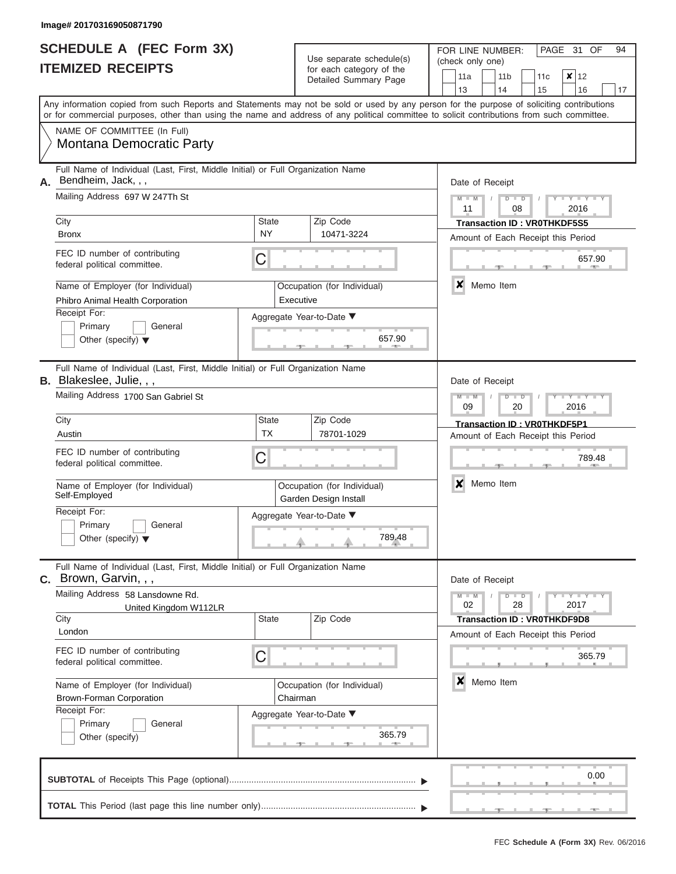|                          | <b>SCHEDULE A (FEC Form 3X)</b> |
|--------------------------|---------------------------------|
| <b>ITEMIZED RECEIPTS</b> |                                 |

FOR LINE NUMBER:<br>(check only one)

PAGE 31 OF 94

|    |                                                                                                                                                                                                                                                                                         |                          | Detailed Summary Page                                |                                                                          |                                        | 11a<br>13       |  | 11 <sub>b</sub><br>14 | 11 <sub>c</sub><br>15                                                    |  | $x$   12 | 16       | 17 |  |  |
|----|-----------------------------------------------------------------------------------------------------------------------------------------------------------------------------------------------------------------------------------------------------------------------------------------|--------------------------|------------------------------------------------------|--------------------------------------------------------------------------|----------------------------------------|-----------------|--|-----------------------|--------------------------------------------------------------------------|--|----------|----------|----|--|--|
|    | Any information copied from such Reports and Statements may not be sold or used by any person for the purpose of soliciting contributions<br>or for commercial purposes, other than using the name and address of any political committee to solicit contributions from such committee. |                          |                                                      |                                                                          |                                        |                 |  |                       |                                                                          |  |          |          |    |  |  |
|    | NAME OF COMMITTEE (In Full)<br>Montana Democratic Party                                                                                                                                                                                                                                 |                          |                                                      |                                                                          |                                        |                 |  |                       |                                                                          |  |          |          |    |  |  |
| А. | Full Name of Individual (Last, First, Middle Initial) or Full Organization Name<br>Bendheim, Jack, , ,                                                                                                                                                                                  |                          |                                                      |                                                                          |                                        | Date of Receipt |  |                       |                                                                          |  |          |          |    |  |  |
|    | Mailing Address 697 W 247Th St                                                                                                                                                                                                                                                          |                          |                                                      |                                                                          | $M - M$<br>$D$ $D$<br>2016<br>11<br>08 |                 |  |                       |                                                                          |  |          |          |    |  |  |
|    | City<br><b>Bronx</b>                                                                                                                                                                                                                                                                    | State<br><b>NY</b>       | Zip Code<br>10471-3224                               | <b>Transaction ID: VR0THKDF5S5</b><br>Amount of Each Receipt this Period |                                        |                 |  |                       |                                                                          |  |          |          |    |  |  |
|    | FEC ID number of contributing<br>federal political committee.                                                                                                                                                                                                                           | С                        |                                                      | 657.90                                                                   |                                        |                 |  |                       |                                                                          |  |          |          |    |  |  |
|    | Name of Employer (for Individual)<br>Phibro Animal Health Corporation                                                                                                                                                                                                                   | Executive                | Occupation (for Individual)                          |                                                                          | ×<br>Memo Item                         |                 |  |                       |                                                                          |  |          |          |    |  |  |
|    | Receipt For:<br>Primary<br>General<br>Other (specify) $\blacktriangledown$                                                                                                                                                                                                              | Aggregate Year-to-Date ▼ | 657.90                                               |                                                                          |                                        |                 |  |                       |                                                                          |  |          |          |    |  |  |
|    | Full Name of Individual (Last, First, Middle Initial) or Full Organization Name<br><b>B.</b> Blakeslee, Julie, , ,                                                                                                                                                                      |                          |                                                      |                                                                          |                                        | Date of Receipt |  |                       |                                                                          |  |          |          |    |  |  |
|    | Mailing Address 1700 San Gabriel St                                                                                                                                                                                                                                                     |                          | Zip Code                                             |                                                                          |                                        | $M - M$<br>09   |  | $D$ $D$<br>20         |                                                                          |  | 2016     |          |    |  |  |
|    | City<br>Austin                                                                                                                                                                                                                                                                          | State<br><b>TX</b>       |                                                      | Transaction ID: VR0THKDF5P1<br>Amount of Each Receipt this Period        |                                        |                 |  |                       |                                                                          |  |          |          |    |  |  |
|    | FEC ID number of contributing<br>federal political committee.                                                                                                                                                                                                                           | С                        |                                                      |                                                                          | 789.48<br>X<br>Memo Item               |                 |  |                       |                                                                          |  |          |          |    |  |  |
|    | Name of Employer (for Individual)<br>Self-Employed                                                                                                                                                                                                                                      |                          | Occupation (for Individual)<br>Garden Design Install |                                                                          |                                        |                 |  |                       |                                                                          |  |          |          |    |  |  |
|    | Receipt For:<br>Primary<br>General<br>Other (specify) $\blacktriangledown$                                                                                                                                                                                                              | Aggregate Year-to-Date ▼ | 789.48                                               |                                                                          |                                        |                 |  |                       |                                                                          |  |          |          |    |  |  |
| С. | Full Name of Individual (Last, First, Middle Initial) or Full Organization Name<br>Brown, Garvin, , ,                                                                                                                                                                                   |                          |                                                      |                                                                          |                                        | Date of Receipt |  |                       |                                                                          |  |          |          |    |  |  |
|    | Mailing Address 58 Lansdowne Rd.<br>United Kingdom W112LR                                                                                                                                                                                                                               |                          | Zip Code                                             |                                                                          |                                        | $M - M$<br>02   |  | $D$ $D$<br>28         |                                                                          |  | 2017     | $+Y+Y+Y$ |    |  |  |
|    | City<br>London                                                                                                                                                                                                                                                                          | State                    |                                                      |                                                                          |                                        |                 |  |                       | <b>Transaction ID: VR0THKDF9D8</b><br>Amount of Each Receipt this Period |  |          |          |    |  |  |
|    | FEC ID number of contributing<br>federal political committee.                                                                                                                                                                                                                           | С                        |                                                      |                                                                          |                                        |                 |  |                       |                                                                          |  |          | 365.79   |    |  |  |
|    | Name of Employer (for Individual)<br>Brown-Forman Corporation                                                                                                                                                                                                                           | Chairman                 | Occupation (for Individual)                          |                                                                          | ×<br>Memo Item                         |                 |  |                       |                                                                          |  |          |          |    |  |  |
|    | Receipt For:<br>Primary<br>General<br>Other (specify)                                                                                                                                                                                                                                   | Aggregate Year-to-Date ▼ | 365.79                                               |                                                                          |                                        |                 |  |                       |                                                                          |  |          |          |    |  |  |
|    |                                                                                                                                                                                                                                                                                         |                          |                                                      |                                                                          |                                        |                 |  |                       |                                                                          |  |          | 0.00     |    |  |  |
|    |                                                                                                                                                                                                                                                                                         |                          |                                                      |                                                                          |                                        |                 |  |                       |                                                                          |  |          |          |    |  |  |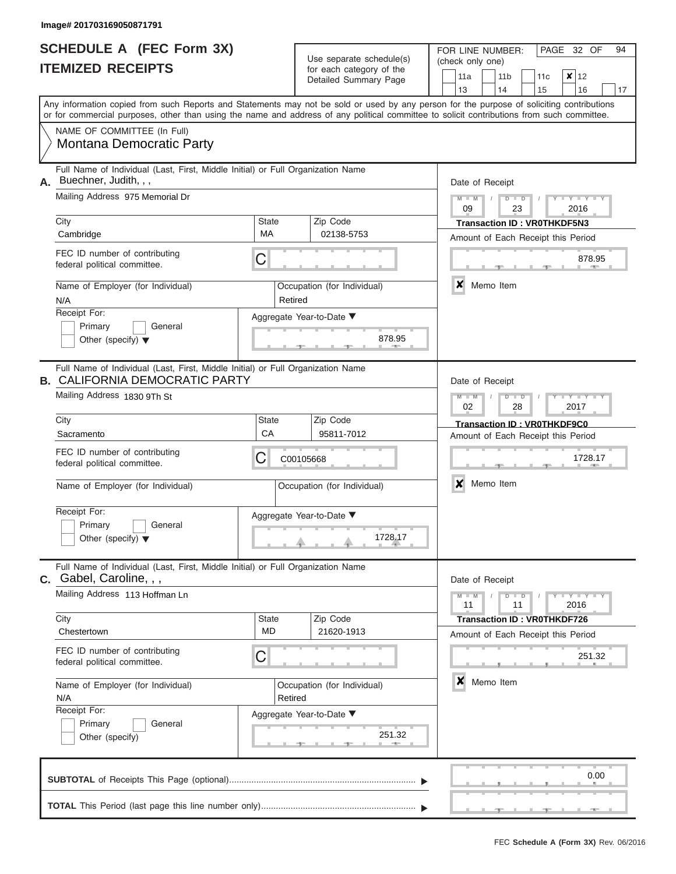| <b>SCHEDULE A (FEC Form 3X)</b> |  |
|---------------------------------|--|
| <b>ITEMIZED RECEIPTS</b>        |  |

Use separate schedule(s)

FOR LINE NUMBER:<br>(check only one)

PAGE 32 OF 94

|                                                     | IIEMIZED KEUEIPIS                                                                                                                                                                                                                                                                       |                    | for each category of the                                           |                                                                          |  | 11a             |  | 11 <sub>b</sub>      | 11c                                                                      | x      | 12                  |  |    |  |  |  |  |
|-----------------------------------------------------|-----------------------------------------------------------------------------------------------------------------------------------------------------------------------------------------------------------------------------------------------------------------------------------------|--------------------|--------------------------------------------------------------------|--------------------------------------------------------------------------|--|-----------------|--|----------------------|--------------------------------------------------------------------------|--------|---------------------|--|----|--|--|--|--|
|                                                     |                                                                                                                                                                                                                                                                                         |                    | Detailed Summary Page                                              |                                                                          |  | 13              |  | 14                   | 15                                                                       |        | 16                  |  | 17 |  |  |  |  |
|                                                     | Any information copied from such Reports and Statements may not be sold or used by any person for the purpose of soliciting contributions<br>or for commercial purposes, other than using the name and address of any political committee to solicit contributions from such committee. |                    |                                                                    |                                                                          |  |                 |  |                      |                                                                          |        |                     |  |    |  |  |  |  |
|                                                     | NAME OF COMMITTEE (In Full)<br>Montana Democratic Party                                                                                                                                                                                                                                 |                    |                                                                    |                                                                          |  |                 |  |                      |                                                                          |        |                     |  |    |  |  |  |  |
| А.                                                  | Full Name of Individual (Last, First, Middle Initial) or Full Organization Name<br>Buechner, Judith, , ,<br>Mailing Address 975 Memorial Dr                                                                                                                                             |                    | Date of Receipt<br>$M - M$<br>Y TYT<br>$D$ $D$<br>09<br>23<br>2016 |                                                                          |  |                 |  |                      |                                                                          |        |                     |  |    |  |  |  |  |
|                                                     | City<br>Cambridge                                                                                                                                                                                                                                                                       | <b>State</b><br>МA | Zip Code<br>02138-5753                                             | <b>Transaction ID: VR0THKDF5N3</b><br>Amount of Each Receipt this Period |  |                 |  |                      |                                                                          |        |                     |  |    |  |  |  |  |
|                                                     | FEC ID number of contributing<br>federal political committee.                                                                                                                                                                                                                           | C                  |                                                                    | 878.95                                                                   |  |                 |  |                      |                                                                          |        |                     |  |    |  |  |  |  |
|                                                     | Name of Employer (for Individual)<br>N/A                                                                                                                                                                                                                                                | Retired            | Occupation (for Individual)                                        |                                                                          |  | X               |  | Memo Item            |                                                                          |        |                     |  |    |  |  |  |  |
|                                                     | Receipt For:<br>Primary<br>General<br>Other (specify) $\blacktriangledown$                                                                                                                                                                                                              |                    | Aggregate Year-to-Date ▼<br>878.95                                 |                                                                          |  |                 |  |                      |                                                                          |        |                     |  |    |  |  |  |  |
|                                                     | Full Name of Individual (Last, First, Middle Initial) or Full Organization Name<br><b>B. CALIFORNIA DEMOCRATIC PARTY</b>                                                                                                                                                                |                    |                                                                    |                                                                          |  | Date of Receipt |  |                      |                                                                          |        |                     |  |    |  |  |  |  |
|                                                     | Mailing Address 1830 9Th St                                                                                                                                                                                                                                                             |                    |                                                                    | $M - M$<br>$D$ $D$<br>$Y = Y$<br>02<br>28<br>2017                        |  |                 |  |                      |                                                                          |        |                     |  |    |  |  |  |  |
|                                                     | City<br>Sacramento                                                                                                                                                                                                                                                                      | <b>State</b><br>CA | Zip Code<br>95811-7012                                             |                                                                          |  |                 |  |                      | <b>Transaction ID: VR0THKDF9C0</b><br>Amount of Each Receipt this Period |        |                     |  |    |  |  |  |  |
|                                                     | FEC ID number of contributing<br>federal political committee.                                                                                                                                                                                                                           | С                  | C00105668                                                          |                                                                          |  |                 |  |                      | 1728.17                                                                  |        |                     |  |    |  |  |  |  |
|                                                     | Name of Employer (for Individual)                                                                                                                                                                                                                                                       |                    | Occupation (for Individual)                                        | x<br>Memo Item                                                           |  |                 |  |                      |                                                                          |        |                     |  |    |  |  |  |  |
|                                                     | Receipt For:<br>Primary<br>General<br>Other (specify) $\blacktriangledown$                                                                                                                                                                                                              |                    | Aggregate Year-to-Date ▼<br>1728.17                                |                                                                          |  |                 |  |                      |                                                                          |        |                     |  |    |  |  |  |  |
|                                                     | Full Name of Individual (Last, First, Middle Initial) or Full Organization Name<br><b>C.</b> Gabel, Caroline, , ,                                                                                                                                                                       |                    |                                                                    |                                                                          |  | Date of Receipt |  |                      |                                                                          |        |                     |  |    |  |  |  |  |
|                                                     | Mailing Address 113 Hoffman Ln                                                                                                                                                                                                                                                          |                    |                                                                    |                                                                          |  | $M - M$<br>11   |  | $D$ $\Box$ $D$<br>11 |                                                                          |        | $Y = Y + Y$<br>2016 |  |    |  |  |  |  |
|                                                     | City<br>Chestertown                                                                                                                                                                                                                                                                     | <b>State</b><br>MD | Zip Code<br>21620-1913                                             |                                                                          |  |                 |  |                      | <b>Transaction ID: VR0THKDF726</b><br>Amount of Each Receipt this Period |        |                     |  |    |  |  |  |  |
|                                                     | FEC ID number of contributing<br>federal political committee.                                                                                                                                                                                                                           |                    |                                                                    |                                                                          |  |                 |  |                      |                                                                          | 251.32 |                     |  |    |  |  |  |  |
| Name of Employer (for Individual)<br>N/A<br>Retired |                                                                                                                                                                                                                                                                                         |                    | Occupation (for Individual)                                        |                                                                          |  | ×               |  | Memo Item            |                                                                          |        |                     |  |    |  |  |  |  |
|                                                     | Receipt For:<br>Primary<br>General<br>Other (specify)                                                                                                                                                                                                                                   |                    | Aggregate Year-to-Date ▼<br>251.32<br><b>AND</b>                   |                                                                          |  |                 |  |                      |                                                                          |        |                     |  |    |  |  |  |  |
|                                                     |                                                                                                                                                                                                                                                                                         |                    |                                                                    |                                                                          |  |                 |  |                      |                                                                          |        | 0.00                |  |    |  |  |  |  |
|                                                     |                                                                                                                                                                                                                                                                                         |                    |                                                                    |                                                                          |  |                 |  |                      |                                                                          |        |                     |  |    |  |  |  |  |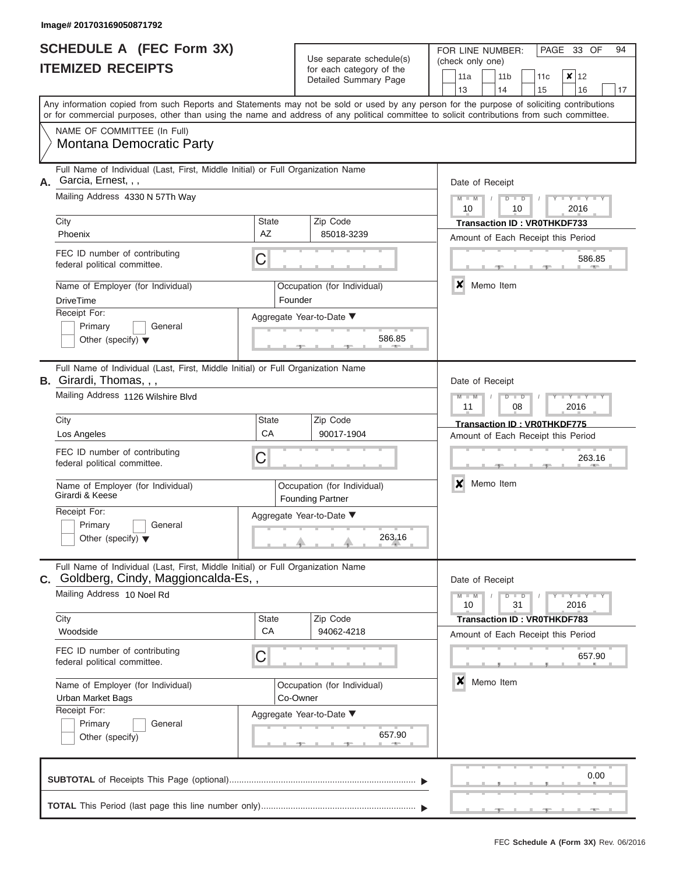|                          | <b>SCHEDULE A (FEC Form 3X)</b> |
|--------------------------|---------------------------------|
| <b>ITEMIZED RECEIPTS</b> |                                 |

Use separate schedule(s) (check only one)<br>for each category of the  $\Box$ 

FOR LINE NUMBER:

 $\overline{\phantom{0}}$ 

PAGE 33 OF 94

|    |                                                                                                                                                                                                                                                                                         |                          |          | Detailed Summary Page                                  |                                                                                                    | 11a<br>13                                                         |                                       | 11 <sub>b</sub><br>14 | 11 <sub>C</sub>                                                          | $x$   12<br>16  |      |    |  |  |  |  |  |
|----|-----------------------------------------------------------------------------------------------------------------------------------------------------------------------------------------------------------------------------------------------------------------------------------------|--------------------------|----------|--------------------------------------------------------|----------------------------------------------------------------------------------------------------|-------------------------------------------------------------------|---------------------------------------|-----------------------|--------------------------------------------------------------------------|-----------------|------|----|--|--|--|--|--|
|    | Any information copied from such Reports and Statements may not be sold or used by any person for the purpose of soliciting contributions<br>or for commercial purposes, other than using the name and address of any political committee to solicit contributions from such committee. |                          |          |                                                        |                                                                                                    |                                                                   |                                       |                       | 15                                                                       |                 |      | 17 |  |  |  |  |  |
|    | NAME OF COMMITTEE (In Full)<br>Montana Democratic Party                                                                                                                                                                                                                                 |                          |          |                                                        |                                                                                                    |                                                                   |                                       |                       |                                                                          |                 |      |    |  |  |  |  |  |
| А. | Full Name of Individual (Last, First, Middle Initial) or Full Organization Name<br>Garcia, Ernest, , ,                                                                                                                                                                                  | Date of Receipt          |          |                                                        |                                                                                                    |                                                                   |                                       |                       |                                                                          |                 |      |    |  |  |  |  |  |
|    | Mailing Address 4330 N 57Th Way                                                                                                                                                                                                                                                         |                          |          |                                                        | $Y - Y - I$<br>$M - M$<br>$\blacksquare$<br>10<br>10<br>2016<br><b>Transaction ID: VR0THKDF733</b> |                                                                   |                                       |                       |                                                                          |                 |      |    |  |  |  |  |  |
|    | City<br>Phoenix                                                                                                                                                                                                                                                                         | State<br>AZ              |          | Zip Code<br>85018-3239                                 |                                                                                                    |                                                                   |                                       |                       | Amount of Each Receipt this Period                                       |                 |      |    |  |  |  |  |  |
|    | FEC ID number of contributing<br>federal political committee.                                                                                                                                                                                                                           | C                        |          |                                                        | 586.85                                                                                             |                                                                   |                                       |                       |                                                                          |                 |      |    |  |  |  |  |  |
|    | Name of Employer (for Individual)<br><b>DriveTime</b>                                                                                                                                                                                                                                   |                          | Founder  | Occupation (for Individual)                            |                                                                                                    | ×<br>Memo Item                                                    |                                       |                       |                                                                          |                 |      |    |  |  |  |  |  |
|    | Receipt For:<br>Primary<br>General<br>Other (specify) $\blacktriangledown$                                                                                                                                                                                                              | Aggregate Year-to-Date ▼ |          | 586.85                                                 |                                                                                                    |                                                                   |                                       |                       |                                                                          |                 |      |    |  |  |  |  |  |
|    | Full Name of Individual (Last, First, Middle Initial) or Full Organization Name<br><b>B.</b> Girardi, Thomas, , ,                                                                                                                                                                       |                          |          |                                                        |                                                                                                    |                                                                   |                                       | Date of Receipt       |                                                                          |                 |      |    |  |  |  |  |  |
|    | Mailing Address 1126 Wilshire Blvd                                                                                                                                                                                                                                                      |                          |          |                                                        |                                                                                                    |                                                                   | $M$ $M$<br>D<br>ு<br>2016<br>11<br>08 |                       |                                                                          |                 |      |    |  |  |  |  |  |
|    | City<br>Los Angeles                                                                                                                                                                                                                                                                     | State<br>CA              |          | Zip Code<br>90017-1904                                 |                                                                                                    | Transaction ID: VR0THKDF775<br>Amount of Each Receipt this Period |                                       |                       |                                                                          |                 |      |    |  |  |  |  |  |
|    | FEC ID number of contributing<br>federal political committee.                                                                                                                                                                                                                           | C                        |          |                                                        |                                                                                                    | 263.16                                                            |                                       |                       |                                                                          |                 |      |    |  |  |  |  |  |
|    | Name of Employer (for Individual)<br>Girardi & Keese                                                                                                                                                                                                                                    |                          |          | Occupation (for Individual)<br><b>Founding Partner</b> |                                                                                                    | $\boldsymbol{x}$<br>Memo Item                                     |                                       |                       |                                                                          |                 |      |    |  |  |  |  |  |
|    | Receipt For:<br>General<br>Primary<br>Other (specify) $\blacktriangledown$                                                                                                                                                                                                              | Aggregate Year-to-Date ▼ |          |                                                        |                                                                                                    |                                                                   |                                       |                       |                                                                          |                 |      |    |  |  |  |  |  |
|    | Full Name of Individual (Last, First, Middle Initial) or Full Organization Name<br>C. Goldberg, Cindy, Maggioncalda-Es,,                                                                                                                                                                |                          |          |                                                        |                                                                                                    | Date of Receipt                                                   |                                       |                       |                                                                          |                 |      |    |  |  |  |  |  |
|    | Mailing Address 10 Noel Rd                                                                                                                                                                                                                                                              |                          |          |                                                        |                                                                                                    | $M - M$<br>10                                                     |                                       | 31                    | $\overline{D}$                                                           | Y TY TY<br>2016 |      |    |  |  |  |  |  |
|    | City<br>Woodside                                                                                                                                                                                                                                                                        | State<br>CA              |          | Zip Code<br>94062-4218                                 |                                                                                                    |                                                                   |                                       |                       | <b>Transaction ID: VR0THKDF783</b><br>Amount of Each Receipt this Period |                 |      |    |  |  |  |  |  |
|    | FEC ID number of contributing<br>federal political committee.                                                                                                                                                                                                                           |                          |          |                                                        |                                                                                                    |                                                                   |                                       |                       | 657.90                                                                   |                 |      |    |  |  |  |  |  |
|    | Name of Employer (for Individual)<br>Urban Market Bags<br>Receipt For:                                                                                                                                                                                                                  |                          | Co-Owner | Occupation (for Individual)                            |                                                                                                    | ×                                                                 |                                       | Memo Item             |                                                                          |                 |      |    |  |  |  |  |  |
|    | Primary<br>General<br>Other (specify)                                                                                                                                                                                                                                                   | Aggregate Year-to-Date ▼ |          | 657.90                                                 |                                                                                                    |                                                                   |                                       |                       |                                                                          |                 |      |    |  |  |  |  |  |
|    |                                                                                                                                                                                                                                                                                         |                          |          |                                                        |                                                                                                    |                                                                   |                                       |                       |                                                                          |                 | 0.00 |    |  |  |  |  |  |
|    |                                                                                                                                                                                                                                                                                         |                          |          |                                                        |                                                                                                    |                                                                   |                                       |                       |                                                                          |                 |      |    |  |  |  |  |  |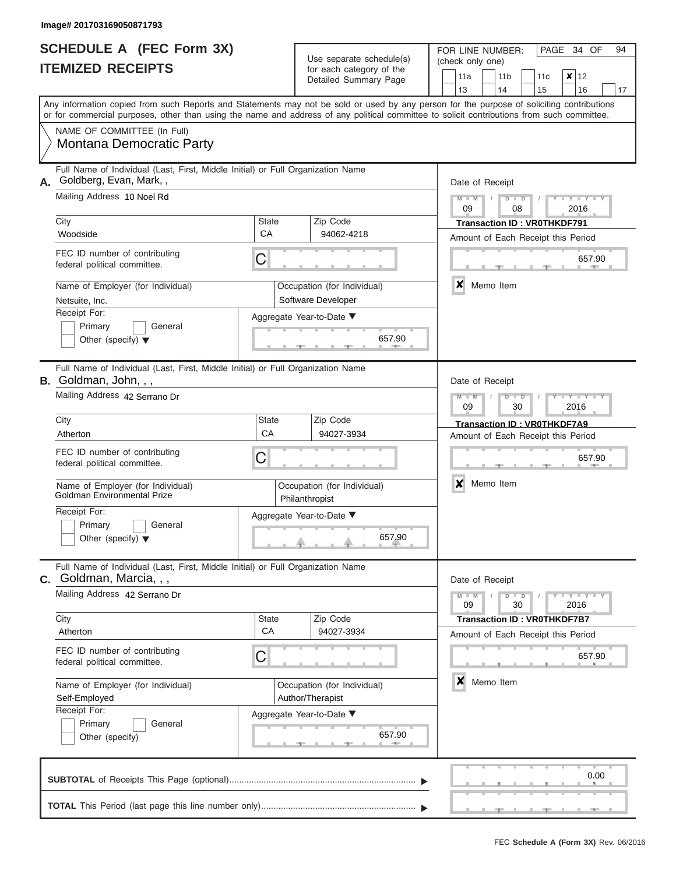|                          | <b>SCHEDULE A (FEC Form 3X)</b> |
|--------------------------|---------------------------------|
| <b>ITEMIZED RECEIPTS</b> |                                 |

| SCHEDULE A (FEC Form 3X)                                                                                                                                                                                                                                                                                                                                                                | Use separate schedule(s)                                                                                                                   | 94<br>FOR LINE NUMBER:<br>PAGE<br>34 OF<br>(check only one)                                                                                                                                  |
|-----------------------------------------------------------------------------------------------------------------------------------------------------------------------------------------------------------------------------------------------------------------------------------------------------------------------------------------------------------------------------------------|--------------------------------------------------------------------------------------------------------------------------------------------|----------------------------------------------------------------------------------------------------------------------------------------------------------------------------------------------|
| <b>ITEMIZED RECEIPTS</b>                                                                                                                                                                                                                                                                                                                                                                | for each category of the<br>Detailed Summary Page                                                                                          | 11a<br>$x \mid 12$<br>11 <sub>b</sub><br>11c<br>13<br>14<br>15<br>16<br>17                                                                                                                   |
| or for commercial purposes, other than using the name and address of any political committee to solicit contributions from such committee.                                                                                                                                                                                                                                              |                                                                                                                                            | Any information copied from such Reports and Statements may not be sold or used by any person for the purpose of soliciting contributions                                                    |
| NAME OF COMMITTEE (In Full)<br>Montana Democratic Party                                                                                                                                                                                                                                                                                                                                 |                                                                                                                                            |                                                                                                                                                                                              |
| Full Name of Individual (Last, First, Middle Initial) or Full Organization Name<br>Goldberg, Evan, Mark,,<br>А.<br>Mailing Address 10 Noel Rd<br>City<br>Woodside<br>FEC ID number of contributing<br>federal political committee.                                                                                                                                                      | Zip Code<br><b>State</b><br>CA<br>94062-4218<br>С                                                                                          | Date of Receipt<br>$M - M$<br>$D$ $D$<br>$Y - Y - I$<br>09<br>2016<br>08<br>Transaction ID: VR0THKDF791<br>Amount of Each Receipt this Period<br>657.90                                      |
| Name of Employer (for Individual)<br>Netsuite, Inc.<br>Receipt For:<br>Primary<br>General<br>Other (specify) $\blacktriangledown$                                                                                                                                                                                                                                                       | Occupation (for Individual)<br>Software Developer<br>Aggregate Year-to-Date ▼<br>657.90                                                    | ×<br>Memo Item                                                                                                                                                                               |
| Full Name of Individual (Last, First, Middle Initial) or Full Organization Name<br><b>B.</b> Goldman, John, , ,<br>Mailing Address 42 Serrano Dr<br>City<br>Atherton<br>FEC ID number of contributing<br>federal political committee.<br>Name of Employer (for Individual)<br>Goldman Environmental Prize<br>Receipt For:<br>Primary<br>General<br>Other (specify) $\blacktriangledown$ | Zip Code<br><b>State</b><br>CA<br>94027-3934<br>С<br>Occupation (for Individual)<br>Philanthropist<br>Aggregate Year-to-Date ▼<br>657.90   | Date of Receipt<br>$M - M$<br>$D$ $\Box$ $D$<br>$Y \perp Y \perp$<br>09<br>2016<br>30<br>Transaction ID: VR0THKDF7A9<br>Amount of Each Receipt this Period<br>657.90<br>X<br>Memo Item       |
| Full Name of Individual (Last, First, Middle Initial) or Full Organization Name<br>C. Goldman, Marcia, , ,<br>Mailing Address 42 Serrano Dr<br>City<br>Atherton<br>FEC ID number of contributing<br>federal political committee.<br>Name of Employer (for Individual)<br>Self-Employed<br>Receipt For:<br>Primary<br>General<br>Other (specify)                                         | Zip Code<br><b>State</b><br>CA<br>94027-3934<br>С<br>Occupation (for Individual)<br>Author/Therapist<br>Aggregate Year-to-Date ▼<br>657.90 | Date of Receipt<br>$M - M$<br>$-1$ $-1$ $-1$ $-1$ $-1$ $-1$<br>$D$ $D$<br>09<br>30<br>2016<br>Transaction ID : VR0THKDF7B7<br>Amount of Each Receipt this Period<br>657.90<br>×<br>Memo Item |
|                                                                                                                                                                                                                                                                                                                                                                                         |                                                                                                                                            | 0.00                                                                                                                                                                                         |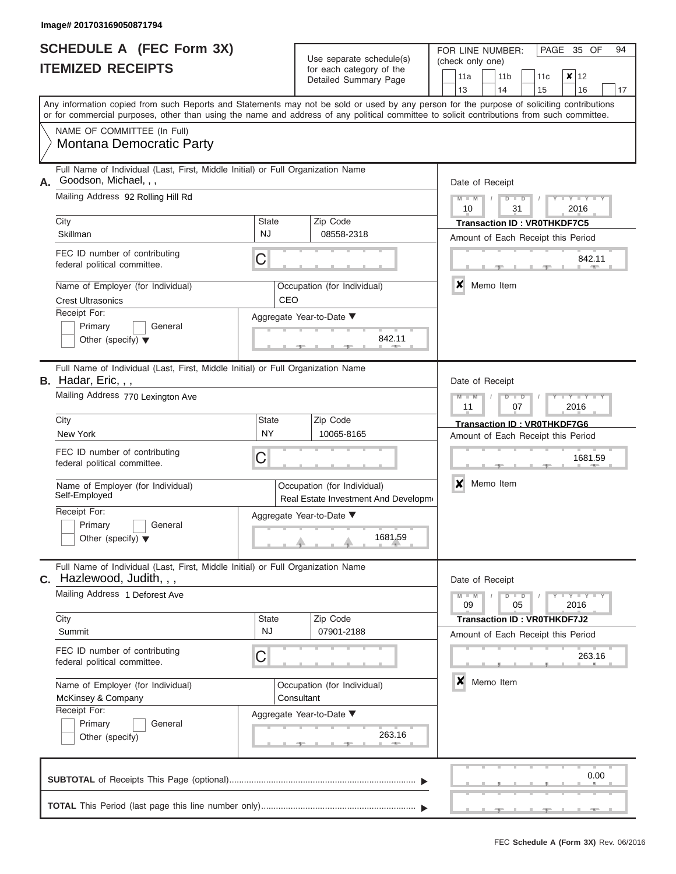|                          | <b>SCHEDULE A (FEC Form 3X)</b> |
|--------------------------|---------------------------------|
| <b>ITEMIZED RECEIPTS</b> |                                 |

| SCHEDULE A (FEC Form 3X)                                                                                                                                                                                                                                                                                                                                                                 |                                       | Use separate schedule(s)                                                                                                            | 94<br>FOR LINE NUMBER:<br>PAGE<br>35 OF<br>(check only one)                                                                                                                                  |
|------------------------------------------------------------------------------------------------------------------------------------------------------------------------------------------------------------------------------------------------------------------------------------------------------------------------------------------------------------------------------------------|---------------------------------------|-------------------------------------------------------------------------------------------------------------------------------------|----------------------------------------------------------------------------------------------------------------------------------------------------------------------------------------------|
| <b>ITEMIZED RECEIPTS</b>                                                                                                                                                                                                                                                                                                                                                                 |                                       | for each category of the<br>Detailed Summary Page                                                                                   | $x \mid 12$<br>11a<br>11 <sub>b</sub><br>11c<br>13<br>14<br>15<br>16<br>17                                                                                                                   |
| Any information copied from such Reports and Statements may not be sold or used by any person for the purpose of soliciting contributions<br>or for commercial purposes, other than using the name and address of any political committee to solicit contributions from such committee.                                                                                                  |                                       |                                                                                                                                     |                                                                                                                                                                                              |
| NAME OF COMMITTEE (In Full)<br>Montana Democratic Party                                                                                                                                                                                                                                                                                                                                  |                                       |                                                                                                                                     |                                                                                                                                                                                              |
| Full Name of Individual (Last, First, Middle Initial) or Full Organization Name<br>Goodson, Michael, , ,<br>А.<br>Mailing Address 92 Rolling Hill Rd<br>City<br>Skillman<br>FEC ID number of contributing<br>federal political committee.<br>Name of Employer (for Individual)<br><b>Crest Ultrasonics</b><br>Receipt For:<br>Primary<br>General<br>Other (specify) $\blacktriangledown$ | <b>State</b><br><b>NJ</b><br>С<br>CEO | Zip Code<br>08558-2318<br>Occupation (for Individual)<br>Aggregate Year-to-Date ▼<br>842.11                                         | Date of Receipt<br>$M - M$<br>$D$ $D$<br>$Y - Y - I$<br>10<br>31<br>2016<br>Transaction ID: VR0THKDF7C5<br>Amount of Each Receipt this Period<br>842.11<br><b>AND IN</b><br>×<br>Memo Item   |
| Full Name of Individual (Last, First, Middle Initial) or Full Organization Name<br>B. Hadar, Eric, , ,<br>Mailing Address 770 Lexington Ave<br>City<br>New York<br>FEC ID number of contributing<br>federal political committee.<br>Name of Employer (for Individual)<br>Self-Employed<br>Receipt For:<br>Primary<br>General<br>Other (specify) $\blacktriangledown$                     | <b>State</b><br><b>NY</b><br>С        | Zip Code<br>10065-8165<br>Occupation (for Individual)<br>Real Estate Investment And Developm<br>Aggregate Year-to-Date ▼<br>1681.59 | Date of Receipt<br>$M - M$<br>$D$ $\Box$ $D$<br>Y TYT<br>11<br>2016<br>07<br>Transaction ID: VR0THKDF7G6<br>Amount of Each Receipt this Period<br>1681.59<br>X<br>Memo Item                  |
| Full Name of Individual (Last, First, Middle Initial) or Full Organization Name<br>$c.$ Hazlewood, Judith, $,$ ,<br>Mailing Address 1 Deforest Ave<br>City<br>Summit<br>FEC ID number of contributing<br>federal political committee.<br>Name of Employer (for Individual)<br>McKinsey & Company<br>Receipt For:<br>Primary<br>General<br>Other (specify)                                | <b>State</b><br>NJ.<br>С              | Zip Code<br>07901-2188<br>Occupation (for Individual)<br>Consultant<br>Aggregate Year-to-Date ▼<br>263.16                           | Date of Receipt<br>$M - M$<br>$-1$ $-1$ $-1$ $-1$ $-1$ $-1$<br>$D$ $D$<br>09<br>05<br>2016<br>Transaction ID : VR0THKDF7J2<br>Amount of Each Receipt this Period<br>263.16<br>X<br>Memo Item |
|                                                                                                                                                                                                                                                                                                                                                                                          |                                       |                                                                                                                                     | 0.00                                                                                                                                                                                         |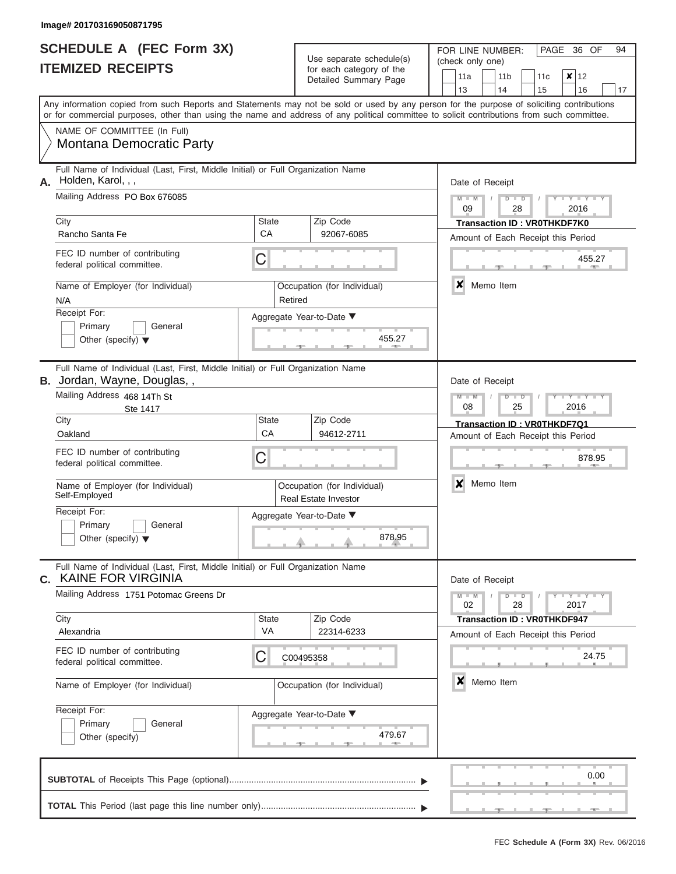|                          | <b>SCHEDULE A (FEC Form 3X)</b> |
|--------------------------|---------------------------------|
| <b>ITEMIZED RECEIPTS</b> |                                 |

FOR LINE NUMBER:<br>(check only one)

PAGE 36 OF 94

|    | IILMILLU INLVLII I                                                                                                                                                                                                                                                                      |                          | iui eauli calegury ul lile<br>Detailed Summary Page        |                                        | 11a                           |  | 11 <sub>b</sub> | 11c                                |  | $x \mid 12$     |  |    |  |  |  |  |  |
|----|-----------------------------------------------------------------------------------------------------------------------------------------------------------------------------------------------------------------------------------------------------------------------------------------|--------------------------|------------------------------------------------------------|----------------------------------------|-------------------------------|--|-----------------|------------------------------------|--|-----------------|--|----|--|--|--|--|--|
|    |                                                                                                                                                                                                                                                                                         |                          |                                                            |                                        | 13                            |  | 14              | 15                                 |  | 16              |  | 17 |  |  |  |  |  |
|    | Any information copied from such Reports and Statements may not be sold or used by any person for the purpose of soliciting contributions<br>or for commercial purposes, other than using the name and address of any political committee to solicit contributions from such committee. |                          |                                                            |                                        |                               |  |                 |                                    |  |                 |  |    |  |  |  |  |  |
|    | NAME OF COMMITTEE (In Full)<br>Montana Democratic Party                                                                                                                                                                                                                                 |                          |                                                            |                                        |                               |  |                 |                                    |  |                 |  |    |  |  |  |  |  |
|    |                                                                                                                                                                                                                                                                                         |                          |                                                            |                                        |                               |  |                 |                                    |  |                 |  |    |  |  |  |  |  |
| А. | Full Name of Individual (Last, First, Middle Initial) or Full Organization Name<br>Holden, Karol, , ,                                                                                                                                                                                   |                          |                                                            | Date of Receipt                        |                               |  |                 |                                    |  |                 |  |    |  |  |  |  |  |
|    | Mailing Address PO Box 676085                                                                                                                                                                                                                                                           |                          |                                                            | $M - M$<br>$D$ $D$<br>2016<br>09<br>28 |                               |  |                 |                                    |  |                 |  |    |  |  |  |  |  |
|    | City                                                                                                                                                                                                                                                                                    | <b>State</b>             | Zip Code                                                   | <b>Transaction ID: VR0THKDF7K0</b>     |                               |  |                 |                                    |  |                 |  |    |  |  |  |  |  |
|    | Rancho Santa Fe                                                                                                                                                                                                                                                                         | CA                       | 92067-6085                                                 | Amount of Each Receipt this Period     |                               |  |                 |                                    |  |                 |  |    |  |  |  |  |  |
|    | FEC ID number of contributing<br>federal political committee.                                                                                                                                                                                                                           | С                        |                                                            | 455.27                                 |                               |  |                 |                                    |  |                 |  |    |  |  |  |  |  |
|    | Name of Employer (for Individual)<br>N/A                                                                                                                                                                                                                                                | Retired                  | Occupation (for Individual)                                |                                        | $\boldsymbol{x}$              |  | Memo Item       |                                    |  |                 |  |    |  |  |  |  |  |
|    | Receipt For:                                                                                                                                                                                                                                                                            |                          | Aggregate Year-to-Date ▼                                   |                                        |                               |  |                 |                                    |  |                 |  |    |  |  |  |  |  |
|    | Primary<br>General<br>Other (specify) $\blacktriangledown$                                                                                                                                                                                                                              |                          | 455.27                                                     |                                        |                               |  |                 |                                    |  |                 |  |    |  |  |  |  |  |
|    | Full Name of Individual (Last, First, Middle Initial) or Full Organization Name<br><b>B.</b> Jordan, Wayne, Douglas,,                                                                                                                                                                   |                          |                                                            |                                        | Date of Receipt               |  |                 |                                    |  |                 |  |    |  |  |  |  |  |
|    | Mailing Address 468 14Th St<br>Ste 1417                                                                                                                                                                                                                                                 |                          |                                                            |                                        | $M - M$<br>08                 |  | ₽<br>25         |                                    |  | 2016            |  |    |  |  |  |  |  |
|    | City                                                                                                                                                                                                                                                                                    | <b>State</b>             | Zip Code                                                   | Transaction ID: VR0THKDF7Q1            |                               |  |                 |                                    |  |                 |  |    |  |  |  |  |  |
|    | Oakland                                                                                                                                                                                                                                                                                 | CA                       | 94612-2711                                                 |                                        |                               |  |                 | Amount of Each Receipt this Period |  |                 |  |    |  |  |  |  |  |
|    | FEC ID number of contributing<br>federal political committee.                                                                                                                                                                                                                           | С                        |                                                            |                                        |                               |  |                 |                                    |  | 878.95          |  |    |  |  |  |  |  |
|    | Name of Employer (for Individual)<br>Self-Employed                                                                                                                                                                                                                                      |                          | Occupation (for Individual)<br><b>Real Estate Investor</b> |                                        | X                             |  | Memo Item       |                                    |  |                 |  |    |  |  |  |  |  |
|    | Receipt For:                                                                                                                                                                                                                                                                            |                          | Aggregate Year-to-Date ▼                                   |                                        |                               |  |                 |                                    |  |                 |  |    |  |  |  |  |  |
|    | Primary<br>General<br>Other (specify) $\blacktriangledown$                                                                                                                                                                                                                              |                          | 878.95                                                     |                                        |                               |  |                 |                                    |  |                 |  |    |  |  |  |  |  |
| C. | Full Name of Individual (Last, First, Middle Initial) or Full Organization Name<br><b>KAINE FOR VIRGINIA</b>                                                                                                                                                                            |                          |                                                            |                                        | Date of Receipt               |  |                 |                                    |  |                 |  |    |  |  |  |  |  |
|    | Mailing Address 1751 Potomac Greens Dr                                                                                                                                                                                                                                                  |                          |                                                            |                                        | $M - M$<br>02                 |  | $D$ $D$<br>28   |                                    |  | Y I Y I<br>2017 |  |    |  |  |  |  |  |
|    | City                                                                                                                                                                                                                                                                                    | <b>State</b>             | Zip Code                                                   |                                        |                               |  |                 | <b>Transaction ID: VR0THKDF947</b> |  |                 |  |    |  |  |  |  |  |
|    | Alexandria                                                                                                                                                                                                                                                                              | VA                       | 22314-6233                                                 |                                        |                               |  |                 | Amount of Each Receipt this Period |  |                 |  |    |  |  |  |  |  |
|    | FEC ID number of contributing<br>federal political committee.                                                                                                                                                                                                                           | С                        | C00495358                                                  |                                        | 24.75                         |  |                 |                                    |  |                 |  |    |  |  |  |  |  |
|    | Name of Employer (for Individual)                                                                                                                                                                                                                                                       |                          | Occupation (for Individual)                                |                                        | $\boldsymbol{x}$<br>Memo Item |  |                 |                                    |  |                 |  |    |  |  |  |  |  |
|    | Receipt For:                                                                                                                                                                                                                                                                            | Aggregate Year-to-Date ▼ |                                                            |                                        |                               |  |                 |                                    |  |                 |  |    |  |  |  |  |  |
|    | Primary<br>General<br>Other (specify)                                                                                                                                                                                                                                                   |                          | 479.67                                                     |                                        |                               |  |                 |                                    |  |                 |  |    |  |  |  |  |  |
|    |                                                                                                                                                                                                                                                                                         |                          |                                                            |                                        |                               |  |                 |                                    |  | 0.00            |  |    |  |  |  |  |  |
|    |                                                                                                                                                                                                                                                                                         |                          |                                                            |                                        |                               |  |                 |                                    |  |                 |  |    |  |  |  |  |  |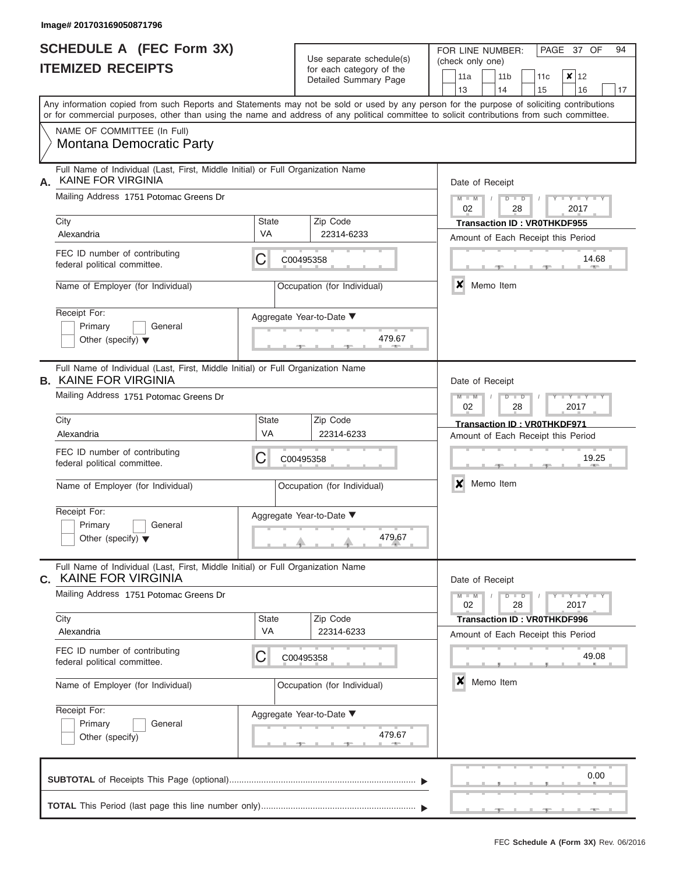|                          | <b>SCHEDULE A (FEC Form 3X)</b> |
|--------------------------|---------------------------------|
| <b>ITEMIZED RECEIPTS</b> |                                 |

| SCHEDULE A (FEC Form 3X)<br><b>ITEMIZED RECEIPTS</b> |                                                                                                                                                                                                                                                                                         | Use separate schedule(s)<br>for each category of the | 94<br>FOR LINE NUMBER:<br>PAGE 37 OF<br>(check only one) |                                                                                               |
|------------------------------------------------------|-----------------------------------------------------------------------------------------------------------------------------------------------------------------------------------------------------------------------------------------------------------------------------------------|------------------------------------------------------|----------------------------------------------------------|-----------------------------------------------------------------------------------------------|
|                                                      |                                                                                                                                                                                                                                                                                         |                                                      | Detailed Summary Page                                    | $\mathsf{x}$   12<br>11 <sub>b</sub><br>11a<br>11c<br>13<br>14<br>15<br>16<br>17              |
|                                                      | Any information copied from such Reports and Statements may not be sold or used by any person for the purpose of soliciting contributions<br>or for commercial purposes, other than using the name and address of any political committee to solicit contributions from such committee. |                                                      |                                                          |                                                                                               |
|                                                      | NAME OF COMMITTEE (In Full)<br>Montana Democratic Party                                                                                                                                                                                                                                 |                                                      |                                                          |                                                                                               |
| А.                                                   | Full Name of Individual (Last, First, Middle Initial) or Full Organization Name<br><b>KAINE FOR VIRGINIA</b>                                                                                                                                                                            |                                                      |                                                          | Date of Receipt                                                                               |
|                                                      | Mailing Address 1751 Potomac Greens Dr<br>City                                                                                                                                                                                                                                          | <b>State</b>                                         | Zip Code                                                 | Y I Y I<br>$M - M$<br>$D$ $D$<br>02<br>2017<br>28<br>Transaction ID: VR0THKDF955              |
|                                                      | Alexandria                                                                                                                                                                                                                                                                              | <b>VA</b>                                            | 22314-6233                                               | Amount of Each Receipt this Period                                                            |
|                                                      | FEC ID number of contributing<br>federal political committee.                                                                                                                                                                                                                           | С                                                    | C00495358                                                | 14.68<br><b>ALLEY</b>                                                                         |
|                                                      | Name of Employer (for Individual)                                                                                                                                                                                                                                                       |                                                      | Occupation (for Individual)                              | ×<br>Memo Item                                                                                |
|                                                      | Receipt For:                                                                                                                                                                                                                                                                            |                                                      | Aggregate Year-to-Date ▼                                 |                                                                                               |
|                                                      | Primary<br>General<br>Other (specify) $\blacktriangledown$                                                                                                                                                                                                                              |                                                      | 479.67                                                   |                                                                                               |
|                                                      | Full Name of Individual (Last, First, Middle Initial) or Full Organization Name<br><b>B. KAINE FOR VIRGINIA</b>                                                                                                                                                                         |                                                      |                                                          | Date of Receipt                                                                               |
|                                                      | Mailing Address 1751 Potomac Greens Dr                                                                                                                                                                                                                                                  |                                                      |                                                          | $M - M$<br>$D$ $\Box$ $D$<br>Y TYT<br>02<br>2017<br>28                                        |
|                                                      | City<br>Alexandria                                                                                                                                                                                                                                                                      | <b>State</b><br>VA                                   | Zip Code<br>22314-6233                                   | Transaction ID: VR0THKDF971                                                                   |
|                                                      | FEC ID number of contributing                                                                                                                                                                                                                                                           | C                                                    | C00495358                                                | Amount of Each Receipt this Period<br>19.25                                                   |
|                                                      | federal political committee.                                                                                                                                                                                                                                                            |                                                      |                                                          |                                                                                               |
|                                                      | Name of Employer (for Individual)                                                                                                                                                                                                                                                       |                                                      | Occupation (for Individual)                              | X<br>Memo Item                                                                                |
|                                                      | Receipt For:                                                                                                                                                                                                                                                                            |                                                      | Aggregate Year-to-Date ▼                                 |                                                                                               |
|                                                      | Primary<br>General<br>Other (specify) $\blacktriangledown$                                                                                                                                                                                                                              |                                                      | 479.67                                                   |                                                                                               |
| $\mathbf{C}$ .                                       | Full Name of Individual (Last, First, Middle Initial) or Full Organization Name<br>KAINE FOR VIRGINIA                                                                                                                                                                                   |                                                      |                                                          | Date of Receipt                                                                               |
|                                                      | Mailing Address 1751 Potomac Greens Dr                                                                                                                                                                                                                                                  |                                                      |                                                          | $\mathbf{I} = \mathbf{Y} + \mathbf{Y} + \mathbf{I}$<br>$M - M$<br>$D$ $D$<br>28<br>2017<br>02 |
|                                                      | City<br>Alexandria                                                                                                                                                                                                                                                                      | <b>State</b><br>VA                                   | Zip Code<br>22314-6233                                   | <b>Transaction ID: VR0THKDF996</b><br>Amount of Each Receipt this Period                      |
|                                                      | FEC ID number of contributing<br>federal political committee.                                                                                                                                                                                                                           | C                                                    | C00495358                                                | 49.08                                                                                         |
|                                                      | Name of Employer (for Individual)                                                                                                                                                                                                                                                       |                                                      | Occupation (for Individual)                              | ×<br>Memo Item                                                                                |
|                                                      | Receipt For:<br>Primary<br>General<br>Other (specify)                                                                                                                                                                                                                                   |                                                      | Aggregate Year-to-Date ▼<br>479.67<br>$-1$               |                                                                                               |
|                                                      |                                                                                                                                                                                                                                                                                         |                                                      |                                                          | 0.00                                                                                          |
|                                                      |                                                                                                                                                                                                                                                                                         |                                                      |                                                          |                                                                                               |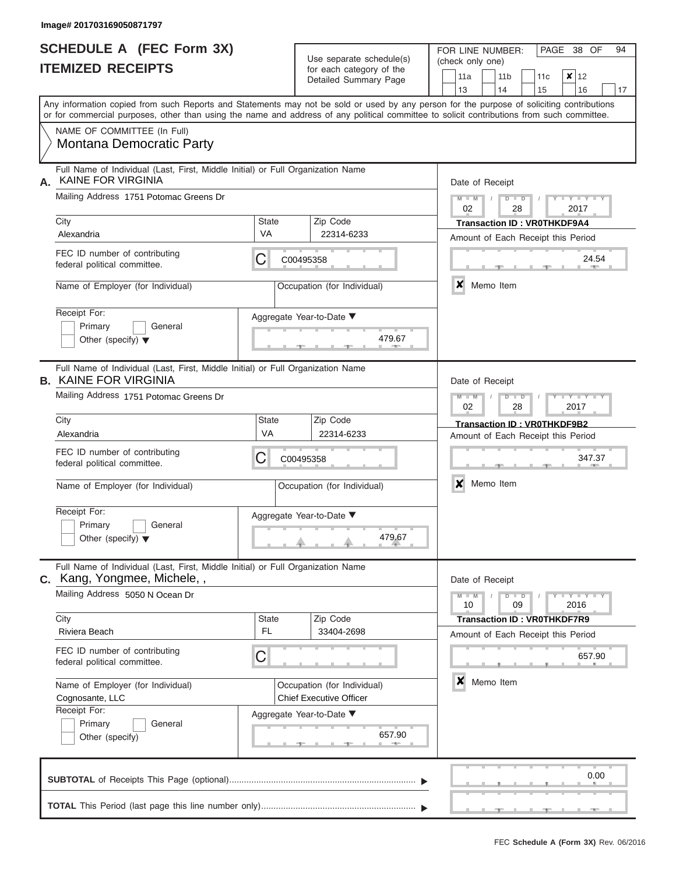|                          | <b>SCHEDULE A (FEC Form 3X)</b> |
|--------------------------|---------------------------------|
| <b>ITEMIZED RECEIPTS</b> |                                 |

| SCHEDULE A (FEC Form 3X)<br><b>ITEMIZED RECEIPTS</b>                                                                                                                                                                                                                                                                                                                                                                                           |                         | Use separate schedule(s)                                                                                                      | 94<br>FOR LINE NUMBER:<br>PAGE<br>38 OF<br>(check only one)                                                                                                                                                                                                                       |
|------------------------------------------------------------------------------------------------------------------------------------------------------------------------------------------------------------------------------------------------------------------------------------------------------------------------------------------------------------------------------------------------------------------------------------------------|-------------------------|-------------------------------------------------------------------------------------------------------------------------------|-----------------------------------------------------------------------------------------------------------------------------------------------------------------------------------------------------------------------------------------------------------------------------------|
|                                                                                                                                                                                                                                                                                                                                                                                                                                                |                         | for each category of the<br>Detailed Summary Page                                                                             | $x \mid 12$<br>11a<br>11 <sub>b</sub><br>11c<br>13<br>14<br>15<br>16<br>17                                                                                                                                                                                                        |
| Any information copied from such Reports and Statements may not be sold or used by any person for the purpose of soliciting contributions<br>or for commercial purposes, other than using the name and address of any political committee to solicit contributions from such committee.                                                                                                                                                        |                         |                                                                                                                               |                                                                                                                                                                                                                                                                                   |
| NAME OF COMMITTEE (In Full)<br>Montana Democratic Party                                                                                                                                                                                                                                                                                                                                                                                        |                         |                                                                                                                               |                                                                                                                                                                                                                                                                                   |
| Full Name of Individual (Last, First, Middle Initial) or Full Organization Name<br>KAINE FOR VIRGINIA<br>А.<br>Mailing Address 1751 Potomac Greens Dr<br>City<br>Alexandria<br>FEC ID number of contributing<br>federal political committee.<br>Name of Employer (for Individual)<br>Receipt For:<br>Primary<br>General                                                                                                                        | <b>State</b><br>VA<br>С | Zip Code<br>22314-6233<br>C00495358<br>Occupation (for Individual)<br>Aggregate Year-to-Date ▼                                | Date of Receipt<br>$M - M$<br>$Y - Y - I$<br>$D$ $D$<br>02<br>28<br>2017<br>Transaction ID: VR0THKDF9A4<br>Amount of Each Receipt this Period<br>24.54<br>X<br>Memo Item                                                                                                          |
| Other (specify) $\blacktriangledown$                                                                                                                                                                                                                                                                                                                                                                                                           |                         | 479.67                                                                                                                        |                                                                                                                                                                                                                                                                                   |
| Full Name of Individual (Last, First, Middle Initial) or Full Organization Name<br><b>B. KAINE FOR VIRGINIA</b><br>Mailing Address 1751 Potomac Greens Dr<br>City<br><b>State</b><br><b>VA</b><br>Alexandria<br>FEC ID number of contributing<br>С<br>C00495358<br>federal political committee.<br>Name of Employer (for Individual)<br>Receipt For:<br>Aggregate Year-to-Date ▼<br>Primary<br>General<br>Other (specify) $\blacktriangledown$ |                         | Zip Code<br>22314-6233<br>Occupation (for Individual)<br>479.67                                                               | Date of Receipt<br>$M - M$<br>$D$ $D$<br>Y TYT<br>02<br>2017<br>28<br>Transaction ID: VR0THKDF9B2<br>Amount of Each Receipt this Period<br>347.37<br>×<br>Memo Item                                                                                                               |
| Full Name of Individual (Last, First, Middle Initial) or Full Organization Name<br>C. Kang, Yongmee, Michele,,<br>Mailing Address 5050 N Ocean Dr<br>City<br>Riviera Beach<br>FEC ID number of contributing<br>federal political committee.<br>Name of Employer (for Individual)<br>Cognosante, LLC<br>Receipt For:<br>Primary<br>General<br>Other (specify)                                                                                   | State<br>FL.<br>С       | Zip Code<br>33404-2698<br>Occupation (for Individual)<br><b>Chief Executive Officer</b><br>Aggregate Year-to-Date ▼<br>657.90 | Date of Receipt<br>$M - M$<br>$\blacksquare \blacksquare \mathsf{Y} \blacksquare \blacksquare \blacksquare \mathsf{Y} \blacksquare \blacksquare$<br>$D$ $D$<br>10<br>09<br>2016<br>Transaction ID : VR0THKDF7R9<br>Amount of Each Receipt this Period<br>657.90<br>X<br>Memo Item |
|                                                                                                                                                                                                                                                                                                                                                                                                                                                |                         |                                                                                                                               | 0.00                                                                                                                                                                                                                                                                              |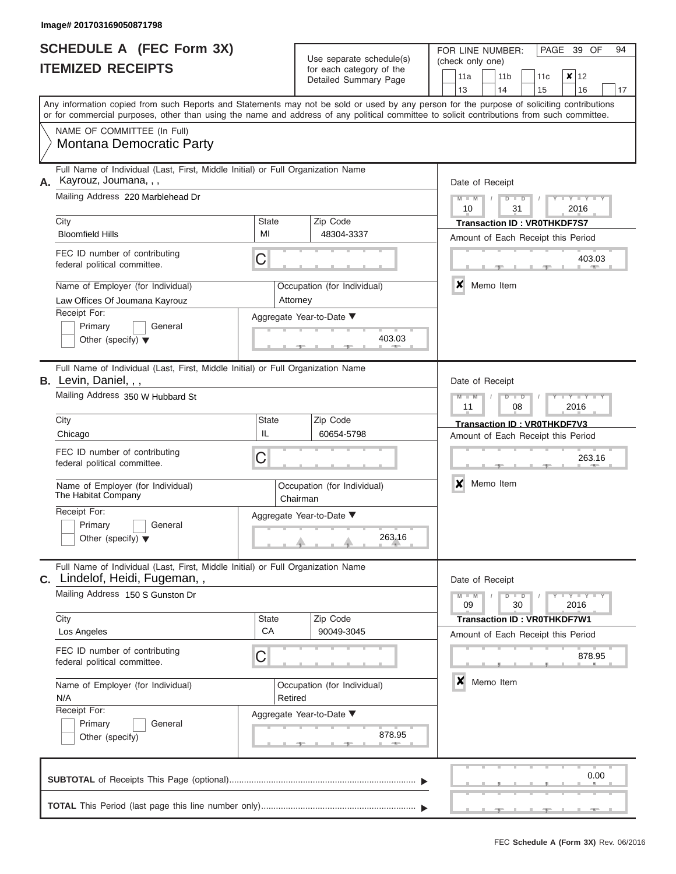|                          | <b>SCHEDULE A (FEC Form 3X)</b> |
|--------------------------|---------------------------------|
| <b>ITEMIZED RECEIPTS</b> |                                 |

FOR LINE NUMBER:<br>(check only one)

PAGE 39 OF 94

| <b>IIEMILED REVEIFIJ</b>                                                                                                                                                                                                                                                                |                    | ior each calegory of the                |  | 11a              |  | 11 <sub>b</sub> | 11c                                          | $x \mid 12$ |         |    |  |  |  |  |
|-----------------------------------------------------------------------------------------------------------------------------------------------------------------------------------------------------------------------------------------------------------------------------------------|--------------------|-----------------------------------------|--|------------------|--|-----------------|----------------------------------------------|-------------|---------|----|--|--|--|--|
|                                                                                                                                                                                                                                                                                         |                    | Detailed Summary Page                   |  | 13               |  | 14              | 15                                           |             | 16      | 17 |  |  |  |  |
| Any information copied from such Reports and Statements may not be sold or used by any person for the purpose of soliciting contributions<br>or for commercial purposes, other than using the name and address of any political committee to solicit contributions from such committee. |                    |                                         |  |                  |  |                 |                                              |             |         |    |  |  |  |  |
|                                                                                                                                                                                                                                                                                         |                    |                                         |  |                  |  |                 |                                              |             |         |    |  |  |  |  |
| NAME OF COMMITTEE (In Full)                                                                                                                                                                                                                                                             |                    |                                         |  |                  |  |                 |                                              |             |         |    |  |  |  |  |
| Montana Democratic Party                                                                                                                                                                                                                                                                |                    |                                         |  |                  |  |                 |                                              |             |         |    |  |  |  |  |
| Full Name of Individual (Last, First, Middle Initial) or Full Organization Name<br>Kayrouz, Joumana, , ,<br>А.                                                                                                                                                                          |                    |                                         |  | Date of Receipt  |  |                 |                                              |             |         |    |  |  |  |  |
| Mailing Address 220 Marblehead Dr                                                                                                                                                                                                                                                       |                    | $M - M$                                 |  | $D$ $D$          |  |                 | $Y - Y - I$                                  |             |         |    |  |  |  |  |
|                                                                                                                                                                                                                                                                                         |                    |                                         |  | 10               |  | 31              |                                              |             | 2016    |    |  |  |  |  |
| City<br><b>Bloomfield Hills</b>                                                                                                                                                                                                                                                         | <b>State</b><br>MI | Zip Code<br>48304-3337                  |  |                  |  |                 | <b>Transaction ID: VR0THKDF7S7</b>           |             |         |    |  |  |  |  |
| FEC ID number of contributing<br>federal political committee.                                                                                                                                                                                                                           | C                  |                                         |  |                  |  |                 | Amount of Each Receipt this Period<br>403.03 |             |         |    |  |  |  |  |
| Name of Employer (for Individual)<br>Law Offices Of Joumana Kayrouz                                                                                                                                                                                                                     |                    | Occupation (for Individual)<br>Attorney |  | $\boldsymbol{x}$ |  | Memo Item       |                                              |             |         |    |  |  |  |  |
| Receipt For:                                                                                                                                                                                                                                                                            |                    | Aggregate Year-to-Date ▼                |  |                  |  |                 |                                              |             |         |    |  |  |  |  |
| Primary<br>General                                                                                                                                                                                                                                                                      |                    |                                         |  |                  |  |                 |                                              |             |         |    |  |  |  |  |
| Other (specify) $\blacktriangledown$                                                                                                                                                                                                                                                    |                    | 403.03                                  |  |                  |  |                 |                                              |             |         |    |  |  |  |  |
| Full Name of Individual (Last, First, Middle Initial) or Full Organization Name<br>B. Levin, Daniel, , ,                                                                                                                                                                                |                    |                                         |  |                  |  |                 |                                              |             |         |    |  |  |  |  |
|                                                                                                                                                                                                                                                                                         |                    |                                         |  | Date of Receipt  |  |                 |                                              |             |         |    |  |  |  |  |
| Mailing Address 350 W Hubbard St                                                                                                                                                                                                                                                        |                    | $M - M$<br>11                           |  | $D$ $D$<br>08    |  | 2016            | $Y = Y =$                                    |             |         |    |  |  |  |  |
| City                                                                                                                                                                                                                                                                                    | State              | Zip Code                                |  |                  |  |                 | <b>Transaction ID: VR0THKDF7V3</b>           |             |         |    |  |  |  |  |
| Chicago                                                                                                                                                                                                                                                                                 | IL                 | 60654-5798                              |  |                  |  |                 | Amount of Each Receipt this Period           |             |         |    |  |  |  |  |
| FEC ID number of contributing<br>federal political committee.                                                                                                                                                                                                                           | C                  |                                         |  |                  |  |                 |                                              |             | 263.16  |    |  |  |  |  |
| Name of Employer (for Individual)<br>The Habitat Company                                                                                                                                                                                                                                |                    | Occupation (for Individual)<br>Chairman |  | $\boldsymbol{x}$ |  | Memo Item       |                                              |             |         |    |  |  |  |  |
| Receipt For:                                                                                                                                                                                                                                                                            |                    | Aggregate Year-to-Date ▼                |  |                  |  |                 |                                              |             |         |    |  |  |  |  |
| Primary<br>General<br>Other (specify) $\blacktriangledown$                                                                                                                                                                                                                              |                    | 263.16                                  |  |                  |  |                 |                                              |             |         |    |  |  |  |  |
| Full Name of Individual (Last, First, Middle Initial) or Full Organization Name                                                                                                                                                                                                         |                    |                                         |  |                  |  |                 |                                              |             |         |    |  |  |  |  |
| C. Lindelof, Heidi, Fugeman,,                                                                                                                                                                                                                                                           |                    |                                         |  | Date of Receipt  |  |                 |                                              |             |         |    |  |  |  |  |
| Mailing Address 150 S Gunston Dr                                                                                                                                                                                                                                                        |                    |                                         |  | $M - M$<br>09    |  | $D$ $D$<br>30   |                                              | T<br>2016   | Y L Y L |    |  |  |  |  |
| City                                                                                                                                                                                                                                                                                    | <b>State</b>       | Zip Code                                |  |                  |  |                 | <b>Transaction ID: VR0THKDF7W1</b>           |             |         |    |  |  |  |  |
| Los Angeles                                                                                                                                                                                                                                                                             | CA                 | 90049-3045                              |  |                  |  |                 | Amount of Each Receipt this Period           |             |         |    |  |  |  |  |
| FEC ID number of contributing<br>federal political committee.                                                                                                                                                                                                                           | С                  |                                         |  |                  |  |                 |                                              |             | 878.95  |    |  |  |  |  |
| Name of Employer (for Individual)                                                                                                                                                                                                                                                       |                    | Occupation (for Individual)             |  |                  |  | Memo Item       |                                              |             |         |    |  |  |  |  |
| N/A                                                                                                                                                                                                                                                                                     |                    | Retired                                 |  |                  |  |                 |                                              |             |         |    |  |  |  |  |
| Receipt For:                                                                                                                                                                                                                                                                            |                    | Aggregate Year-to-Date ▼                |  |                  |  |                 |                                              |             |         |    |  |  |  |  |
| General<br>Primary<br>Other (specify)                                                                                                                                                                                                                                                   |                    | 878.95                                  |  |                  |  |                 |                                              |             |         |    |  |  |  |  |
|                                                                                                                                                                                                                                                                                         |                    |                                         |  |                  |  |                 |                                              |             |         |    |  |  |  |  |
|                                                                                                                                                                                                                                                                                         |                    |                                         |  |                  |  |                 |                                              |             | 0.00    |    |  |  |  |  |
|                                                                                                                                                                                                                                                                                         |                    |                                         |  |                  |  |                 |                                              |             |         |    |  |  |  |  |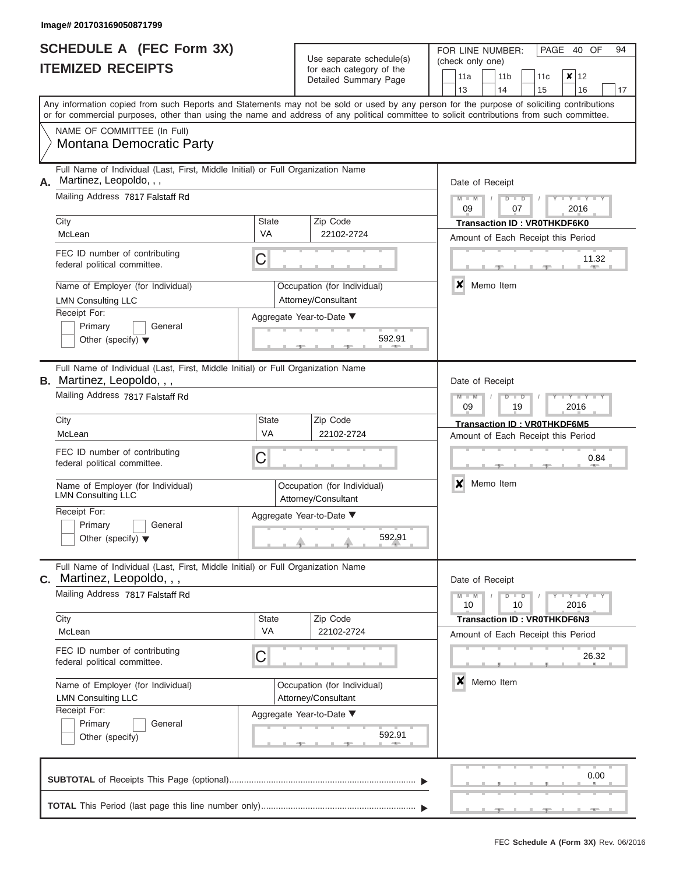|                          | <b>SCHEDULE A (FEC Form 3X)</b> |
|--------------------------|---------------------------------|
| <b>ITEMIZED RECEIPTS</b> |                                 |

| SCHEDULE A (FEC Form 3X)<br><b>ITEMIZED RECEIPTS</b>                                                                                                                                                                                                                                                                                                               |                                | Use separate schedule(s)                                                                                           | 94<br>FOR LINE NUMBER:<br>PAGE<br>40 OF<br>(check only one)                                                                                                                                 |
|--------------------------------------------------------------------------------------------------------------------------------------------------------------------------------------------------------------------------------------------------------------------------------------------------------------------------------------------------------------------|--------------------------------|--------------------------------------------------------------------------------------------------------------------|---------------------------------------------------------------------------------------------------------------------------------------------------------------------------------------------|
|                                                                                                                                                                                                                                                                                                                                                                    |                                | for each category of the<br>Detailed Summary Page                                                                  | $x \mid 12$<br>11a<br>11 <sub>b</sub><br>11c<br>13<br>14<br>15<br>16<br>17                                                                                                                  |
| Any information copied from such Reports and Statements may not be sold or used by any person for the purpose of soliciting contributions<br>or for commercial purposes, other than using the name and address of any political committee to solicit contributions from such committee.                                                                            |                                |                                                                                                                    |                                                                                                                                                                                             |
| NAME OF COMMITTEE (In Full)<br>Montana Democratic Party                                                                                                                                                                                                                                                                                                            |                                |                                                                                                                    |                                                                                                                                                                                             |
| Full Name of Individual (Last, First, Middle Initial) or Full Organization Name<br>Martinez, Leopoldo, , ,<br>А.<br>Mailing Address 7817 Falstaff Rd<br>City<br>McLean<br>FEC ID number of contributing<br>federal political committee.<br>Name of Employer (for Individual)<br><b>LMN Consulting LLC</b><br>Receipt For:<br>Primary<br>General                    | <b>State</b><br><b>VA</b><br>С | Zip Code<br>22102-2724<br>Occupation (for Individual)<br>Attorney/Consultant<br>Aggregate Year-to-Date ▼           | Date of Receipt<br>$M - M$<br>$D$ $D$<br>$Y - Y - I$<br>09<br>07<br>2016<br>Transaction ID: VR0THKDF6K0<br>Amount of Each Receipt this Period<br>11.32<br>×<br>Memo Item                    |
| Other (specify) $\blacktriangledown$<br>Full Name of Individual (Last, First, Middle Initial) or Full Organization Name                                                                                                                                                                                                                                            |                                | 592.91                                                                                                             |                                                                                                                                                                                             |
| <b>B.</b> Martinez, Leopoldo, , ,<br>Mailing Address 7817 Falstaff Rd<br>City<br>McLean<br>FEC ID number of contributing<br>federal political committee.<br>Name of Employer (for Individual)<br><b>LMN Consulting LLC</b><br>Receipt For:<br>Primary<br>General<br>Other (specify) $\blacktriangledown$                                                           | <b>State</b><br><b>VA</b><br>С | Zip Code<br>22102-2724<br>Occupation (for Individual)<br>Attorney/Consultant<br>Aggregate Year-to-Date ▼<br>592.91 | Date of Receipt<br>$M - M$<br>$D$ $\Box$ $D$<br>Y TYT<br>09<br>2016<br>19<br>Transaction ID: VR0THKDF6M5<br>Amount of Each Receipt this Period<br>0.84<br>×<br>Memo Item                    |
| Full Name of Individual (Last, First, Middle Initial) or Full Organization Name<br>Martinez, Leopoldo, , ,<br>С.<br>Mailing Address 7817 Falstaff Rd<br>City<br>McLean<br>FEC ID number of contributing<br>federal political committee.<br>Name of Employer (for Individual)<br><b>LMN Consulting LLC</b><br>Receipt For:<br>Primary<br>General<br>Other (specify) | <b>State</b><br><b>VA</b><br>С | Zip Code<br>22102-2724<br>Occupation (for Individual)<br>Attorney/Consultant<br>Aggregate Year-to-Date ▼<br>592.91 | Date of Receipt<br>$M - M$<br>$-1$ $-1$ $-1$ $-1$ $-1$ $-1$<br>$D$ $D$<br>10<br>10<br>2016<br>Transaction ID : VR0THKDF6N3<br>Amount of Each Receipt this Period<br>26.32<br>X<br>Memo Item |
|                                                                                                                                                                                                                                                                                                                                                                    |                                |                                                                                                                    | 0.00                                                                                                                                                                                        |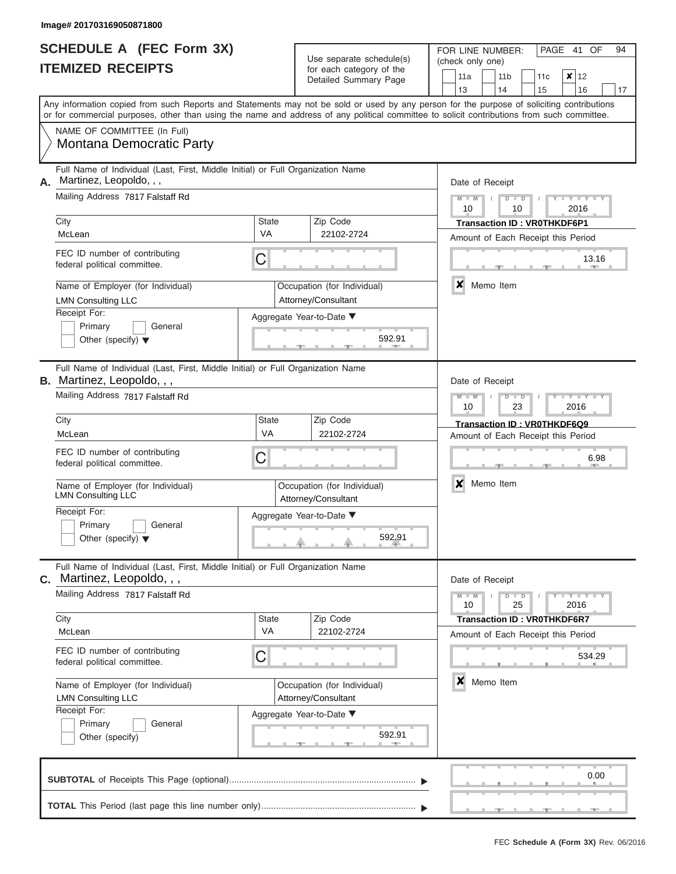|                          | <b>SCHEDULE A (FEC Form 3X)</b> |
|--------------------------|---------------------------------|
| <b>ITEMIZED RECEIPTS</b> |                                 |

| SCHEDULE A (FEC Form 3X)<br><b>ITEMIZED RECEIPTS</b>                                                                                                                                                                                                                                                                                                                                        | Use separate schedule(s)<br>for each category of the                                                                                          | 94<br>FOR LINE NUMBER:<br>PAGE<br>41 OF<br>(check only one)                                                                                                                               |
|---------------------------------------------------------------------------------------------------------------------------------------------------------------------------------------------------------------------------------------------------------------------------------------------------------------------------------------------------------------------------------------------|-----------------------------------------------------------------------------------------------------------------------------------------------|-------------------------------------------------------------------------------------------------------------------------------------------------------------------------------------------|
|                                                                                                                                                                                                                                                                                                                                                                                             | Detailed Summary Page                                                                                                                         | 11a<br>11 <sub>b</sub><br>$x \mid 12$<br>11c<br>13<br>14<br>15<br>16<br>17                                                                                                                |
| Any information copied from such Reports and Statements may not be sold or used by any person for the purpose of soliciting contributions<br>or for commercial purposes, other than using the name and address of any political committee to solicit contributions from such committee.                                                                                                     |                                                                                                                                               |                                                                                                                                                                                           |
| NAME OF COMMITTEE (In Full)<br>Montana Democratic Party                                                                                                                                                                                                                                                                                                                                     |                                                                                                                                               |                                                                                                                                                                                           |
| Full Name of Individual (Last, First, Middle Initial) or Full Organization Name<br>Martinez, Leopoldo, , ,<br>А.<br>Mailing Address 7817 Falstaff Rd<br>City<br>McLean<br>FEC ID number of contributing<br>federal political committee.<br>Name of Employer (for Individual)<br><b>LMN Consulting LLC</b>                                                                                   | Zip Code<br>State<br><b>VA</b><br>22102-2724<br>С<br>Occupation (for Individual)<br>Attorney/Consultant                                       | Date of Receipt<br>$M - M$<br>$D$ $D$<br>Y TY T<br>10<br>10<br>2016<br><b>Transaction ID: VR0THKDF6P1</b><br>Amount of Each Receipt this Period<br>13.16<br><b>AREA</b><br>×<br>Memo Item |
| Receipt For:<br>Primary<br>General<br>Other (specify) $\blacktriangledown$                                                                                                                                                                                                                                                                                                                  | Aggregate Year-to-Date ▼<br>592.91                                                                                                            |                                                                                                                                                                                           |
| Full Name of Individual (Last, First, Middle Initial) or Full Organization Name<br><b>B.</b> Martinez, Leopoldo, , ,<br>Mailing Address 7817 Falstaff Rd<br>City<br>McLean<br>FEC ID number of contributing<br>federal political committee.<br>Name of Employer (for Individual)<br><b>LMN Consulting LLC</b><br>Receipt For:<br>Primary<br>General<br>Other (specify) $\blacktriangledown$ | State<br>Zip Code<br>VA<br>22102-2724<br>С<br>Occupation (for Individual)<br>Attorney/Consultant<br>Aggregate Year-to-Date ▼<br>592.91        | Date of Receipt<br>$M - M$<br>$D$ $D$<br>Y TYT<br>2016<br>10<br>23<br>Transaction ID: VR0THKDF6Q9<br>Amount of Each Receipt this Period<br>6.98<br>X<br>Memo Item                         |
| Full Name of Individual (Last, First, Middle Initial) or Full Organization Name<br>$c.$ Martinez, Leopoldo, , ,<br>Mailing Address 7817 Falstaff Rd<br>City<br>McLean<br>FEC ID number of contributing<br>federal political committee.<br>Name of Employer (for Individual)<br><b>LMN Consulting LLC</b><br>Receipt For:<br>Primary<br>General<br>Other (specify)                           | Zip Code<br>State<br><b>VA</b><br>22102-2724<br>С<br>Occupation (for Individual)<br>Attorney/Consultant<br>Aggregate Year-to-Date ▼<br>592.91 | Date of Receipt<br>$M - M$<br>$D$ $D$<br>$T - Y = T - Y = T$<br>10<br>25<br>2016<br><b>Transaction ID: VR0THKDF6R7</b><br>Amount of Each Receipt this Period<br>534.29<br>×<br>Memo Item  |
|                                                                                                                                                                                                                                                                                                                                                                                             |                                                                                                                                               | 0.00                                                                                                                                                                                      |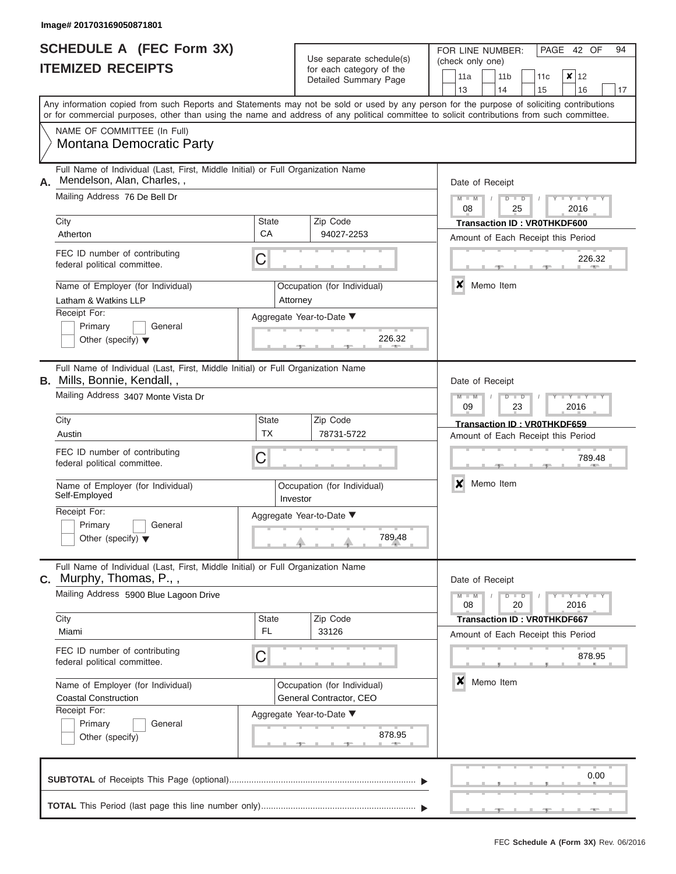|                          | <b>SCHEDULE A (FEC Form 3X)</b> |
|--------------------------|---------------------------------|
| <b>ITEMIZED RECEIPTS</b> |                                 |

| SCHEDULE A (FEC Form 3X)                                                                                              | Use separate schedule(s)                               | 94<br>FOR LINE NUMBER:<br>PAGE 42 OF<br>(check only one)                                                                                                                                                                                                                                |
|-----------------------------------------------------------------------------------------------------------------------|--------------------------------------------------------|-----------------------------------------------------------------------------------------------------------------------------------------------------------------------------------------------------------------------------------------------------------------------------------------|
| <b>ITEMIZED RECEIPTS</b>                                                                                              | for each category of the<br>Detailed Summary Page      | $x \mid 12$<br>11a<br>11 <sub>b</sub><br>11c<br>13<br>14<br>15<br>16<br>17                                                                                                                                                                                                              |
|                                                                                                                       |                                                        | Any information copied from such Reports and Statements may not be sold or used by any person for the purpose of soliciting contributions<br>or for commercial purposes, other than using the name and address of any political committee to solicit contributions from such committee. |
| NAME OF COMMITTEE (In Full)<br>Montana Democratic Party                                                               |                                                        |                                                                                                                                                                                                                                                                                         |
| Full Name of Individual (Last, First, Middle Initial) or Full Organization Name<br>Mendelson, Alan, Charles,,         |                                                        | Date of Receipt                                                                                                                                                                                                                                                                         |
| Mailing Address 76 De Bell Dr<br>City                                                                                 | <b>State</b><br>Zip Code                               | Y L Y L<br>$M - M$<br>$D$ $D$<br>08<br>25<br>2016                                                                                                                                                                                                                                       |
| Atherton                                                                                                              | CA<br>94027-2253                                       | Transaction ID: VR0THKDF600<br>Amount of Each Receipt this Period                                                                                                                                                                                                                       |
| FEC ID number of contributing<br>federal political committee.                                                         | С                                                      | 226.32<br><b>AND A</b>                                                                                                                                                                                                                                                                  |
| Name of Employer (for Individual)<br>Latham & Watkins LLP                                                             | Occupation (for Individual)<br>Attorney                | $\boldsymbol{\mathsf{x}}$<br>Memo Item                                                                                                                                                                                                                                                  |
| Receipt For:<br>Primary<br>General<br>Other (specify) $\blacktriangledown$                                            | Aggregate Year-to-Date ▼<br>226.32                     |                                                                                                                                                                                                                                                                                         |
| Full Name of Individual (Last, First, Middle Initial) or Full Organization Name<br><b>B.</b> Mills, Bonnie, Kendall,, |                                                        | Date of Receipt                                                                                                                                                                                                                                                                         |
| Mailing Address 3407 Monte Vista Dr                                                                                   |                                                        | $M - M$<br>$D$ $\Box$ $D$<br>$\blacksquare$ $\blacksquare$ $\blacksquare$ $\blacksquare$ $\blacksquare$ $\blacksquare$<br>09<br>2016<br>23                                                                                                                                              |
| City<br>Austin                                                                                                        | <b>State</b><br>Zip Code<br><b>TX</b><br>78731-5722    | Transaction ID: VR0THKDF659                                                                                                                                                                                                                                                             |
| FEC ID number of contributing<br>federal political committee.                                                         | С                                                      | Amount of Each Receipt this Period<br>789.48                                                                                                                                                                                                                                            |
| Name of Employer (for Individual)<br>Self-Employed                                                                    | Occupation (for Individual)<br>Investor                | $\boldsymbol{x}$<br>Memo Item                                                                                                                                                                                                                                                           |
| Receipt For:<br>Primary<br>General<br>Other (specify) $\blacktriangledown$                                            | Aggregate Year-to-Date ▼<br>789.48                     |                                                                                                                                                                                                                                                                                         |
| Full Name of Individual (Last, First, Middle Initial) or Full Organization Name<br>C. Murphy, Thomas, P.,,            |                                                        | Date of Receipt                                                                                                                                                                                                                                                                         |
| Mailing Address 5900 Blue Lagoon Drive                                                                                |                                                        | $T-T$ $T$ $T$ $T$ $T$ $T$<br>$M - M$<br>$D$ $D$<br>08<br>20<br>2016                                                                                                                                                                                                                     |
| City<br>Miami                                                                                                         | Zip Code<br>State<br><b>FL</b><br>33126                | <b>Transaction ID: VR0THKDF667</b><br>Amount of Each Receipt this Period                                                                                                                                                                                                                |
| FEC ID number of contributing<br>federal political committee.                                                         | С                                                      | 878.95                                                                                                                                                                                                                                                                                  |
| Name of Employer (for Individual)<br><b>Coastal Construction</b>                                                      | Occupation (for Individual)<br>General Contractor, CEO | ×<br>Memo Item                                                                                                                                                                                                                                                                          |
| Receipt For:<br>Primary<br>General<br>Other (specify)                                                                 | Aggregate Year-to-Date ▼<br>878.95                     |                                                                                                                                                                                                                                                                                         |
|                                                                                                                       |                                                        | 0.00                                                                                                                                                                                                                                                                                    |
|                                                                                                                       |                                                        |                                                                                                                                                                                                                                                                                         |

 ▲ ▲ ▲ , , .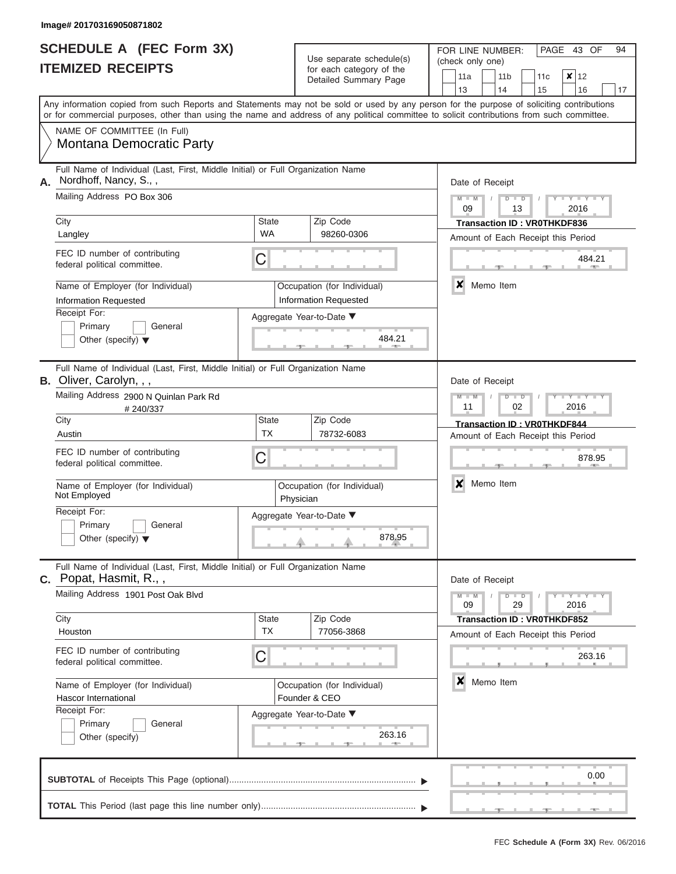|                          | SCHEDULE A (FEC Form 3X) |
|--------------------------|--------------------------|
| <b>ITEMIZED RECEIPTS</b> |                          |

FOR LINE NUMBER:<br>(check only one)

PAGE 43 OF 94

|                                                                                  |                                                                                                                                                                                                                                                                                         |                           |           | $\frac{1}{2}$<br>Detailed Summary Page                                   |                                                                | 11a<br>13                                 |           | 14                                 | 11 <sub>b</sub>     | 11c<br>15                                                         | $x \mid 12$ | 16    | 17 |  |  |
|----------------------------------------------------------------------------------|-----------------------------------------------------------------------------------------------------------------------------------------------------------------------------------------------------------------------------------------------------------------------------------------|---------------------------|-----------|--------------------------------------------------------------------------|----------------------------------------------------------------|-------------------------------------------|-----------|------------------------------------|---------------------|-------------------------------------------------------------------|-------------|-------|----|--|--|
|                                                                                  | Any information copied from such Reports and Statements may not be sold or used by any person for the purpose of soliciting contributions<br>or for commercial purposes, other than using the name and address of any political committee to solicit contributions from such committee. |                           |           |                                                                          |                                                                |                                           |           |                                    |                     |                                                                   |             |       |    |  |  |
|                                                                                  | NAME OF COMMITTEE (In Full)<br>Montana Democratic Party                                                                                                                                                                                                                                 |                           |           |                                                                          |                                                                |                                           |           |                                    |                     |                                                                   |             |       |    |  |  |
| А.                                                                               | Full Name of Individual (Last, First, Middle Initial) or Full Organization Name<br>Nordhoff, Nancy, S.,,<br>Mailing Address PO Box 306                                                                                                                                                  |                           |           |                                                                          |                                                                | Date of Receipt<br>$M - M$<br>D<br>$\Box$ |           |                                    |                     |                                                                   |             |       |    |  |  |
|                                                                                  | City<br>Langley                                                                                                                                                                                                                                                                         | <b>State</b><br><b>WA</b> |           | Zip Code<br>98260-0306                                                   | 09<br>13<br>2016<br><b>Transaction ID: VR0THKDF836</b>         |                                           |           |                                    |                     |                                                                   |             |       |    |  |  |
|                                                                                  | FEC ID number of contributing<br>federal political committee.<br>Name of Employer (for Individual)                                                                                                                                                                                      | С                         |           | Occupation (for Individual)                                              | Amount of Each Receipt this Period<br>484.21<br>X<br>Memo Item |                                           |           |                                    |                     |                                                                   |             |       |    |  |  |
|                                                                                  | <b>Information Requested</b><br>Receipt For:<br>Primary<br>General<br>Other (specify) $\blacktriangledown$                                                                                                                                                                              |                           |           | <b>Information Requested</b><br>Aggregate Year-to-Date ▼<br>484.21       |                                                                |                                           |           |                                    |                     |                                                                   |             |       |    |  |  |
|                                                                                  | Full Name of Individual (Last, First, Middle Initial) or Full Organization Name<br>B. Oliver, Carolyn, , ,<br>Mailing Address 2900 N Quinlan Park Rd<br>#240/337<br>City                                                                                                                | Zip Code                  |           | Date of Receipt<br>$M - M$<br>11                                         |                                                                |                                           | −⊃<br>02  | Transaction ID: VR0THKDF844        | 2016                |                                                                   |             |       |    |  |  |
|                                                                                  | Austin<br>FEC ID number of contributing<br>federal political committee.                                                                                                                                                                                                                 | 78732-6083                |           |                                                                          |                                                                |                                           |           | Amount of Each Receipt this Period |                     | 878.95                                                            |             |       |    |  |  |
|                                                                                  | Name of Employer (for Individual)<br>Not Employed                                                                                                                                                                                                                                       |                           | Physician | Occupation (for Individual)                                              |                                                                | $\boldsymbol{x}$                          | Memo Item |                                    |                     |                                                                   |             |       |    |  |  |
|                                                                                  | Receipt For:<br>Primary<br>General<br>Other (specify) $\blacktriangledown$                                                                                                                                                                                                              |                           |           | Aggregate Year-to-Date ▼<br>878.95                                       |                                                                |                                           |           |                                    |                     |                                                                   |             |       |    |  |  |
|                                                                                  | Full Name of Individual (Last, First, Middle Initial) or Full Organization Name<br><b>C.</b> Popat, Hasmit, $R_{\cdot}$ ,<br>Mailing Address 1901 Post Oak Blvd                                                                                                                         |                           |           |                                                                          |                                                                | Date of Receipt                           |           |                                    | D<br>$\blacksquare$ |                                                                   |             | Y TYT |    |  |  |
|                                                                                  | City<br>Houston                                                                                                                                                                                                                                                                         | <b>State</b><br><b>TX</b> |           | Zip Code<br>77056-3868                                                   |                                                                | 09                                        |           |                                    | 29                  | Transaction ID: VR0THKDF852<br>Amount of Each Receipt this Period | 2016        |       |    |  |  |
|                                                                                  | FEC ID number of contributing<br>federal political committee.                                                                                                                                                                                                                           | С                         |           |                                                                          |                                                                |                                           |           | 263.16                             |                     |                                                                   |             |       |    |  |  |
| Name of Employer (for Individual)<br><b>Hascor International</b><br>Receipt For: |                                                                                                                                                                                                                                                                                         |                           |           | Occupation (for Individual)<br>Founder & CEO<br>Aggregate Year-to-Date ▼ | X<br>Memo Item                                                 |                                           |           |                                    |                     |                                                                   |             |       |    |  |  |
|                                                                                  | Primary<br>General<br>Other (specify)                                                                                                                                                                                                                                                   |                           |           | 263.16                                                                   |                                                                |                                           |           |                                    |                     |                                                                   |             |       |    |  |  |
|                                                                                  |                                                                                                                                                                                                                                                                                         |                           |           |                                                                          |                                                                |                                           |           |                                    |                     |                                                                   |             | 0.00  |    |  |  |
|                                                                                  |                                                                                                                                                                                                                                                                                         |                           |           |                                                                          |                                                                |                                           |           |                                    |                     |                                                                   |             |       |    |  |  |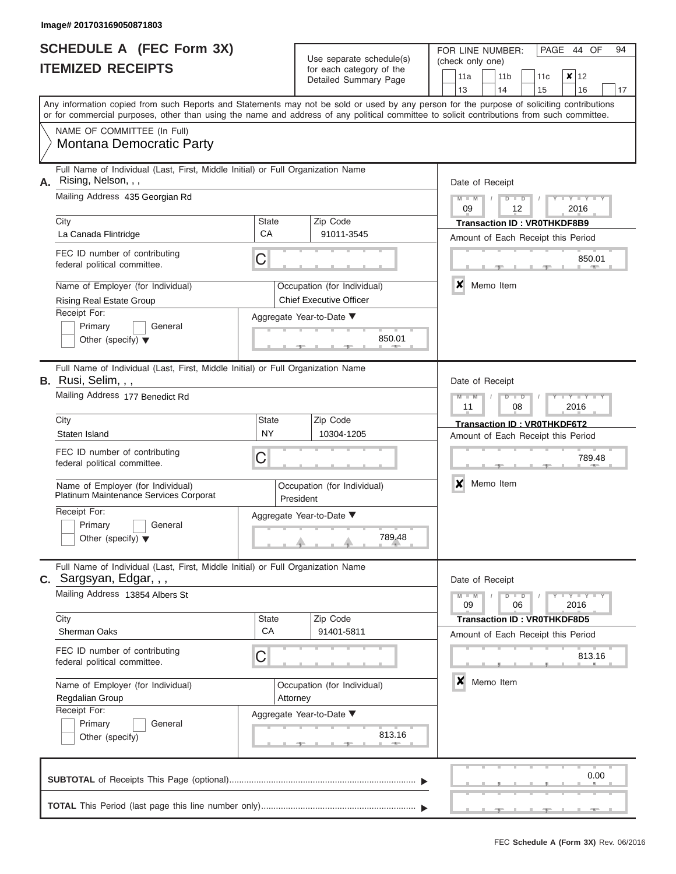|                          | <b>SCHEDULE A (FEC Form 3X)</b> |
|--------------------------|---------------------------------|
| <b>ITEMIZED RECEIPTS</b> |                                 |

FOR LINE NUMBER:<br>(check only one)

PAGE 44 OF 94

|    | IILMILLU INLVLII I                                                                                                                                                                                                                                                                      |                           | iui cauli calcybiy ul lile<br>Detailed Summary Page           |                                        | 11a                              |  | 11 <sub>b</sub> | 11c                                |  | $x \mid 12$     |  |    |  |  |  |  |
|----|-----------------------------------------------------------------------------------------------------------------------------------------------------------------------------------------------------------------------------------------------------------------------------------------|---------------------------|---------------------------------------------------------------|----------------------------------------|----------------------------------|--|-----------------|------------------------------------|--|-----------------|--|----|--|--|--|--|
|    |                                                                                                                                                                                                                                                                                         |                           |                                                               |                                        | 13                               |  | 14              | 15                                 |  | 16              |  | 17 |  |  |  |  |
|    | Any information copied from such Reports and Statements may not be sold or used by any person for the purpose of soliciting contributions<br>or for commercial purposes, other than using the name and address of any political committee to solicit contributions from such committee. |                           |                                                               |                                        |                                  |  |                 |                                    |  |                 |  |    |  |  |  |  |
|    | NAME OF COMMITTEE (In Full)                                                                                                                                                                                                                                                             |                           |                                                               |                                        |                                  |  |                 |                                    |  |                 |  |    |  |  |  |  |
|    | Montana Democratic Party                                                                                                                                                                                                                                                                |                           |                                                               |                                        |                                  |  |                 |                                    |  |                 |  |    |  |  |  |  |
| А. | Full Name of Individual (Last, First, Middle Initial) or Full Organization Name<br>Rising, Nelson, , ,                                                                                                                                                                                  |                           |                                                               |                                        | Date of Receipt                  |  |                 |                                    |  |                 |  |    |  |  |  |  |
|    | Mailing Address 435 Georgian Rd                                                                                                                                                                                                                                                         |                           |                                                               | $M - M$<br>$D$ $D$<br>2016<br>09<br>12 |                                  |  |                 |                                    |  |                 |  |    |  |  |  |  |
|    | City                                                                                                                                                                                                                                                                                    | <b>State</b>              | Zip Code                                                      |                                        |                                  |  |                 | <b>Transaction ID: VR0THKDF8B9</b> |  |                 |  |    |  |  |  |  |
|    | La Canada Flintridge                                                                                                                                                                                                                                                                    | CA                        | 91011-3545                                                    | Amount of Each Receipt this Period     |                                  |  |                 |                                    |  |                 |  |    |  |  |  |  |
|    | FEC ID number of contributing<br>federal political committee.                                                                                                                                                                                                                           | С                         |                                                               | 850.01                                 |                                  |  |                 |                                    |  |                 |  |    |  |  |  |  |
|    | Name of Employer (for Individual)<br><b>Rising Real Estate Group</b>                                                                                                                                                                                                                    |                           | Occupation (for Individual)<br><b>Chief Executive Officer</b> |                                        | $\boldsymbol{x}$                 |  | Memo Item       |                                    |  |                 |  |    |  |  |  |  |
|    | Receipt For:                                                                                                                                                                                                                                                                            |                           | Aggregate Year-to-Date ▼                                      |                                        |                                  |  |                 |                                    |  |                 |  |    |  |  |  |  |
|    | Primary<br>General<br>Other (specify) $\blacktriangledown$                                                                                                                                                                                                                              |                           | 850.01                                                        |                                        |                                  |  |                 |                                    |  |                 |  |    |  |  |  |  |
|    | Full Name of Individual (Last, First, Middle Initial) or Full Organization Name<br><b>B.</b> Rusi, Selim, , ,                                                                                                                                                                           |                           |                                                               |                                        | Date of Receipt                  |  |                 |                                    |  |                 |  |    |  |  |  |  |
|    | Mailing Address 177 Benedict Rd                                                                                                                                                                                                                                                         |                           |                                                               |                                        | $M - M$<br>D<br>2016<br>11<br>08 |  |                 |                                    |  |                 |  |    |  |  |  |  |
|    | City                                                                                                                                                                                                                                                                                    | <b>State</b><br><b>NY</b> | Zip Code                                                      | <b>Transaction ID: VR0THKDF6T2</b>     |                                  |  |                 |                                    |  |                 |  |    |  |  |  |  |
|    | Staten Island                                                                                                                                                                                                                                                                           | 10304-1205                | Amount of Each Receipt this Period                            |                                        |                                  |  |                 |                                    |  |                 |  |    |  |  |  |  |
|    | FEC ID number of contributing<br>federal political committee.                                                                                                                                                                                                                           | С                         |                                                               | 789.48<br>X<br>Memo Item               |                                  |  |                 |                                    |  |                 |  |    |  |  |  |  |
|    | Name of Employer (for Individual)<br>Platinum Maintenance Services Corporat                                                                                                                                                                                                             |                           | Occupation (for Individual)<br>President                      |                                        |                                  |  |                 |                                    |  |                 |  |    |  |  |  |  |
|    | Receipt For:                                                                                                                                                                                                                                                                            |                           | Aggregate Year-to-Date ▼                                      |                                        |                                  |  |                 |                                    |  |                 |  |    |  |  |  |  |
|    | Primary<br>General<br>Other (specify) $\blacktriangledown$                                                                                                                                                                                                                              |                           | 789.48                                                        |                                        |                                  |  |                 |                                    |  |                 |  |    |  |  |  |  |
| С. | Full Name of Individual (Last, First, Middle Initial) or Full Organization Name<br>Sargsyan, Edgar, , ,                                                                                                                                                                                 |                           |                                                               |                                        | Date of Receipt                  |  |                 |                                    |  |                 |  |    |  |  |  |  |
|    | Mailing Address 13854 Albers St                                                                                                                                                                                                                                                         |                           |                                                               |                                        | $M - M$<br>09                    |  | $D$ $D$<br>06   |                                    |  | Y I Y I<br>2016 |  |    |  |  |  |  |
|    | City<br>Sherman Oaks                                                                                                                                                                                                                                                                    | <b>State</b><br>CA        | Zip Code                                                      |                                        |                                  |  |                 | <b>Transaction ID: VR0THKDF8D5</b> |  |                 |  |    |  |  |  |  |
|    |                                                                                                                                                                                                                                                                                         |                           | 91401-5811                                                    |                                        |                                  |  |                 | Amount of Each Receipt this Period |  |                 |  |    |  |  |  |  |
|    | FEC ID number of contributing<br>federal political committee.                                                                                                                                                                                                                           | С                         |                                                               |                                        |                                  |  |                 |                                    |  | 813.16          |  |    |  |  |  |  |
|    | Name of Employer (for Individual)                                                                                                                                                                                                                                                       |                           | Occupation (for Individual)                                   |                                        | $\boldsymbol{x}$<br>Memo Item    |  |                 |                                    |  |                 |  |    |  |  |  |  |
|    | Regdalian Group                                                                                                                                                                                                                                                                         | Attorney                  |                                                               |                                        |                                  |  |                 |                                    |  |                 |  |    |  |  |  |  |
|    | Receipt For:<br>Primary<br>General                                                                                                                                                                                                                                                      |                           | Aggregate Year-to-Date ▼                                      |                                        |                                  |  |                 |                                    |  |                 |  |    |  |  |  |  |
|    | Other (specify)                                                                                                                                                                                                                                                                         | 813.16                    |                                                               |                                        |                                  |  |                 |                                    |  |                 |  |    |  |  |  |  |
|    |                                                                                                                                                                                                                                                                                         |                           |                                                               |                                        |                                  |  |                 |                                    |  | 0.00            |  |    |  |  |  |  |
|    |                                                                                                                                                                                                                                                                                         |                           |                                                               |                                        |                                  |  |                 |                                    |  |                 |  |    |  |  |  |  |
|    |                                                                                                                                                                                                                                                                                         |                           |                                                               |                                        |                                  |  |                 |                                    |  |                 |  |    |  |  |  |  |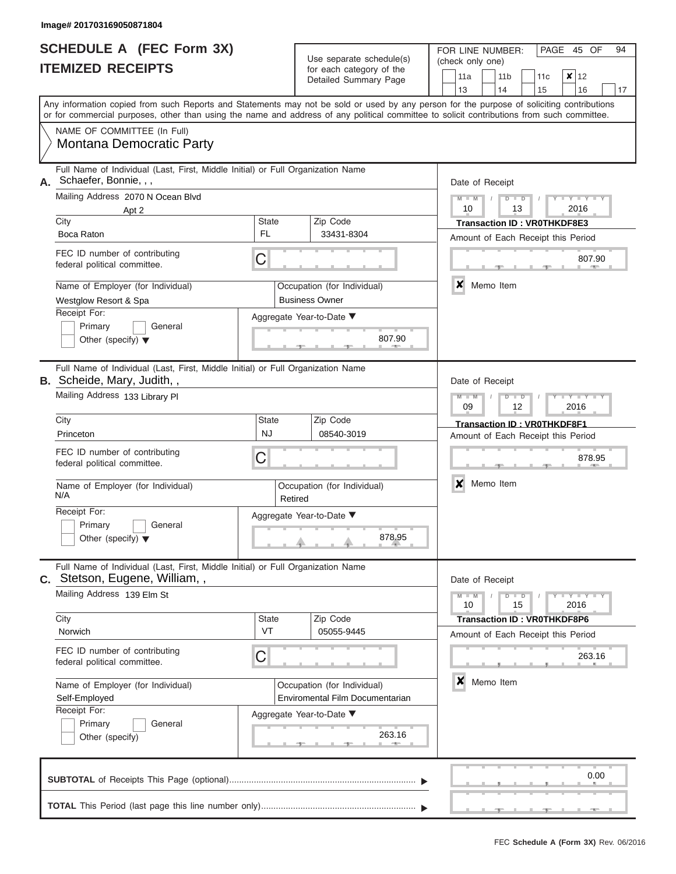|                          | SCHEDULE A (FEC Form 3X) |
|--------------------------|--------------------------|
| <b>ITEMIZED RECEIPTS</b> |                          |

FOR LINE NUMBER:<br>(check only one)

PAGE 45 OF 94

| ITEMIZED RECEIPTS                                                                                                                                                                                                                                                                                                                                                                                                                 | for each category of the<br>Detailed Summary Page                                                                                                      | ×<br>11 <sub>b</sub><br>11a<br>11c<br> 12<br>13<br>14<br>15<br>16<br>17 <sup>2</sup>                                                                                               |
|-----------------------------------------------------------------------------------------------------------------------------------------------------------------------------------------------------------------------------------------------------------------------------------------------------------------------------------------------------------------------------------------------------------------------------------|--------------------------------------------------------------------------------------------------------------------------------------------------------|------------------------------------------------------------------------------------------------------------------------------------------------------------------------------------|
| Any information copied from such Reports and Statements may not be sold or used by any person for the purpose of soliciting contributions<br>or for commercial purposes, other than using the name and address of any political committee to solicit contributions from such committee.                                                                                                                                           |                                                                                                                                                        |                                                                                                                                                                                    |
| NAME OF COMMITTEE (In Full)<br>Montana Democratic Party                                                                                                                                                                                                                                                                                                                                                                           |                                                                                                                                                        |                                                                                                                                                                                    |
| Full Name of Individual (Last, First, Middle Initial) or Full Organization Name<br>Schaefer, Bonnie, , ,<br>А.<br>Mailing Address 2070 N Ocean Blvd<br>Apt 2<br><b>State</b><br>City<br><b>FL</b><br>Boca Raton<br>FEC ID number of contributing<br>С<br>federal political committee.<br>Name of Employer (for Individual)<br>Westglow Resort & Spa<br>Receipt For:<br>Primary<br>General<br>Other (specify) $\blacktriangledown$ | Zip Code<br>33431-8304<br>Occupation (for Individual)<br><b>Business Owner</b><br>Aggregate Year-to-Date ▼<br>807.90                                   | Date of Receipt<br>$M -$<br>$Y - Y$<br>D<br>⊤D<br>10<br>2016<br>13<br>Transaction ID: VR0THKDF8E3<br>Amount of Each Receipt this Period<br>807.90<br>$\boldsymbol{x}$<br>Memo Item |
| Full Name of Individual (Last, First, Middle Initial) or Full Organization Name<br><b>B.</b> Scheide, Mary, Judith,,<br>Mailing Address 133 Library PI<br>City<br><b>State</b><br><b>NJ</b><br>Princeton<br>FEC ID number of contributing<br>С<br>federal political committee.<br>Name of Employer (for Individual)<br>N/A<br>Receipt For:<br>General<br>Primary<br>Other (specify) $\blacktriangledown$                          | Zip Code<br>08540-3019<br>Occupation (for Individual)<br>Retired<br>Aggregate Year-to-Date ▼<br>878.95                                                 | Date of Receipt<br>$\overline{\mathsf{M}}$<br>09<br>12<br>2016<br>Transaction ID: VR0THKDF8F1<br>Amount of Each Receipt this Period<br>878.95<br>×<br>Memo Item                    |
| Full Name of Individual (Last, First, Middle Initial) or Full Organization Name<br>Stetson, Eugene, William,,<br>С.<br>Mailing Address 139 Elm St<br>City<br><b>State</b><br>VT<br>Norwich<br>FEC ID number of contributing<br>С<br>federal political committee.<br>Name of Employer (for Individual)<br>Self-Employed<br>Receipt For:<br>Primary<br>General<br>Other (specify)                                                   | Zip Code<br>05055-9445<br>Occupation (for Individual)<br>Enviromental Film Documentarian<br>Aggregate Year-to-Date ▼<br>263.16<br><b>COLL</b><br>- 7 - | Date of Receipt<br>$M - M$<br>D<br>10<br>15<br>2016<br><b>Transaction ID: VR0THKDF8P6</b><br>Amount of Each Receipt this Period<br>263.16<br>X<br>Memo Item                        |
|                                                                                                                                                                                                                                                                                                                                                                                                                                   |                                                                                                                                                        | 0.00                                                                                                                                                                               |

 ▲ ▲ ▲ , , .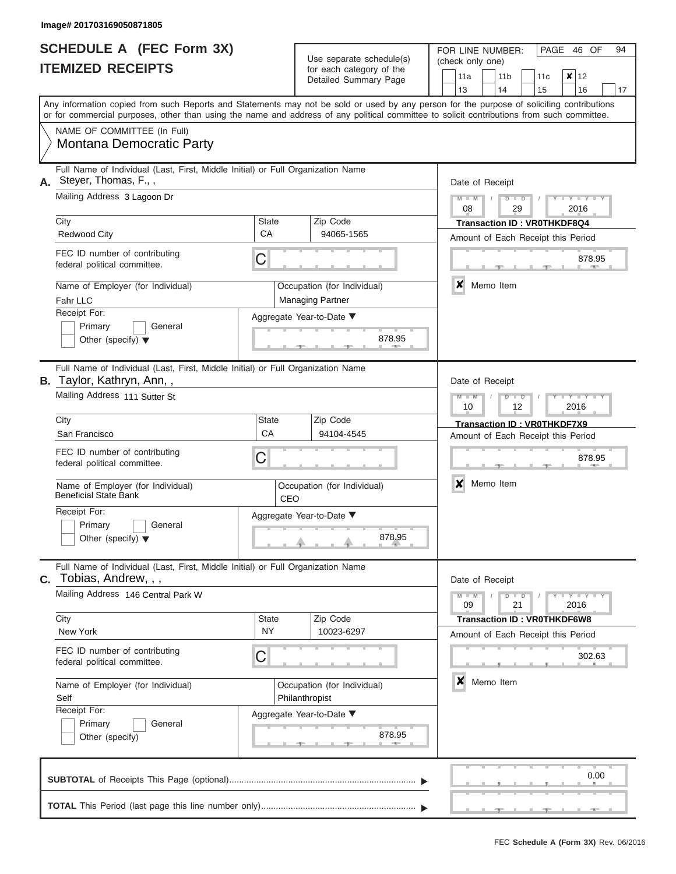|                          | SCHEDULE A (FEC Form 3X) |
|--------------------------|--------------------------|
| <b>ITEMIZED RECEIPTS</b> |                          |

Use separate schedule(s)  $\left(\text{check only one}\right)$ <br>for each category of the

FOR LINE NUMBER:

PAGE 46 OF 94

|                                                                                                                                            |                             | Detailed Summary Page                               |                                    | 11a                                                                            |  | 11 <sub>b</sub>           | 11c | $x$   12                           |      |  |  |  |  |  |
|--------------------------------------------------------------------------------------------------------------------------------------------|-----------------------------|-----------------------------------------------------|------------------------------------|--------------------------------------------------------------------------------|--|---------------------------|-----|------------------------------------|------|--|--|--|--|--|
| Any information copied from such Reports and Statements may not be sold or used by any person for the purpose of soliciting contributions  |                             |                                                     |                                    | 13                                                                             |  | 14                        | 15  | 16                                 | 17   |  |  |  |  |  |
| or for commercial purposes, other than using the name and address of any political committee to solicit contributions from such committee. |                             |                                                     |                                    |                                                                                |  |                           |     |                                    |      |  |  |  |  |  |
| NAME OF COMMITTEE (In Full)                                                                                                                |                             |                                                     |                                    |                                                                                |  |                           |     |                                    |      |  |  |  |  |  |
| Montana Democratic Party                                                                                                                   |                             |                                                     |                                    |                                                                                |  |                           |     |                                    |      |  |  |  |  |  |
| Full Name of Individual (Last, First, Middle Initial) or Full Organization Name                                                            | Date of Receipt             |                                                     |                                    |                                                                                |  |                           |     |                                    |      |  |  |  |  |  |
| Steyer, Thomas, F.,,<br>Mailing Address 3 Lagoon Dr                                                                                        |                             |                                                     |                                    |                                                                                |  |                           |     |                                    |      |  |  |  |  |  |
|                                                                                                                                            |                             |                                                     |                                    | $M - M$<br>$\overline{\phantom{a}}$<br>D<br>$\blacksquare$<br>08<br>29<br>2016 |  |                           |     |                                    |      |  |  |  |  |  |
| City                                                                                                                                       | <b>State</b>                | Zip Code                                            | <b>Transaction ID: VR0THKDF8Q4</b> |                                                                                |  |                           |     |                                    |      |  |  |  |  |  |
| <b>Redwood City</b>                                                                                                                        | СA                          | 94065-1565                                          |                                    | Amount of Each Receipt this Period                                             |  |                           |     |                                    |      |  |  |  |  |  |
| FEC ID number of contributing<br>federal political committee.                                                                              | C                           |                                                     |                                    | 878.95                                                                         |  |                           |     |                                    |      |  |  |  |  |  |
|                                                                                                                                            |                             |                                                     |                                    |                                                                                |  |                           |     |                                    |      |  |  |  |  |  |
| Name of Employer (for Individual)                                                                                                          |                             | Occupation (for Individual)                         |                                    | ×                                                                              |  | Memo Item                 |     |                                    |      |  |  |  |  |  |
| Fahr LLC<br>Receipt For:                                                                                                                   |                             | <b>Managing Partner</b><br>Aggregate Year-to-Date ▼ |                                    |                                                                                |  |                           |     |                                    |      |  |  |  |  |  |
| Primary<br>General                                                                                                                         |                             |                                                     |                                    |                                                                                |  |                           |     |                                    |      |  |  |  |  |  |
| Other (specify) $\blacktriangledown$                                                                                                       |                             | 878.95                                              |                                    |                                                                                |  |                           |     |                                    |      |  |  |  |  |  |
| Full Name of Individual (Last, First, Middle Initial) or Full Organization Name                                                            |                             |                                                     |                                    |                                                                                |  |                           |     |                                    |      |  |  |  |  |  |
| B. Taylor, Kathryn, Ann,,                                                                                                                  |                             |                                                     |                                    | Date of Receipt                                                                |  |                           |     |                                    |      |  |  |  |  |  |
| Mailing Address 111 Sutter St                                                                                                              |                             |                                                     |                                    | $M - M$<br>$\Box$<br>D<br>2016<br>10<br>12<br>Transaction ID: VR0THKDF7X9      |  |                           |     |                                    |      |  |  |  |  |  |
| City                                                                                                                                       | <b>State</b>                | Zip Code                                            |                                    |                                                                                |  |                           |     |                                    |      |  |  |  |  |  |
| San Francisco                                                                                                                              | CA                          | 94104-4545                                          |                                    |                                                                                |  |                           |     | Amount of Each Receipt this Period |      |  |  |  |  |  |
| FEC ID number of contributing                                                                                                              | C                           |                                                     |                                    | 878.95                                                                         |  |                           |     |                                    |      |  |  |  |  |  |
| federal political committee.                                                                                                               |                             |                                                     |                                    |                                                                                |  |                           |     |                                    |      |  |  |  |  |  |
| Name of Employer (for Individual)<br><b>Beneficial State Bank</b>                                                                          | CEO                         | Occupation (for Individual)                         |                                    | $\boldsymbol{x}$<br>Memo Item                                                  |  |                           |     |                                    |      |  |  |  |  |  |
| Receipt For:                                                                                                                               |                             | Aggregate Year-to-Date ▼                            |                                    |                                                                                |  |                           |     |                                    |      |  |  |  |  |  |
| General<br>Primary<br>Other (specify) $\blacktriangledown$                                                                                 |                             | 878.95                                              |                                    |                                                                                |  |                           |     |                                    |      |  |  |  |  |  |
|                                                                                                                                            |                             |                                                     |                                    |                                                                                |  |                           |     |                                    |      |  |  |  |  |  |
| Full Name of Individual (Last, First, Middle Initial) or Full Organization Name<br>Tobias, Andrew, , ,<br>С.                               |                             |                                                     |                                    | Date of Receipt                                                                |  |                           |     |                                    |      |  |  |  |  |  |
| Mailing Address 146 Central Park W                                                                                                         |                             |                                                     |                                    | $M - M$<br>09                                                                  |  | $\blacksquare$<br>D<br>21 |     | $Y = Y =$<br>т<br>2016             |      |  |  |  |  |  |
| City                                                                                                                                       | State                       | Zip Code                                            |                                    |                                                                                |  |                           |     | <b>Transaction ID: VR0THKDF6W8</b> |      |  |  |  |  |  |
| New York                                                                                                                                   | NY                          | 10023-6297                                          |                                    |                                                                                |  |                           |     | Amount of Each Receipt this Period |      |  |  |  |  |  |
| FEC ID number of contributing                                                                                                              |                             |                                                     |                                    |                                                                                |  |                           |     | 302.63                             |      |  |  |  |  |  |
| federal political committee.                                                                                                               | С                           |                                                     |                                    |                                                                                |  |                           |     |                                    |      |  |  |  |  |  |
| Name of Employer (for Individual)                                                                                                          | Occupation (for Individual) | ×<br>Memo Item                                      |                                    |                                                                                |  |                           |     |                                    |      |  |  |  |  |  |
| Self                                                                                                                                       |                             | Philanthropist                                      |                                    |                                                                                |  |                           |     |                                    |      |  |  |  |  |  |
| Receipt For:<br>Primary<br>General                                                                                                         |                             | Aggregate Year-to-Date ▼                            |                                    |                                                                                |  |                           |     |                                    |      |  |  |  |  |  |
| Other (specify)                                                                                                                            |                             | 878.95                                              |                                    |                                                                                |  |                           |     |                                    |      |  |  |  |  |  |
|                                                                                                                                            |                             |                                                     |                                    |                                                                                |  |                           |     |                                    |      |  |  |  |  |  |
|                                                                                                                                            |                             |                                                     |                                    |                                                                                |  |                           |     |                                    | 0.00 |  |  |  |  |  |
|                                                                                                                                            |                             |                                                     |                                    |                                                                                |  |                           |     |                                    |      |  |  |  |  |  |
|                                                                                                                                            |                             |                                                     |                                    |                                                                                |  |                           |     |                                    |      |  |  |  |  |  |

 ▲ ▲ ▲ , , .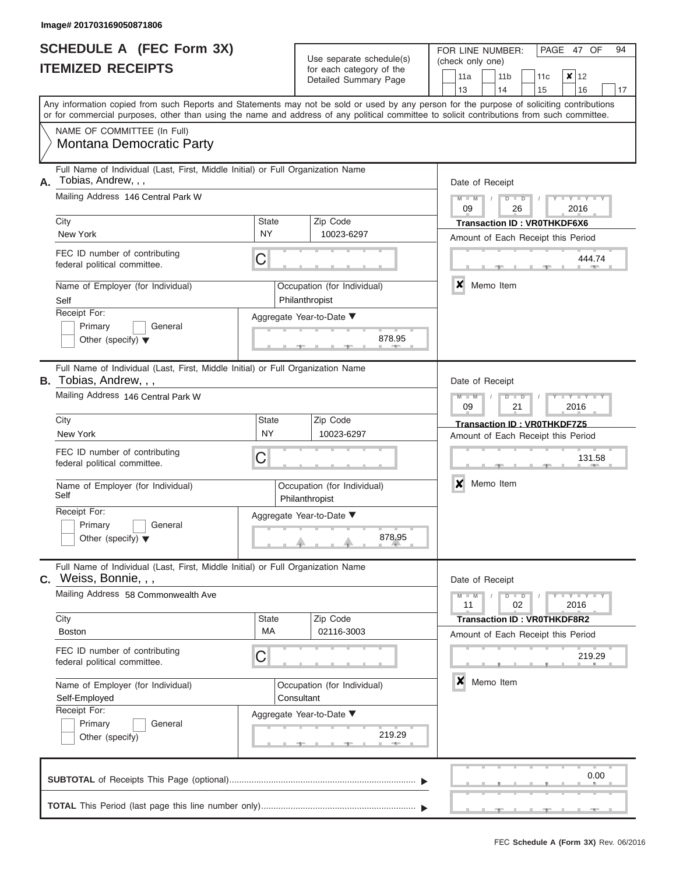|                          | <b>SCHEDULE A (FEC Form 3X)</b> |
|--------------------------|---------------------------------|
| <b>ITEMIZED RECEIPTS</b> |                                 |

| SCHEDULE A (FEC Form 3X)                                                                                                                                                                                                                                                                                                                                                                       |                         | Use separate schedule(s)                                                                                      | 94<br>FOR LINE NUMBER:<br>PAGE 47 OF<br>(check only one)                                                                                                                                   |
|------------------------------------------------------------------------------------------------------------------------------------------------------------------------------------------------------------------------------------------------------------------------------------------------------------------------------------------------------------------------------------------------|-------------------------|---------------------------------------------------------------------------------------------------------------|--------------------------------------------------------------------------------------------------------------------------------------------------------------------------------------------|
| <b>ITEMIZED RECEIPTS</b>                                                                                                                                                                                                                                                                                                                                                                       |                         | for each category of the<br>Detailed Summary Page                                                             | $x \mid 12$<br>11a<br>11 <sub>b</sub><br>11c<br>13<br>14<br>15<br>16<br>17                                                                                                                 |
| Any information copied from such Reports and Statements may not be sold or used by any person for the purpose of soliciting contributions<br>or for commercial purposes, other than using the name and address of any political committee to solicit contributions from such committee.                                                                                                        |                         |                                                                                                               |                                                                                                                                                                                            |
| NAME OF COMMITTEE (In Full)<br>Montana Democratic Party                                                                                                                                                                                                                                                                                                                                        |                         |                                                                                                               |                                                                                                                                                                                            |
| Full Name of Individual (Last, First, Middle Initial) or Full Organization Name<br>Tobias, Andrew, , ,<br>А.<br>Mailing Address 146 Central Park W<br>City<br><b>State</b><br>NY.<br>New York<br>FEC ID number of contributing<br>С<br>federal political committee.<br>Name of Employer (for Individual)<br>Self<br>Receipt For:<br>Primary<br>General<br>Other (specify) $\blacktriangledown$ |                         | Zip Code<br>10023-6297<br>Occupation (for Individual)<br>Philanthropist<br>Aggregate Year-to-Date ▼<br>878.95 | Date of Receipt<br>$M - M$<br>$D$ $D$<br>$Y - Y - I$<br>09<br>26<br>2016<br>Transaction ID: VR0THKDF6X6<br>Amount of Each Receipt this Period<br>444.74<br>X<br>Memo Item                  |
| Full Name of Individual (Last, First, Middle Initial) or Full Organization Name<br><b>B.</b> Tobias, Andrew, , ,<br>Mailing Address 146 Central Park W                                                                                                                                                                                                                                         |                         |                                                                                                               | Date of Receipt<br>$M - M$<br>$D$ $\Box$ $D$<br>Y L Y L<br>09<br>2016<br>21                                                                                                                |
| City<br><b>State</b><br><b>NY</b><br>New York<br>FEC ID number of contributing<br>С<br>federal political committee.<br>Name of Employer (for Individual)<br>Self                                                                                                                                                                                                                               |                         | Zip Code<br>10023-6297<br>Occupation (for Individual)<br>Philanthropist                                       | Transaction ID: VR0THKDF7Z5<br>Amount of Each Receipt this Period<br>131.58<br>X<br>Memo Item                                                                                              |
| Receipt For:<br>Primary<br>General<br>Other (specify) $\blacktriangledown$                                                                                                                                                                                                                                                                                                                     |                         | Aggregate Year-to-Date ▼<br>878.95                                                                            |                                                                                                                                                                                            |
| Full Name of Individual (Last, First, Middle Initial) or Full Organization Name<br>$c.$ Weiss, Bonnie, , ,                                                                                                                                                                                                                                                                                     |                         |                                                                                                               | Date of Receipt                                                                                                                                                                            |
| Mailing Address 58 Commonwealth Ave<br>City<br><b>Boston</b><br>FEC ID number of contributing<br>federal political committee.                                                                                                                                                                                                                                                                  | <b>State</b><br>MA<br>С | Zip Code<br>02116-3003                                                                                        | $M - M$<br>$D$ $D$<br>$\mathbf{I} = \mathbf{Y} - \mathbf{I} - \mathbf{Y} - \mathbf{I}$<br>02<br>2016<br>11<br>Transaction ID : VR0THKDF8R2<br>Amount of Each Receipt this Period<br>219.29 |
| Name of Employer (for Individual)<br>Self-Employed<br>Receipt For:<br>Primary<br>General<br>Other (specify)                                                                                                                                                                                                                                                                                    |                         | Occupation (for Individual)<br>Consultant<br>Aggregate Year-to-Date ▼<br>219.29                               | X<br>Memo Item                                                                                                                                                                             |
|                                                                                                                                                                                                                                                                                                                                                                                                |                         |                                                                                                               | 0.00                                                                                                                                                                                       |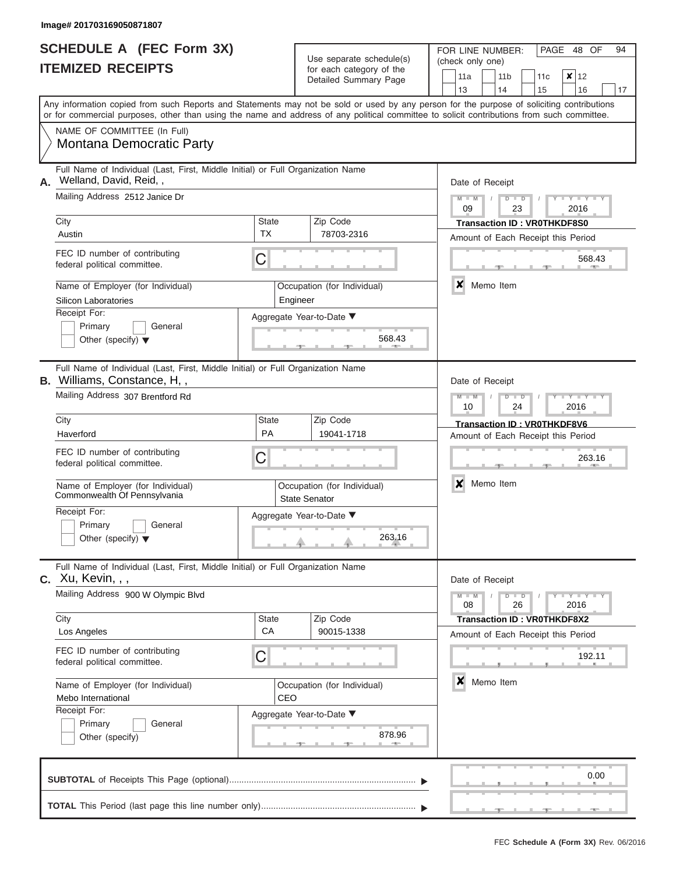|                          | <b>SCHEDULE A (FEC Form 3X)</b> |
|--------------------------|---------------------------------|
| <b>ITEMIZED RECEIPTS</b> |                                 |

FOR LINE NUMBER:<br>(check only one)

PAGE 48 OF 94

|    |                                                                                                                                            |                          | Detailed Summary Page                               |                                    | 11a                                                               |  | 11 <sub>b</sub>           | 11c                                | $x \mid 12$       |        |  |  |  |  |
|----|--------------------------------------------------------------------------------------------------------------------------------------------|--------------------------|-----------------------------------------------------|------------------------------------|-------------------------------------------------------------------|--|---------------------------|------------------------------------|-------------------|--------|--|--|--|--|
|    | Any information copied from such Reports and Statements may not be sold or used by any person for the purpose of soliciting contributions  |                          |                                                     |                                    | 13                                                                |  | 14                        | 15                                 | 16                | 17     |  |  |  |  |
|    | or for commercial purposes, other than using the name and address of any political committee to solicit contributions from such committee. |                          |                                                     |                                    |                                                                   |  |                           |                                    |                   |        |  |  |  |  |
|    | NAME OF COMMITTEE (In Full)                                                                                                                |                          |                                                     |                                    |                                                                   |  |                           |                                    |                   |        |  |  |  |  |
|    | <b>Montana Democratic Party</b>                                                                                                            |                          |                                                     |                                    |                                                                   |  |                           |                                    |                   |        |  |  |  |  |
|    | Full Name of Individual (Last, First, Middle Initial) or Full Organization Name<br>Welland, David, Reid,,                                  |                          |                                                     |                                    |                                                                   |  |                           |                                    |                   |        |  |  |  |  |
| Α. | Mailing Address 2512 Janice Dr                                                                                                             |                          |                                                     |                                    | Date of Receipt<br>$M - M$                                        |  |                           |                                    |                   |        |  |  |  |  |
|    |                                                                                                                                            |                          |                                                     |                                    | 2016<br>09<br>23                                                  |  |                           |                                    |                   |        |  |  |  |  |
|    | City                                                                                                                                       | <b>State</b><br>ТX       | Zip Code<br>78703-2316                              | <b>Transaction ID: VR0THKDF8S0</b> |                                                                   |  |                           |                                    |                   |        |  |  |  |  |
|    | Austin                                                                                                                                     |                          |                                                     |                                    |                                                                   |  |                           | Amount of Each Receipt this Period |                   |        |  |  |  |  |
|    | FEC ID number of contributing<br>federal political committee.                                                                              | С                        |                                                     |                                    |                                                                   |  |                           |                                    |                   | 568.43 |  |  |  |  |
|    | Name of Employer (for Individual)                                                                                                          |                          | Occupation (for Individual)                         |                                    | ×                                                                 |  | Memo Item                 |                                    |                   |        |  |  |  |  |
|    | <b>Silicon Laboratories</b>                                                                                                                | Engineer                 |                                                     |                                    |                                                                   |  |                           |                                    |                   |        |  |  |  |  |
|    | Receipt For:<br>Primary<br>General                                                                                                         | Aggregate Year-to-Date ▼ |                                                     |                                    |                                                                   |  |                           |                                    |                   |        |  |  |  |  |
|    | Other (specify) $\blacktriangledown$                                                                                                       |                          | 568.43                                              |                                    |                                                                   |  |                           |                                    |                   |        |  |  |  |  |
|    | Full Name of Individual (Last, First, Middle Initial) or Full Organization Name<br><b>B.</b> Williams, Constance, H,,                      |                          |                                                     |                                    | Date of Receipt                                                   |  |                           |                                    |                   |        |  |  |  |  |
|    | Mailing Address 307 Brentford Rd                                                                                                           |                          |                                                     |                                    | $M - M$                                                           |  | D<br>□□                   |                                    |                   |        |  |  |  |  |
|    |                                                                                                                                            |                          |                                                     | 2016<br>10<br>24                   |                                                                   |  |                           |                                    |                   |        |  |  |  |  |
|    | City                                                                                                                                       | <b>State</b><br>PA       | Zip Code                                            |                                    | Transaction ID: VR0THKDF8V6<br>Amount of Each Receipt this Period |  |                           |                                    |                   |        |  |  |  |  |
|    | Haverford                                                                                                                                  |                          | 19041-1718                                          |                                    |                                                                   |  |                           |                                    |                   |        |  |  |  |  |
|    | FEC ID number of contributing<br>federal political committee.                                                                              | С                        |                                                     |                                    | 263.16                                                            |  |                           |                                    |                   |        |  |  |  |  |
|    | Name of Employer (for Individual)<br>Commonwealth Of Pennsylvania                                                                          |                          | Occupation (for Individual)<br><b>State Senator</b> | ×<br>Memo Item                     |                                                                   |  |                           |                                    |                   |        |  |  |  |  |
|    | Receipt For:                                                                                                                               | Aggregate Year-to-Date ▼ |                                                     |                                    |                                                                   |  |                           |                                    |                   |        |  |  |  |  |
|    | Primary<br>General<br>Other (specify) $\blacktriangledown$                                                                                 |                          | 263.16                                              |                                    |                                                                   |  |                           |                                    |                   |        |  |  |  |  |
|    |                                                                                                                                            |                          |                                                     |                                    |                                                                   |  |                           |                                    |                   |        |  |  |  |  |
|    | Full Name of Individual (Last, First, Middle Initial) or Full Organization Name<br>C. Xu, Kevin, , ,                                       |                          |                                                     |                                    | Date of Receipt                                                   |  |                           |                                    |                   |        |  |  |  |  |
|    | Mailing Address 900 W Olympic Blvd                                                                                                         |                          |                                                     |                                    | $M - M$<br>08                                                     |  | ъ<br>$\blacksquare$<br>26 |                                    | $Y = Y =$<br>2016 |        |  |  |  |  |
|    | City                                                                                                                                       | <b>State</b>             | Zip Code                                            |                                    |                                                                   |  |                           | <b>Transaction ID: VR0THKDF8X2</b> |                   |        |  |  |  |  |
|    | Los Angeles                                                                                                                                | CA                       | 90015-1338                                          |                                    |                                                                   |  |                           | Amount of Each Receipt this Period |                   |        |  |  |  |  |
|    | FEC ID number of contributing<br>federal political committee.                                                                              | С                        |                                                     |                                    |                                                                   |  |                           |                                    |                   | 192.11 |  |  |  |  |
|    | Name of Employer (for Individual)                                                                                                          |                          | Occupation (for Individual)                         |                                    | $\boldsymbol{x}$<br>Memo Item                                     |  |                           |                                    |                   |        |  |  |  |  |
|    | Mebo International                                                                                                                         | CEO                      |                                                     |                                    |                                                                   |  |                           |                                    |                   |        |  |  |  |  |
|    | Receipt For:<br>Primary<br>General                                                                                                         | Aggregate Year-to-Date ▼ |                                                     |                                    |                                                                   |  |                           |                                    |                   |        |  |  |  |  |
|    | Other (specify)                                                                                                                            |                          | 878.96                                              |                                    |                                                                   |  |                           |                                    |                   |        |  |  |  |  |
|    |                                                                                                                                            |                          |                                                     |                                    |                                                                   |  |                           |                                    |                   | 0.00   |  |  |  |  |
|    |                                                                                                                                            |                          |                                                     |                                    |                                                                   |  |                           |                                    |                   |        |  |  |  |  |
|    |                                                                                                                                            |                          |                                                     |                                    |                                                                   |  |                           |                                    |                   |        |  |  |  |  |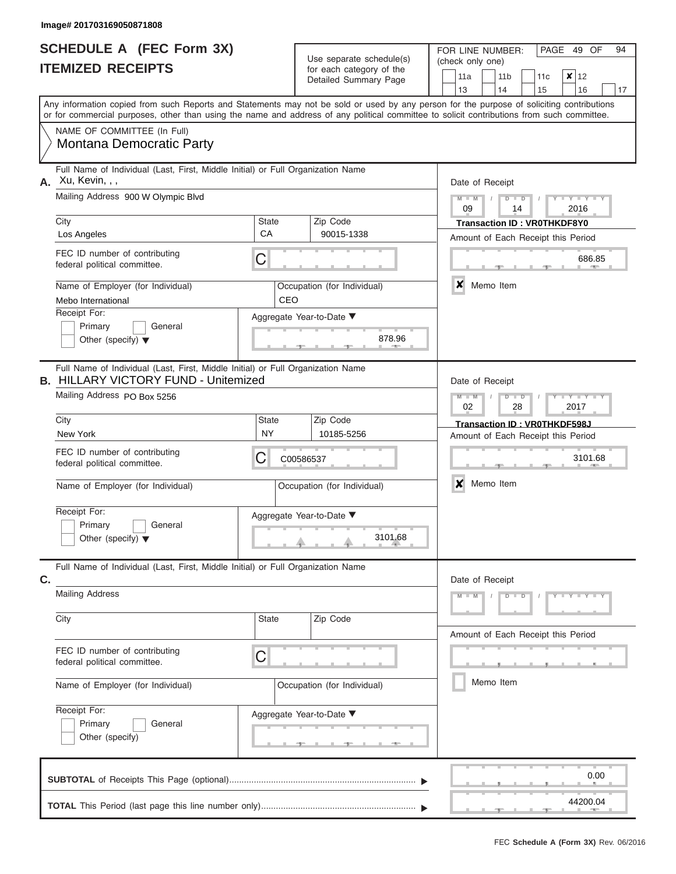| <b>SCHEDULE A (FEC Form 3X)</b> |  |
|---------------------------------|--|
| <b>ITEMIZED RECEIPTS</b>        |  |

Use separate schedule(s)  $\left(\begin{array}{c} \text{check only one} \\ \text{check only one} \end{array}\right)$ 

FOR LINE NUMBER:

PAGE 49 OF 94

|    |                                                                                                                                                                                                                                                                                         |              | Detailed Summary Page       | 11a              | 11 <sub>b</sub> | 11 <sub>c</sub>                    | $x$   12    |    |
|----|-----------------------------------------------------------------------------------------------------------------------------------------------------------------------------------------------------------------------------------------------------------------------------------------|--------------|-----------------------------|------------------|-----------------|------------------------------------|-------------|----|
|    |                                                                                                                                                                                                                                                                                         |              |                             | 13               | 14              | 15                                 | 16          | 17 |
|    | Any information copied from such Reports and Statements may not be sold or used by any person for the purpose of soliciting contributions<br>or for commercial purposes, other than using the name and address of any political committee to solicit contributions from such committee. |              |                             |                  |                 |                                    |             |    |
|    | NAME OF COMMITTEE (In Full)<br>Montana Democratic Party                                                                                                                                                                                                                                 |              |                             |                  |                 |                                    |             |    |
|    | Full Name of Individual (Last, First, Middle Initial) or Full Organization Name<br><b>A.</b> Xu, Kevin, , ,                                                                                                                                                                             |              |                             | Date of Receipt  |                 |                                    |             |    |
|    | Mailing Address 900 W Olympic Blvd                                                                                                                                                                                                                                                      |              |                             | $M - M$<br>09    | 14              | ⊃                                  | 2016        |    |
|    | City                                                                                                                                                                                                                                                                                    | <b>State</b> | Zip Code                    |                  |                 | <b>Transaction ID: VR0THKDF8Y0</b> |             |    |
|    | Los Angeles                                                                                                                                                                                                                                                                             | CA           | 90015-1338                  |                  |                 | Amount of Each Receipt this Period |             |    |
|    | FEC ID number of contributing<br>federal political committee.                                                                                                                                                                                                                           | С            |                             |                  |                 |                                    | 686.85      |    |
|    | Name of Employer (for Individual)<br>Mebo International                                                                                                                                                                                                                                 | CEO          | Occupation (for Individual) | ×                | Memo Item       |                                    |             |    |
|    | Receipt For:                                                                                                                                                                                                                                                                            |              | Aggregate Year-to-Date ▼    |                  |                 |                                    |             |    |
|    | General<br>Primary<br>Other (specify) $\blacktriangledown$                                                                                                                                                                                                                              |              | 878.96                      |                  |                 |                                    |             |    |
|    | Full Name of Individual (Last, First, Middle Initial) or Full Organization Name<br><b>B. HILLARY VICTORY FUND - Unitemized</b>                                                                                                                                                          |              |                             | Date of Receipt  |                 |                                    |             |    |
|    | Mailing Address PO Box 5256                                                                                                                                                                                                                                                             |              |                             | $M - M$<br>02    | D<br>ு<br>28    |                                    | 2017        |    |
|    | City                                                                                                                                                                                                                                                                                    | <b>State</b> | Zip Code                    |                  |                 | Transaction ID: VR0THKDF598J       |             |    |
|    | New York                                                                                                                                                                                                                                                                                | NY           | 10185-5256                  |                  |                 | Amount of Each Receipt this Period |             |    |
|    | FEC ID number of contributing<br>federal political committee.                                                                                                                                                                                                                           | C            | C00586537                   |                  |                 |                                    | 3101.68     |    |
|    | Name of Employer (for Individual)                                                                                                                                                                                                                                                       |              | Occupation (for Individual) | $\boldsymbol{x}$ | Memo Item       |                                    |             |    |
|    | Receipt For:                                                                                                                                                                                                                                                                            |              | Aggregate Year-to-Date ▼    |                  |                 |                                    |             |    |
|    | General<br>Primary                                                                                                                                                                                                                                                                      |              |                             |                  |                 |                                    |             |    |
|    | Other (specify) $\blacktriangledown$                                                                                                                                                                                                                                                    |              | 3101.68                     |                  |                 |                                    |             |    |
| C. | Full Name of Individual (Last, First, Middle Initial) or Full Organization Name                                                                                                                                                                                                         |              |                             | Date of Receipt  |                 |                                    |             |    |
|    | <b>Mailing Address</b>                                                                                                                                                                                                                                                                  |              |                             |                  |                 |                                    | $Y = Y = Y$ |    |
|    | City                                                                                                                                                                                                                                                                                    | State        | Zip Code                    |                  |                 | Amount of Each Receipt this Period |             |    |
|    | FEC ID number of contributing<br>federal political committee.                                                                                                                                                                                                                           | C            |                             |                  |                 |                                    |             |    |
|    | Name of Employer (for Individual)                                                                                                                                                                                                                                                       |              | Occupation (for Individual) |                  | Memo Item       |                                    |             |    |
|    | Receipt For:                                                                                                                                                                                                                                                                            |              | Aggregate Year-to-Date ▼    |                  |                 |                                    |             |    |
|    | Primary<br>General<br>Other (specify)                                                                                                                                                                                                                                                   |              |                             |                  |                 |                                    |             |    |
|    |                                                                                                                                                                                                                                                                                         |              |                             |                  |                 |                                    | 0.00        |    |
|    |                                                                                                                                                                                                                                                                                         |              |                             |                  |                 |                                    | 44200.04    |    |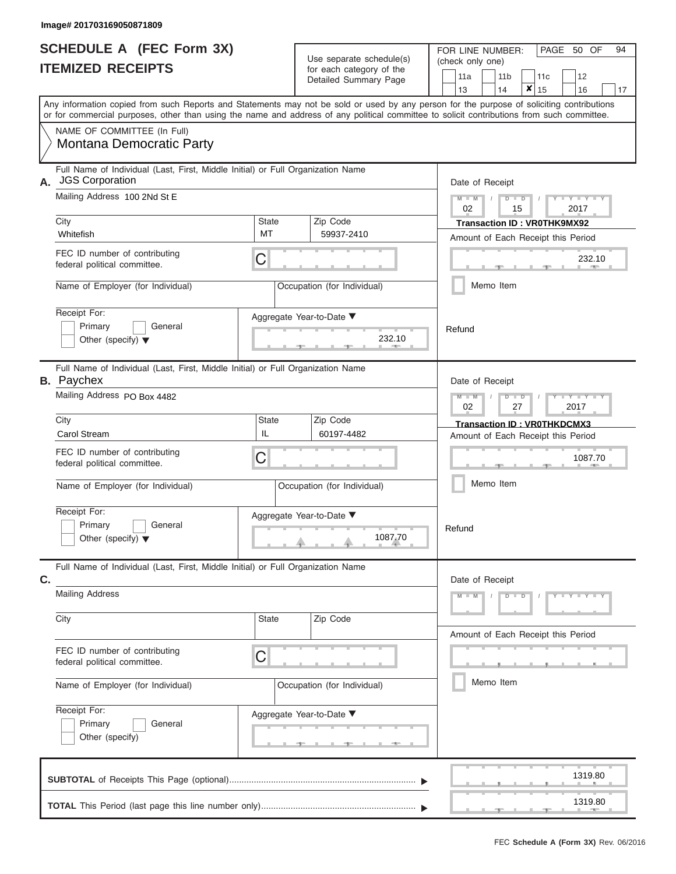|                          | SCHEDULE A (FEC Form 3X) |
|--------------------------|--------------------------|
| <b>ITEMIZED RECEIPTS</b> |                          |

| SCHEDULE A (FEC Form 3X)                                                                                                                                                                                                                                                                |                          | Use separate schedule(s)                          | FOR LINE NUMBER:<br>(check only one) | 94<br>PAGE<br>50 OF                                                      |
|-----------------------------------------------------------------------------------------------------------------------------------------------------------------------------------------------------------------------------------------------------------------------------------------|--------------------------|---------------------------------------------------|--------------------------------------|--------------------------------------------------------------------------|
| <b>ITEMIZED RECEIPTS</b>                                                                                                                                                                                                                                                                |                          | for each category of the<br>Detailed Summary Page | 11a<br>13                            | 12<br>11 <sub>b</sub><br>11c<br>X<br>14<br>15<br>16<br>17                |
| Any information copied from such Reports and Statements may not be sold or used by any person for the purpose of soliciting contributions<br>or for commercial purposes, other than using the name and address of any political committee to solicit contributions from such committee. |                          |                                                   |                                      |                                                                          |
| NAME OF COMMITTEE (In Full)<br>Montana Democratic Party                                                                                                                                                                                                                                 |                          |                                                   |                                      |                                                                          |
| Full Name of Individual (Last, First, Middle Initial) or Full Organization Name<br><b>JGS Corporation</b><br>Α.                                                                                                                                                                         |                          |                                                   | Date of Receipt                      |                                                                          |
| Mailing Address 100 2Nd St E                                                                                                                                                                                                                                                            |                          |                                                   | $M - M$<br>02                        | Y I Y I<br>$D$ $D$<br>15<br>2017                                         |
| City<br>Whitefish                                                                                                                                                                                                                                                                       | <b>State</b><br>MT       | Zip Code<br>59937-2410                            |                                      | <b>Transaction ID: VR0THK9MX92</b><br>Amount of Each Receipt this Period |
| FEC ID number of contributing<br>federal political committee.                                                                                                                                                                                                                           | С                        |                                                   |                                      | 232.10<br><b>CONTRACTOR</b>                                              |
| Name of Employer (for Individual)                                                                                                                                                                                                                                                       |                          | Occupation (for Individual)                       |                                      | Memo Item                                                                |
| Receipt For:<br>Primary<br>General<br>Other (specify) $\blacktriangledown$                                                                                                                                                                                                              | Aggregate Year-to-Date ▼ | 232.10<br><b>CONTRACTOR</b>                       | Refund                               |                                                                          |
| Full Name of Individual (Last, First, Middle Initial) or Full Organization Name<br><b>B.</b> Paychex<br>Mailing Address PO Box 4482                                                                                                                                                     |                          |                                                   | Date of Receipt<br>$M - M$           | $D$ $\Box$ $D$<br>Y I Y I                                                |
| City                                                                                                                                                                                                                                                                                    | <b>State</b>             | Zip Code                                          | 02                                   | 2017<br>27<br>Transaction ID: VR0THKDCMX3                                |
| <b>Carol Stream</b>                                                                                                                                                                                                                                                                     | IL                       | 60197-4482                                        |                                      | Amount of Each Receipt this Period                                       |
| FEC ID number of contributing<br>federal political committee.                                                                                                                                                                                                                           | С                        |                                                   |                                      | 1087.70                                                                  |
| Name of Employer (for Individual)                                                                                                                                                                                                                                                       |                          | Occupation (for Individual)                       |                                      | Memo Item                                                                |
| Receipt For:<br>Primary<br>General                                                                                                                                                                                                                                                      | Aggregate Year-to-Date ▼ |                                                   |                                      |                                                                          |
| Other (specify) $\blacktriangledown$                                                                                                                                                                                                                                                    |                          | 1087.70                                           | Refund                               |                                                                          |
| Full Name of Individual (Last, First, Middle Initial) or Full Organization Name<br>C.                                                                                                                                                                                                   |                          |                                                   | Date of Receipt                      |                                                                          |
| <b>Mailing Address</b>                                                                                                                                                                                                                                                                  |                          |                                                   | $M - M$                              | $Y - Y - Y - Y - Y$<br>$D$ $D$                                           |
| City                                                                                                                                                                                                                                                                                    | State                    | Zip Code                                          |                                      | Amount of Each Receipt this Period                                       |
| FEC ID number of contributing<br>federal political committee.                                                                                                                                                                                                                           | С                        |                                                   |                                      |                                                                          |
| Name of Employer (for Individual)                                                                                                                                                                                                                                                       |                          | Occupation (for Individual)                       |                                      | Memo Item                                                                |
| Receipt For:<br>Primary<br>General<br>Other (specify)                                                                                                                                                                                                                                   | Aggregate Year-to-Date ▼ |                                                   |                                      |                                                                          |
|                                                                                                                                                                                                                                                                                         |                          |                                                   |                                      | -<br>1319.80                                                             |
|                                                                                                                                                                                                                                                                                         |                          |                                                   |                                      | 1319.80<br>$-$<br>一                                                      |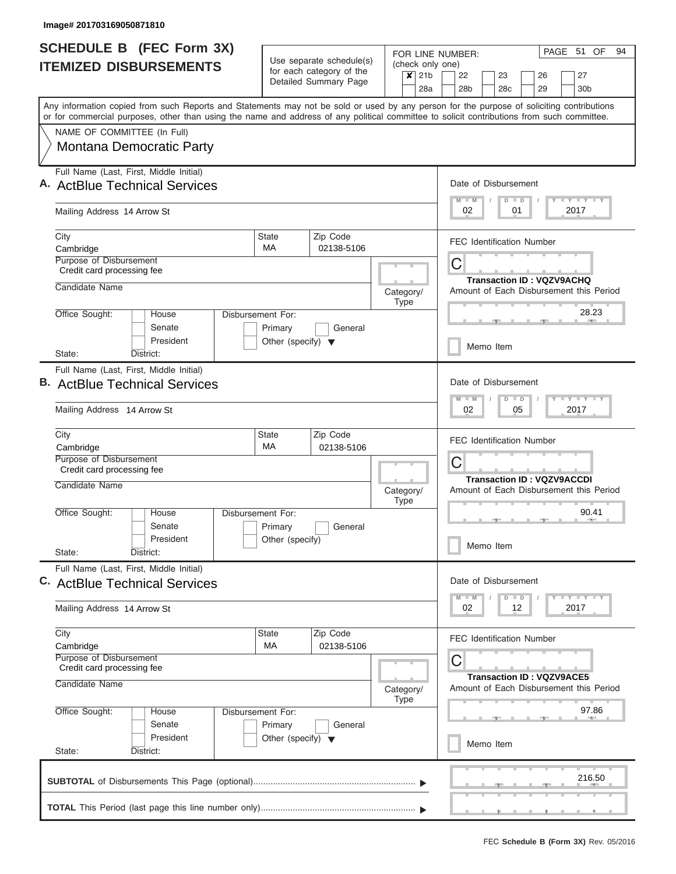|        | <b>SCHEDULE B</b> (FEC Form 3X)                                                                                |                        |           |                                      |                                                                                                                                                                                                                                                                                         |                          |                                     | FOR LINE NUMBER:                      |           |                           |                                                                              |    | PAGE 51 OF                                                                                                                                                                                    | 94 |
|--------|----------------------------------------------------------------------------------------------------------------|------------------------|-----------|--------------------------------------|-----------------------------------------------------------------------------------------------------------------------------------------------------------------------------------------------------------------------------------------------------------------------------------------|--------------------------|-------------------------------------|---------------------------------------|-----------|---------------------------|------------------------------------------------------------------------------|----|-----------------------------------------------------------------------------------------------------------------------------------------------------------------------------------------------|----|
|        | <b>ITEMIZED DISBURSEMENTS</b>                                                                                  |                        |           |                                      | Use separate schedule(s)<br>for each category of the                                                                                                                                                                                                                                    | $\boldsymbol{x}$         | (check only one)<br>21 <sub>b</sub> | 22                                    |           | 23                        | 26                                                                           | 27 |                                                                                                                                                                                               |    |
|        |                                                                                                                |                        |           |                                      | Detailed Summary Page                                                                                                                                                                                                                                                                   |                          | 28a                                 | 28 <sub>b</sub>                       |           | 28c                       | 29                                                                           |    | 30 <sub>b</sub>                                                                                                                                                                               |    |
|        |                                                                                                                |                        |           |                                      | Any information copied from such Reports and Statements may not be sold or used by any person for the purpose of soliciting contributions<br>or for commercial purposes, other than using the name and address of any political committee to solicit contributions from such committee. |                          |                                     |                                       |           |                           |                                                                              |    |                                                                                                                                                                                               |    |
|        | NAME OF COMMITTEE (In Full)                                                                                    |                        |           |                                      |                                                                                                                                                                                                                                                                                         |                          |                                     |                                       |           |                           |                                                                              |    |                                                                                                                                                                                               |    |
|        | <b>Montana Democratic Party</b>                                                                                |                        |           |                                      |                                                                                                                                                                                                                                                                                         |                          |                                     |                                       |           |                           |                                                                              |    |                                                                                                                                                                                               |    |
|        | Full Name (Last, First, Middle Initial)<br>A. ActBlue Technical Services                                       |                        |           |                                      | Date of Disbursement                                                                                                                                                                                                                                                                    |                          |                                     |                                       |           |                           |                                                                              |    |                                                                                                                                                                                               |    |
|        | Mailing Address 14 Arrow St                                                                                    |                        |           |                                      |                                                                                                                                                                                                                                                                                         |                          |                                     | $M$ $M$<br>02                         |           | $D$ $D$<br>01             |                                                                              |    | <b>LYLYLYLY</b><br>2017                                                                                                                                                                       |    |
| City   | Cambridge                                                                                                      |                        |           | <b>State</b><br><b>MA</b>            | Zip Code<br>02138-5106                                                                                                                                                                                                                                                                  |                          |                                     |                                       |           |                           | <b>FEC Identification Number</b>                                             |    |                                                                                                                                                                                               |    |
|        | Purpose of Disbursement<br>Credit card processing fee                                                          |                        |           |                                      |                                                                                                                                                                                                                                                                                         |                          |                                     | С                                     |           |                           |                                                                              |    |                                                                                                                                                                                               |    |
|        | Candidate Name                                                                                                 |                        |           |                                      |                                                                                                                                                                                                                                                                                         | Category/<br><b>Type</b> |                                     |                                       |           |                           | <b>Transaction ID: VQZV9ACHQ</b><br>Amount of Each Disbursement this Period  |    |                                                                                                                                                                                               |    |
|        | Office Sought:                                                                                                 | House<br>Senate        | President | Disbursement For:<br>Primary         | General                                                                                                                                                                                                                                                                                 |                          |                                     |                                       |           |                           |                                                                              |    | 28.23                                                                                                                                                                                         |    |
| State: |                                                                                                                | District:              |           | Other (specify) $\blacktriangledown$ |                                                                                                                                                                                                                                                                                         |                          |                                     |                                       | Memo Item |                           |                                                                              |    |                                                                                                                                                                                               |    |
|        | Full Name (Last, First, Middle Initial)<br><b>B.</b> ActBlue Technical Services<br>Mailing Address 14 Arrow St |                        |           |                                      |                                                                                                                                                                                                                                                                                         |                          |                                     | Date of Disbursement<br>$M - M$<br>02 |           | $D$ $D$<br>05             |                                                                              |    | <b>LY LY LY</b><br>2017                                                                                                                                                                       |    |
| City   | Cambridge                                                                                                      |                        |           | State<br><b>MA</b>                   | Zip Code<br>02138-5106                                                                                                                                                                                                                                                                  |                          |                                     |                                       |           |                           | <b>FEC Identification Number</b>                                             |    |                                                                                                                                                                                               |    |
|        | Purpose of Disbursement<br>Credit card processing fee                                                          |                        |           |                                      |                                                                                                                                                                                                                                                                                         |                          |                                     | С                                     |           |                           |                                                                              |    |                                                                                                                                                                                               |    |
|        | Candidate Name                                                                                                 |                        |           |                                      |                                                                                                                                                                                                                                                                                         | Category/<br><b>Type</b> |                                     |                                       |           |                           | <b>Transaction ID: VQZV9ACCDI</b><br>Amount of Each Disbursement this Period |    |                                                                                                                                                                                               |    |
|        | Office Sought:                                                                                                 | House<br>Senate        |           | Disbursement For:<br>Primary         | General                                                                                                                                                                                                                                                                                 |                          |                                     |                                       |           |                           |                                                                              |    | 90.41                                                                                                                                                                                         |    |
| State: |                                                                                                                | President<br>District: |           | Other (specify)                      |                                                                                                                                                                                                                                                                                         |                          |                                     |                                       | Memo Item |                           |                                                                              |    |                                                                                                                                                                                               |    |
|        | Full Name (Last, First, Middle Initial)<br>C. ActBlue Technical Services                                       |                        |           |                                      |                                                                                                                                                                                                                                                                                         |                          |                                     | Date of Disbursement                  |           |                           |                                                                              |    |                                                                                                                                                                                               |    |
|        | Mailing Address 14 Arrow St                                                                                    |                        |           |                                      |                                                                                                                                                                                                                                                                                         |                          |                                     | $M - M$<br>02                         |           | D<br>$\blacksquare$<br>12 |                                                                              |    | $\frac{1}{2}$ $\frac{1}{2}$ $\frac{1}{2}$ $\frac{1}{2}$ $\frac{1}{2}$ $\frac{1}{2}$ $\frac{1}{2}$ $\frac{1}{2}$ $\frac{1}{2}$ $\frac{1}{2}$ $\frac{1}{2}$ $\frac{1}{2}$ $\frac{1}{2}$<br>2017 |    |
| City   | Cambridge                                                                                                      |                        |           | State<br>МA                          | Zip Code<br>02138-5106                                                                                                                                                                                                                                                                  |                          |                                     |                                       |           |                           | <b>FEC Identification Number</b>                                             |    |                                                                                                                                                                                               |    |
|        | Purpose of Disbursement<br>Credit card processing fee                                                          |                        |           |                                      |                                                                                                                                                                                                                                                                                         |                          |                                     | С                                     |           |                           | <b>Transaction ID: VQZV9ACE5</b>                                             |    |                                                                                                                                                                                               |    |
|        | Candidate Name                                                                                                 |                        |           |                                      |                                                                                                                                                                                                                                                                                         | Category/<br><b>Type</b> |                                     |                                       |           |                           | Amount of Each Disbursement this Period                                      |    |                                                                                                                                                                                               |    |
|        | Office Sought:                                                                                                 | House<br>Senate        |           | Disbursement For:<br>Primary         | General                                                                                                                                                                                                                                                                                 |                          |                                     |                                       |           |                           |                                                                              |    | 97.86                                                                                                                                                                                         |    |
| State: |                                                                                                                | District:              | President | Other (specify) $\blacktriangledown$ |                                                                                                                                                                                                                                                                                         |                          |                                     |                                       | Memo Item |                           |                                                                              |    |                                                                                                                                                                                               |    |
|        |                                                                                                                |                        |           |                                      |                                                                                                                                                                                                                                                                                         |                          |                                     |                                       |           |                           |                                                                              |    | 216.50                                                                                                                                                                                        |    |
|        |                                                                                                                |                        |           |                                      |                                                                                                                                                                                                                                                                                         |                          |                                     |                                       |           |                           |                                                                              |    |                                                                                                                                                                                               |    |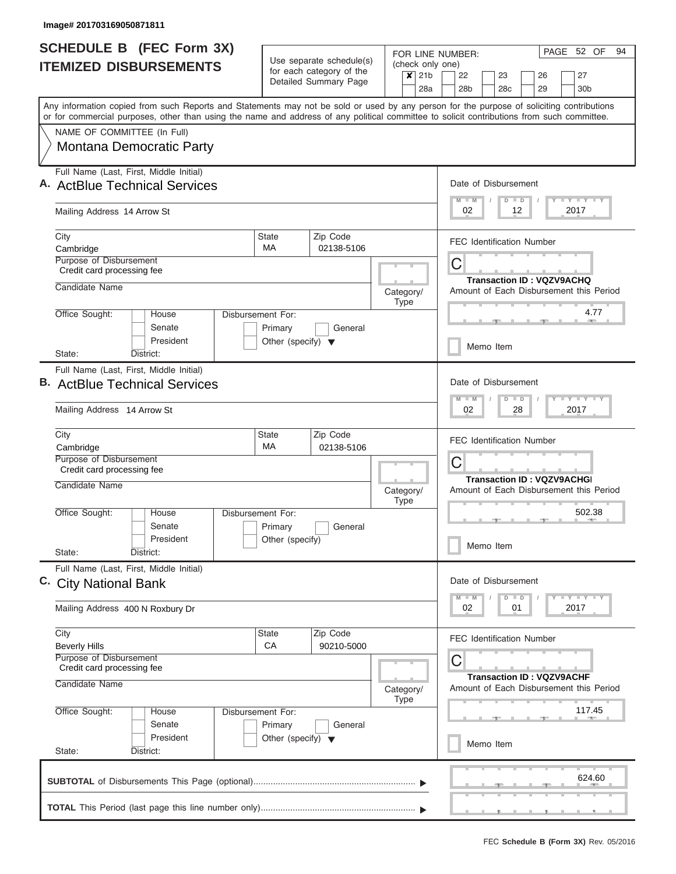| <b>SCHEDULE B</b> (FEC Form 3X)                                                                                                                                                                                                                                                         |                                                                      |                                                              |                      |                           | FOR LINE NUMBER:                    |                 |               |  |                                 |    |                                  |  | PAGE 52 OF                                        | 94 |
|-----------------------------------------------------------------------------------------------------------------------------------------------------------------------------------------------------------------------------------------------------------------------------------------|----------------------------------------------------------------------|--------------------------------------------------------------|----------------------|---------------------------|-------------------------------------|-----------------|---------------|--|---------------------------------|----|----------------------------------|--|---------------------------------------------------|----|
| <b>ITEMIZED DISBURSEMENTS</b>                                                                                                                                                                                                                                                           |                                                                      | Use separate schedule(s)<br>for each category of the         |                      | $\boldsymbol{\mathsf{x}}$ | (check only one)<br>21 <sub>b</sub> | 22              |               |  | 23                              |    | 26                               |  | 27                                                |    |
|                                                                                                                                                                                                                                                                                         |                                                                      | Detailed Summary Page                                        |                      |                           | 28a                                 | 28 <sub>b</sub> |               |  | 28 <sub>c</sub>                 |    | 29                               |  | 30 <sub>b</sub>                                   |    |
| Any information copied from such Reports and Statements may not be sold or used by any person for the purpose of soliciting contributions<br>or for commercial purposes, other than using the name and address of any political committee to solicit contributions from such committee. |                                                                      |                                                              |                      |                           |                                     |                 |               |  |                                 |    |                                  |  |                                                   |    |
| NAME OF COMMITTEE (In Full)                                                                                                                                                                                                                                                             |                                                                      |                                                              |                      |                           |                                     |                 |               |  |                                 |    |                                  |  |                                                   |    |
| Montana Democratic Party                                                                                                                                                                                                                                                                |                                                                      |                                                              |                      |                           |                                     |                 |               |  |                                 |    |                                  |  |                                                   |    |
| Full Name (Last, First, Middle Initial)<br>A. ActBlue Technical Services                                                                                                                                                                                                                |                                                                      |                                                              | Date of Disbursement |                           |                                     |                 |               |  |                                 |    |                                  |  |                                                   |    |
| Mailing Address 14 Arrow St                                                                                                                                                                                                                                                             |                                                                      | <b>TEY TEY TEY</b><br>$M$ $M$<br>$D$ $D$<br>12<br>2017<br>02 |                      |                           |                                     |                 |               |  |                                 |    |                                  |  |                                                   |    |
| City<br>Cambridge                                                                                                                                                                                                                                                                       | <b>State</b><br>MA.                                                  | Zip Code<br>02138-5106                                       |                      |                           |                                     |                 |               |  |                                 |    | <b>FEC Identification Number</b> |  |                                                   |    |
| Purpose of Disbursement<br>Credit card processing fee                                                                                                                                                                                                                                   |                                                                      |                                                              |                      |                           |                                     | С               |               |  |                                 |    |                                  |  | Transaction ID: VQZV9ACHQ                         |    |
| Candidate Name                                                                                                                                                                                                                                                                          |                                                                      |                                                              | Category/            | Type                      |                                     |                 |               |  |                                 |    |                                  |  | Amount of Each Disbursement this Period           |    |
| Office Sought:<br>House<br>Senate<br>President                                                                                                                                                                                                                                          | Disbursement For:<br>Primary<br>Other (specify) $\blacktriangledown$ | General                                                      |                      |                           |                                     |                 |               |  |                                 |    |                                  |  | 4.77                                              |    |
| State:<br>District:                                                                                                                                                                                                                                                                     |                                                                      |                                                              |                      |                           |                                     |                 | Memo Item     |  |                                 |    |                                  |  |                                                   |    |
| Full Name (Last, First, Middle Initial)<br><b>B.</b> ActBlue Technical Services<br>Mailing Address 14 Arrow St                                                                                                                                                                          |                                                                      |                                                              |                      |                           |                                     |                 | $M - M$<br>02 |  | Date of Disbursement<br>$D$ $D$ | 28 |                                  |  | $-1 - Y - 1 - Y - 1 - Y$<br>2017                  |    |
| City<br>Cambridge                                                                                                                                                                                                                                                                       | <b>State</b><br>MA                                                   | Zip Code<br>02138-5106                                       |                      |                           |                                     |                 |               |  |                                 |    | FEC Identification Number        |  |                                                   |    |
| Purpose of Disbursement<br>Credit card processing fee                                                                                                                                                                                                                                   |                                                                      |                                                              |                      |                           |                                     | С               |               |  |                                 |    |                                  |  | <b>Transaction ID: VQZV9ACHGI</b>                 |    |
| Candidate Name                                                                                                                                                                                                                                                                          |                                                                      |                                                              | Category/            | <b>Type</b>               |                                     |                 |               |  |                                 |    |                                  |  | Amount of Each Disbursement this Period           |    |
| Office Sought:<br>House<br>Senate                                                                                                                                                                                                                                                       | Disbursement For:<br>Primary                                         | General                                                      |                      |                           |                                     |                 |               |  |                                 |    |                                  |  | 502.38                                            |    |
| President<br>State:<br>District:                                                                                                                                                                                                                                                        | Other (specify)                                                      |                                                              |                      |                           |                                     |                 | Memo Item     |  |                                 |    |                                  |  |                                                   |    |
| Full Name (Last, First, Middle Initial)<br>C. City National Bank                                                                                                                                                                                                                        |                                                                      |                                                              |                      |                           |                                     |                 |               |  | Date of Disbursement            |    |                                  |  | $T$ $Y$ $T$ $Y$ $T$                               |    |
| Mailing Address 400 N Roxbury Dr                                                                                                                                                                                                                                                        |                                                                      |                                                              |                      |                           |                                     | $M - M$<br>02   |               |  | $D$ $D$<br>01                   |    |                                  |  | 2017                                              |    |
| City<br><b>Beverly Hills</b>                                                                                                                                                                                                                                                            | State<br>CA                                                          | Zip Code<br>90210-5000                                       |                      |                           |                                     |                 |               |  |                                 |    | <b>FEC Identification Number</b> |  |                                                   |    |
| Purpose of Disbursement<br>Credit card processing fee<br>Candidate Name                                                                                                                                                                                                                 |                                                                      |                                                              |                      |                           |                                     | C               |               |  |                                 |    |                                  |  | <b>Transaction ID: VQZV9ACHF</b>                  |    |
| Office Sought:<br>House                                                                                                                                                                                                                                                                 | Disbursement For:                                                    |                                                              | Category/            | Type                      |                                     |                 |               |  |                                 |    |                                  |  | Amount of Each Disbursement this Period<br>117.45 |    |
| Senate<br>President                                                                                                                                                                                                                                                                     | Primary<br>Other (specify) $\blacktriangledown$                      | General                                                      |                      |                           |                                     |                 |               |  |                                 |    |                                  |  |                                                   |    |
| State:<br>District:                                                                                                                                                                                                                                                                     |                                                                      |                                                              |                      |                           |                                     |                 | Memo Item     |  |                                 |    |                                  |  |                                                   |    |
|                                                                                                                                                                                                                                                                                         |                                                                      |                                                              |                      |                           |                                     |                 |               |  |                                 |    |                                  |  | 624.60                                            |    |
|                                                                                                                                                                                                                                                                                         |                                                                      |                                                              |                      |                           |                                     |                 |               |  |                                 |    |                                  |  |                                                   |    |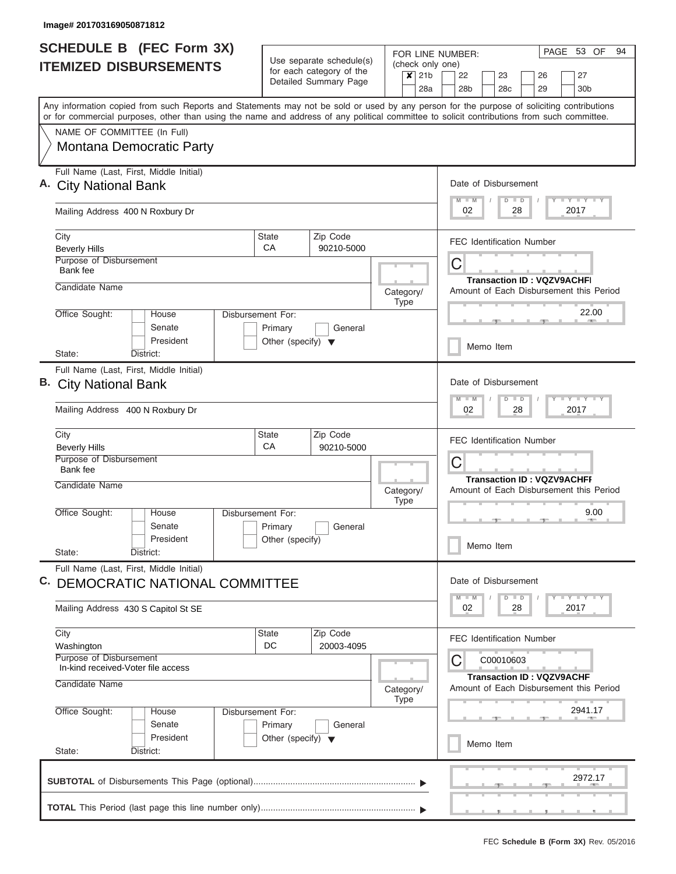| <b>SCHEDULE B (FEC Form 3X)</b>                                                                                                                                                                                                                                                         |                                                 |                                                      |           |                                                              | FOR LINE NUMBER: |                                         |                  |                       |        |                                   |  |                         | PAGE 53 OF                                                                    | 94 |
|-----------------------------------------------------------------------------------------------------------------------------------------------------------------------------------------------------------------------------------------------------------------------------------------|-------------------------------------------------|------------------------------------------------------|-----------|--------------------------------------------------------------|------------------|-----------------------------------------|------------------|-----------------------|--------|-----------------------------------|--|-------------------------|-------------------------------------------------------------------------------|----|
| <b>ITEMIZED DISBURSEMENTS</b>                                                                                                                                                                                                                                                           |                                                 | Use separate schedule(s)<br>for each category of the |           |                                                              | (check only one) |                                         |                  |                       |        |                                   |  |                         |                                                                               |    |
|                                                                                                                                                                                                                                                                                         |                                                 | Detailed Summary Page                                |           | $x$ 21b<br>28a                                               |                  | 22<br>28b                               |                  | 23<br>28 <sub>c</sub> |        | 26<br>29                          |  | 27                      | 30 <sub>b</sub>                                                               |    |
| Any information copied from such Reports and Statements may not be sold or used by any person for the purpose of soliciting contributions<br>or for commercial purposes, other than using the name and address of any political committee to solicit contributions from such committee. |                                                 |                                                      |           |                                                              |                  |                                         |                  |                       |        |                                   |  |                         |                                                                               |    |
| NAME OF COMMITTEE (In Full)                                                                                                                                                                                                                                                             |                                                 |                                                      |           |                                                              |                  |                                         |                  |                       |        |                                   |  |                         |                                                                               |    |
| Montana Democratic Party                                                                                                                                                                                                                                                                |                                                 |                                                      |           |                                                              |                  |                                         |                  |                       |        |                                   |  |                         |                                                                               |    |
| Full Name (Last, First, Middle Initial)<br>A. City National Bank                                                                                                                                                                                                                        |                                                 |                                                      |           |                                                              |                  | Date of Disbursement                    |                  |                       |        |                                   |  |                         |                                                                               |    |
| Mailing Address 400 N Roxbury Dr                                                                                                                                                                                                                                                        |                                                 |                                                      |           | <b>TEY TEY TEY</b><br>$M - M$<br>$D$ $D$<br>28<br>2017<br>02 |                  |                                         |                  |                       |        |                                   |  |                         |                                                                               |    |
| City<br><b>Beverly Hills</b>                                                                                                                                                                                                                                                            | State<br>CA                                     | Zip Code<br>90210-5000                               |           |                                                              |                  | <b>FEC Identification Number</b>        |                  |                       |        |                                   |  |                         |                                                                               |    |
| Purpose of Disbursement<br>Bank fee                                                                                                                                                                                                                                                     |                                                 |                                                      |           |                                                              | C                |                                         |                  |                       |        |                                   |  |                         |                                                                               |    |
| Candidate Name                                                                                                                                                                                                                                                                          |                                                 |                                                      | Category/ |                                                              |                  | Amount of Each Disbursement this Period |                  |                       |        | <b>Transaction ID: VQZV9ACHFI</b> |  |                         |                                                                               |    |
| Office Sought:<br>House                                                                                                                                                                                                                                                                 | Disbursement For:                               |                                                      |           | Type                                                         |                  |                                         |                  |                       |        |                                   |  |                         | 22.00                                                                         |    |
| Senate<br>President                                                                                                                                                                                                                                                                     | Primary<br>Other (specify) $\blacktriangledown$ | General                                              |           |                                                              |                  |                                         |                  |                       |        |                                   |  |                         | <b>CONTRACTOR</b>                                                             |    |
| District:<br>State:                                                                                                                                                                                                                                                                     |                                                 |                                                      |           |                                                              |                  |                                         |                  | Memo Item             |        |                                   |  |                         |                                                                               |    |
| Full Name (Last, First, Middle Initial)                                                                                                                                                                                                                                                 |                                                 |                                                      |           |                                                              |                  |                                         |                  |                       |        |                                   |  |                         |                                                                               |    |
| B. City National Bank                                                                                                                                                                                                                                                                   |                                                 |                                                      |           |                                                              |                  | Date of Disbursement<br>$M - M$         |                  | $D$ $D$               |        |                                   |  | $T - Y = T - Y = T - Y$ |                                                                               |    |
| Mailing Address 400 N Roxbury Dr                                                                                                                                                                                                                                                        |                                                 |                                                      |           |                                                              |                  |                                         | 02<br>28<br>2017 |                       |        |                                   |  |                         |                                                                               |    |
| City<br><b>Beverly Hills</b>                                                                                                                                                                                                                                                            | <b>State</b><br>CA                              | Zip Code<br>90210-5000                               |           |                                                              |                  | <b>FEC Identification Number</b>        |                  |                       |        |                                   |  |                         |                                                                               |    |
| Purpose of Disbursement<br>Bank fee                                                                                                                                                                                                                                                     |                                                 |                                                      |           |                                                              | C                |                                         |                  |                       |        |                                   |  |                         |                                                                               |    |
| Candidate Name                                                                                                                                                                                                                                                                          |                                                 |                                                      | Category/ | Type                                                         |                  | Amount of Each Disbursement this Period |                  |                       |        | <b>Transaction ID: VQZV9ACHFI</b> |  |                         |                                                                               |    |
| Office Sought:<br>House<br>Senate                                                                                                                                                                                                                                                       | Disbursement For:                               | General                                              |           |                                                              |                  |                                         |                  |                       |        |                                   |  |                         | 9.00<br>$\frac{1}{2}$                                                         |    |
| President<br>State:<br>District:                                                                                                                                                                                                                                                        | Primary<br>Other (specify)                      |                                                      |           |                                                              |                  |                                         |                  | Memo Item             |        |                                   |  |                         |                                                                               |    |
| Full Name (Last, First, Middle Initial)                                                                                                                                                                                                                                                 |                                                 |                                                      |           |                                                              |                  |                                         |                  |                       |        |                                   |  |                         |                                                                               |    |
| DEMOCRATIC NATIONAL COMMITTEE<br>C.                                                                                                                                                                                                                                                     |                                                 |                                                      |           |                                                              |                  | Date of Disbursement<br>M               |                  | D                     | $\Box$ |                                   |  |                         | $\mathbf{I}$ $\mathbf{Y}$ $\mathbf{I}$ $\mathbf{Y}$ $\mathbf{I}$ $\mathbf{Y}$ |    |
| Mailing Address 430 S Capitol St SE                                                                                                                                                                                                                                                     |                                                 |                                                      |           |                                                              |                  | 02                                      |                  |                       | 28     |                                   |  | 2017                    |                                                                               |    |
| City<br>Washington                                                                                                                                                                                                                                                                      | <b>State</b><br>DC                              | Zip Code<br>20003-4095                               |           |                                                              |                  | <b>FEC Identification Number</b>        |                  |                       |        |                                   |  |                         |                                                                               |    |
| Purpose of Disbursement<br>In-kind received-Voter file access                                                                                                                                                                                                                           |                                                 |                                                      |           |                                                              |                  |                                         |                  | C00010603             |        |                                   |  |                         |                                                                               |    |
| Candidate Name                                                                                                                                                                                                                                                                          |                                                 |                                                      | Category/ | Type                                                         |                  | Amount of Each Disbursement this Period |                  |                       |        | <b>Transaction ID: VQZV9ACHF</b>  |  |                         |                                                                               |    |
| Office Sought:<br>House<br>Senate                                                                                                                                                                                                                                                       | Disbursement For:<br>Primary                    | General                                              |           |                                                              |                  |                                         |                  |                       |        |                                   |  |                         | 2941.17                                                                       |    |
| President<br>State:<br>District:                                                                                                                                                                                                                                                        | Other (specify) $\blacktriangledown$            |                                                      |           |                                                              |                  |                                         |                  | Memo Item             |        |                                   |  |                         |                                                                               |    |
|                                                                                                                                                                                                                                                                                         |                                                 |                                                      |           |                                                              |                  |                                         |                  |                       |        |                                   |  |                         | 2972.17                                                                       |    |
|                                                                                                                                                                                                                                                                                         |                                                 |                                                      |           |                                                              |                  |                                         |                  |                       |        |                                   |  |                         |                                                                               |    |
|                                                                                                                                                                                                                                                                                         |                                                 |                                                      |           |                                                              |                  |                                         |                  |                       |        |                                   |  |                         |                                                                               |    |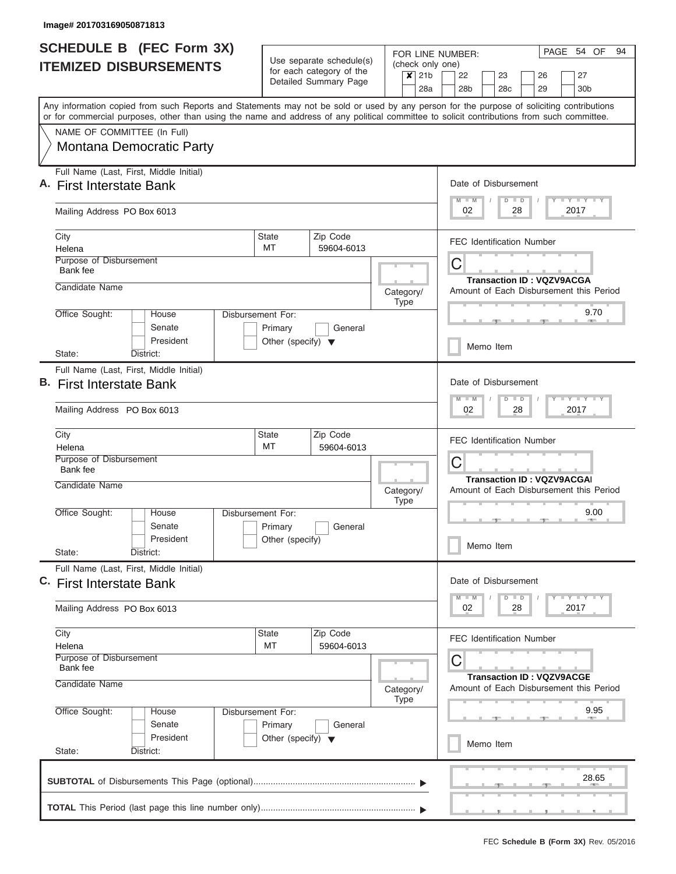ı

|    | <b>SCHEDULE B</b> (FEC Form 3X)                                                                                                                                                                                                                                                         |                                                 |                                                      | PAGE 54 OF<br>94<br>FOR LINE NUMBER: |                          |     |                                                                                                                |
|----|-----------------------------------------------------------------------------------------------------------------------------------------------------------------------------------------------------------------------------------------------------------------------------------------|-------------------------------------------------|------------------------------------------------------|--------------------------------------|--------------------------|-----|----------------------------------------------------------------------------------------------------------------|
|    | <b>ITEMIZED DISBURSEMENTS</b>                                                                                                                                                                                                                                                           |                                                 | Use separate schedule(s)<br>for each category of the |                                      |                          |     | (check only one)                                                                                               |
|    |                                                                                                                                                                                                                                                                                         |                                                 | Detailed Summary Page                                |                                      | $x$ 21b                  | 28a | 22<br>23<br>26<br>27<br>28 <sub>b</sub><br>29<br>30 <sub>b</sub><br>28c                                        |
|    | Any information copied from such Reports and Statements may not be sold or used by any person for the purpose of soliciting contributions<br>or for commercial purposes, other than using the name and address of any political committee to solicit contributions from such committee. |                                                 |                                                      |                                      |                          |     |                                                                                                                |
|    | NAME OF COMMITTEE (In Full)                                                                                                                                                                                                                                                             |                                                 |                                                      |                                      |                          |     |                                                                                                                |
|    | Montana Democratic Party                                                                                                                                                                                                                                                                |                                                 |                                                      |                                      |                          |     |                                                                                                                |
|    | Full Name (Last, First, Middle Initial)<br>A. First Interstate Bank                                                                                                                                                                                                                     |                                                 |                                                      |                                      |                          |     | Date of Disbursement                                                                                           |
|    |                                                                                                                                                                                                                                                                                         |                                                 |                                                      |                                      |                          |     | Y LY LY LY<br>$M$ $M$<br>$D$ $D$                                                                               |
|    | Mailing Address PO Box 6013                                                                                                                                                                                                                                                             |                                                 |                                                      |                                      |                          |     | 2017<br>02<br>28                                                                                               |
|    | City<br>Helena                                                                                                                                                                                                                                                                          | State<br>МT                                     | Zip Code<br>59604-6013                               |                                      |                          |     | <b>FEC Identification Number</b>                                                                               |
|    | Purpose of Disbursement                                                                                                                                                                                                                                                                 |                                                 |                                                      |                                      |                          |     | C                                                                                                              |
|    | Bank fee<br>Candidate Name                                                                                                                                                                                                                                                              |                                                 |                                                      |                                      |                          |     | <b>Transaction ID: VQZV9ACGA</b>                                                                               |
|    |                                                                                                                                                                                                                                                                                         |                                                 |                                                      |                                      | Category/<br><b>Type</b> |     | Amount of Each Disbursement this Period                                                                        |
|    | Office Sought:<br>House                                                                                                                                                                                                                                                                 | Disbursement For:                               |                                                      |                                      |                          |     | 9.70                                                                                                           |
|    | Senate<br>President                                                                                                                                                                                                                                                                     | Primary<br>Other (specify) $\blacktriangledown$ | General                                              |                                      |                          |     |                                                                                                                |
|    | State:<br>District:                                                                                                                                                                                                                                                                     |                                                 |                                                      |                                      |                          |     | Memo Item                                                                                                      |
|    | Full Name (Last, First, Middle Initial)<br>B. First Interstate Bank                                                                                                                                                                                                                     |                                                 |                                                      |                                      |                          |     | Date of Disbursement                                                                                           |
|    |                                                                                                                                                                                                                                                                                         |                                                 |                                                      |                                      |                          |     | $-Y - Y - I - Y$<br>$M - M$<br>$D$ $D$                                                                         |
|    | Mailing Address PO Box 6013                                                                                                                                                                                                                                                             |                                                 |                                                      |                                      |                          |     | 02<br>28<br>2017                                                                                               |
|    | City<br>Helena                                                                                                                                                                                                                                                                          | State<br>МT                                     | Zip Code<br>59604-6013                               |                                      |                          |     | <b>FEC Identification Number</b>                                                                               |
|    | Purpose of Disbursement                                                                                                                                                                                                                                                                 |                                                 |                                                      |                                      |                          |     | C                                                                                                              |
|    | Bank fee<br>Candidate Name                                                                                                                                                                                                                                                              |                                                 |                                                      |                                      |                          |     | <b>Transaction ID: VQZV9ACGAI</b>                                                                              |
|    |                                                                                                                                                                                                                                                                                         |                                                 |                                                      |                                      | Category/<br><b>Type</b> |     | Amount of Each Disbursement this Period                                                                        |
|    | Office Sought:<br>House                                                                                                                                                                                                                                                                 | Disbursement For:                               |                                                      |                                      |                          |     | 9.00                                                                                                           |
|    | Senate<br>President                                                                                                                                                                                                                                                                     | Primary<br>Other (specify)                      | General                                              |                                      |                          |     |                                                                                                                |
|    | State:<br>District:                                                                                                                                                                                                                                                                     |                                                 |                                                      |                                      |                          |     | Memo Item                                                                                                      |
| C. | Full Name (Last, First, Middle Initial)<br><b>First Interstate Bank</b>                                                                                                                                                                                                                 |                                                 |                                                      |                                      |                          |     | Date of Disbursement                                                                                           |
|    |                                                                                                                                                                                                                                                                                         |                                                 |                                                      |                                      |                          |     | $\mathbb{L} \mathbb{Y}$ $\mathbb{L} \mathbb{Y}$ $\mathbb{L} \mathbb{Y}$<br>$M - M$<br>$\Box$<br>$\overline{D}$ |
|    | Mailing Address PO Box 6013                                                                                                                                                                                                                                                             |                                                 |                                                      |                                      |                          |     | 02<br>28<br>2017                                                                                               |
|    | City                                                                                                                                                                                                                                                                                    | State                                           | Zip Code                                             |                                      |                          |     | <b>FEC Identification Number</b>                                                                               |
|    | Helena<br>Purpose of Disbursement                                                                                                                                                                                                                                                       | MT                                              | 59604-6013                                           |                                      |                          |     | С                                                                                                              |
|    | Bank fee<br>Candidate Name                                                                                                                                                                                                                                                              |                                                 |                                                      |                                      |                          |     | <b>Transaction ID: VQZV9ACGE</b>                                                                               |
|    |                                                                                                                                                                                                                                                                                         |                                                 |                                                      |                                      | Category/<br><b>Type</b> |     | Amount of Each Disbursement this Period                                                                        |
|    | Office Sought:<br>House                                                                                                                                                                                                                                                                 | Disbursement For:                               |                                                      |                                      |                          |     | 9.95                                                                                                           |
|    | Senate<br>President                                                                                                                                                                                                                                                                     | Primary<br>Other (specify) $\blacktriangledown$ | General                                              |                                      |                          |     |                                                                                                                |
|    | State:<br>District:                                                                                                                                                                                                                                                                     |                                                 |                                                      |                                      |                          |     | Memo Item                                                                                                      |
|    |                                                                                                                                                                                                                                                                                         |                                                 |                                                      |                                      |                          |     | 28.65                                                                                                          |
|    |                                                                                                                                                                                                                                                                                         |                                                 |                                                      |                                      |                          |     |                                                                                                                |
|    |                                                                                                                                                                                                                                                                                         |                                                 |                                                      |                                      |                          |     |                                                                                                                |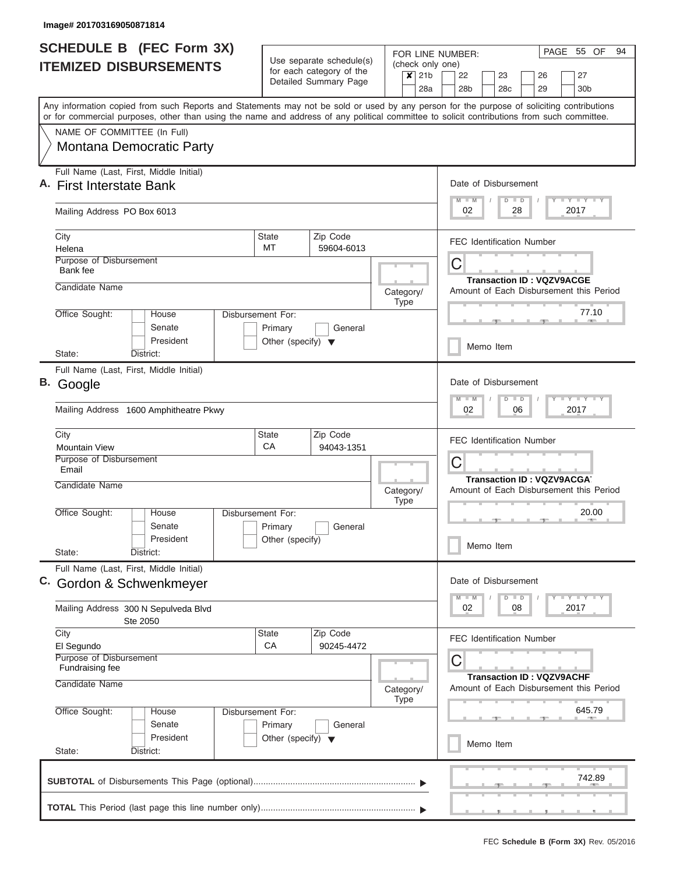| <b>SCHEDULE B</b> (FEC Form 3X)                                                                                                            |                                                 |                                                      |                                            | PAGE 55 OF<br>94<br>FOR LINE NUMBER:                                        |  |  |  |  |  |  |
|--------------------------------------------------------------------------------------------------------------------------------------------|-------------------------------------------------|------------------------------------------------------|--------------------------------------------|-----------------------------------------------------------------------------|--|--|--|--|--|--|
| <b>ITEMIZED DISBURSEMENTS</b>                                                                                                              |                                                 | Use separate schedule(s)<br>for each category of the |                                            | (check only one)                                                            |  |  |  |  |  |  |
|                                                                                                                                            |                                                 | Detailed Summary Page                                | $\boldsymbol{x}$<br>21 <sub>b</sub><br>28a | 22<br>27<br>23<br>26<br>28 <sub>b</sub><br>28c<br>29<br>30 <sub>b</sub>     |  |  |  |  |  |  |
| Any information copied from such Reports and Statements may not be sold or used by any person for the purpose of soliciting contributions  |                                                 |                                                      |                                            |                                                                             |  |  |  |  |  |  |
| or for commercial purposes, other than using the name and address of any political committee to solicit contributions from such committee. |                                                 |                                                      |                                            |                                                                             |  |  |  |  |  |  |
| NAME OF COMMITTEE (In Full)                                                                                                                |                                                 |                                                      |                                            |                                                                             |  |  |  |  |  |  |
| Montana Democratic Party                                                                                                                   |                                                 |                                                      |                                            |                                                                             |  |  |  |  |  |  |
| Full Name (Last, First, Middle Initial)<br>A. First Interstate Bank                                                                        |                                                 |                                                      |                                            | Date of Disbursement                                                        |  |  |  |  |  |  |
|                                                                                                                                            |                                                 |                                                      |                                            | Y I Y I Y I Y<br>$M$ $M$<br>$D$ $D$                                         |  |  |  |  |  |  |
| Mailing Address PO Box 6013                                                                                                                |                                                 |                                                      |                                            | 2017<br>02<br>28                                                            |  |  |  |  |  |  |
| City<br>Helena                                                                                                                             | <b>State</b><br>MT                              | Zip Code<br>59604-6013                               |                                            | <b>FEC Identification Number</b>                                            |  |  |  |  |  |  |
| Purpose of Disbursement                                                                                                                    |                                                 |                                                      |                                            | C                                                                           |  |  |  |  |  |  |
| Bank fee<br>Candidate Name                                                                                                                 |                                                 |                                                      |                                            | <b>Transaction ID: VQZV9ACGE</b>                                            |  |  |  |  |  |  |
|                                                                                                                                            |                                                 |                                                      | Category/<br><b>Type</b>                   | Amount of Each Disbursement this Period                                     |  |  |  |  |  |  |
| Office Sought:<br>House                                                                                                                    | Disbursement For:                               |                                                      |                                            | 77.10                                                                       |  |  |  |  |  |  |
| Senate<br>President                                                                                                                        | Primary<br>Other (specify) $\blacktriangledown$ | General                                              |                                            |                                                                             |  |  |  |  |  |  |
| State:<br>District:                                                                                                                        |                                                 |                                                      |                                            | Memo Item                                                                   |  |  |  |  |  |  |
| Full Name (Last, First, Middle Initial)                                                                                                    |                                                 |                                                      |                                            |                                                                             |  |  |  |  |  |  |
| B. Google                                                                                                                                  |                                                 |                                                      |                                            | Date of Disbursement                                                        |  |  |  |  |  |  |
| Mailing Address 1600 Amphitheatre Pkwy                                                                                                     |                                                 |                                                      |                                            | $D$ $D$<br>Y FY FY FY<br>$M - M$<br>02<br>06<br>2017                        |  |  |  |  |  |  |
| City                                                                                                                                       | State                                           | Zip Code                                             |                                            |                                                                             |  |  |  |  |  |  |
| <b>Mountain View</b>                                                                                                                       | CA                                              | 94043-1351                                           |                                            | <b>FEC Identification Number</b>                                            |  |  |  |  |  |  |
| Purpose of Disbursement<br>Email                                                                                                           |                                                 |                                                      |                                            | C                                                                           |  |  |  |  |  |  |
| Candidate Name                                                                                                                             |                                                 |                                                      | Category/                                  | <b>Transaction ID: VQZV9ACGA</b><br>Amount of Each Disbursement this Period |  |  |  |  |  |  |
| Office Sought:<br>House                                                                                                                    | Disbursement For:                               |                                                      | <b>Type</b>                                | 20.00<br><b>COLLECTION</b>                                                  |  |  |  |  |  |  |
| Senate                                                                                                                                     | Primary                                         | General                                              |                                            |                                                                             |  |  |  |  |  |  |
| President<br>State:<br>District:                                                                                                           | Other (specify)                                 |                                                      |                                            | Memo Item                                                                   |  |  |  |  |  |  |
| Full Name (Last, First, Middle Initial)                                                                                                    |                                                 |                                                      |                                            |                                                                             |  |  |  |  |  |  |
| C. Gordon & Schwenkmeyer                                                                                                                   |                                                 |                                                      |                                            | Date of Disbursement                                                        |  |  |  |  |  |  |
| Mailing Address 300 N Sepulveda Blvd<br>Ste 2050                                                                                           |                                                 |                                                      |                                            | Y TY TY TY<br>$M$ $M$<br>$D$ $D$<br>2017<br>02<br>08                        |  |  |  |  |  |  |
| City                                                                                                                                       | State                                           | Zip Code                                             |                                            | <b>FEC Identification Number</b>                                            |  |  |  |  |  |  |
| El Segundo<br>Purpose of Disbursement                                                                                                      | CA                                              | 90245-4472                                           |                                            | C                                                                           |  |  |  |  |  |  |
| Fundraising fee<br>Candidate Name                                                                                                          |                                                 |                                                      |                                            | <b>Transaction ID: VQZV9ACHF</b>                                            |  |  |  |  |  |  |
|                                                                                                                                            |                                                 |                                                      | Category/<br><b>Type</b>                   | Amount of Each Disbursement this Period                                     |  |  |  |  |  |  |
| Office Sought:<br>House                                                                                                                    | Disbursement For:                               |                                                      |                                            | 645.79                                                                      |  |  |  |  |  |  |
| Senate<br>President                                                                                                                        | Primary<br>Other (specify) $\blacktriangledown$ | General                                              |                                            |                                                                             |  |  |  |  |  |  |
| State:<br>District:                                                                                                                        |                                                 |                                                      |                                            | Memo Item                                                                   |  |  |  |  |  |  |
|                                                                                                                                            |                                                 |                                                      |                                            | 742.89                                                                      |  |  |  |  |  |  |
|                                                                                                                                            |                                                 |                                                      |                                            |                                                                             |  |  |  |  |  |  |
|                                                                                                                                            |                                                 |                                                      |                                            | <u>, , , , , , , , , , , , , , , ,</u>                                      |  |  |  |  |  |  |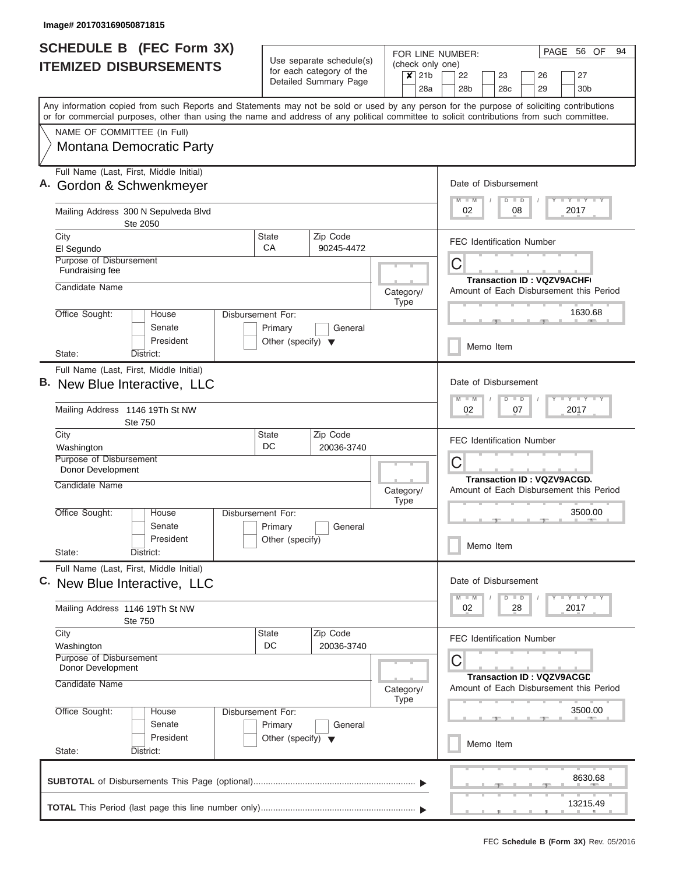| <b>SCHEDULE B</b> (FEC Form 3X)                                                                                                                                                                                                                                                         |                                                      |                        |                          |                  | PAGE 56 OF<br>94<br>FOR LINE NUMBER:                                                                                        |  |  |  |  |  |  |
|-----------------------------------------------------------------------------------------------------------------------------------------------------------------------------------------------------------------------------------------------------------------------------------------|------------------------------------------------------|------------------------|--------------------------|------------------|-----------------------------------------------------------------------------------------------------------------------------|--|--|--|--|--|--|
| <b>ITEMIZED DISBURSEMENTS</b>                                                                                                                                                                                                                                                           | Use separate schedule(s)<br>for each category of the |                        |                          | (check only one) |                                                                                                                             |  |  |  |  |  |  |
|                                                                                                                                                                                                                                                                                         |                                                      | Detailed Summary Page  |                          | $x$ 21b<br>28a   | 22<br>27<br>23<br>26<br>28 <sub>b</sub><br>28c<br>29<br>30b                                                                 |  |  |  |  |  |  |
| Any information copied from such Reports and Statements may not be sold or used by any person for the purpose of soliciting contributions<br>or for commercial purposes, other than using the name and address of any political committee to solicit contributions from such committee. |                                                      |                        |                          |                  |                                                                                                                             |  |  |  |  |  |  |
| NAME OF COMMITTEE (In Full)                                                                                                                                                                                                                                                             |                                                      |                        |                          |                  |                                                                                                                             |  |  |  |  |  |  |
| Montana Democratic Party                                                                                                                                                                                                                                                                |                                                      |                        |                          |                  |                                                                                                                             |  |  |  |  |  |  |
| Full Name (Last, First, Middle Initial)<br>A. Gordon & Schwenkmeyer                                                                                                                                                                                                                     |                                                      |                        |                          |                  | Date of Disbursement<br>Y LY LY LY                                                                                          |  |  |  |  |  |  |
| Mailing Address 300 N Sepulveda Blvd<br>Ste 2050                                                                                                                                                                                                                                        |                                                      |                        |                          |                  | $M - M$<br>$D$ $D$<br>2017<br>02<br>08                                                                                      |  |  |  |  |  |  |
| City                                                                                                                                                                                                                                                                                    | State<br>CA                                          | Zip Code               |                          |                  | <b>FEC Identification Number</b>                                                                                            |  |  |  |  |  |  |
| El Segundo<br>Purpose of Disbursement                                                                                                                                                                                                                                                   |                                                      | 90245-4472             |                          |                  | C                                                                                                                           |  |  |  |  |  |  |
| Fundraising fee                                                                                                                                                                                                                                                                         |                                                      |                        |                          |                  | Transaction ID: VQZV9ACHF                                                                                                   |  |  |  |  |  |  |
| Candidate Name                                                                                                                                                                                                                                                                          |                                                      |                        | Category/<br>Type        |                  | Amount of Each Disbursement this Period                                                                                     |  |  |  |  |  |  |
| Office Sought:<br>House<br>Senate                                                                                                                                                                                                                                                       | Disbursement For:<br>Primary                         | General                |                          |                  | 1630.68                                                                                                                     |  |  |  |  |  |  |
| President                                                                                                                                                                                                                                                                               | Other (specify) $\blacktriangledown$                 |                        |                          |                  | Memo Item                                                                                                                   |  |  |  |  |  |  |
| State:<br>District:<br>Full Name (Last, First, Middle Initial)                                                                                                                                                                                                                          |                                                      |                        |                          |                  |                                                                                                                             |  |  |  |  |  |  |
| B. New Blue Interactive, LLC                                                                                                                                                                                                                                                            |                                                      |                        |                          |                  | Date of Disbursement<br>$\mathbf{I} = \mathbf{Y} - \mathbf{I} - \mathbf{Y} - \mathbf{I} - \mathbf{Y}$<br>$M - M$<br>$D$ $D$ |  |  |  |  |  |  |
| Mailing Address 1146 19Th St NW<br>Ste 750                                                                                                                                                                                                                                              |                                                      |                        |                          |                  | 02<br>07<br>2017                                                                                                            |  |  |  |  |  |  |
| City<br>Washington                                                                                                                                                                                                                                                                      | State<br>DC                                          | Zip Code<br>20036-3740 |                          |                  | <b>FEC Identification Number</b>                                                                                            |  |  |  |  |  |  |
| Purpose of Disbursement<br>Donor Development                                                                                                                                                                                                                                            |                                                      |                        |                          |                  | C                                                                                                                           |  |  |  |  |  |  |
| Candidate Name                                                                                                                                                                                                                                                                          |                                                      |                        | Category/<br><b>Type</b> |                  | <b>Transaction ID: VQZV9ACGD,</b><br>Amount of Each Disbursement this Period                                                |  |  |  |  |  |  |
| Office Sought:<br>House                                                                                                                                                                                                                                                                 | Disbursement For:                                    |                        |                          |                  | 3500.00                                                                                                                     |  |  |  |  |  |  |
| Senate<br>President                                                                                                                                                                                                                                                                     | Primary<br>Other (specify)                           | General                |                          |                  | Memo Item                                                                                                                   |  |  |  |  |  |  |
| State:<br>District:                                                                                                                                                                                                                                                                     |                                                      |                        |                          |                  |                                                                                                                             |  |  |  |  |  |  |
| Full Name (Last, First, Middle Initial)<br>C. New Blue Interactive, LLC                                                                                                                                                                                                                 |                                                      |                        |                          |                  | Date of Disbursement                                                                                                        |  |  |  |  |  |  |
| Mailing Address 1146 19Th St NW<br>Ste 750                                                                                                                                                                                                                                              |                                                      |                        |                          |                  | $\mathbf{I}$ $\mathbf{Y}$ $\mathbf{I}$ $\mathbf{Y}$ $\mathbf{I}$ $\mathbf{Y}$<br>$M$ $M$<br>$D$ $D$<br>02<br>28<br>2017     |  |  |  |  |  |  |
| City                                                                                                                                                                                                                                                                                    | State<br>DC                                          | Zip Code<br>20036-3740 |                          |                  | <b>FEC Identification Number</b>                                                                                            |  |  |  |  |  |  |
| Washington<br>Purpose of Disbursement<br>Donor Development                                                                                                                                                                                                                              |                                                      |                        |                          |                  | С                                                                                                                           |  |  |  |  |  |  |
| Candidate Name                                                                                                                                                                                                                                                                          |                                                      |                        | Category/<br><b>Type</b> |                  | <b>Transaction ID: VQZV9ACGD</b><br>Amount of Each Disbursement this Period                                                 |  |  |  |  |  |  |
| Office Sought:<br>House<br>Senate                                                                                                                                                                                                                                                       | Disbursement For:                                    |                        |                          |                  | 3500.00                                                                                                                     |  |  |  |  |  |  |
| President<br>State:<br>District:                                                                                                                                                                                                                                                        | Primary<br>Other (specify) $\blacktriangledown$      | General                |                          |                  | Memo Item                                                                                                                   |  |  |  |  |  |  |
|                                                                                                                                                                                                                                                                                         |                                                      |                        |                          |                  | 8630.68                                                                                                                     |  |  |  |  |  |  |
|                                                                                                                                                                                                                                                                                         |                                                      |                        |                          |                  | 13215.49                                                                                                                    |  |  |  |  |  |  |
|                                                                                                                                                                                                                                                                                         |                                                      |                        |                          |                  |                                                                                                                             |  |  |  |  |  |  |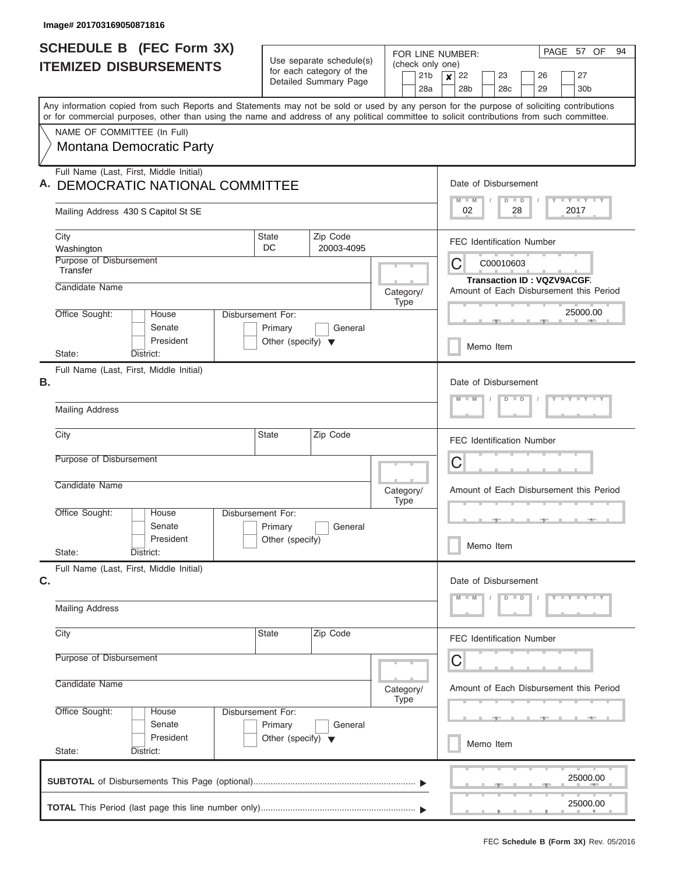I

| <b>SCHEDULE B (FEC Form 3X)</b>                                                                                                                                                                                                                                                         |                                                                             |                                                                               | FOR LINE NUMBER:                           | PAGE 57 OF<br>94                                                                                    |
|-----------------------------------------------------------------------------------------------------------------------------------------------------------------------------------------------------------------------------------------------------------------------------------------|-----------------------------------------------------------------------------|-------------------------------------------------------------------------------|--------------------------------------------|-----------------------------------------------------------------------------------------------------|
| <b>ITEMIZED DISBURSEMENTS</b>                                                                                                                                                                                                                                                           |                                                                             | Use separate schedule(s)<br>for each category of the<br>Detailed Summary Page | (check only one)<br>21 <sub>b</sub><br>28a | $\mathbf{x}$<br>22<br>23<br>26<br>27<br>28 <sub>b</sub><br>28 <sub>c</sub><br>29<br>30 <sub>b</sub> |
| Any information copied from such Reports and Statements may not be sold or used by any person for the purpose of soliciting contributions<br>or for commercial purposes, other than using the name and address of any political committee to solicit contributions from such committee. |                                                                             |                                                                               |                                            |                                                                                                     |
| NAME OF COMMITTEE (In Full)                                                                                                                                                                                                                                                             |                                                                             |                                                                               |                                            |                                                                                                     |
| <b>Montana Democratic Party</b>                                                                                                                                                                                                                                                         |                                                                             |                                                                               |                                            |                                                                                                     |
| Full Name (Last, First, Middle Initial)<br>A. DEMOCRATIC NATIONAL COMMITTEE                                                                                                                                                                                                             |                                                                             |                                                                               |                                            | Date of Disbursement<br>Y LY LY LY<br>$M - M$<br>$D$ $D$                                            |
| Mailing Address 430 S Capitol St SE                                                                                                                                                                                                                                                     |                                                                             |                                                                               |                                            | 02<br>28<br>2017                                                                                    |
| City<br>Washington                                                                                                                                                                                                                                                                      | <b>State</b><br>DC                                                          | Zip Code<br>20003-4095                                                        |                                            | <b>FEC Identification Number</b>                                                                    |
| Purpose of Disbursement<br>Transfer                                                                                                                                                                                                                                                     |                                                                             |                                                                               |                                            | C<br>C00010603                                                                                      |
| Candidate Name                                                                                                                                                                                                                                                                          |                                                                             |                                                                               | Category/<br><b>Type</b>                   | <b>Transaction ID: VQZV9ACGF.</b><br>Amount of Each Disbursement this Period                        |
| Office Sought:<br>House<br>Senate<br>President                                                                                                                                                                                                                                          | <b>Disbursement For:</b><br>Primary<br>Other (specify) $\blacktriangledown$ | General                                                                       |                                            | 25000.00<br>Memo Item                                                                               |
| State:<br>District:                                                                                                                                                                                                                                                                     |                                                                             |                                                                               |                                            |                                                                                                     |
| Full Name (Last, First, Middle Initial)<br>В.                                                                                                                                                                                                                                           |                                                                             |                                                                               |                                            | Date of Disbursement<br>$Y = Y = Y' + Y'$<br>$D$ $D$                                                |
| <b>Mailing Address</b>                                                                                                                                                                                                                                                                  |                                                                             |                                                                               |                                            |                                                                                                     |
| City                                                                                                                                                                                                                                                                                    | <b>State</b>                                                                | Zip Code                                                                      |                                            | FEC Identification Number                                                                           |
| Purpose of Disbursement                                                                                                                                                                                                                                                                 |                                                                             |                                                                               |                                            | С                                                                                                   |
| Candidate Name                                                                                                                                                                                                                                                                          |                                                                             |                                                                               | Category/<br><b>Type</b>                   | Amount of Each Disbursement this Period                                                             |
| Office Sought:<br>House<br>Senate<br>President                                                                                                                                                                                                                                          | Disbursement For:<br>Primary                                                | General                                                                       |                                            |                                                                                                     |
| State:<br>District:                                                                                                                                                                                                                                                                     | Other (specify)                                                             |                                                                               |                                            | Memo Item                                                                                           |
| Full Name (Last, First, Middle Initial)<br>C.                                                                                                                                                                                                                                           |                                                                             |                                                                               |                                            | Date of Disbursement                                                                                |
| <b>Mailing Address</b>                                                                                                                                                                                                                                                                  |                                                                             |                                                                               |                                            | $Y$ $Y$ $Y$ $Y$ $Y$<br>$M - M$<br>$D$ $D$                                                           |
| City                                                                                                                                                                                                                                                                                    | State                                                                       | Zip Code                                                                      |                                            | <b>FEC Identification Number</b>                                                                    |
| Purpose of Disbursement                                                                                                                                                                                                                                                                 |                                                                             |                                                                               |                                            | С                                                                                                   |
| Candidate Name                                                                                                                                                                                                                                                                          |                                                                             |                                                                               | Category/<br><b>Type</b>                   | Amount of Each Disbursement this Period                                                             |
| Office Sought:<br>House<br>Senate                                                                                                                                                                                                                                                       | Disbursement For:<br>Primary                                                | General                                                                       |                                            |                                                                                                     |
| President<br>State:<br>District:                                                                                                                                                                                                                                                        | Other (specify) $\blacktriangledown$                                        |                                                                               |                                            | Memo Item                                                                                           |
|                                                                                                                                                                                                                                                                                         |                                                                             |                                                                               |                                            | 25000.00                                                                                            |
|                                                                                                                                                                                                                                                                                         |                                                                             |                                                                               |                                            | 25000.00                                                                                            |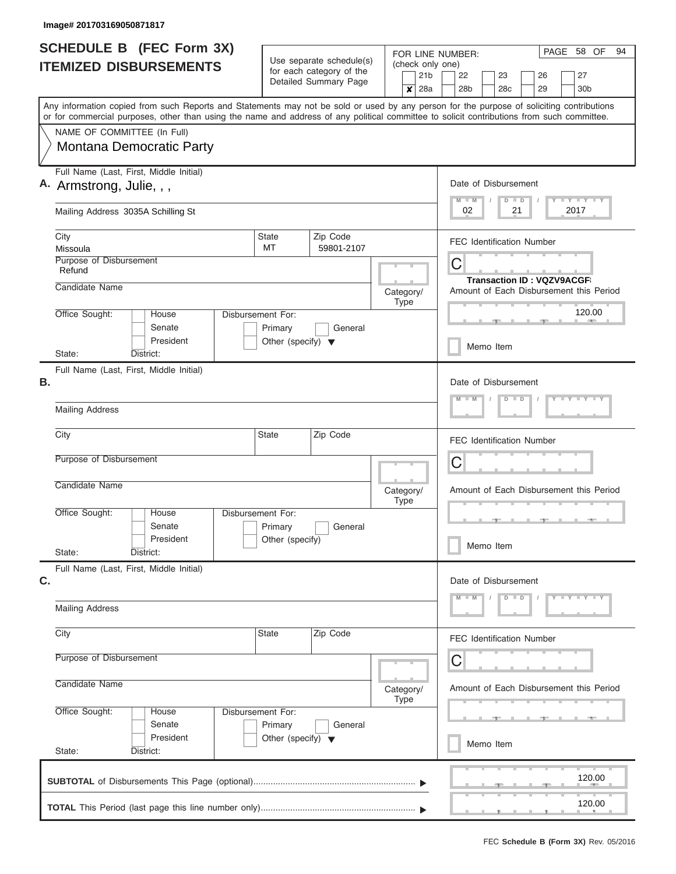| <b>SCHEDULE B</b> (FEC Form 3X)                                                                                                                                                                                                                                                         |                                      |                                                      |                          |                                     | PAGE 58 OF<br>94<br>FOR LINE NUMBER:                                         |  |  |  |  |  |  |
|-----------------------------------------------------------------------------------------------------------------------------------------------------------------------------------------------------------------------------------------------------------------------------------------|--------------------------------------|------------------------------------------------------|--------------------------|-------------------------------------|------------------------------------------------------------------------------|--|--|--|--|--|--|
| <b>ITEMIZED DISBURSEMENTS</b>                                                                                                                                                                                                                                                           |                                      | Use separate schedule(s)<br>for each category of the |                          | (check only one)<br>21 <sub>b</sub> | 22<br>23                                                                     |  |  |  |  |  |  |
|                                                                                                                                                                                                                                                                                         |                                      | Detailed Summary Page                                | $\boldsymbol{x}$         | 28a                                 | 27<br>26<br>28 <sub>b</sub><br>28c<br>29<br>30 <sub>b</sub>                  |  |  |  |  |  |  |
| Any information copied from such Reports and Statements may not be sold or used by any person for the purpose of soliciting contributions<br>or for commercial purposes, other than using the name and address of any political committee to solicit contributions from such committee. |                                      |                                                      |                          |                                     |                                                                              |  |  |  |  |  |  |
| NAME OF COMMITTEE (In Full)                                                                                                                                                                                                                                                             |                                      |                                                      |                          |                                     |                                                                              |  |  |  |  |  |  |
| Montana Democratic Party                                                                                                                                                                                                                                                                |                                      |                                                      |                          |                                     |                                                                              |  |  |  |  |  |  |
| Full Name (Last, First, Middle Initial)<br>A. Armstrong, Julie, , ,                                                                                                                                                                                                                     |                                      |                                                      |                          |                                     | Date of Disbursement<br>Y FY FY FY<br>$M - M$<br>$D$ $D$<br>2017<br>02<br>21 |  |  |  |  |  |  |
| Mailing Address 3035A Schilling St                                                                                                                                                                                                                                                      |                                      |                                                      |                          |                                     |                                                                              |  |  |  |  |  |  |
| City                                                                                                                                                                                                                                                                                    | State                                | Zip Code                                             |                          |                                     | <b>FEC Identification Number</b>                                             |  |  |  |  |  |  |
| Missoula<br>Purpose of Disbursement                                                                                                                                                                                                                                                     | MT                                   | 59801-2107                                           |                          |                                     | C                                                                            |  |  |  |  |  |  |
| Refund                                                                                                                                                                                                                                                                                  |                                      |                                                      |                          |                                     |                                                                              |  |  |  |  |  |  |
| Candidate Name                                                                                                                                                                                                                                                                          |                                      |                                                      | Category/<br><b>Type</b> |                                     | <b>Transaction ID: VQZV9ACGF</b><br>Amount of Each Disbursement this Period  |  |  |  |  |  |  |
| Office Sought:<br>House<br>Senate<br>President                                                                                                                                                                                                                                          | Disbursement For:<br>Primary         | General                                              |                          |                                     | 120.00<br><b>STATE</b>                                                       |  |  |  |  |  |  |
| State:<br>District:                                                                                                                                                                                                                                                                     | Other (specify) $\blacktriangledown$ |                                                      |                          |                                     | Memo Item                                                                    |  |  |  |  |  |  |
| Full Name (Last, First, Middle Initial)<br>В.                                                                                                                                                                                                                                           |                                      |                                                      |                          |                                     | Date of Disbursement                                                         |  |  |  |  |  |  |
|                                                                                                                                                                                                                                                                                         |                                      |                                                      |                          |                                     | $Y - Y - Y - Y - I - Y$<br>$M - M$<br>$D$ $D$                                |  |  |  |  |  |  |
| <b>Mailing Address</b>                                                                                                                                                                                                                                                                  |                                      |                                                      |                          |                                     |                                                                              |  |  |  |  |  |  |
| City                                                                                                                                                                                                                                                                                    | State                                | Zip Code                                             |                          |                                     | <b>FEC Identification Number</b>                                             |  |  |  |  |  |  |
| Purpose of Disbursement                                                                                                                                                                                                                                                                 |                                      |                                                      |                          |                                     | C                                                                            |  |  |  |  |  |  |
| Candidate Name                                                                                                                                                                                                                                                                          |                                      |                                                      | Category/<br><b>Type</b> |                                     | Amount of Each Disbursement this Period                                      |  |  |  |  |  |  |
| Office Sought:<br>House<br>Senate                                                                                                                                                                                                                                                       | Disbursement For:<br>Primary         | General                                              |                          |                                     |                                                                              |  |  |  |  |  |  |
| President<br>State:<br>District:                                                                                                                                                                                                                                                        | Other (specify)                      |                                                      |                          |                                     | Memo Item                                                                    |  |  |  |  |  |  |
| Full Name (Last, First, Middle Initial)                                                                                                                                                                                                                                                 |                                      |                                                      |                          |                                     |                                                                              |  |  |  |  |  |  |
| C.                                                                                                                                                                                                                                                                                      |                                      |                                                      |                          |                                     | Date of Disbursement                                                         |  |  |  |  |  |  |
| <b>Mailing Address</b>                                                                                                                                                                                                                                                                  |                                      |                                                      |                          |                                     | $M - M$<br>$D$ $D$<br>$Y$ $Y$ $Y$ $Y$ $Y$                                    |  |  |  |  |  |  |
| City                                                                                                                                                                                                                                                                                    | State                                | Zip Code                                             |                          |                                     | <b>FEC Identification Number</b>                                             |  |  |  |  |  |  |
| Purpose of Disbursement                                                                                                                                                                                                                                                                 |                                      |                                                      |                          |                                     | C                                                                            |  |  |  |  |  |  |
| Candidate Name                                                                                                                                                                                                                                                                          |                                      |                                                      | Category/<br><b>Type</b> |                                     | Amount of Each Disbursement this Period                                      |  |  |  |  |  |  |
| Office Sought:<br>House<br>Senate                                                                                                                                                                                                                                                       | Disbursement For:<br>Primary         | General                                              |                          |                                     |                                                                              |  |  |  |  |  |  |
| President<br>State:<br>District:                                                                                                                                                                                                                                                        | Other (specify) $\blacktriangledown$ |                                                      |                          |                                     | Memo Item                                                                    |  |  |  |  |  |  |
|                                                                                                                                                                                                                                                                                         |                                      |                                                      |                          |                                     | 120.00                                                                       |  |  |  |  |  |  |
|                                                                                                                                                                                                                                                                                         |                                      |                                                      |                          |                                     | 120.00                                                                       |  |  |  |  |  |  |
|                                                                                                                                                                                                                                                                                         |                                      |                                                      |                          |                                     |                                                                              |  |  |  |  |  |  |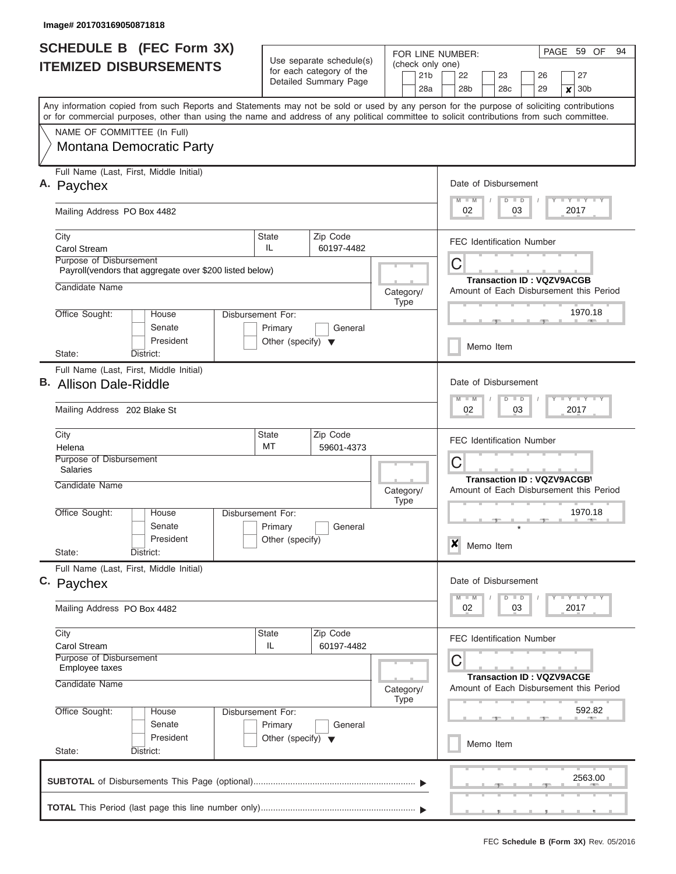| <b>SCHEDULE B</b> (FEC Form 3X)                                                                                                            |                                                 |                                                      | FOR LINE NUMBER:                    | PAGE 59 OF<br>94                                                             |  |  |  |
|--------------------------------------------------------------------------------------------------------------------------------------------|-------------------------------------------------|------------------------------------------------------|-------------------------------------|------------------------------------------------------------------------------|--|--|--|
| <b>ITEMIZED DISBURSEMENTS</b>                                                                                                              |                                                 | Use separate schedule(s)<br>for each category of the | (check only one)<br>21 <sub>b</sub> |                                                                              |  |  |  |
|                                                                                                                                            |                                                 | Detailed Summary Page                                |                                     | 22<br>27<br>23<br>26<br>28 <sub>b</sub><br>28c<br>29<br>30 <sub>b</sub><br>× |  |  |  |
| Any information copied from such Reports and Statements may not be sold or used by any person for the purpose of soliciting contributions  |                                                 |                                                      | 28a                                 |                                                                              |  |  |  |
| or for commercial purposes, other than using the name and address of any political committee to solicit contributions from such committee. |                                                 |                                                      |                                     |                                                                              |  |  |  |
| NAME OF COMMITTEE (In Full)                                                                                                                |                                                 |                                                      |                                     |                                                                              |  |  |  |
| Montana Democratic Party                                                                                                                   |                                                 |                                                      |                                     |                                                                              |  |  |  |
| Full Name (Last, First, Middle Initial)                                                                                                    |                                                 |                                                      |                                     | Date of Disbursement                                                         |  |  |  |
| A. Paychex                                                                                                                                 |                                                 |                                                      |                                     | Y L Y L Y L Y<br>$D$ $D$<br>$M$ $M$                                          |  |  |  |
| Mailing Address PO Box 4482                                                                                                                |                                                 |                                                      |                                     | 2017<br>02<br>03                                                             |  |  |  |
| City<br><b>Carol Stream</b>                                                                                                                | State<br>IL                                     | Zip Code<br>60197-4482                               |                                     | <b>FEC Identification Number</b>                                             |  |  |  |
| Purpose of Disbursement                                                                                                                    |                                                 |                                                      |                                     | C                                                                            |  |  |  |
| Payroll(vendors that aggregate over \$200 listed below)<br>Candidate Name                                                                  |                                                 |                                                      |                                     | <b>Transaction ID: VQZV9ACGB</b>                                             |  |  |  |
|                                                                                                                                            |                                                 |                                                      | Category/<br><b>Type</b>            | Amount of Each Disbursement this Period                                      |  |  |  |
| Office Sought:<br>House                                                                                                                    | Disbursement For:                               |                                                      |                                     | 1970.18                                                                      |  |  |  |
| Senate<br>President                                                                                                                        | Primary<br>Other (specify) $\blacktriangledown$ | General                                              |                                     |                                                                              |  |  |  |
| State:<br>District:                                                                                                                        |                                                 |                                                      |                                     | Memo Item                                                                    |  |  |  |
| Full Name (Last, First, Middle Initial)                                                                                                    |                                                 |                                                      |                                     |                                                                              |  |  |  |
| <b>B.</b> Allison Dale-Riddle                                                                                                              |                                                 |                                                      |                                     | Date of Disbursement                                                         |  |  |  |
| Mailing Address 202 Blake St                                                                                                               |                                                 |                                                      |                                     | Y FY FY FY<br>$M - M$<br>$D$ $D$<br>02<br>03<br>2017                         |  |  |  |
|                                                                                                                                            |                                                 |                                                      |                                     |                                                                              |  |  |  |
| City<br>Helena                                                                                                                             | State<br>МT                                     | Zip Code<br>59601-4373                               |                                     | <b>FEC Identification Number</b>                                             |  |  |  |
| Purpose of Disbursement                                                                                                                    |                                                 |                                                      |                                     | C                                                                            |  |  |  |
| <b>Salaries</b><br>Candidate Name                                                                                                          |                                                 |                                                      |                                     | <b>Transaction ID: VQZV9ACGB</b>                                             |  |  |  |
|                                                                                                                                            |                                                 |                                                      | Category/<br><b>Type</b>            | Amount of Each Disbursement this Period                                      |  |  |  |
| Office Sought:<br>House                                                                                                                    | Disbursement For:                               |                                                      |                                     | 1970.18                                                                      |  |  |  |
| Senate<br>President                                                                                                                        | Primary                                         | General                                              |                                     |                                                                              |  |  |  |
| State:<br>District:                                                                                                                        | Other (specify)                                 |                                                      |                                     | ×<br>Memo Item                                                               |  |  |  |
| Full Name (Last, First, Middle Initial)                                                                                                    |                                                 |                                                      |                                     |                                                                              |  |  |  |
| C. Paychex                                                                                                                                 |                                                 |                                                      |                                     | Date of Disbursement                                                         |  |  |  |
| Mailing Address PO Box 4482                                                                                                                |                                                 |                                                      |                                     | $Y$ $Y$ $Y$ $Y$ $Y$<br>$M$ $M$<br>$D$ $D$<br>2017<br>02<br>03                |  |  |  |
| City                                                                                                                                       | State                                           | Zip Code                                             |                                     | <b>FEC Identification Number</b>                                             |  |  |  |
| Carol Stream<br>Purpose of Disbursement                                                                                                    | IL.                                             | 60197-4482                                           |                                     | C                                                                            |  |  |  |
| Employee taxes                                                                                                                             |                                                 |                                                      |                                     | <b>Transaction ID: VQZV9ACGE</b>                                             |  |  |  |
| Candidate Name                                                                                                                             | Category/                                       | Amount of Each Disbursement this Period              |                                     |                                                                              |  |  |  |
| Office Sought:<br>House                                                                                                                    | Disbursement For:                               |                                                      | <b>Type</b>                         | 592.82                                                                       |  |  |  |
| Senate                                                                                                                                     | Primary                                         | General                                              |                                     |                                                                              |  |  |  |
| President                                                                                                                                  | Other (specify) $\blacktriangledown$            |                                                      |                                     | Memo Item                                                                    |  |  |  |
| State:<br>District:                                                                                                                        |                                                 |                                                      |                                     |                                                                              |  |  |  |
|                                                                                                                                            |                                                 |                                                      |                                     | 2563.00                                                                      |  |  |  |
|                                                                                                                                            |                                                 |                                                      |                                     |                                                                              |  |  |  |
|                                                                                                                                            |                                                 |                                                      |                                     |                                                                              |  |  |  |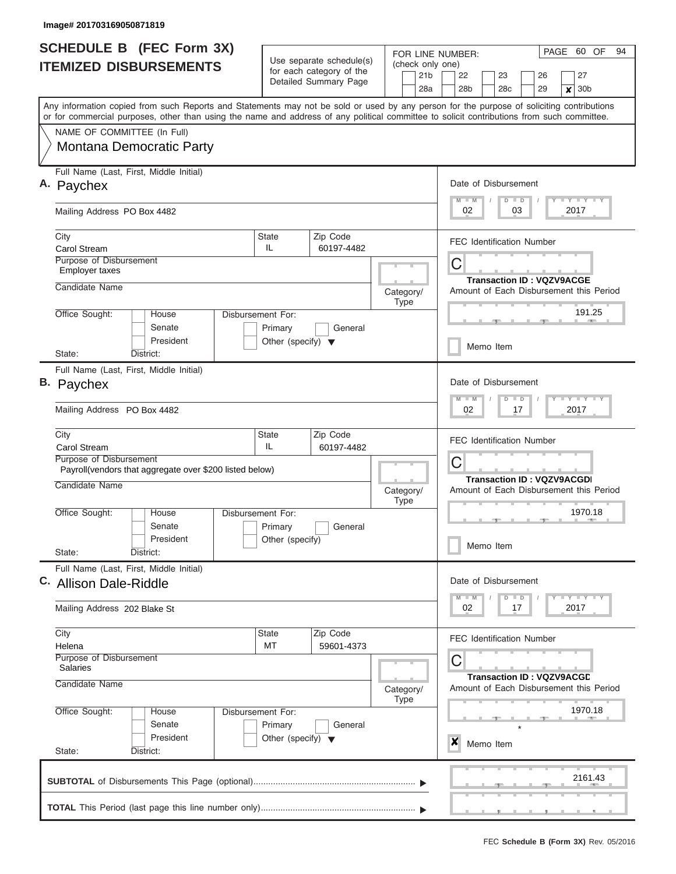| <b>SCHEDULE B</b> (FEC Form 3X)                                                                                                            |                                                            |                                                      |  |                          | PAGE 60 OF<br>94<br>FOR LINE NUMBER:                                                                                  |
|--------------------------------------------------------------------------------------------------------------------------------------------|------------------------------------------------------------|------------------------------------------------------|--|--------------------------|-----------------------------------------------------------------------------------------------------------------------|
| <b>ITEMIZED DISBURSEMENTS</b>                                                                                                              |                                                            | Use separate schedule(s)<br>for each category of the |  |                          | (check only one)                                                                                                      |
|                                                                                                                                            |                                                            | Detailed Summary Page                                |  |                          | 21 <sub>b</sub><br>22<br>23<br>26<br>27<br>28a<br>28 <sub>b</sub><br>28c<br>29<br>30 <sub>b</sub>                     |
| Any information copied from such Reports and Statements may not be sold or used by any person for the purpose of soliciting contributions  |                                                            |                                                      |  |                          | ×                                                                                                                     |
| or for commercial purposes, other than using the name and address of any political committee to solicit contributions from such committee. |                                                            |                                                      |  |                          |                                                                                                                       |
| NAME OF COMMITTEE (In Full)                                                                                                                |                                                            |                                                      |  |                          |                                                                                                                       |
| Montana Democratic Party                                                                                                                   |                                                            |                                                      |  |                          |                                                                                                                       |
| Full Name (Last, First, Middle Initial)<br>A. Paychex                                                                                      |                                                            |                                                      |  |                          | Date of Disbursement                                                                                                  |
|                                                                                                                                            |                                                            |                                                      |  |                          | Y LY LY LY<br>$M$ $M$<br>$D$ $D$                                                                                      |
| Mailing Address PO Box 4482                                                                                                                |                                                            |                                                      |  |                          | 2017<br>02<br>03                                                                                                      |
| City<br><b>Carol Stream</b>                                                                                                                | State<br>IL                                                | Zip Code<br>60197-4482                               |  |                          | <b>FEC Identification Number</b>                                                                                      |
| Purpose of Disbursement                                                                                                                    |                                                            |                                                      |  |                          | C                                                                                                                     |
| <b>Employer taxes</b>                                                                                                                      |                                                            |                                                      |  |                          | <b>Transaction ID: VQZV9ACGE</b>                                                                                      |
| Candidate Name                                                                                                                             |                                                            |                                                      |  | Category/<br><b>Type</b> | Amount of Each Disbursement this Period                                                                               |
| Office Sought:<br>House                                                                                                                    | Disbursement For:                                          |                                                      |  |                          | 191.25                                                                                                                |
| Senate<br>President                                                                                                                        | Primary<br>Other (specify) $\blacktriangledown$            | General                                              |  |                          |                                                                                                                       |
| State:<br>District:                                                                                                                        |                                                            |                                                      |  |                          | Memo Item                                                                                                             |
| Full Name (Last, First, Middle Initial)                                                                                                    |                                                            |                                                      |  |                          |                                                                                                                       |
| B. Paychex                                                                                                                                 |                                                            |                                                      |  |                          | Date of Disbursement                                                                                                  |
| Mailing Address PO Box 4482                                                                                                                | $-1 - 1 - 1$<br>$M - M$<br>$\Box$<br>D<br>02<br>17<br>2017 |                                                      |  |                          |                                                                                                                       |
|                                                                                                                                            |                                                            |                                                      |  |                          |                                                                                                                       |
| City                                                                                                                                       | State                                                      | Zip Code                                             |  |                          | <b>FEC Identification Number</b>                                                                                      |
| Carol Stream<br>Purpose of Disbursement                                                                                                    | IL                                                         | 60197-4482                                           |  |                          | C                                                                                                                     |
| Payroll(vendors that aggregate over \$200 listed below)                                                                                    |                                                            |                                                      |  |                          | <b>Transaction ID: VQZV9ACGDI</b>                                                                                     |
| Candidate Name                                                                                                                             |                                                            |                                                      |  | Category/<br><b>Type</b> | Amount of Each Disbursement this Period                                                                               |
| Office Sought:<br>House                                                                                                                    | Disbursement For:                                          |                                                      |  |                          | 1970.18                                                                                                               |
| Senate                                                                                                                                     | Primary                                                    | General                                              |  |                          |                                                                                                                       |
| President<br>State:<br>District:                                                                                                           | Other (specify)                                            |                                                      |  |                          | Memo Item                                                                                                             |
| Full Name (Last, First, Middle Initial)                                                                                                    |                                                            |                                                      |  |                          |                                                                                                                       |
| C. Allison Dale-Riddle                                                                                                                     |                                                            |                                                      |  |                          | Date of Disbursement                                                                                                  |
| Mailing Address 202 Blake St                                                                                                               |                                                            |                                                      |  |                          | $\mathbb{L} \mathbb{Y}$ $\mathbb{L} \mathbb{Y}$ $\mathbb{L} \mathbb{Y}$<br>$M - M$<br>$\Box$<br>D<br>02<br>17<br>2017 |
| City                                                                                                                                       | State                                                      | Zip Code                                             |  |                          | <b>FEC Identification Number</b>                                                                                      |
| Helena<br>Purpose of Disbursement                                                                                                          | MT                                                         | 59601-4373                                           |  |                          | С                                                                                                                     |
| Salaries                                                                                                                                   |                                                            |                                                      |  |                          | <b>Transaction ID: VQZV9ACGD</b>                                                                                      |
| Candidate Name                                                                                                                             | Amount of Each Disbursement this Period<br>Category/       |                                                      |  |                          |                                                                                                                       |
| Office Sought:<br>House                                                                                                                    | Disbursement For:                                          |                                                      |  | <b>Type</b>              | 1970.18                                                                                                               |
| Senate                                                                                                                                     | Primary                                                    | General                                              |  |                          |                                                                                                                       |
| President<br>State:<br>District:                                                                                                           | Other (specify) $\blacktriangledown$                       |                                                      |  |                          | x<br>Memo Item                                                                                                        |
|                                                                                                                                            |                                                            |                                                      |  |                          |                                                                                                                       |
|                                                                                                                                            |                                                            |                                                      |  |                          | 2161.43                                                                                                               |
|                                                                                                                                            |                                                            |                                                      |  |                          |                                                                                                                       |
|                                                                                                                                            |                                                            |                                                      |  |                          |                                                                                                                       |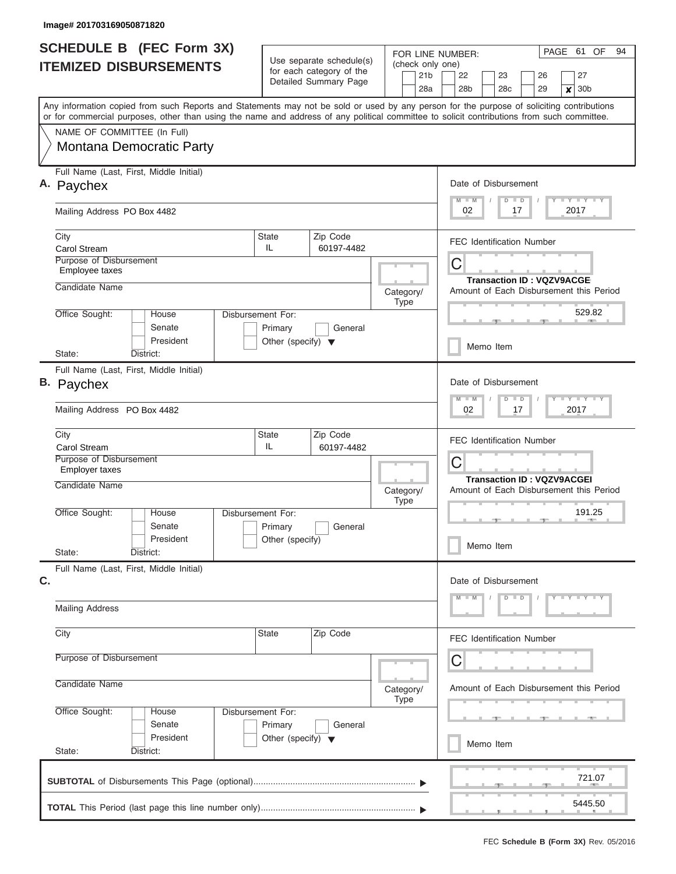|    | <b>SCHEDULE B</b> (FEC Form 3X)                                                                                                                                                                                                                                                         |                                      |                                                      | FOR LINE NUMBER:                    | PAGE<br>61 OF<br>94                                                          |  |  |
|----|-----------------------------------------------------------------------------------------------------------------------------------------------------------------------------------------------------------------------------------------------------------------------------------------|--------------------------------------|------------------------------------------------------|-------------------------------------|------------------------------------------------------------------------------|--|--|
|    | <b>ITEMIZED DISBURSEMENTS</b>                                                                                                                                                                                                                                                           |                                      | Use separate schedule(s)<br>for each category of the | (check only one)<br>21 <sub>b</sub> |                                                                              |  |  |
|    |                                                                                                                                                                                                                                                                                         |                                      | Detailed Summary Page                                |                                     | 22<br>23<br>27<br>26<br>28 <sub>b</sub><br>28c<br>29<br>30b<br>×             |  |  |
|    | Any information copied from such Reports and Statements may not be sold or used by any person for the purpose of soliciting contributions<br>or for commercial purposes, other than using the name and address of any political committee to solicit contributions from such committee. |                                      |                                                      | 28a                                 |                                                                              |  |  |
|    | NAME OF COMMITTEE (In Full)                                                                                                                                                                                                                                                             |                                      |                                                      |                                     |                                                                              |  |  |
|    | Montana Democratic Party                                                                                                                                                                                                                                                                |                                      |                                                      |                                     |                                                                              |  |  |
|    | Full Name (Last, First, Middle Initial)<br>A. Paychex                                                                                                                                                                                                                                   |                                      |                                                      |                                     | Date of Disbursement                                                         |  |  |
|    | Mailing Address PO Box 4482                                                                                                                                                                                                                                                             |                                      |                                                      |                                     | Y I Y I Y I Y<br>$M$ $M$<br>$D$ $D$<br>2017<br>02<br>17                      |  |  |
|    | City<br><b>Carol Stream</b>                                                                                                                                                                                                                                                             | State<br>IL                          | Zip Code<br>60197-4482                               |                                     | <b>FEC Identification Number</b>                                             |  |  |
|    | Purpose of Disbursement<br>Employee taxes                                                                                                                                                                                                                                               |                                      |                                                      |                                     | C                                                                            |  |  |
|    | Candidate Name                                                                                                                                                                                                                                                                          |                                      |                                                      | Category/<br><b>Type</b>            | <b>Transaction ID: VQZV9ACGE</b><br>Amount of Each Disbursement this Period  |  |  |
|    | Office Sought:<br>House<br>Senate                                                                                                                                                                                                                                                       | Disbursement For:<br>Primary         | General                                              |                                     | 529.82                                                                       |  |  |
|    | President<br>State:<br>District:                                                                                                                                                                                                                                                        | Other (specify) $\blacktriangledown$ |                                                      |                                     | Memo Item                                                                    |  |  |
|    | Full Name (Last, First, Middle Initial)                                                                                                                                                                                                                                                 |                                      |                                                      |                                     |                                                                              |  |  |
|    | B. Paychex                                                                                                                                                                                                                                                                              |                                      |                                                      |                                     | Date of Disbursement<br>Y FY FY FY<br>$M - M$<br>$D$ $D$                     |  |  |
|    | Mailing Address PO Box 4482                                                                                                                                                                                                                                                             |                                      | 02<br>2017<br>17                                     |                                     |                                                                              |  |  |
|    | City<br>Carol Stream                                                                                                                                                                                                                                                                    | State<br>IL                          | Zip Code<br>60197-4482                               |                                     | <b>FEC Identification Number</b>                                             |  |  |
|    | Purpose of Disbursement<br><b>Employer taxes</b>                                                                                                                                                                                                                                        |                                      |                                                      |                                     | C                                                                            |  |  |
|    | Candidate Name                                                                                                                                                                                                                                                                          |                                      |                                                      | Category/<br><b>Type</b>            | <b>Transaction ID: VQZV9ACGEI</b><br>Amount of Each Disbursement this Period |  |  |
|    | Office Sought:<br>House<br>Senate                                                                                                                                                                                                                                                       | Disbursement For:<br>Primary         | General                                              |                                     | 191.25<br><b>COLLECTION</b>                                                  |  |  |
|    | President<br>State:<br>District:                                                                                                                                                                                                                                                        | Other (specify)                      |                                                      |                                     | Memo Item                                                                    |  |  |
| C. | Full Name (Last, First, Middle Initial)                                                                                                                                                                                                                                                 |                                      |                                                      |                                     | Date of Disbursement                                                         |  |  |
|    | <b>Mailing Address</b>                                                                                                                                                                                                                                                                  |                                      |                                                      |                                     | $M$ $M$<br>$D$ $D$<br>$Y$ $Y$ $Y$ $Y$ $Y$                                    |  |  |
|    |                                                                                                                                                                                                                                                                                         |                                      |                                                      |                                     |                                                                              |  |  |
|    | City                                                                                                                                                                                                                                                                                    | State                                | Zip Code                                             |                                     | <b>FEC Identification Number</b>                                             |  |  |
|    | Purpose of Disbursement                                                                                                                                                                                                                                                                 |                                      |                                                      |                                     | C                                                                            |  |  |
|    | Candidate Name                                                                                                                                                                                                                                                                          |                                      |                                                      | Category/<br><b>Type</b>            | Amount of Each Disbursement this Period                                      |  |  |
|    | Office Sought:<br>House<br>Senate                                                                                                                                                                                                                                                       | Disbursement For:<br>Primary         | General                                              |                                     |                                                                              |  |  |
|    | President<br>State:<br>District:                                                                                                                                                                                                                                                        | Other (specify) $\blacktriangledown$ |                                                      |                                     | Memo Item                                                                    |  |  |
|    |                                                                                                                                                                                                                                                                                         |                                      |                                                      |                                     | 721.07                                                                       |  |  |
|    |                                                                                                                                                                                                                                                                                         |                                      |                                                      |                                     | 5445.50                                                                      |  |  |
|    |                                                                                                                                                                                                                                                                                         |                                      |                                                      |                                     |                                                                              |  |  |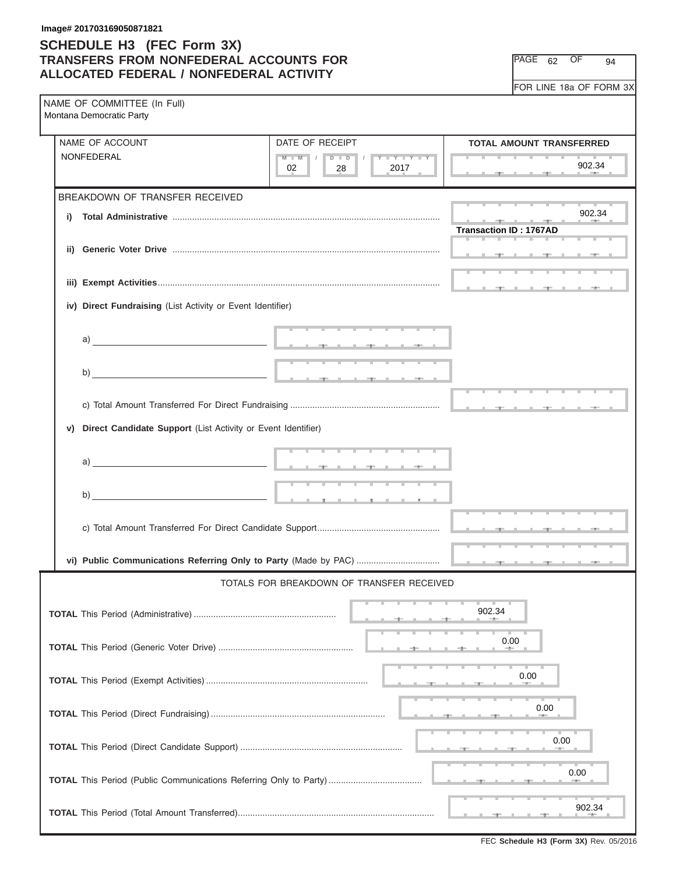#### **SCHEDULE H3 (FEC Form 3X) TRANSFERS FROM NONFEDERAL ACCOUNTS FOR ALLOCATED FEDERAL / NONFEDERAL ACTIVITY**

FOR LINE 18a OF FORM 3X

| NAME OF COMMITTEE (In Full)<br>Montana Democratic Party                                                                                                                                                                                                                                                                                                                                                            |                                                           |                                                         |
|--------------------------------------------------------------------------------------------------------------------------------------------------------------------------------------------------------------------------------------------------------------------------------------------------------------------------------------------------------------------------------------------------------------------|-----------------------------------------------------------|---------------------------------------------------------|
| NAME OF ACCOUNT                                                                                                                                                                                                                                                                                                                                                                                                    | DATE OF RECEIPT                                           | <b>TOTAL AMOUNT TRANSFERRED</b>                         |
| NONFEDERAL                                                                                                                                                                                                                                                                                                                                                                                                         | $M$ $M$ $I$<br>$D$ $D$<br>Y X Y X Y X<br>02<br>28<br>2017 | 902.34                                                  |
| BREAKDOWN OF TRANSFER RECEIVED                                                                                                                                                                                                                                                                                                                                                                                     |                                                           |                                                         |
| i)                                                                                                                                                                                                                                                                                                                                                                                                                 |                                                           | 902.34<br><u>.</u>                                      |
|                                                                                                                                                                                                                                                                                                                                                                                                                    |                                                           | <b>Transaction ID: 1767AD</b>                           |
|                                                                                                                                                                                                                                                                                                                                                                                                                    |                                                           |                                                         |
|                                                                                                                                                                                                                                                                                                                                                                                                                    |                                                           |                                                         |
|                                                                                                                                                                                                                                                                                                                                                                                                                    |                                                           | the state of the state of the state of the state of the |
| iv) Direct Fundraising (List Activity or Event Identifier)                                                                                                                                                                                                                                                                                                                                                         |                                                           |                                                         |
|                                                                                                                                                                                                                                                                                                                                                                                                                    |                                                           |                                                         |
|                                                                                                                                                                                                                                                                                                                                                                                                                    |                                                           |                                                         |
|                                                                                                                                                                                                                                                                                                                                                                                                                    |                                                           |                                                         |
| b)                                                                                                                                                                                                                                                                                                                                                                                                                 |                                                           |                                                         |
|                                                                                                                                                                                                                                                                                                                                                                                                                    |                                                           |                                                         |
|                                                                                                                                                                                                                                                                                                                                                                                                                    |                                                           |                                                         |
| Direct Candidate Support (List Activity or Event Identifier)<br>V)                                                                                                                                                                                                                                                                                                                                                 |                                                           |                                                         |
|                                                                                                                                                                                                                                                                                                                                                                                                                    |                                                           |                                                         |
| a) and $\overline{\phantom{a}}$ and $\overline{\phantom{a}}$ and $\overline{\phantom{a}}$ and $\overline{\phantom{a}}$ and $\overline{\phantom{a}}$ and $\overline{\phantom{a}}$ and $\overline{\phantom{a}}$ and $\overline{\phantom{a}}$ and $\overline{\phantom{a}}$ and $\overline{\phantom{a}}$ and $\overline{\phantom{a}}$ and $\overline{\phantom{a}}$ and $\overline{\phantom{a}}$ and $\overline{\phant$ |                                                           |                                                         |
|                                                                                                                                                                                                                                                                                                                                                                                                                    |                                                           |                                                         |
| $\mathsf{b}$ )                                                                                                                                                                                                                                                                                                                                                                                                     |                                                           |                                                         |
|                                                                                                                                                                                                                                                                                                                                                                                                                    |                                                           |                                                         |
|                                                                                                                                                                                                                                                                                                                                                                                                                    |                                                           |                                                         |
|                                                                                                                                                                                                                                                                                                                                                                                                                    |                                                           |                                                         |
|                                                                                                                                                                                                                                                                                                                                                                                                                    | TOTALS FOR BREAKDOWN OF TRANSFER RECEIVED                 |                                                         |
|                                                                                                                                                                                                                                                                                                                                                                                                                    |                                                           | 902.34                                                  |
|                                                                                                                                                                                                                                                                                                                                                                                                                    |                                                           |                                                         |
|                                                                                                                                                                                                                                                                                                                                                                                                                    |                                                           | 0.00                                                    |
|                                                                                                                                                                                                                                                                                                                                                                                                                    |                                                           |                                                         |
|                                                                                                                                                                                                                                                                                                                                                                                                                    |                                                           | 0.00                                                    |
|                                                                                                                                                                                                                                                                                                                                                                                                                    |                                                           |                                                         |
|                                                                                                                                                                                                                                                                                                                                                                                                                    |                                                           | 0.00                                                    |
|                                                                                                                                                                                                                                                                                                                                                                                                                    |                                                           |                                                         |
|                                                                                                                                                                                                                                                                                                                                                                                                                    |                                                           | 0.00                                                    |
|                                                                                                                                                                                                                                                                                                                                                                                                                    |                                                           |                                                         |
|                                                                                                                                                                                                                                                                                                                                                                                                                    |                                                           | 0.00                                                    |
|                                                                                                                                                                                                                                                                                                                                                                                                                    |                                                           |                                                         |
|                                                                                                                                                                                                                                                                                                                                                                                                                    |                                                           | 902.34                                                  |

FEC **Schedule H3 (Form 3X)** Rev. 05/2016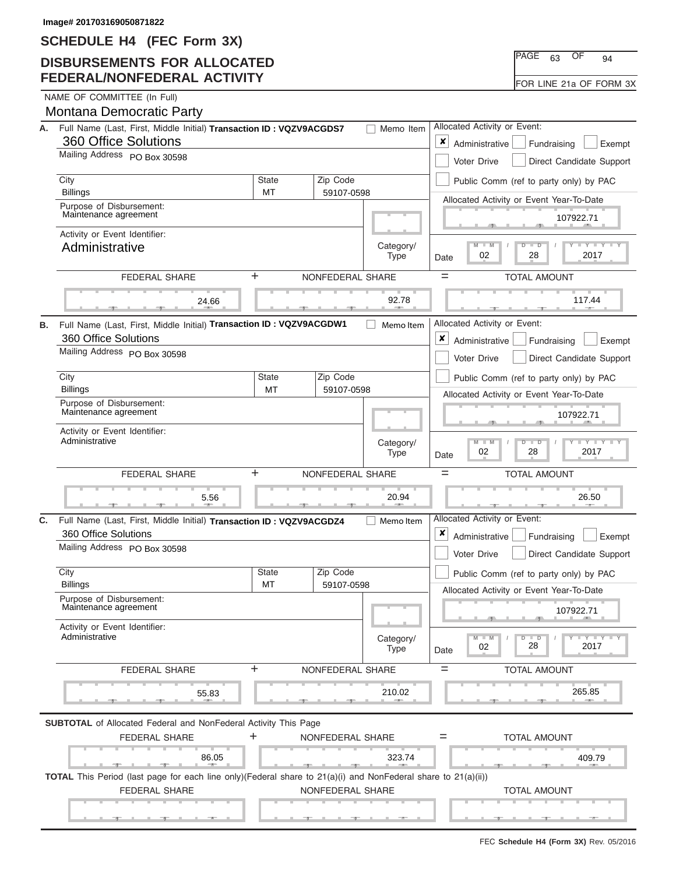# **DISBURSEMENTS FOR ALLOCATED FEDERAL/NONFEDERAL ACTIVITY**

| _________________ |  |  |  |  |  |  |  |
|-------------------|--|--|--|--|--|--|--|
|                   |  |  |  |  |  |  |  |
|                   |  |  |  |  |  |  |  |

| <b>IPAGE</b> | 63 |  | QΔ                      |  |
|--------------|----|--|-------------------------|--|
|              |    |  | FOR LINE 21a OF FORM 3X |  |

|  |  | NAME OF COMMITTEE (In Full) |  |  |
|--|--|-----------------------------|--|--|
|--|--|-----------------------------|--|--|

|    | Montana Democratic Party                                                                                      |                                        |                                                                                 |                                          |                                                                                                 |
|----|---------------------------------------------------------------------------------------------------------------|----------------------------------------|---------------------------------------------------------------------------------|------------------------------------------|-------------------------------------------------------------------------------------------------|
| А. | Full Name (Last, First, Middle Initial) Transaction ID: VQZV9ACGDS7<br>360 Office Solutions                   |                                        |                                                                                 | Memo Item                                | Allocated Activity or Event:<br>×<br>Administrative<br>Fundraising<br>Exempt                    |
|    | Mailing Address PO Box 30598                                                                                  |                                        |                                                                                 |                                          | Voter Drive<br>Direct Candidate Support                                                         |
|    | City                                                                                                          | Public Comm (ref to party only) by PAC |                                                                                 |                                          |                                                                                                 |
|    | <b>Billings</b>                                                                                               | 59107-0598                             |                                                                                 |                                          |                                                                                                 |
|    | Purpose of Disbursement:<br>Maintenance agreement                                                             |                                        | Allocated Activity or Event Year-To-Date<br>107922.71                           |                                          |                                                                                                 |
|    | Activity or Event Identifier:                                                                                 |                                        |                                                                                 |                                          |                                                                                                 |
|    | Administrative                                                                                                |                                        |                                                                                 | Category/<br><b>Type</b>                 | $M - M$<br>$D$ $\Box$ $D$<br>$\Box Y \Box Y$<br>2017<br>02<br>28<br>Date                        |
|    | <b>FEDERAL SHARE</b>                                                                                          | ÷.                                     | NONFEDERAL SHARE                                                                |                                          | <b>TOTAL AMOUNT</b><br>$=$                                                                      |
|    | 24.66                                                                                                         |                                        |                                                                                 | 92.78                                    | 117.44                                                                                          |
| В. | Full Name (Last, First, Middle Initial) Transaction ID: VQZV9ACGDW1                                           |                                        |                                                                                 | Memo Item                                | Allocated Activity or Event:                                                                    |
|    | 360 Office Solutions                                                                                          |                                        |                                                                                 |                                          | ×<br>Administrative<br>Fundraising<br>Exempt                                                    |
|    | Mailing Address PO Box 30598                                                                                  |                                        |                                                                                 |                                          | <b>Voter Drive</b><br>Direct Candidate Support                                                  |
|    | City                                                                                                          | <b>State</b>                           |                                                                                 | Public Comm (ref to party only) by PAC   |                                                                                                 |
|    | <b>Billings</b><br>Purpose of Disbursement:                                                                   | МT                                     | 59107-0598                                                                      | Allocated Activity or Event Year-To-Date |                                                                                                 |
|    | Maintenance agreement<br>Activity or Event Identifier:                                                        |                                        | 107922.71                                                                       |                                          |                                                                                                 |
|    | Administrative                                                                                                | Category/<br><b>Type</b>               | $M - M$<br>$L - Y = -Y$<br>$\overline{D}$<br>$\Box$<br>02<br>2017<br>28<br>Date |                                          |                                                                                                 |
|    | FEDERAL SHARE                                                                                                 | $=$<br><b>TOTAL AMOUNT</b>             |                                                                                 |                                          |                                                                                                 |
|    | 5.56                                                                                                          |                                        |                                                                                 | 20.94                                    | 26.50                                                                                           |
| C. | Full Name (Last, First, Middle Initial) Transaction ID: VQZV9ACGDZ4<br>360 Office Solutions                   |                                        |                                                                                 | Memo Item                                | Allocated Activity or Event:<br>×<br>Administrative<br>Fundraising<br>Exempt                    |
|    | Mailing Address PO Box 30598                                                                                  |                                        |                                                                                 |                                          | Voter Drive<br>Direct Candidate Support                                                         |
|    | City<br><b>Billings</b>                                                                                       | <b>State</b>                           | Zip Code                                                                        |                                          | Public Comm (ref to party only) by PAC                                                          |
|    | Purpose of Disbursement:                                                                                      | МT                                     | 59107-0598                                                                      |                                          | Allocated Activity or Event Year-To-Date                                                        |
|    | Maintenance agreement<br>Activity or Event Identifier:                                                        |                                        |                                                                                 |                                          | 107922.71                                                                                       |
|    | Administrative                                                                                                |                                        |                                                                                 | Category/<br><b>Type</b>                 | $\mathbf{y}$ $\mathbf{y}$ $\mathbf{y}$ $\mathbf{y}$<br>$M - M$<br>ு<br>28<br>2017<br>02<br>Date |
|    | FEDERAL SHARE                                                                                                 | ÷                                      | NONFEDERAL SHARE                                                                |                                          | <b>TOTAL AMOUNT</b><br>$=$                                                                      |
|    | 55.83                                                                                                         |                                        |                                                                                 | 210.02                                   | 265.85                                                                                          |
|    | <b>SUBTOTAL</b> of Allocated Federal and NonFederal Activity This Page                                        |                                        |                                                                                 |                                          |                                                                                                 |
|    | <b>FEDERAL SHARE</b>                                                                                          | +                                      | NONFEDERAL SHARE                                                                |                                          | <b>TOTAL AMOUNT</b><br>$=$                                                                      |
|    |                                                                                                               |                                        |                                                                                 | 323.74                                   |                                                                                                 |
|    | 86.05                                                                                                         |                                        |                                                                                 |                                          | 409.79                                                                                          |
|    | TOTAL This Period (last page for each line only)(Federal share to 21(a)(i) and NonFederal share to 21(a)(ii)) |                                        |                                                                                 |                                          |                                                                                                 |
|    | <b>FEDERAL SHARE</b>                                                                                          |                                        | NONFEDERAL SHARE                                                                |                                          | <b>TOTAL AMOUNT</b>                                                                             |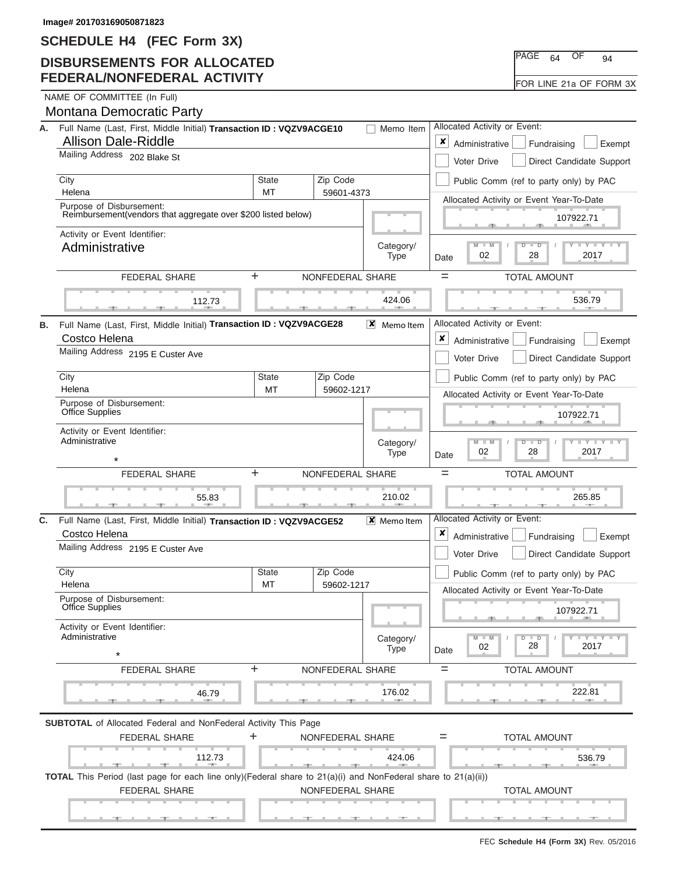# **DISBURSEMENTS FOR ALLOCATED FEDERAL/NONFEDERAL ACTIVITY**

| $PAGE_{64}$             | OF | 94 |  |
|-------------------------|----|----|--|
| FOR LINE 21a OF FORM 3X |    |    |  |

NAME OF COMMITTEE (In Full)

|    | Montana Democratic Party                                                                                                              |                                                                              |                   |                                                                                                  |                                                                                                             |
|----|---------------------------------------------------------------------------------------------------------------------------------------|------------------------------------------------------------------------------|-------------------|--------------------------------------------------------------------------------------------------|-------------------------------------------------------------------------------------------------------------|
| А. | Full Name (Last, First, Middle Initial) Transaction ID: VQZV9ACGE10<br><b>Allison Dale-Riddle</b>                                     | Allocated Activity or Event:<br>×<br>Administrative<br>Fundraising<br>Exempt |                   |                                                                                                  |                                                                                                             |
|    | Mailing Address 202 Blake St                                                                                                          |                                                                              |                   |                                                                                                  | Voter Drive<br>Direct Candidate Support                                                                     |
|    | City                                                                                                                                  | <b>State</b>                                                                 | Zip Code          |                                                                                                  | Public Comm (ref to party only) by PAC                                                                      |
|    | Helena                                                                                                                                | МT                                                                           | 59601-4373        |                                                                                                  | Allocated Activity or Event Year-To-Date                                                                    |
|    | Purpose of Disbursement:<br>Reimbursement (vendors that aggregate over \$200 listed below)                                            | 107922.71                                                                    |                   |                                                                                                  |                                                                                                             |
|    | Activity or Event Identifier:<br>Administrative                                                                                       |                                                                              |                   | Category/<br><b>Type</b>                                                                         | $M - M$<br>$D$ $D$<br>Y I Y<br>02<br>28<br>2017<br>Date                                                     |
|    | <b>FEDERAL SHARE</b>                                                                                                                  | ÷.                                                                           | NONFEDERAL SHARE  |                                                                                                  | $=$<br><b>TOTAL AMOUNT</b>                                                                                  |
|    | 112.73                                                                                                                                |                                                                              |                   | 424.06                                                                                           | 536.79                                                                                                      |
| В. | Full Name (Last, First, Middle Initial) Transaction ID: VQZV9ACGE28                                                                   |                                                                              |                   | Ix∣<br>Memo Item                                                                                 | Allocated Activity or Event:                                                                                |
|    | Costco Helena<br>Mailing Address 2195 E Custer Ave                                                                                    |                                                                              |                   |                                                                                                  | ×<br>Administrative<br>Fundraising<br>Exempt                                                                |
|    | City                                                                                                                                  | <b>State</b>                                                                 | Zip Code          |                                                                                                  | Voter Drive<br>Direct Candidate Support                                                                     |
|    | Helena                                                                                                                                | <b>MT</b>                                                                    | 59602-1217        |                                                                                                  | Public Comm (ref to party only) by PAC<br>Allocated Activity or Event Year-To-Date                          |
|    | Purpose of Disbursement:<br><b>Office Supplies</b>                                                                                    |                                                                              |                   |                                                                                                  | 107922.71                                                                                                   |
|    | Activity or Event Identifier:<br>Administrative                                                                                       |                                                                              | Category/<br>Type | $M - M$<br>$\Box$ $\Upsilon$ $\Box$ $\Upsilon$ $\Upsilon$<br>$D$ $D$<br>2017<br>02<br>28<br>Date |                                                                                                             |
|    | <b>FEDERAL SHARE</b>                                                                                                                  | $\ddot{}$                                                                    | NONFEDERAL SHARE  | $=$<br><b>TOTAL AMOUNT</b>                                                                       |                                                                                                             |
|    |                                                                                                                                       |                                                                              |                   |                                                                                                  |                                                                                                             |
|    | 55.83                                                                                                                                 |                                                                              |                   | 210.02                                                                                           | 265.85<br>$-7$                                                                                              |
|    | Full Name (Last, First, Middle Initial) Transaction ID: VQZV9ACGE52<br>Costco Helena                                                  |                                                                              |                   | $ X $ Memo Item                                                                                  | Allocated Activity or Event:<br>×                                                                           |
|    | Mailing Address 2195 E Custer Ave                                                                                                     |                                                                              |                   |                                                                                                  | Administrative<br>Fundraising<br>Exempt<br>Voter Drive<br>Direct Candidate Support                          |
|    | City                                                                                                                                  | State                                                                        | Zip Code          |                                                                                                  | Public Comm (ref to party only) by PAC                                                                      |
|    | Helena<br>Purpose of Disbursement:<br>Office Supplies                                                                                 | МT                                                                           | 59602-1217        |                                                                                                  | Allocated Activity or Event Year-To-Date                                                                    |
|    | Activity or Event Identifier:                                                                                                         |                                                                              |                   |                                                                                                  | 107922.71                                                                                                   |
|    | Administrative                                                                                                                        |                                                                              |                   | Category/<br><b>Type</b>                                                                         | $M - M$<br>$\Box$ $\Upsilon$ $\Box$ $\Upsilon$ $\Upsilon$ $\Upsilon$<br>$D$ $D$<br>28<br>2017<br>02<br>Date |
|    | <b>FEDERAL SHARE</b>                                                                                                                  | ÷                                                                            | NONFEDERAL SHARE  |                                                                                                  | <b>TOTAL AMOUNT</b><br>$=$                                                                                  |
| C. | 46.79                                                                                                                                 |                                                                              |                   | 176.02                                                                                           | 222.81                                                                                                      |
|    | <b>SUBTOTAL</b> of Allocated Federal and NonFederal Activity This Page                                                                |                                                                              |                   |                                                                                                  |                                                                                                             |
|    | <b>FEDERAL SHARE</b>                                                                                                                  | ÷.                                                                           | NONFEDERAL SHARE  |                                                                                                  | <b>TOTAL AMOUNT</b><br>$=$                                                                                  |
|    | 112.73                                                                                                                                |                                                                              |                   | 424.06                                                                                           | 536.79                                                                                                      |
|    | TOTAL This Period (last page for each line only)(Federal share to 21(a)(i) and NonFederal share to 21(a)(ii))<br><b>FEDERAL SHARE</b> |                                                                              | NONFEDERAL SHARE  |                                                                                                  | <b>TOTAL AMOUNT</b>                                                                                         |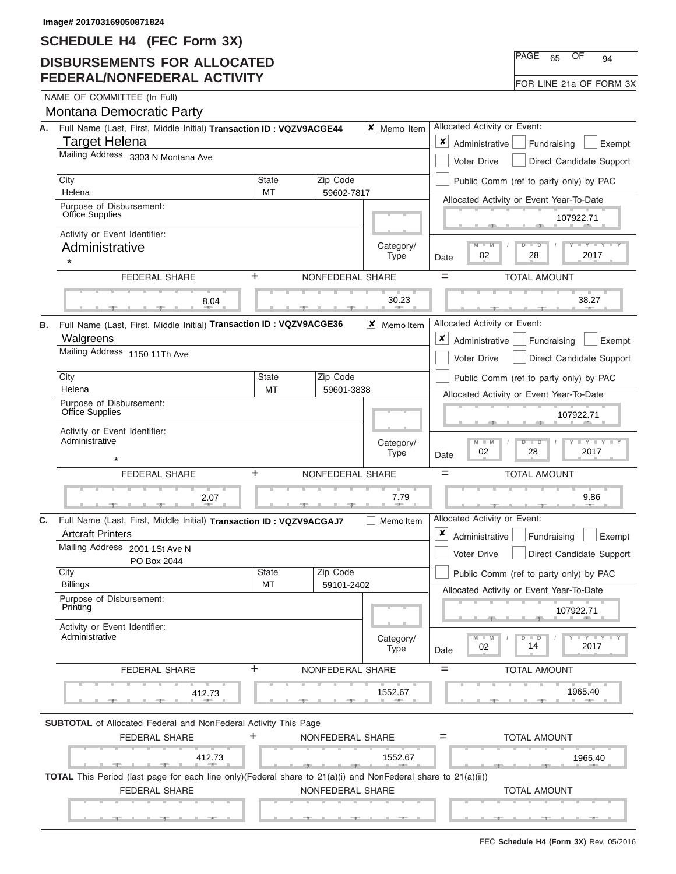## **DISBURSEMENTS FOR ALLOCATED FEDERAL/NONFEDERAL ACTIVITY**

| NAME OF COMMITTEE (In Full) |  |
|-----------------------------|--|
|                             |  |

|    | <b>Montana Democratic Party</b>                                                                                           |                              |                                                           |                                                                                          |                                                                                     |
|----|---------------------------------------------------------------------------------------------------------------------------|------------------------------|-----------------------------------------------------------|------------------------------------------------------------------------------------------|-------------------------------------------------------------------------------------|
| А. | Full Name (Last, First, Middle Initial) Transaction ID: VQZV9ACGE44                                                       | Allocated Activity or Event: |                                                           |                                                                                          |                                                                                     |
|    | <b>Target Helena</b>                                                                                                      |                              |                                                           |                                                                                          | ×<br>Administrative<br>Fundraising<br>Exempt                                        |
|    | Mailing Address 3303 N Montana Ave                                                                                        |                              |                                                           |                                                                                          | Voter Drive<br>Direct Candidate Support                                             |
|    | City                                                                                                                      | <b>State</b><br>MT           | Zip Code<br>59602-7817                                    |                                                                                          | Public Comm (ref to party only) by PAC                                              |
|    | Helena                                                                                                                    |                              | Allocated Activity or Event Year-To-Date                  |                                                                                          |                                                                                     |
|    | Purpose of Disbursement:<br><b>Office Supplies</b>                                                                        |                              |                                                           |                                                                                          | 107922.71                                                                           |
|    | Activity or Event Identifier:                                                                                             |                              |                                                           |                                                                                          |                                                                                     |
|    | Administrative                                                                                                            |                              |                                                           | Category/<br><b>Type</b>                                                                 | $M - M$<br>Y TY<br>$\overline{D}$<br>$\Box$<br>2017<br>02<br>28<br>Date             |
|    | <b>FEDERAL SHARE</b>                                                                                                      | ÷.                           | NONFEDERAL SHARE                                          |                                                                                          | $=$<br><b>TOTAL AMOUNT</b>                                                          |
|    | 8.04                                                                                                                      |                              |                                                           | 30.23                                                                                    | 38.27                                                                               |
| В. | Full Name (Last, First, Middle Initial) Transaction ID: VQZV9ACGE36                                                       |                              |                                                           | $\vert x \vert$<br>Memo Item                                                             | Allocated Activity or Event:                                                        |
|    | Walgreens                                                                                                                 |                              | $\pmb{\times}$<br>Administrative<br>Fundraising<br>Exempt |                                                                                          |                                                                                     |
|    | Mailing Address 1150 11Th Ave                                                                                             |                              |                                                           |                                                                                          | Voter Drive<br>Direct Candidate Support                                             |
|    | City                                                                                                                      | <b>State</b>                 | Zip Code                                                  |                                                                                          | Public Comm (ref to party only) by PAC                                              |
|    | Helena                                                                                                                    | MT                           | 59601-3838                                                |                                                                                          | Allocated Activity or Event Year-To-Date                                            |
|    | Purpose of Disbursement:<br><b>Office Supplies</b>                                                                        |                              |                                                           | 107922.71                                                                                |                                                                                     |
|    | Activity or Event Identifier:<br>Administrative                                                                           |                              |                                                           |                                                                                          |                                                                                     |
|    |                                                                                                                           |                              | Category/<br><b>Type</b>                                  | $M - M$<br>$T$ $T$ $T$ $T$ $T$ $T$ $T$ $T$<br>$D$ $\Box$ $D$<br>28<br>02<br>2017<br>Date |                                                                                     |
|    | $\star$                                                                                                                   | $=$                          |                                                           |                                                                                          |                                                                                     |
|    | FEDERAL SHARE                                                                                                             | ÷.                           | NONFEDERAL SHARE                                          |                                                                                          | <b>TOTAL AMOUNT</b>                                                                 |
|    | 2.07                                                                                                                      |                              |                                                           | 7.79                                                                                     | 9.86                                                                                |
| C. | Full Name (Last, First, Middle Initial) Transaction ID: VQZV9ACGAJ7                                                       |                              |                                                           | Memo Item                                                                                | Allocated Activity or Event:                                                        |
|    | <b>Artcraft Printers</b>                                                                                                  |                              |                                                           |                                                                                          | x<br>Administrative<br>Fundraising<br>Exempt                                        |
|    | Mailing Address 2001 1St Ave N<br>PO Box 2044                                                                             |                              |                                                           |                                                                                          | Voter Drive<br>Direct Candidate Support                                             |
|    | City                                                                                                                      | <b>State</b>                 | Zip Code                                                  |                                                                                          | Public Comm (ref to party only) by PAC                                              |
|    | <b>Billings</b>                                                                                                           | MT                           | 59101-2402                                                |                                                                                          | Allocated Activity or Event Year-To-Date                                            |
|    | Purpose of Disbursement:<br>Printing                                                                                      |                              |                                                           |                                                                                          | 107922.71                                                                           |
|    | Activity or Event Identifier:<br>Administrative                                                                           |                              |                                                           |                                                                                          |                                                                                     |
|    |                                                                                                                           |                              |                                                           | Category/<br><b>Type</b>                                                                 | $M - M$<br>Y L Y L<br>$\overline{\mathsf{D}}$<br>$\Box$<br>14<br>2017<br>02<br>Date |
|    | <b>FEDERAL SHARE</b>                                                                                                      | ÷                            | NONFEDERAL SHARE                                          |                                                                                          | <b>TOTAL AMOUNT</b><br>$=$                                                          |
|    | 412.73                                                                                                                    |                              |                                                           | 1552.67                                                                                  | 1965.40                                                                             |
|    | <b>SUBTOTAL</b> of Allocated Federal and NonFederal Activity This Page                                                    |                              |                                                           |                                                                                          |                                                                                     |
|    | FEDERAL SHARE                                                                                                             | $\ddot{}$                    | <b>NONFEDERAL SHARE</b>                                   |                                                                                          | <b>TOTAL AMOUNT</b><br>$=$                                                          |
|    | 412.73<br><b>Allen</b>                                                                                                    |                              |                                                           | 1552.67                                                                                  | 1965.40                                                                             |
|    | <b>TOTAL</b> This Period (last page for each line only)(Federal share to $21(a)(i)$ and NonFederal share to $21(a)(ii)$ ) |                              |                                                           |                                                                                          |                                                                                     |
|    | <b>FEDERAL SHARE</b>                                                                                                      |                              | NONFEDERAL SHARE                                          |                                                                                          | <b>TOTAL AMOUNT</b>                                                                 |

 ▲ ▲ ▲ , , . ▲ ▲ ▲ , , .

 ▲ ▲ ▲ , , .

PAGE <sub>65</sub> OF 94

FOR LINE 21a OF FORM 3X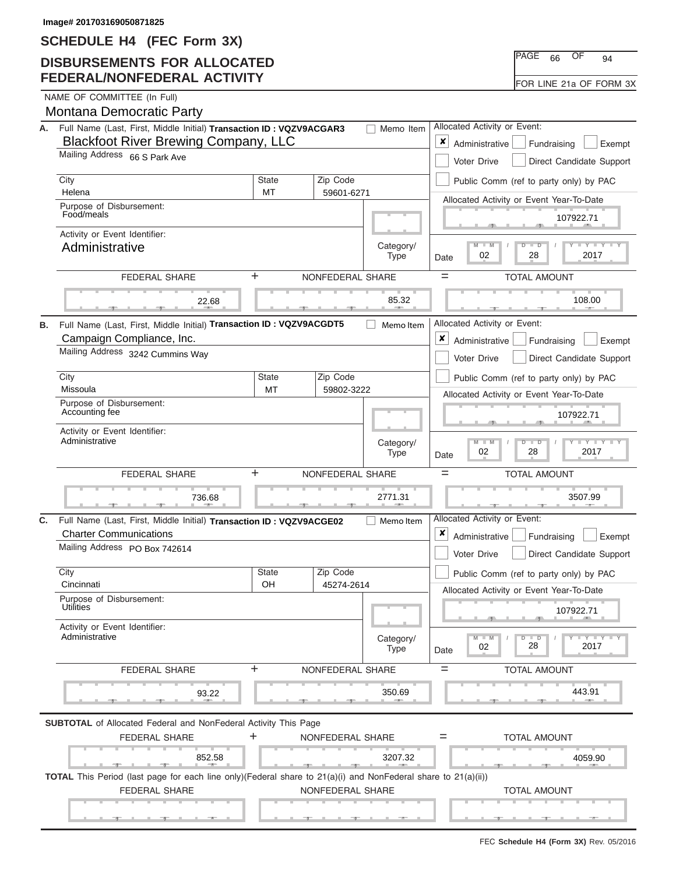# **DISBURSEMENTS FOR ALLOCATED FEDERAL/NONFEDERAL ACTIVITY**

NAME OF COMMITTEE (In Full)

|    | <b>Montana Democratic Party</b>                                                                                                                 |                                              |                                                                 |                              |                                                                                                       |
|----|-------------------------------------------------------------------------------------------------------------------------------------------------|----------------------------------------------|-----------------------------------------------------------------|------------------------------|-------------------------------------------------------------------------------------------------------|
| А. | Full Name (Last, First, Middle Initial) Transaction ID: VQZV9ACGAR3                                                                             | Allocated Activity or Event:                 |                                                                 |                              |                                                                                                       |
|    | <b>Blackfoot River Brewing Company, LLC</b>                                                                                                     | ×<br>Administrative<br>Fundraising<br>Exempt |                                                                 |                              |                                                                                                       |
|    | Mailing Address 66 S Park Ave                                                                                                                   |                                              |                                                                 |                              | Direct Candidate Support<br>Voter Drive                                                               |
|    | City                                                                                                                                            | <b>State</b>                                 | Zip Code                                                        |                              | Public Comm (ref to party only) by PAC                                                                |
|    | Helena<br>Purpose of Disbursement:                                                                                                              | MT                                           | 59601-6271                                                      |                              | Allocated Activity or Event Year-To-Date                                                              |
|    | Food/meals                                                                                                                                      | 107922.71                                    |                                                                 |                              |                                                                                                       |
|    | Activity or Event Identifier:<br>Administrative                                                                                                 | Category/                                    | $M - M$<br>$Y - Y$<br>$\overline{\mathsf{D}}$<br>$\blacksquare$ |                              |                                                                                                       |
|    |                                                                                                                                                 |                                              |                                                                 | <b>Type</b>                  | 28<br>2017<br>02<br>Date                                                                              |
|    | <b>FEDERAL SHARE</b>                                                                                                                            | +                                            | NONFEDERAL SHARE                                                |                              | <b>TOTAL AMOUNT</b><br>$=$                                                                            |
|    | 22.68                                                                                                                                           |                                              |                                                                 | 85.32                        | 108.00                                                                                                |
| В. | Full Name (Last, First, Middle Initial) Transaction ID: VQZV9ACGDT5                                                                             |                                              |                                                                 | Memo Item                    | Allocated Activity or Event:                                                                          |
|    | Campaign Compliance, Inc.                                                                                                                       |                                              |                                                                 |                              | ×<br>Administrative<br>Fundraising<br>Exempt                                                          |
|    | Mailing Address 3242 Cummins Way                                                                                                                |                                              |                                                                 |                              | Voter Drive<br>Direct Candidate Support                                                               |
|    | City                                                                                                                                            | <b>State</b>                                 | Zip Code                                                        |                              | Public Comm (ref to party only) by PAC                                                                |
|    | Missoula                                                                                                                                        | MT                                           | 59802-3222                                                      |                              | Allocated Activity or Event Year-To-Date                                                              |
|    | Purpose of Disbursement:<br>Accounting fee                                                                                                      |                                              |                                                                 |                              | 107922.71<br>- 9                                                                                      |
|    | Activity or Event Identifier:<br>Administrative                                                                                                 |                                              |                                                                 | Category/<br><b>Type</b>     | $M - M$<br>$Y - Y$<br>$\overline{\mathsf{D}}$<br>$\overline{\phantom{a}}$<br>02<br>28<br>2017<br>Date |
|    |                                                                                                                                                 | ÷.<br>NONFEDERAL SHARE                       |                                                                 |                              |                                                                                                       |
|    | <b>FEDERAL SHARE</b>                                                                                                                            |                                              |                                                                 |                              | <b>TOTAL AMOUNT</b><br>$=$                                                                            |
|    | 736.68                                                                                                                                          |                                              |                                                                 | 2771.31                      | 3507.99                                                                                               |
| C. | Full Name (Last, First, Middle Initial) Transaction ID: VQZV9ACGE02                                                                             |                                              |                                                                 | Memo Item                    | Allocated Activity or Event:                                                                          |
|    | <b>Charter Communications</b>                                                                                                                   |                                              |                                                                 |                              | ×<br>Administrative<br>Fundraising<br>Exempt                                                          |
|    | Mailing Address PO Box 742614                                                                                                                   |                                              |                                                                 |                              | <b>Voter Drive</b><br>Direct Candidate Support                                                        |
|    | City                                                                                                                                            | <b>State</b>                                 | Zip Code                                                        |                              | Public Comm (ref to party only) by PAC                                                                |
|    | Cincinnati                                                                                                                                      | OH                                           | 45274-2614                                                      |                              | Allocated Activity or Event Year-To-Date                                                              |
|    | Purpose of Disbursement:<br>Utilities                                                                                                           |                                              |                                                                 |                              | 107922.71                                                                                             |
|    | Activity or Event Identifier:<br>Administrative                                                                                                 |                                              |                                                                 | Category/<br><b>Type</b>     | Y I Y<br>$\overline{D}$<br>$\blacksquare$<br>28<br>2017<br>02<br>Date                                 |
|    |                                                                                                                                                 |                                              |                                                                 |                              | $=$                                                                                                   |
|    | <b>FEDERAL SHARE</b><br>93.22                                                                                                                   | $\ddot{}$                                    | NONFEDERAL SHARE                                                | 350.69                       | <b>TOTAL AMOUNT</b><br>443.91                                                                         |
|    |                                                                                                                                                 |                                              |                                                                 |                              |                                                                                                       |
|    | <b>SUBTOTAL</b> of Allocated Federal and NonFederal Activity This Page                                                                          | +                                            |                                                                 |                              | $=$                                                                                                   |
|    | <b>FEDERAL SHARE</b>                                                                                                                            |                                              | NONFEDERAL SHARE                                                |                              | <b>TOTAL AMOUNT</b>                                                                                   |
|    | 852.58<br><b>CONTRACTOR</b>                                                                                                                     |                                              |                                                                 | 3207.32<br><b>CONTRACTOR</b> | 4059.90                                                                                               |
|    | TOTAL This Period (last page for each line only)(Federal share to 21(a)(i) and NonFederal share to 21(a)(ii))<br><b>FEDERAL SHARE</b><br>T<br>T |                                              | NONFEDERAL SHARE                                                |                              | <b>TOTAL AMOUNT</b>                                                                                   |

PAGE <sub>66</sub> OF 94

FOR LINE 21a OF FORM 3X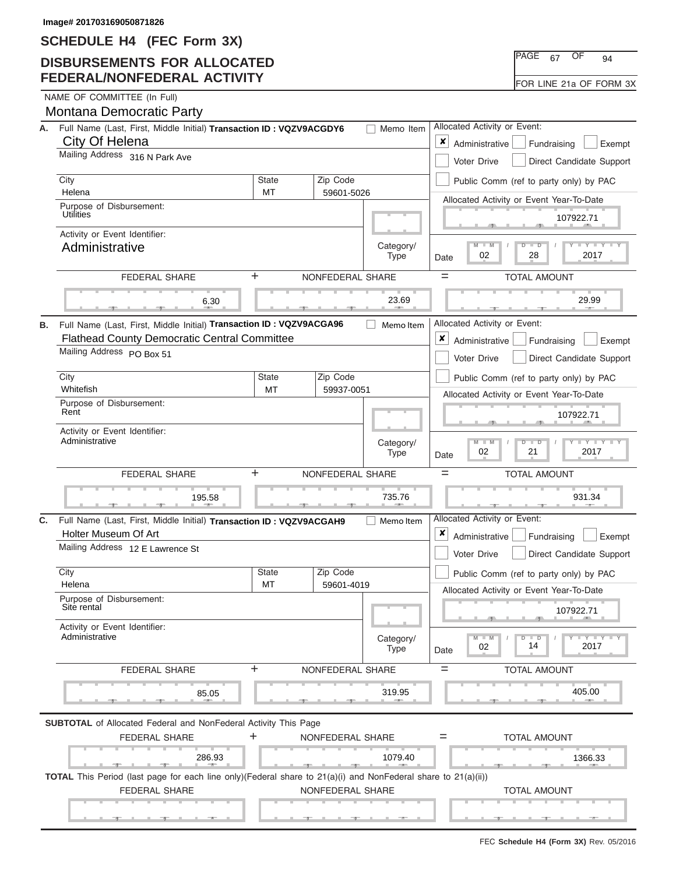### **DISBURSEMENTS FOR ALLOCATED FEDERAL/NONFEDERAL ACTIVITY**

| NAME OF COMMITTEE (In Full) |  |  |  |  |  |
|-----------------------------|--|--|--|--|--|
|-----------------------------|--|--|--|--|--|

|    | <b>Montana Democratic Party</b>                                                                                                                      |                              |                  |                   |                                                                             |  |
|----|------------------------------------------------------------------------------------------------------------------------------------------------------|------------------------------|------------------|-------------------|-----------------------------------------------------------------------------|--|
| А. | Full Name (Last, First, Middle Initial) Transaction ID: VQZV9ACGDY6                                                                                  | Allocated Activity or Event: |                  |                   |                                                                             |  |
|    | City Of Helena                                                                                                                                       |                              |                  |                   | x<br>Administrative<br>Fundraising<br>Exempt                                |  |
|    | Mailing Address 316 N Park Ave                                                                                                                       |                              |                  |                   | Voter Drive<br>Direct Candidate Support                                     |  |
|    | City                                                                                                                                                 | Zip Code<br>State            |                  |                   | Public Comm (ref to party only) by PAC                                      |  |
|    | Helena<br>Purpose of Disbursement:                                                                                                                   | MT                           | 59601-5026       |                   | Allocated Activity or Event Year-To-Date                                    |  |
|    | Utilities                                                                                                                                            | 107922.71                    |                  |                   |                                                                             |  |
|    | Activity or Event Identifier:<br>Administrative                                                                                                      |                              |                  | Category/         | Y LY L<br>M<br>D<br>$\blacksquare$                                          |  |
|    |                                                                                                                                                      |                              |                  | <b>Type</b>       | 02<br>28<br>2017<br>Date                                                    |  |
|    | FEDERAL SHARE                                                                                                                                        | ÷.                           | NONFEDERAL SHARE |                   | $=$<br><b>TOTAL AMOUNT</b>                                                  |  |
|    | 6.30                                                                                                                                                 |                              |                  | 23.69             | 29.99                                                                       |  |
| В. | Full Name (Last, First, Middle Initial) Transaction ID: VQZV9ACGA96                                                                                  |                              |                  | Memo Item         | Allocated Activity or Event:                                                |  |
|    | <b>Flathead County Democratic Central Committee</b>                                                                                                  |                              |                  |                   | ×<br>Administrative<br>Fundraising<br>Exempt                                |  |
|    | Mailing Address PO Box 51                                                                                                                            |                              |                  |                   | Direct Candidate Support<br><b>Voter Drive</b>                              |  |
|    | City                                                                                                                                                 | <b>State</b>                 | Zip Code         |                   | Public Comm (ref to party only) by PAC                                      |  |
|    | Whitefish<br>Purpose of Disbursement:                                                                                                                | <b>MT</b>                    | 59937-0051       |                   | Allocated Activity or Event Year-To-Date                                    |  |
|    | Rent                                                                                                                                                 |                              |                  |                   | 107922.71                                                                   |  |
|    | Activity or Event Identifier:<br>Administrative                                                                                                      |                              |                  | Category/         | Y TY TY<br>$M - M$<br>₽<br>$\overline{\phantom{a}}$                         |  |
|    |                                                                                                                                                      |                              |                  | <b>Type</b>       | 02<br>21<br>2017<br>Date                                                    |  |
|    | <b>FEDERAL SHARE</b>                                                                                                                                 | +                            | NONFEDERAL SHARE |                   | <b>TOTAL AMOUNT</b><br>$=$                                                  |  |
|    | 195.58                                                                                                                                               |                              |                  | 735.76            | 931.34                                                                      |  |
| C. | Full Name (Last, First, Middle Initial) Transaction ID: VQZV9ACGAH9                                                                                  |                              |                  | Memo Item         | Allocated Activity or Event:                                                |  |
|    | Holter Museum Of Art                                                                                                                                 |                              |                  |                   | ×<br>Administrative<br>Fundraising<br>Exempt                                |  |
|    | Mailing Address 12 E Lawrence St                                                                                                                     |                              |                  |                   | Voter Drive<br>Direct Candidate Support                                     |  |
|    | City<br>Helena                                                                                                                                       | <b>State</b>                 | Zip Code         |                   | Public Comm (ref to party only) by PAC                                      |  |
|    |                                                                                                                                                      | МT<br>59601-4019             |                  |                   |                                                                             |  |
|    |                                                                                                                                                      |                              |                  |                   | Allocated Activity or Event Year-To-Date                                    |  |
|    | Purpose of Disbursement:<br>Site rental                                                                                                              |                              |                  |                   | 107922.71                                                                   |  |
|    | Activity or Event Identifier:<br>Administrative                                                                                                      |                              |                  | Category/<br>Type | $M - M$<br>$\overline{D}$<br>$\Box$<br>$-Y - Y$<br>14<br>2017<br>02<br>Date |  |
|    |                                                                                                                                                      |                              |                  |                   | $=$                                                                         |  |
|    | FEDERAL SHARE                                                                                                                                        | $\ddot{}$                    | NONFEDERAL SHARE |                   | <b>TOTAL AMOUNT</b>                                                         |  |
|    | 85.05                                                                                                                                                |                              |                  | 319.95            | 405.00                                                                      |  |
|    | <b>SUBTOTAL</b> of Allocated Federal and NonFederal Activity This Page                                                                               |                              |                  |                   |                                                                             |  |
|    | <b>FEDERAL SHARE</b>                                                                                                                                 | +                            | NONFEDERAL SHARE |                   | <b>TOTAL AMOUNT</b><br>$=$                                                  |  |
|    | 286.93                                                                                                                                               |                              |                  | 1079.40           | 1366.33                                                                     |  |
|    | TOTAL This Period (last page for each line only)(Federal share to 21(a)(i) and NonFederal share to 21(a)(ii))<br><b>FEDERAL SHARE</b><br>τ<br>÷<br>v |                              | NONFEDERAL SHARE |                   | <b>TOTAL AMOUNT</b>                                                         |  |

PAGE <sub>67</sub> OF 94

| FOR LINE 21a OF FORM 3X |
|-------------------------|
|-------------------------|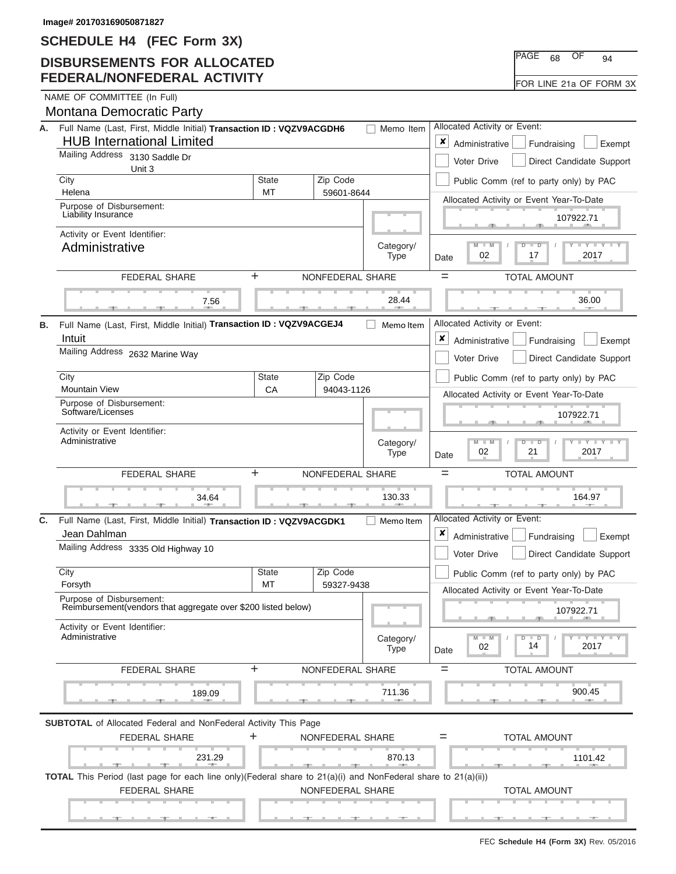## **DISBURSEMENTS FOR ALLOCATED FEDERAL/NONFEDERAL ACTIVITY**

| <b>IPAGE</b> | 68 |  | QΔ                      |  |
|--------------|----|--|-------------------------|--|
|              |    |  | FOR LINE 21a OF FORM 3X |  |

NAME OF COMMITTEE (In Full)

|    | Montana Democratic Party                                                                                                  |                                                                                                      |                         |                          |                                                           |
|----|---------------------------------------------------------------------------------------------------------------------------|------------------------------------------------------------------------------------------------------|-------------------------|--------------------------|-----------------------------------------------------------|
| А. | Full Name (Last, First, Middle Initial) Transaction ID: VQZV9ACGDH6                                                       | Allocated Activity or Event:                                                                         |                         |                          |                                                           |
|    | <b>HUB International Limited</b>                                                                                          |                                                                                                      |                         |                          | $\pmb{\times}$<br>Administrative<br>Fundraising<br>Exempt |
|    | Mailing Address 3130 Saddle Dr<br>Unit 3                                                                                  |                                                                                                      |                         |                          | Voter Drive<br>Direct Candidate Support                   |
|    | City<br>Helena                                                                                                            | <b>State</b><br>MT                                                                                   | Zip Code                |                          | Public Comm (ref to party only) by PAC                    |
|    | 59601-8644<br>Purpose of Disbursement:                                                                                    |                                                                                                      |                         |                          | Allocated Activity or Event Year-To-Date                  |
|    | Liability Insurance                                                                                                       | 107922.71                                                                                            |                         |                          |                                                           |
|    | Activity or Event Identifier:<br>Administrative                                                                           | $M - M$<br>$\overline{\phantom{a}}$                                                                  |                         |                          |                                                           |
|    |                                                                                                                           |                                                                                                      |                         | Category/<br><b>Type</b> | 2017<br>02<br>17<br>Date                                  |
|    | <b>FEDERAL SHARE</b>                                                                                                      | ÷.                                                                                                   | NONFEDERAL SHARE        |                          | $=$<br><b>TOTAL AMOUNT</b>                                |
|    | 7.56                                                                                                                      |                                                                                                      |                         | 28.44                    | 36.00                                                     |
| В. | Full Name (Last, First, Middle Initial) Transaction ID: VQZV9ACGEJ4                                                       |                                                                                                      |                         | Memo Item                | Allocated Activity or Event:                              |
|    | Intuit                                                                                                                    |                                                                                                      |                         |                          | ×<br>Administrative<br>Fundraising<br>Exempt              |
|    | Mailing Address 2632 Marine Way                                                                                           |                                                                                                      |                         |                          | Voter Drive<br>Direct Candidate Support                   |
|    | City                                                                                                                      | <b>State</b>                                                                                         | Zip Code                |                          | Public Comm (ref to party only) by PAC                    |
|    | <b>Mountain View</b>                                                                                                      | CA                                                                                                   | 94043-1126              |                          | Allocated Activity or Event Year-To-Date                  |
|    | Purpose of Disbursement:<br>Software/Licenses                                                                             |                                                                                                      |                         |                          | 107922.71                                                 |
|    | Activity or Event Identifier:                                                                                             |                                                                                                      |                         |                          |                                                           |
|    | Administrative                                                                                                            | $T - Y = T - Y$<br>$M - M$<br>$\overline{D}$<br>$\overline{\phantom{0}}$<br>02<br>21<br>2017<br>Date |                         |                          |                                                           |
|    | ÷<br><b>FEDERAL SHARE</b><br>NONFEDERAL SHARE                                                                             |                                                                                                      |                         |                          |                                                           |
|    |                                                                                                                           |                                                                                                      |                         |                          | $=$<br><b>TOTAL AMOUNT</b>                                |
|    | 34.64                                                                                                                     |                                                                                                      |                         | 130.33                   | 164.97                                                    |
| C. | Full Name (Last, First, Middle Initial) Transaction ID: VQZV9ACGDK1                                                       |                                                                                                      |                         | Memo Item                | Allocated Activity or Event:                              |
|    | Jean Dahlman                                                                                                              |                                                                                                      |                         |                          | ×<br>Administrative<br>Fundraising<br>Exempt              |
|    | Mailing Address 3335 Old Highway 10                                                                                       |                                                                                                      |                         |                          | Voter Drive<br>Direct Candidate Support                   |
|    | City                                                                                                                      | <b>State</b>                                                                                         | Zip Code                |                          | Public Comm (ref to party only) by PAC                    |
|    | Forsyth                                                                                                                   | MT                                                                                                   | 59327-9438              |                          | Allocated Activity or Event Year-To-Date                  |
|    | Purpose of Disbursement:<br>Reimbursement(vendors that aggregate over \$200 listed below)                                 |                                                                                                      |                         |                          | 107922.71                                                 |
|    | Activity or Event Identifier:<br>Administrative                                                                           |                                                                                                      |                         | Category/                |                                                           |
|    |                                                                                                                           |                                                                                                      |                         | Type                     | 14<br>2017<br>02<br>Date                                  |
|    | <b>FEDERAL SHARE</b>                                                                                                      | +                                                                                                    | NONFEDERAL SHARE        |                          | <b>TOTAL AMOUNT</b><br>$=$                                |
|    | 189.09                                                                                                                    |                                                                                                      |                         | 711.36                   | 900.45                                                    |
|    |                                                                                                                           |                                                                                                      |                         |                          |                                                           |
|    | <b>SUBTOTAL</b> of Allocated Federal and NonFederal Activity This Page<br><b>FEDERAL SHARE</b>                            | +                                                                                                    | <b>NONFEDERAL SHARE</b> |                          | <b>TOTAL AMOUNT</b><br>$=$                                |
|    | 231.29<br><u>.</u>                                                                                                        |                                                                                                      |                         | 870.13                   | 1101.42                                                   |
|    | <b>TOTAL</b> This Period (last page for each line only)(Federal share to $21(a)(i)$ and NonFederal share to $21(a)(ii)$ ) |                                                                                                      |                         |                          |                                                           |
|    | <b>FEDERAL SHARE</b>                                                                                                      |                                                                                                      | NONFEDERAL SHARE        |                          | <b>TOTAL AMOUNT</b>                                       |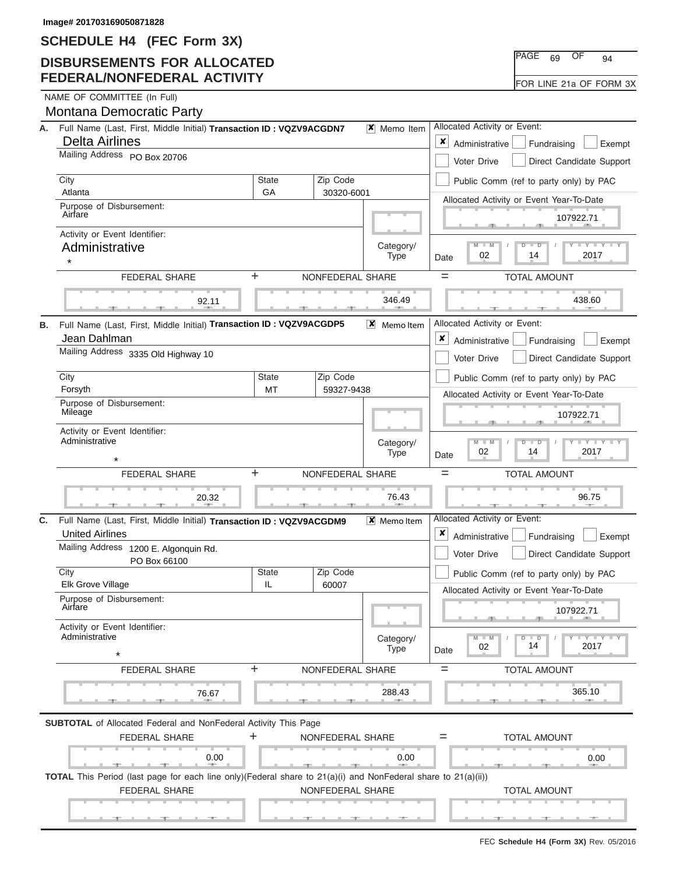### **DISBURSEMENTS FOR ALLOCATED FEDERAL/NONFEDERAL ACTIVITY**

| NAME OF COMMITTEE (In Full) |  |
|-----------------------------|--|
|-----------------------------|--|

|    | Montana Democratic Party                                                                                                                                 |                                                                         |                  |                          |                                                                                            |  |  |
|----|----------------------------------------------------------------------------------------------------------------------------------------------------------|-------------------------------------------------------------------------|------------------|--------------------------|--------------------------------------------------------------------------------------------|--|--|
| А. | Full Name (Last, First, Middle Initial) Transaction ID: VQZV9ACGDN7<br>Delta Airlines                                                                    | Allocated Activity or Event:<br>×<br>Administrative                     |                  |                          |                                                                                            |  |  |
|    | Mailing Address PO Box 20706                                                                                                                             | Fundraising<br>Exempt<br><b>Voter Drive</b><br>Direct Candidate Support |                  |                          |                                                                                            |  |  |
|    | City                                                                                                                                                     | Zip Code<br><b>State</b>                                                |                  |                          | Public Comm (ref to party only) by PAC                                                     |  |  |
|    | Atlanta                                                                                                                                                  | GA<br>30320-6001                                                        |                  |                          | Allocated Activity or Event Year-To-Date                                                   |  |  |
|    | Purpose of Disbursement:<br>Airfare                                                                                                                      | 107922.71                                                               |                  |                          |                                                                                            |  |  |
|    | Activity or Event Identifier:                                                                                                                            |                                                                         |                  |                          |                                                                                            |  |  |
|    | Administrative                                                                                                                                           |                                                                         |                  | Category/<br><b>Type</b> | $M$ $M$<br>$\overline{\mathsf{D}}$<br>$\overline{\phantom{a}}$<br>2017<br>02<br>14<br>Date |  |  |
|    | <b>FEDERAL SHARE</b>                                                                                                                                     | ÷.                                                                      | NONFEDERAL SHARE |                          | <b>TOTAL AMOUNT</b><br>$=$                                                                 |  |  |
|    | 92.11                                                                                                                                                    |                                                                         |                  | 346.49                   | 438.60                                                                                     |  |  |
| В. | Full Name (Last, First, Middle Initial) Transaction ID: VQZV9ACGDP5                                                                                      |                                                                         |                  | ∣x∣<br>Memo Item         | Allocated Activity or Event:                                                               |  |  |
|    | Jean Dahlman                                                                                                                                             |                                                                         |                  |                          | $\pmb{\times}$<br>Administrative<br>Fundraising<br>Exempt                                  |  |  |
|    | Mailing Address 3335 Old Highway 10                                                                                                                      |                                                                         |                  |                          | Voter Drive<br>Direct Candidate Support                                                    |  |  |
|    | City                                                                                                                                                     | <b>State</b>                                                            | Zip Code         |                          | Public Comm (ref to party only) by PAC                                                     |  |  |
|    | Forsyth                                                                                                                                                  | MT                                                                      | 59327-9438       |                          | Allocated Activity or Event Year-To-Date                                                   |  |  |
|    | Purpose of Disbursement:<br>Mileage                                                                                                                      |                                                                         |                  |                          | 107922.71                                                                                  |  |  |
|    | Activity or Event Identifier:<br>Administrative                                                                                                          |                                                                         |                  | Category/                | $Y - Y$<br>$M - M$<br>$\overline{\mathsf{D}}$<br>$\overline{\phantom{a}}$                  |  |  |
|    |                                                                                                                                                          |                                                                         |                  | <b>Type</b>              | 2017<br>02<br>14<br>Date                                                                   |  |  |
|    |                                                                                                                                                          |                                                                         |                  |                          |                                                                                            |  |  |
|    | <b>FEDERAL SHARE</b>                                                                                                                                     | +                                                                       | NONFEDERAL SHARE |                          | $=$<br><b>TOTAL AMOUNT</b>                                                                 |  |  |
|    | 20.32                                                                                                                                                    |                                                                         |                  | 76.43                    | 96.75                                                                                      |  |  |
| C. | Full Name (Last, First, Middle Initial) Transaction ID: VQZV9ACGDM9                                                                                      |                                                                         |                  | $ X $ Memo Item          | Allocated Activity or Event:                                                               |  |  |
|    | <b>United Airlines</b>                                                                                                                                   |                                                                         |                  |                          | ×<br>Administrative<br>Fundraising<br>Exempt                                               |  |  |
|    | Mailing Address 1200 E. Algonquin Rd.                                                                                                                    |                                                                         |                  |                          | Voter Drive<br>Direct Candidate Support                                                    |  |  |
|    | PO Box 66100<br>City                                                                                                                                     | <b>State</b>                                                            | Zip Code         |                          | Public Comm (ref to party only) by PAC                                                     |  |  |
|    | Elk Grove Village                                                                                                                                        | IL                                                                      | 60007            |                          | Allocated Activity or Event Year-To-Date                                                   |  |  |
|    | Purpose of Disbursement:<br>Airfare                                                                                                                      |                                                                         |                  |                          | 107922.71                                                                                  |  |  |
|    | Activity or Event Identifier:<br>Administrative                                                                                                          |                                                                         |                  | Category/                | $M - M$<br>$Y - Y - Y$<br>ъ<br>$\Box$<br>14<br>2017<br>02                                  |  |  |
|    |                                                                                                                                                          |                                                                         |                  | Type                     | Date                                                                                       |  |  |
|    | <b>FEDERAL SHARE</b>                                                                                                                                     | ÷                                                                       | NONFEDERAL SHARE |                          | <b>TOTAL AMOUNT</b><br>$=$                                                                 |  |  |
|    | 76.67                                                                                                                                                    |                                                                         |                  | 288.43                   | 365.10                                                                                     |  |  |
|    | <b>SUBTOTAL</b> of Allocated Federal and NonFederal Activity This Page                                                                                   |                                                                         |                  |                          |                                                                                            |  |  |
|    | <b>FEDERAL SHARE</b>                                                                                                                                     | +                                                                       | NONFEDERAL SHARE |                          | <b>TOTAL AMOUNT</b><br>$=$                                                                 |  |  |
|    | 0.00                                                                                                                                                     |                                                                         |                  | 0.00                     | 0.00                                                                                       |  |  |
|    | <b>ALC: YES</b><br>TOTAL This Period (last page for each line only)(Federal share to 21(a)(i) and NonFederal share to 21(a)(ii))<br><b>FEDERAL SHARE</b> |                                                                         | NONFEDERAL SHARE |                          | <b>TOTAL AMOUNT</b>                                                                        |  |  |

PAGE <sub>69</sub> OF 94 FOR LINE 21a OF FORM 3X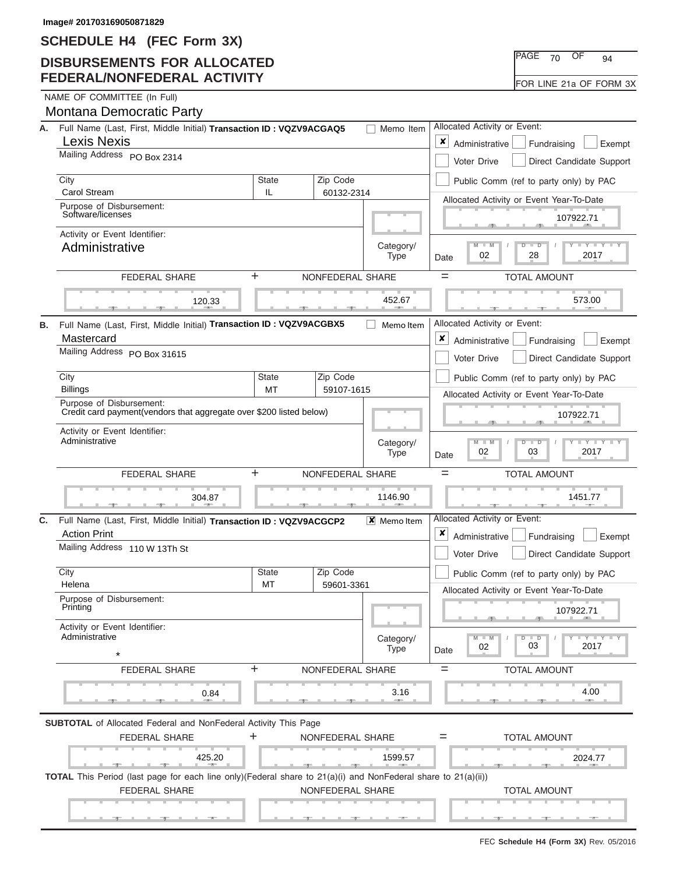# **DISBURSEMENTS FOR ALLOCATED FEDERAL/NONFEDERAL ACTIVITY**

|  | NAME OF COMMITTEE (In Full) |  |  |
|--|-----------------------------|--|--|

|    | Montana Democratic Party                                                                                                  |                                                                       |                                                                                    |                                    |                                                           |  |
|----|---------------------------------------------------------------------------------------------------------------------------|-----------------------------------------------------------------------|------------------------------------------------------------------------------------|------------------------------------|-----------------------------------------------------------|--|
| А. | Full Name (Last, First, Middle Initial) Transaction ID: VQZV9ACGAQ5                                                       | Allocated Activity or Event:                                          |                                                                                    |                                    |                                                           |  |
|    | <b>Lexis Nexis</b><br>Mailing Address PO Box 2314                                                                         | ×<br>Administrative<br>Fundraising<br>Exempt                          |                                                                                    |                                    |                                                           |  |
|    |                                                                                                                           | Voter Drive<br>Direct Candidate Support                               |                                                                                    |                                    |                                                           |  |
|    | City                                                                                                                      | <b>State</b><br>Zip Code                                              |                                                                                    |                                    | Public Comm (ref to party only) by PAC                    |  |
|    | Carol Stream<br>IL<br>60132-2314<br>Purpose of Disbursement:                                                              |                                                                       |                                                                                    |                                    | Allocated Activity or Event Year-To-Date                  |  |
|    | Software/licenses                                                                                                         | 107922.71                                                             |                                                                                    |                                    |                                                           |  |
|    | Activity or Event Identifier:<br>Administrative                                                                           | Category/<br><b>Type</b>                                              | $M - M$<br>$\overline{D}$<br>$Y - Y$<br>$\blacksquare$<br>02<br>28<br>2017<br>Date |                                    |                                                           |  |
|    | <b>FEDERAL SHARE</b>                                                                                                      | +                                                                     | NONFEDERAL SHARE                                                                   |                                    | $=$<br><b>TOTAL AMOUNT</b>                                |  |
|    |                                                                                                                           |                                                                       |                                                                                    |                                    |                                                           |  |
|    | 120.33                                                                                                                    |                                                                       |                                                                                    | 452.67                             | 573.00                                                    |  |
| В. | Full Name (Last, First, Middle Initial) Transaction ID: VQZV9ACGBX5                                                       |                                                                       |                                                                                    | Memo Item                          | Allocated Activity or Event:                              |  |
|    | Mastercard<br>Mailing Address PO Box 31615                                                                                |                                                                       |                                                                                    |                                    | $\pmb{\times}$<br>Administrative<br>Fundraising<br>Exempt |  |
|    |                                                                                                                           |                                                                       |                                                                                    |                                    | Direct Candidate Support<br><b>Voter Drive</b>            |  |
|    | City                                                                                                                      | <b>State</b>                                                          | Zip Code                                                                           |                                    | Public Comm (ref to party only) by PAC                    |  |
|    | <b>Billings</b><br>Purpose of Disbursement:                                                                               | MT                                                                    | 59107-1615                                                                         |                                    | Allocated Activity or Event Year-To-Date                  |  |
|    | Credit card payment (vendors that aggregate over \$200 listed below)                                                      |                                                                       |                                                                                    |                                    | 107922.71                                                 |  |
|    | Activity or Event Identifier:<br>Administrative                                                                           | $Y - Y$<br>$M - M$<br>ъ<br>$\overline{D}$<br>2017<br>02<br>03<br>Date |                                                                                    |                                    |                                                           |  |
|    | +<br><b>FEDERAL SHARE</b><br>NONFEDERAL SHARE                                                                             |                                                                       |                                                                                    |                                    |                                                           |  |
|    |                                                                                                                           |                                                                       |                                                                                    |                                    | $=$<br><b>TOTAL AMOUNT</b>                                |  |
|    | 304.87                                                                                                                    |                                                                       |                                                                                    | 1146.90                            | 1451.77                                                   |  |
| C. | Full Name (Last, First, Middle Initial) Transaction ID: VQZV9ACGCP2                                                       |                                                                       |                                                                                    | $\vert \mathbf{x} \vert$ Memo Item | Allocated Activity or Event:                              |  |
|    | <b>Action Print</b>                                                                                                       |                                                                       |                                                                                    |                                    | ×<br>Administrative<br>Fundraising<br>Exempt              |  |
|    | Mailing Address 110 W 13Th St                                                                                             |                                                                       |                                                                                    |                                    | Voter Drive<br>Direct Candidate Support                   |  |
|    | City                                                                                                                      | <b>State</b>                                                          | Zip Code                                                                           |                                    | Public Comm (ref to party only) by PAC                    |  |
|    | Helena                                                                                                                    | MT                                                                    | 59601-3361                                                                         |                                    | Allocated Activity or Event Year-To-Date                  |  |
|    | Purpose of Disbursement:<br>Printing                                                                                      |                                                                       |                                                                                    |                                    | 107922.71                                                 |  |
|    | Activity or Event Identifier:<br>Administrative                                                                           |                                                                       |                                                                                    | Category/                          | $Y \perp Y \perp$<br>⊪ D<br>03                            |  |
|    |                                                                                                                           |                                                                       |                                                                                    | Type                               | 2017<br>02<br>Date                                        |  |
|    | <b>FEDERAL SHARE</b>                                                                                                      | ÷                                                                     | NONFEDERAL SHARE                                                                   |                                    | <b>TOTAL AMOUNT</b><br>$=$                                |  |
|    | 0.84                                                                                                                      |                                                                       |                                                                                    | 3.16<br><b>CONTINUES</b>           | 4.00<br><b>CONTINUES</b>                                  |  |
|    | <b>SUBTOTAL</b> of Allocated Federal and NonFederal Activity This Page                                                    |                                                                       |                                                                                    |                                    |                                                           |  |
|    | FEDERAL SHARE                                                                                                             | +                                                                     | NONFEDERAL SHARE                                                                   |                                    | <b>TOTAL AMOUNT</b><br>$=$                                |  |
|    | 425.20                                                                                                                    |                                                                       |                                                                                    | 1599.57                            | 2024.77                                                   |  |
|    | <b>TOTAL</b> This Period (last page for each line only)(Federal share to $21(a)(i)$ and NonFederal share to $21(a)(ii)$ ) |                                                                       |                                                                                    |                                    |                                                           |  |
|    | <b>FEDERAL SHARE</b>                                                                                                      |                                                                       | NONFEDERAL SHARE                                                                   |                                    | <b>TOTAL AMOUNT</b>                                       |  |

PAGE <sub>70</sub> OF 94 FOR LINE 21a OF FORM 3X

|  | NAME OF COMMITTEE (In Full) |  |  |
|--|-----------------------------|--|--|
|  |                             |  |  |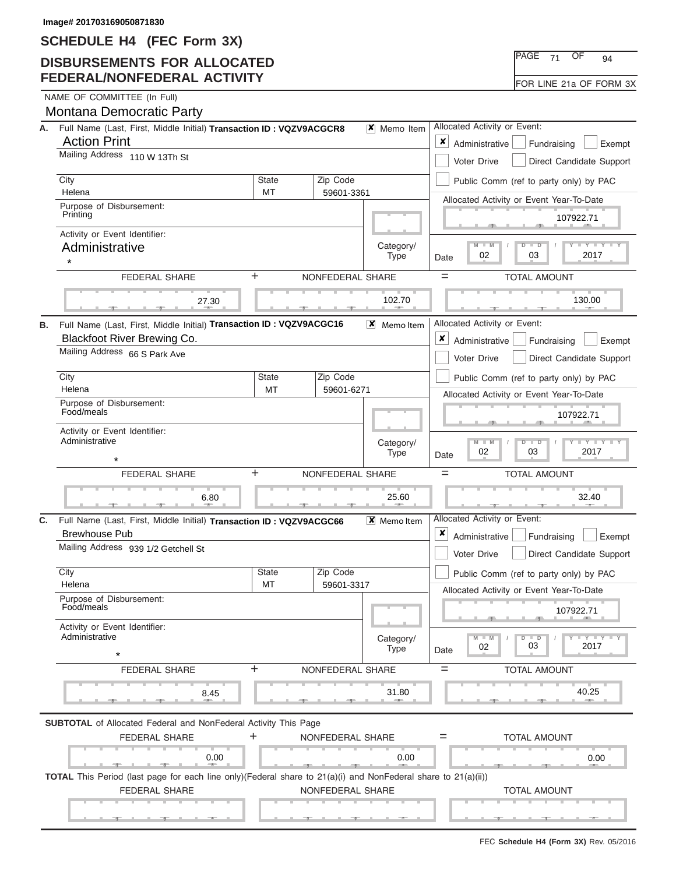## **DISBURSEMENTS FOR ALLOCATED FEDERAL/NONFEDERAL ACTIVITY**

| NAME OF COMMITTEE (In Full) |  |
|-----------------------------|--|
|-----------------------------|--|

|    | Montana Democratic Party                                                                                                                          |                               |                        |                                   |                                                           |
|----|---------------------------------------------------------------------------------------------------------------------------------------------------|-------------------------------|------------------------|-----------------------------------|-----------------------------------------------------------|
| А. | Full Name (Last, First, Middle Initial) Transaction ID: VQZV9ACGCR8<br>$\vert x \vert$ Memo Item<br><b>Action Print</b>                           |                               |                        |                                   | Allocated Activity or Event:                              |
|    | Mailing Address 110 W 13Th St                                                                                                                     |                               |                        |                                   | $\pmb{\times}$<br>Administrative<br>Fundraising<br>Exempt |
|    |                                                                                                                                                   |                               |                        |                                   | Voter Drive<br>Direct Candidate Support                   |
|    | City<br>Helena                                                                                                                                    | <b>State</b><br>MT            | Zip Code               |                                   | Public Comm (ref to party only) by PAC                    |
|    | 59601-3361<br>Purpose of Disbursement:                                                                                                            |                               |                        |                                   | Allocated Activity or Event Year-To-Date                  |
|    | Printing                                                                                                                                          |                               |                        |                                   | 107922.71                                                 |
|    | Activity or Event Identifier:<br>Administrative                                                                                                   |                               |                        | Category/                         | $M - M$<br>₽<br>$\overline{\phantom{a}}$                  |
|    | $\star$                                                                                                                                           |                               |                        | <b>Type</b>                       | 2017<br>02<br>03<br>Date                                  |
|    | <b>FEDERAL SHARE</b>                                                                                                                              | +                             | NONFEDERAL SHARE       |                                   | <b>TOTAL AMOUNT</b><br>$=$                                |
|    | 27.30                                                                                                                                             |                               |                        | 102.70                            | 130.00                                                    |
|    |                                                                                                                                                   |                               |                        |                                   |                                                           |
| В. | Full Name (Last, First, Middle Initial) Transaction ID: VQZV9ACGC16<br>Blackfoot River Brewing Co.                                                |                               |                        | $X$ Memoltem                      | Allocated Activity or Event:<br>×                         |
|    | Mailing Address 66 S Park Ave                                                                                                                     |                               |                        |                                   | Administrative<br>Fundraising<br>Exempt                   |
|    |                                                                                                                                                   |                               |                        |                                   | Voter Drive<br>Direct Candidate Support                   |
|    | City<br>Helena                                                                                                                                    | <b>State</b><br>MT            | Zip Code<br>59601-6271 |                                   | Public Comm (ref to party only) by PAC                    |
|    | Purpose of Disbursement:                                                                                                                          |                               |                        |                                   | Allocated Activity or Event Year-To-Date                  |
|    | Food/meals                                                                                                                                        |                               |                        |                                   | 107922.71                                                 |
|    | Administrative                                                                                                                                    | Activity or Event Identifier: |                        |                                   | Y LY<br>M<br>$-W$<br>$\overline{D}$<br>$\overline{D}$     |
|    | $\star$                                                                                                                                           |                               |                        | Category/<br><b>Type</b>          | 2017<br>02<br>03<br>Date                                  |
|    |                                                                                                                                                   | +<br>NONFEDERAL SHARE         |                        |                                   |                                                           |
|    | <b>FEDERAL SHARE</b>                                                                                                                              |                               |                        |                                   | $=$<br><b>TOTAL AMOUNT</b>                                |
|    | 6.80                                                                                                                                              |                               |                        | 25.60                             | 32.40                                                     |
| C. | Full Name (Last, First, Middle Initial) Transaction ID: VQZV9ACGC66                                                                               |                               |                        | $\overline{\mathsf{x}}$ Memo Item | Allocated Activity or Event:                              |
|    | <b>Brewhouse Pub</b>                                                                                                                              |                               |                        |                                   | ×<br>Administrative<br>Fundraising<br>Exempt              |
|    | Mailing Address 939 1/2 Getchell St                                                                                                               |                               |                        |                                   | Voter Drive<br>Direct Candidate Support                   |
|    | City                                                                                                                                              | <b>State</b>                  | Zip Code               |                                   | Public Comm (ref to party only) by PAC                    |
|    | Helena<br>Purpose of Disbursement:                                                                                                                | MT                            | 59601-3317             |                                   | Allocated Activity or Event Year-To-Date                  |
|    | Food/meals                                                                                                                                        |                               |                        |                                   | 107922.71                                                 |
|    | Activity or Event Identifier:<br>Administrative                                                                                                   |                               |                        |                                   | $M - M$<br>$Y$ $Y$ $Y$<br>Б<br>$\Box$                     |
|    |                                                                                                                                                   |                               |                        | Category/<br>Type                 | 03<br>2017<br>02<br>Date                                  |
|    | <b>FEDERAL SHARE</b>                                                                                                                              | ÷                             | NONFEDERAL SHARE       |                                   | <b>TOTAL AMOUNT</b><br>$=$                                |
|    | 8.45                                                                                                                                              |                               |                        | 31.80                             | 40.25                                                     |
|    |                                                                                                                                                   |                               |                        |                                   |                                                           |
|    | <b>SUBTOTAL</b> of Allocated Federal and NonFederal Activity This Page<br><b>FEDERAL SHARE</b>                                                    | +                             | NONFEDERAL SHARE       |                                   | <b>TOTAL AMOUNT</b><br>$=$                                |
|    |                                                                                                                                                   |                               |                        |                                   |                                                           |
|    | 0.00                                                                                                                                              |                               |                        | 0.00                              | $0.00\,$                                                  |
|    | <b>TOTAL</b> This Period (last page for each line only)(Federal share to $21(a)(i)$ and NonFederal share to $21(a)(ii)$ )<br><b>FEDERAL SHARE</b> |                               | NONFEDERAL SHARE       |                                   | <b>TOTAL AMOUNT</b>                                       |
|    |                                                                                                                                                   |                               |                        |                                   |                                                           |

| PAGE <sub>71</sub> | OF                      | 94 |  |
|--------------------|-------------------------|----|--|
|                    | FOR LINE 21a OF FORM 3X |    |  |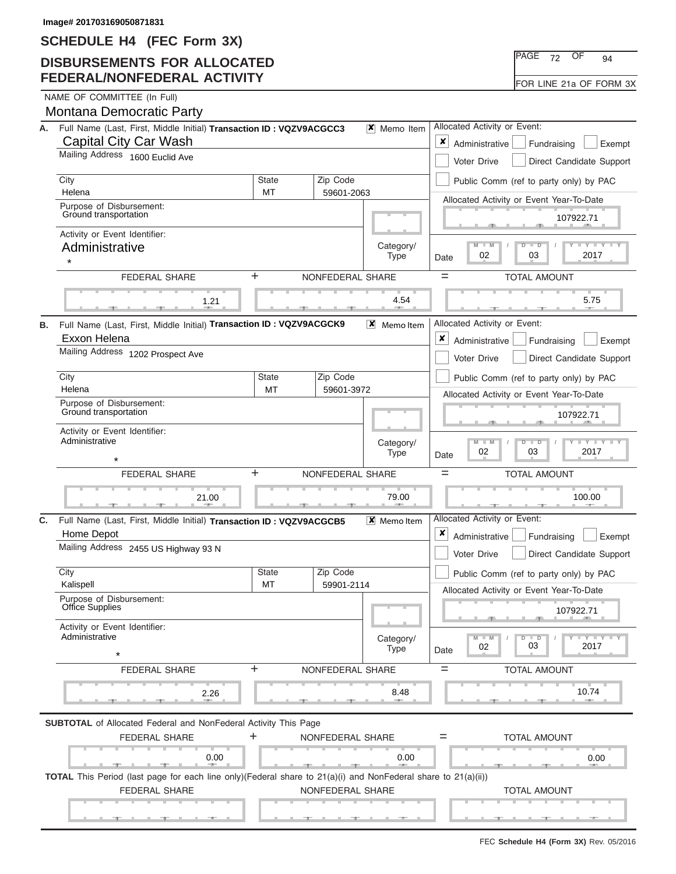## **DISBURSEMENTS FOR ALLOCATED FEDERAL/NONFEDERAL ACTIVITY**

| NAME OF COMMITTEE (In Full) |  |  |  |
|-----------------------------|--|--|--|
|                             |  |  |  |

|    | Montana Democratic Party                                                                                                                          |                          |                  |                              |                                                                   |
|----|---------------------------------------------------------------------------------------------------------------------------------------------------|--------------------------|------------------|------------------------------|-------------------------------------------------------------------|
| А. | Full Name (Last, First, Middle Initial) Transaction ID: VQZV9ACGCC3<br>$\vert x \vert$ Memo Item                                                  |                          |                  |                              | Allocated Activity or Event:                                      |
|    | Capital City Car Wash                                                                                                                             |                          |                  |                              | $\pmb{\times}$<br>Administrative<br>Fundraising<br>Exempt         |
|    | Mailing Address 1600 Euclid Ave                                                                                                                   |                          |                  |                              | Voter Drive<br>Direct Candidate Support                           |
|    | City                                                                                                                                              | Zip Code<br><b>State</b> |                  |                              | Public Comm (ref to party only) by PAC                            |
|    | Helena                                                                                                                                            | MT<br>59601-2063         |                  |                              | Allocated Activity or Event Year-To-Date                          |
|    | Purpose of Disbursement:<br>Ground transportation                                                                                                 |                          |                  | 107922.71                    |                                                                   |
|    | Activity or Event Identifier:                                                                                                                     |                          |                  |                              |                                                                   |
|    | Administrative                                                                                                                                    |                          |                  | Category/<br><b>Type</b>     | W<br>$\blacksquare$<br>2017<br>02<br>03<br>Date                   |
|    | <b>FEDERAL SHARE</b>                                                                                                                              | $\ddot{}$                | NONFEDERAL SHARE |                              | $=$<br><b>TOTAL AMOUNT</b>                                        |
|    | 1.21                                                                                                                                              |                          |                  | 4.54                         | 5.75                                                              |
| В. | Full Name (Last, First, Middle Initial) Transaction ID: VQZV9ACGCK9                                                                               |                          |                  | $\vert x \vert$<br>Memo Item | Allocated Activity or Event:                                      |
|    | Exxon Helena                                                                                                                                      |                          |                  |                              | $\boldsymbol{x}$<br>Administrative<br>Fundraising<br>Exempt       |
|    | Mailing Address 1202 Prospect Ave                                                                                                                 |                          |                  |                              | Voter Drive<br>Direct Candidate Support                           |
|    | Zip Code                                                                                                                                          |                          |                  |                              |                                                                   |
|    | City<br>Helena                                                                                                                                    | <b>State</b><br>МT       | 59601-3972       |                              | Public Comm (ref to party only) by PAC                            |
|    | Purpose of Disbursement:                                                                                                                          |                          |                  |                              | Allocated Activity or Event Year-To-Date                          |
|    | Activity or Event Identifier:                                                                                                                     | Ground transportation    |                  |                              | 107922.71                                                         |
|    | Administrative<br>$\star$                                                                                                                         |                          |                  | Category/<br><b>Type</b>     | $T - Y = T - Y$<br>$M - M$<br>$D$ $D$<br>2017<br>02<br>03<br>Date |
|    |                                                                                                                                                   |                          |                  |                              |                                                                   |
|    | FEDERAL SHARE                                                                                                                                     | $\ddot{}$                | NONFEDERAL SHARE |                              | $=$<br><b>TOTAL AMOUNT</b>                                        |
|    | 21.00                                                                                                                                             |                          |                  | 79.00                        | 100.00                                                            |
| C. |                                                                                                                                                   |                          |                  |                              | Allocated Activity or Event:                                      |
|    | Full Name (Last, First, Middle Initial) Transaction ID: VQZV9ACGCB5<br>Home Depot                                                                 |                          |                  | X Memoltem                   | ×<br>Administrative<br>Fundraising<br>Exempt                      |
|    | Mailing Address 2455 US Highway 93 N                                                                                                              |                          |                  |                              | Voter Drive<br>Direct Candidate Support                           |
|    | City                                                                                                                                              | <b>State</b>             | Zip Code         |                              | Public Comm (ref to party only) by PAC                            |
|    | Kalispell                                                                                                                                         | MT                       | 59901-2114       |                              | Allocated Activity or Event Year-To-Date                          |
|    | Purpose of Disbursement:<br>Office Supplies                                                                                                       |                          |                  |                              | 107922.71                                                         |
|    | Activity or Event Identifier:<br>Administrative                                                                                                   |                          |                  |                              | $M$ $M$<br>Y I Y<br>ு                                             |
|    |                                                                                                                                                   |                          |                  | Category/<br><b>Type</b>     | 03<br>2017<br>02<br>Date                                          |
|    | FEDERAL SHARE                                                                                                                                     | +                        | NONFEDERAL SHARE |                              | <b>TOTAL AMOUNT</b><br>$=$                                        |
|    | 2.26                                                                                                                                              |                          |                  | 8.48                         | 10.74                                                             |
|    |                                                                                                                                                   |                          |                  |                              |                                                                   |
|    | <b>SUBTOTAL</b> of Allocated Federal and NonFederal Activity This Page<br><b>FEDERAL SHARE</b>                                                    | $\ddot{}$                | NONFEDERAL SHARE |                              | <b>TOTAL AMOUNT</b><br>$=$                                        |
|    | 0.00                                                                                                                                              |                          |                  | 0.00                         | 0.00                                                              |
|    | $-1$                                                                                                                                              |                          |                  |                              |                                                                   |
|    | <b>TOTAL</b> This Period (last page for each line only)(Federal share to $21(a)(i)$ and NonFederal share to $21(a)(ii)$ )<br><b>FEDERAL SHARE</b> |                          | NONFEDERAL SHARE |                              | <b>TOTAL AMOUNT</b>                                               |

PAGE <sub>72</sub> OF 94

FOR LINE 21a OF FORM 3X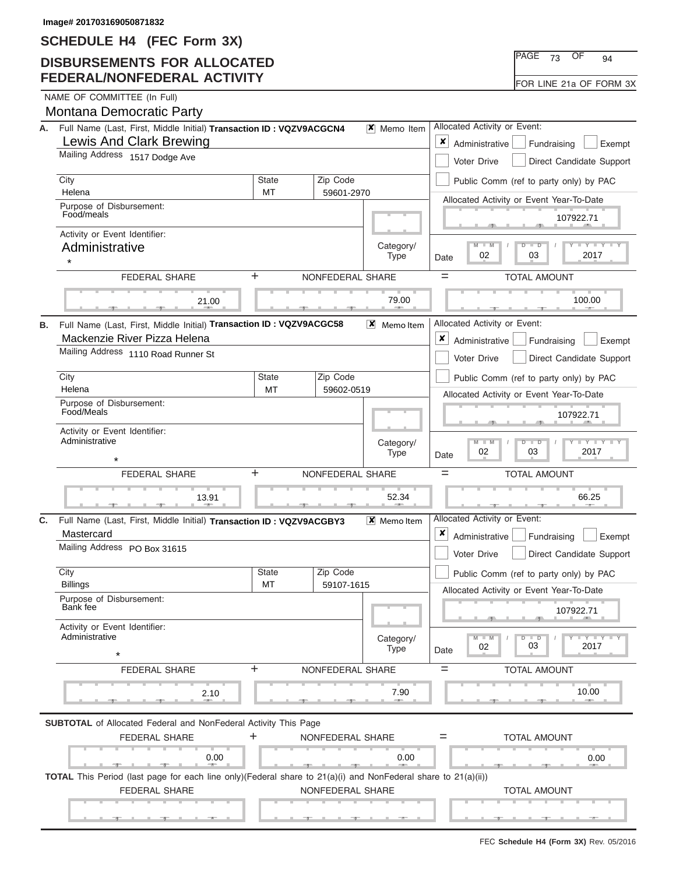# **DISBURSEMENTS FOR ALLOCATED FEDERAL/NONFEDERAL ACTIVITY**

NAME OF COMMITTEE (In Full)

| Allocated Activity or Event:<br>Full Name (Last, First, Middle Initial) Transaction ID: VQZV9ACGCN4<br>А.<br>$\vert x \vert$ Memo Item<br><b>Lewis And Clark Brewing</b><br>$\pmb{\times}$<br>Administrative<br>Fundraising<br>Mailing Address 1517 Dodge Ave<br><b>Voter Drive</b><br>City<br>Zip Code<br><b>State</b><br>Helena<br><b>MT</b><br>59601-2970<br>Allocated Activity or Event Year-To-Date<br>Purpose of Disbursement:<br>Food/meals<br>107922.71<br>Activity or Event Identifier:<br>$M - M$<br>$T$ $T$<br>Category/<br>$\overline{\mathsf{D}}$<br>$\blacksquare$<br>Administrative<br>2017<br>02<br>03<br>Type<br>Date<br>$\star$<br>÷<br><b>FEDERAL SHARE</b><br>NONFEDERAL SHARE<br>$=$<br><b>TOTAL AMOUNT</b><br>79.00<br>100.00<br>21.00<br>Allocated Activity or Event:<br>Full Name (Last, First, Middle Initial) Transaction ID: VQZV9ACGC58<br>Ix∣<br>Memo Item<br>Mackenzie River Pizza Helena<br>×<br>Administrative<br>Fundraising<br>Mailing Address 1110 Road Runner St<br>Voter Drive<br>City<br>Zip Code<br><b>State</b><br>Helena<br>MT<br>59602-0519<br>Allocated Activity or Event Year-To-Date<br>Purpose of Disbursement:<br>Food/Meals<br>107922.71<br>Activity or Event Identifier:<br>Administrative<br>Category/<br>$M - M$<br>$D$ $D$<br>$Y - Y$<br>2017<br>02<br>03<br>Type<br>Date<br>÷<br>NONFEDERAL SHARE<br><b>TOTAL AMOUNT</b><br><b>FEDERAL SHARE</b><br>$=$<br>52.34<br>66.25<br>13.91<br>Allocated Activity or Event:<br>$X$ Memoltem<br>Full Name (Last, First, Middle Initial) Transaction ID: VQZV9ACGBY3<br>×<br>Mastercard<br>Administrative<br>Fundraising<br>Mailing Address PO Box 31615<br>Voter Drive<br>City<br><b>State</b><br>Zip Code<br><b>Billings</b><br>MT<br>59107-1615<br>Allocated Activity or Event Year-To-Date<br>Purpose of Disbursement:<br>Bank fee<br>107922.71<br>Activity or Event Identifier:<br>Administrative<br>Category/<br>$M$ $M$<br>$D$ $D$<br>03<br>2017<br>02<br><b>Type</b><br>Date<br>FEDERAL SHARE<br>+<br>NONFEDERAL SHARE<br>$=$<br><b>TOTAL AMOUNT</b><br>7.90<br>10.00<br>2.10<br><b>SUBTOTAL</b> of Allocated Federal and NonFederal Activity This Page<br>+<br><b>FEDERAL SHARE</b><br>NONFEDERAL SHARE<br><b>TOTAL AMOUNT</b><br>$=$<br>0.00<br>0.00<br>0.00<br>TOTAL This Period (last page for each line only)(Federal share to 21(a)(i) and NonFederal share to 21(a)(ii))<br><b>FEDERAL SHARE</b><br>NONFEDERAL SHARE<br><b>TOTAL AMOUNT</b> |  | Montana Democratic Party |        |  |  |                                        |
|------------------------------------------------------------------------------------------------------------------------------------------------------------------------------------------------------------------------------------------------------------------------------------------------------------------------------------------------------------------------------------------------------------------------------------------------------------------------------------------------------------------------------------------------------------------------------------------------------------------------------------------------------------------------------------------------------------------------------------------------------------------------------------------------------------------------------------------------------------------------------------------------------------------------------------------------------------------------------------------------------------------------------------------------------------------------------------------------------------------------------------------------------------------------------------------------------------------------------------------------------------------------------------------------------------------------------------------------------------------------------------------------------------------------------------------------------------------------------------------------------------------------------------------------------------------------------------------------------------------------------------------------------------------------------------------------------------------------------------------------------------------------------------------------------------------------------------------------------------------------------------------------------------------------------------------------------------------------------------------------------------------------------------------------------------------------------------------------------------------------------------------------------------------------------------------------------------------------------------------------------------------------------------------------------------------------------------------------------------------------------------------------------------------------------------------------------|--|--------------------------|--------|--|--|----------------------------------------|
|                                                                                                                                                                                                                                                                                                                                                                                                                                                                                                                                                                                                                                                                                                                                                                                                                                                                                                                                                                                                                                                                                                                                                                                                                                                                                                                                                                                                                                                                                                                                                                                                                                                                                                                                                                                                                                                                                                                                                                                                                                                                                                                                                                                                                                                                                                                                                                                                                                                      |  |                          |        |  |  |                                        |
|                                                                                                                                                                                                                                                                                                                                                                                                                                                                                                                                                                                                                                                                                                                                                                                                                                                                                                                                                                                                                                                                                                                                                                                                                                                                                                                                                                                                                                                                                                                                                                                                                                                                                                                                                                                                                                                                                                                                                                                                                                                                                                                                                                                                                                                                                                                                                                                                                                                      |  |                          | Exempt |  |  |                                        |
| В.<br>C.                                                                                                                                                                                                                                                                                                                                                                                                                                                                                                                                                                                                                                                                                                                                                                                                                                                                                                                                                                                                                                                                                                                                                                                                                                                                                                                                                                                                                                                                                                                                                                                                                                                                                                                                                                                                                                                                                                                                                                                                                                                                                                                                                                                                                                                                                                                                                                                                                                             |  |                          |        |  |  | Direct Candidate Support               |
|                                                                                                                                                                                                                                                                                                                                                                                                                                                                                                                                                                                                                                                                                                                                                                                                                                                                                                                                                                                                                                                                                                                                                                                                                                                                                                                                                                                                                                                                                                                                                                                                                                                                                                                                                                                                                                                                                                                                                                                                                                                                                                                                                                                                                                                                                                                                                                                                                                                      |  |                          |        |  |  | Public Comm (ref to party only) by PAC |
|                                                                                                                                                                                                                                                                                                                                                                                                                                                                                                                                                                                                                                                                                                                                                                                                                                                                                                                                                                                                                                                                                                                                                                                                                                                                                                                                                                                                                                                                                                                                                                                                                                                                                                                                                                                                                                                                                                                                                                                                                                                                                                                                                                                                                                                                                                                                                                                                                                                      |  |                          |        |  |  |                                        |
|                                                                                                                                                                                                                                                                                                                                                                                                                                                                                                                                                                                                                                                                                                                                                                                                                                                                                                                                                                                                                                                                                                                                                                                                                                                                                                                                                                                                                                                                                                                                                                                                                                                                                                                                                                                                                                                                                                                                                                                                                                                                                                                                                                                                                                                                                                                                                                                                                                                      |  |                          |        |  |  |                                        |
|                                                                                                                                                                                                                                                                                                                                                                                                                                                                                                                                                                                                                                                                                                                                                                                                                                                                                                                                                                                                                                                                                                                                                                                                                                                                                                                                                                                                                                                                                                                                                                                                                                                                                                                                                                                                                                                                                                                                                                                                                                                                                                                                                                                                                                                                                                                                                                                                                                                      |  |                          |        |  |  |                                        |
|                                                                                                                                                                                                                                                                                                                                                                                                                                                                                                                                                                                                                                                                                                                                                                                                                                                                                                                                                                                                                                                                                                                                                                                                                                                                                                                                                                                                                                                                                                                                                                                                                                                                                                                                                                                                                                                                                                                                                                                                                                                                                                                                                                                                                                                                                                                                                                                                                                                      |  |                          |        |  |  |                                        |
|                                                                                                                                                                                                                                                                                                                                                                                                                                                                                                                                                                                                                                                                                                                                                                                                                                                                                                                                                                                                                                                                                                                                                                                                                                                                                                                                                                                                                                                                                                                                                                                                                                                                                                                                                                                                                                                                                                                                                                                                                                                                                                                                                                                                                                                                                                                                                                                                                                                      |  |                          |        |  |  |                                        |
|                                                                                                                                                                                                                                                                                                                                                                                                                                                                                                                                                                                                                                                                                                                                                                                                                                                                                                                                                                                                                                                                                                                                                                                                                                                                                                                                                                                                                                                                                                                                                                                                                                                                                                                                                                                                                                                                                                                                                                                                                                                                                                                                                                                                                                                                                                                                                                                                                                                      |  |                          |        |  |  |                                        |
|                                                                                                                                                                                                                                                                                                                                                                                                                                                                                                                                                                                                                                                                                                                                                                                                                                                                                                                                                                                                                                                                                                                                                                                                                                                                                                                                                                                                                                                                                                                                                                                                                                                                                                                                                                                                                                                                                                                                                                                                                                                                                                                                                                                                                                                                                                                                                                                                                                                      |  |                          |        |  |  |                                        |
|                                                                                                                                                                                                                                                                                                                                                                                                                                                                                                                                                                                                                                                                                                                                                                                                                                                                                                                                                                                                                                                                                                                                                                                                                                                                                                                                                                                                                                                                                                                                                                                                                                                                                                                                                                                                                                                                                                                                                                                                                                                                                                                                                                                                                                                                                                                                                                                                                                                      |  |                          |        |  |  | Exempt                                 |
|                                                                                                                                                                                                                                                                                                                                                                                                                                                                                                                                                                                                                                                                                                                                                                                                                                                                                                                                                                                                                                                                                                                                                                                                                                                                                                                                                                                                                                                                                                                                                                                                                                                                                                                                                                                                                                                                                                                                                                                                                                                                                                                                                                                                                                                                                                                                                                                                                                                      |  |                          |        |  |  | Direct Candidate Support               |
|                                                                                                                                                                                                                                                                                                                                                                                                                                                                                                                                                                                                                                                                                                                                                                                                                                                                                                                                                                                                                                                                                                                                                                                                                                                                                                                                                                                                                                                                                                                                                                                                                                                                                                                                                                                                                                                                                                                                                                                                                                                                                                                                                                                                                                                                                                                                                                                                                                                      |  |                          |        |  |  | Public Comm (ref to party only) by PAC |
|                                                                                                                                                                                                                                                                                                                                                                                                                                                                                                                                                                                                                                                                                                                                                                                                                                                                                                                                                                                                                                                                                                                                                                                                                                                                                                                                                                                                                                                                                                                                                                                                                                                                                                                                                                                                                                                                                                                                                                                                                                                                                                                                                                                                                                                                                                                                                                                                                                                      |  |                          |        |  |  |                                        |
|                                                                                                                                                                                                                                                                                                                                                                                                                                                                                                                                                                                                                                                                                                                                                                                                                                                                                                                                                                                                                                                                                                                                                                                                                                                                                                                                                                                                                                                                                                                                                                                                                                                                                                                                                                                                                                                                                                                                                                                                                                                                                                                                                                                                                                                                                                                                                                                                                                                      |  |                          |        |  |  |                                        |
|                                                                                                                                                                                                                                                                                                                                                                                                                                                                                                                                                                                                                                                                                                                                                                                                                                                                                                                                                                                                                                                                                                                                                                                                                                                                                                                                                                                                                                                                                                                                                                                                                                                                                                                                                                                                                                                                                                                                                                                                                                                                                                                                                                                                                                                                                                                                                                                                                                                      |  |                          |        |  |  |                                        |
|                                                                                                                                                                                                                                                                                                                                                                                                                                                                                                                                                                                                                                                                                                                                                                                                                                                                                                                                                                                                                                                                                                                                                                                                                                                                                                                                                                                                                                                                                                                                                                                                                                                                                                                                                                                                                                                                                                                                                                                                                                                                                                                                                                                                                                                                                                                                                                                                                                                      |  |                          |        |  |  |                                        |
|                                                                                                                                                                                                                                                                                                                                                                                                                                                                                                                                                                                                                                                                                                                                                                                                                                                                                                                                                                                                                                                                                                                                                                                                                                                                                                                                                                                                                                                                                                                                                                                                                                                                                                                                                                                                                                                                                                                                                                                                                                                                                                                                                                                                                                                                                                                                                                                                                                                      |  |                          |        |  |  |                                        |
|                                                                                                                                                                                                                                                                                                                                                                                                                                                                                                                                                                                                                                                                                                                                                                                                                                                                                                                                                                                                                                                                                                                                                                                                                                                                                                                                                                                                                                                                                                                                                                                                                                                                                                                                                                                                                                                                                                                                                                                                                                                                                                                                                                                                                                                                                                                                                                                                                                                      |  |                          |        |  |  |                                        |
|                                                                                                                                                                                                                                                                                                                                                                                                                                                                                                                                                                                                                                                                                                                                                                                                                                                                                                                                                                                                                                                                                                                                                                                                                                                                                                                                                                                                                                                                                                                                                                                                                                                                                                                                                                                                                                                                                                                                                                                                                                                                                                                                                                                                                                                                                                                                                                                                                                                      |  |                          |        |  |  |                                        |
|                                                                                                                                                                                                                                                                                                                                                                                                                                                                                                                                                                                                                                                                                                                                                                                                                                                                                                                                                                                                                                                                                                                                                                                                                                                                                                                                                                                                                                                                                                                                                                                                                                                                                                                                                                                                                                                                                                                                                                                                                                                                                                                                                                                                                                                                                                                                                                                                                                                      |  |                          |        |  |  |                                        |
|                                                                                                                                                                                                                                                                                                                                                                                                                                                                                                                                                                                                                                                                                                                                                                                                                                                                                                                                                                                                                                                                                                                                                                                                                                                                                                                                                                                                                                                                                                                                                                                                                                                                                                                                                                                                                                                                                                                                                                                                                                                                                                                                                                                                                                                                                                                                                                                                                                                      |  |                          |        |  |  | Exempt                                 |
|                                                                                                                                                                                                                                                                                                                                                                                                                                                                                                                                                                                                                                                                                                                                                                                                                                                                                                                                                                                                                                                                                                                                                                                                                                                                                                                                                                                                                                                                                                                                                                                                                                                                                                                                                                                                                                                                                                                                                                                                                                                                                                                                                                                                                                                                                                                                                                                                                                                      |  |                          |        |  |  | Direct Candidate Support               |
|                                                                                                                                                                                                                                                                                                                                                                                                                                                                                                                                                                                                                                                                                                                                                                                                                                                                                                                                                                                                                                                                                                                                                                                                                                                                                                                                                                                                                                                                                                                                                                                                                                                                                                                                                                                                                                                                                                                                                                                                                                                                                                                                                                                                                                                                                                                                                                                                                                                      |  |                          |        |  |  | Public Comm (ref to party only) by PAC |
|                                                                                                                                                                                                                                                                                                                                                                                                                                                                                                                                                                                                                                                                                                                                                                                                                                                                                                                                                                                                                                                                                                                                                                                                                                                                                                                                                                                                                                                                                                                                                                                                                                                                                                                                                                                                                                                                                                                                                                                                                                                                                                                                                                                                                                                                                                                                                                                                                                                      |  |                          |        |  |  |                                        |
|                                                                                                                                                                                                                                                                                                                                                                                                                                                                                                                                                                                                                                                                                                                                                                                                                                                                                                                                                                                                                                                                                                                                                                                                                                                                                                                                                                                                                                                                                                                                                                                                                                                                                                                                                                                                                                                                                                                                                                                                                                                                                                                                                                                                                                                                                                                                                                                                                                                      |  |                          |        |  |  |                                        |
|                                                                                                                                                                                                                                                                                                                                                                                                                                                                                                                                                                                                                                                                                                                                                                                                                                                                                                                                                                                                                                                                                                                                                                                                                                                                                                                                                                                                                                                                                                                                                                                                                                                                                                                                                                                                                                                                                                                                                                                                                                                                                                                                                                                                                                                                                                                                                                                                                                                      |  |                          |        |  |  | $T - Y = T - Y$                        |
|                                                                                                                                                                                                                                                                                                                                                                                                                                                                                                                                                                                                                                                                                                                                                                                                                                                                                                                                                                                                                                                                                                                                                                                                                                                                                                                                                                                                                                                                                                                                                                                                                                                                                                                                                                                                                                                                                                                                                                                                                                                                                                                                                                                                                                                                                                                                                                                                                                                      |  |                          |        |  |  |                                        |
|                                                                                                                                                                                                                                                                                                                                                                                                                                                                                                                                                                                                                                                                                                                                                                                                                                                                                                                                                                                                                                                                                                                                                                                                                                                                                                                                                                                                                                                                                                                                                                                                                                                                                                                                                                                                                                                                                                                                                                                                                                                                                                                                                                                                                                                                                                                                                                                                                                                      |  |                          |        |  |  |                                        |
|                                                                                                                                                                                                                                                                                                                                                                                                                                                                                                                                                                                                                                                                                                                                                                                                                                                                                                                                                                                                                                                                                                                                                                                                                                                                                                                                                                                                                                                                                                                                                                                                                                                                                                                                                                                                                                                                                                                                                                                                                                                                                                                                                                                                                                                                                                                                                                                                                                                      |  |                          |        |  |  |                                        |
|                                                                                                                                                                                                                                                                                                                                                                                                                                                                                                                                                                                                                                                                                                                                                                                                                                                                                                                                                                                                                                                                                                                                                                                                                                                                                                                                                                                                                                                                                                                                                                                                                                                                                                                                                                                                                                                                                                                                                                                                                                                                                                                                                                                                                                                                                                                                                                                                                                                      |  |                          |        |  |  |                                        |
|                                                                                                                                                                                                                                                                                                                                                                                                                                                                                                                                                                                                                                                                                                                                                                                                                                                                                                                                                                                                                                                                                                                                                                                                                                                                                                                                                                                                                                                                                                                                                                                                                                                                                                                                                                                                                                                                                                                                                                                                                                                                                                                                                                                                                                                                                                                                                                                                                                                      |  |                          |        |  |  |                                        |
|                                                                                                                                                                                                                                                                                                                                                                                                                                                                                                                                                                                                                                                                                                                                                                                                                                                                                                                                                                                                                                                                                                                                                                                                                                                                                                                                                                                                                                                                                                                                                                                                                                                                                                                                                                                                                                                                                                                                                                                                                                                                                                                                                                                                                                                                                                                                                                                                                                                      |  |                          |        |  |  |                                        |
|                                                                                                                                                                                                                                                                                                                                                                                                                                                                                                                                                                                                                                                                                                                                                                                                                                                                                                                                                                                                                                                                                                                                                                                                                                                                                                                                                                                                                                                                                                                                                                                                                                                                                                                                                                                                                                                                                                                                                                                                                                                                                                                                                                                                                                                                                                                                                                                                                                                      |  |                          |        |  |  |                                        |
|                                                                                                                                                                                                                                                                                                                                                                                                                                                                                                                                                                                                                                                                                                                                                                                                                                                                                                                                                                                                                                                                                                                                                                                                                                                                                                                                                                                                                                                                                                                                                                                                                                                                                                                                                                                                                                                                                                                                                                                                                                                                                                                                                                                                                                                                                                                                                                                                                                                      |  |                          |        |  |  |                                        |

PAGE 73 OF 94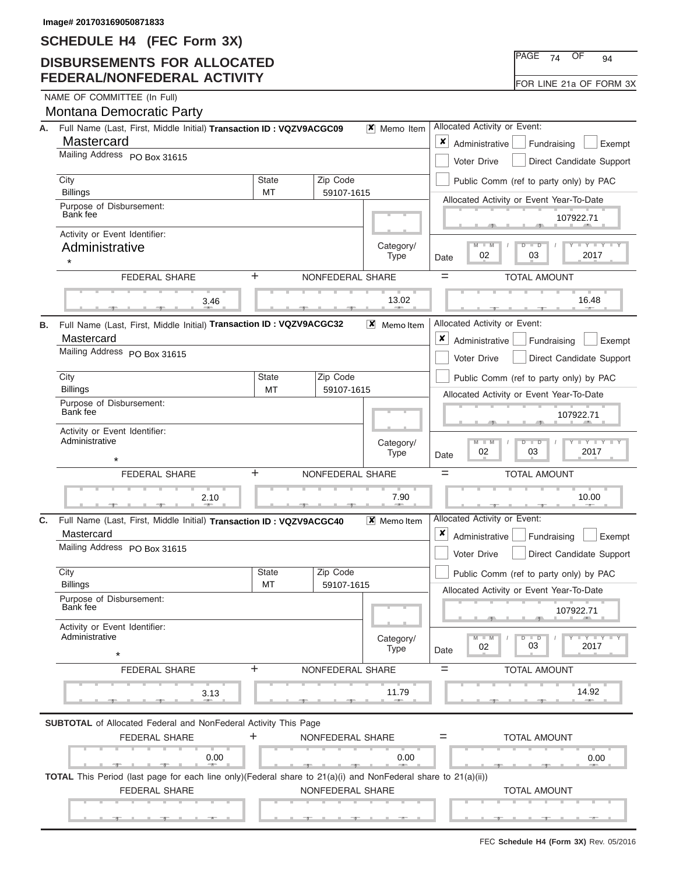### **DISBURSEMENTS FOR ALLOCATED FEDERAL/NONFEDERAL ACTIVITY**

| NAME OF COMMITTEE (In Full) |  |  |  |  |  |
|-----------------------------|--|--|--|--|--|
|-----------------------------|--|--|--|--|--|

|    | Montana Democratic Party                                                                                                  |                       |                  |                           |                                                                                       |
|----|---------------------------------------------------------------------------------------------------------------------------|-----------------------|------------------|---------------------------|---------------------------------------------------------------------------------------|
| А. | Full Name (Last, First, Middle Initial) Transaction ID: VQZV9ACGC09                                                       |                       |                  | $\vert x \vert$ Memo Item | Allocated Activity or Event:                                                          |
|    | Mastercard                                                                                                                |                       |                  |                           | ×<br>Administrative<br>Fundraising<br>Exempt                                          |
|    | Mailing Address PO Box 31615                                                                                              |                       |                  |                           | Voter Drive<br>Direct Candidate Support                                               |
|    | City                                                                                                                      | <b>State</b>          | Zip Code         |                           | Public Comm (ref to party only) by PAC                                                |
|    | <b>Billings</b>                                                                                                           | МT                    | 59107-1615       |                           | Allocated Activity or Event Year-To-Date                                              |
|    | Purpose of Disbursement:<br>Bank fee                                                                                      |                       |                  |                           | 107922.71                                                                             |
|    | Activity or Event Identifier:                                                                                             |                       |                  |                           |                                                                                       |
|    | Administrative                                                                                                            |                       |                  | Category/<br><b>Type</b>  | $M - M$<br>₽<br>$\overline{\phantom{a}}$<br>2017<br>02<br>03<br>Date                  |
|    | <b>FEDERAL SHARE</b>                                                                                                      | +                     | NONFEDERAL SHARE |                           | $=$<br><b>TOTAL AMOUNT</b>                                                            |
|    | 3.46                                                                                                                      |                       |                  | 13.02                     | 16.48                                                                                 |
| В. | Full Name (Last, First, Middle Initial) Transaction ID: VQZV9ACGC32                                                       |                       |                  | $\mathbf{x}$<br>Memo Item | Allocated Activity or Event:                                                          |
|    | Mastercard                                                                                                                |                       |                  |                           | ×<br>Administrative<br>Fundraising<br>Exempt                                          |
|    | Mailing Address PO Box 31615                                                                                              |                       |                  |                           | Voter Drive<br>Direct Candidate Support                                               |
|    | City                                                                                                                      | <b>State</b>          | Zip Code         |                           | Public Comm (ref to party only) by PAC                                                |
|    | <b>Billings</b>                                                                                                           | МT                    | 59107-1615       |                           | Allocated Activity or Event Year-To-Date                                              |
|    | Purpose of Disbursement:<br>Bank fee                                                                                      |                       |                  |                           | 107922.71                                                                             |
|    | Activity or Event Identifier:                                                                                             |                       |                  |                           |                                                                                       |
|    | Administrative<br>$\star$                                                                                                 |                       |                  | Category/<br><b>Type</b>  | $T$ $T$ $T$ $T$ $T$ $T$ $T$ $T$ $T$<br>$M - M$<br>$D - D$<br>02<br>03<br>2017<br>Date |
|    | FEDERAL SHARE                                                                                                             | +<br>NONFEDERAL SHARE |                  |                           | $=$<br><b>TOTAL AMOUNT</b>                                                            |
|    | 2.10                                                                                                                      |                       |                  | 7.90                      | 10.00                                                                                 |
| C. | Full Name (Last, First, Middle Initial) Transaction ID: VQZV9ACGC40                                                       |                       |                  | X Memoltem                | Allocated Activity or Event:                                                          |
|    | Mastercard                                                                                                                |                       |                  |                           | ×<br>Administrative<br>Fundraising<br>Exempt                                          |
|    | Mailing Address PO Box 31615                                                                                              |                       |                  |                           | Voter Drive<br>Direct Candidate Support                                               |
|    | City                                                                                                                      | <b>State</b>          | Zip Code         |                           | Public Comm (ref to party only) by PAC                                                |
|    | <b>Billings</b><br>Purpose of Disbursement:                                                                               | MT                    | 59107-1615       |                           | Allocated Activity or Event Year-To-Date                                              |
|    | Bank fee                                                                                                                  |                       |                  |                           | 107922.71                                                                             |
|    | Activity or Event Identifier:<br>Administrative                                                                           |                       |                  | Category/                 | $M - M$<br>Y I Y I<br>$\blacksquare$<br>03                                            |
|    | $\star$                                                                                                                   |                       |                  | <b>Type</b>               | 2017<br>02<br>Date                                                                    |
|    | <b>FEDERAL SHARE</b>                                                                                                      | $\ddot{}$             | NONFEDERAL SHARE |                           | <b>TOTAL AMOUNT</b><br>$=$                                                            |
|    | 3.13                                                                                                                      |                       |                  | 11.79                     | 14.92                                                                                 |
|    | <b>SUBTOTAL</b> of Allocated Federal and NonFederal Activity This Page                                                    |                       |                  |                           |                                                                                       |
|    | <b>FEDERAL SHARE</b>                                                                                                      | +                     | NONFEDERAL SHARE |                           | <b>TOTAL AMOUNT</b><br>$=$                                                            |
|    | 0.00<br><b>COLLECTIVE</b>                                                                                                 |                       |                  | 0.00                      | 0.00                                                                                  |
|    |                                                                                                                           |                       |                  |                           |                                                                                       |
|    | <b>TOTAL</b> This Period (last page for each line only)(Federal share to $21(a)(i)$ and NonFederal share to $21(a)(ii)$ ) |                       |                  |                           |                                                                                       |
|    | FEDERAL SHARE                                                                                                             |                       | NONFEDERAL SHARE |                           | <b>TOTAL AMOUNT</b>                                                                   |
|    |                                                                                                                           |                       |                  |                           |                                                                                       |

PAGE 74 OF 94 FOR LINE 21a OF FORM 3X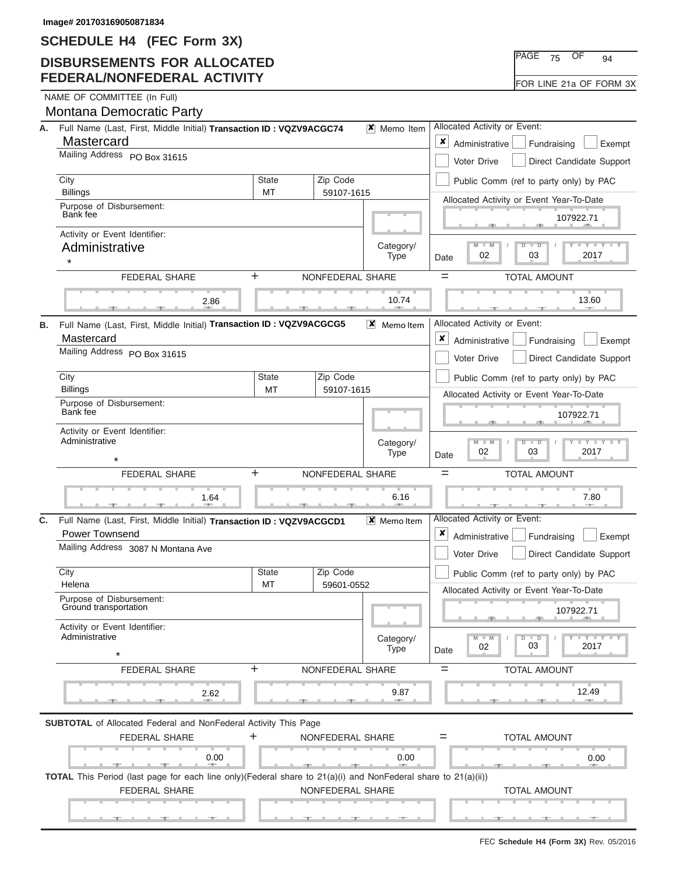### **DISBURSEMENTS FOR ALLOCATED FEDERAL/NONFEDERAL ACTIVITY**

| NAME OF COMMITTEE (In Full) |  |  |  |  |  |
|-----------------------------|--|--|--|--|--|
|-----------------------------|--|--|--|--|--|

|    | Montana Democratic Party                                                                                                            |                                               |                  |                           |                                                                                                                               |
|----|-------------------------------------------------------------------------------------------------------------------------------------|-----------------------------------------------|------------------|---------------------------|-------------------------------------------------------------------------------------------------------------------------------|
| А. | Full Name (Last, First, Middle Initial) Transaction ID: VQZV9ACGC74                                                                 |                                               |                  | $\vert x \vert$ Memo Item | Allocated Activity or Event:                                                                                                  |
|    | Mastercard                                                                                                                          |                                               |                  |                           | ×<br>Administrative<br>Fundraising<br>Exempt                                                                                  |
|    | Mailing Address PO Box 31615                                                                                                        |                                               |                  |                           | Voter Drive<br>Direct Candidate Support                                                                                       |
|    | City                                                                                                                                | <b>State</b>                                  | Zip Code         |                           | Public Comm (ref to party only) by PAC                                                                                        |
|    | <b>Billings</b>                                                                                                                     | MT                                            | 59107-1615       |                           | Allocated Activity or Event Year-To-Date                                                                                      |
|    | Purpose of Disbursement:<br>Bank fee                                                                                                |                                               |                  |                           | 107922.71                                                                                                                     |
|    | Activity or Event Identifier:                                                                                                       |                                               |                  |                           |                                                                                                                               |
|    | Administrative                                                                                                                      |                                               |                  | Category/<br><b>Type</b>  | $M - M$<br>ᢧ<br>$\blacksquare$<br>2017<br>02<br>03<br>Date                                                                    |
|    | <b>FEDERAL SHARE</b>                                                                                                                | +                                             | NONFEDERAL SHARE |                           | <b>TOTAL AMOUNT</b><br>$=$                                                                                                    |
|    | 2.86                                                                                                                                |                                               |                  | 10.74                     | 13.60                                                                                                                         |
| В. | Full Name (Last, First, Middle Initial) Transaction ID: VQZV9ACGCG5                                                                 |                                               |                  | $X$ Memoltem              | Allocated Activity or Event:                                                                                                  |
|    | Mastercard                                                                                                                          |                                               |                  |                           | $\pmb{\times}$<br>Administrative<br>Fundraising<br>Exempt                                                                     |
|    | Mailing Address PO Box 31615                                                                                                        |                                               |                  |                           | Voter Drive<br>Direct Candidate Support                                                                                       |
|    | City                                                                                                                                | <b>State</b>                                  | Zip Code         |                           | Public Comm (ref to party only) by PAC                                                                                        |
|    | <b>Billings</b>                                                                                                                     | <b>MT</b>                                     | 59107-1615       |                           | Allocated Activity or Event Year-To-Date                                                                                      |
|    | Purpose of Disbursement:<br>Bank fee                                                                                                |                                               |                  |                           | 107922.71                                                                                                                     |
|    | Activity or Event Identifier:                                                                                                       |                                               |                  |                           |                                                                                                                               |
|    | Administrative<br>$\star$                                                                                                           |                                               |                  | Category/<br><b>Type</b>  | $Y - Y$<br>$\overline{\mathsf{M}}$<br>$-M$<br>$\overline{\mathsf{D}}$<br>$\overline{\phantom{0}}$<br>2017<br>02<br>03<br>Date |
|    |                                                                                                                                     | +<br><b>FEDERAL SHARE</b><br>NONFEDERAL SHARE |                  |                           | $=$<br><b>TOTAL AMOUNT</b>                                                                                                    |
|    |                                                                                                                                     |                                               |                  |                           |                                                                                                                               |
|    | 1.64                                                                                                                                |                                               |                  | 6.16                      | 7.80                                                                                                                          |
| C. | Full Name (Last, First, Middle Initial) Transaction ID: VQZV9ACGCD1                                                                 |                                               |                  | $ X $ Memo Item           | Allocated Activity or Event:                                                                                                  |
|    | Power Townsend                                                                                                                      |                                               |                  |                           | x<br>Administrative<br>Fundraising<br>Exempt                                                                                  |
|    | Mailing Address 3087 N Montana Ave                                                                                                  |                                               |                  |                           | Voter Drive<br>Direct Candidate Support                                                                                       |
|    | City                                                                                                                                | <b>State</b>                                  | Zip Code         |                           | Public Comm (ref to party only) by PAC                                                                                        |
|    | Helena                                                                                                                              | MT                                            | 59601-0552       |                           | Allocated Activity or Event Year-To-Date                                                                                      |
|    | Purnose of Disbursement:<br>Ground transportation                                                                                   |                                               |                  |                           | 107922.71                                                                                                                     |
|    | Activity or Event Identifier:<br>Administrative                                                                                     |                                               |                  | Category/                 | $M - M$<br>YIYI<br>ъ<br>$\Box$                                                                                                |
|    |                                                                                                                                     |                                               |                  | Type                      | 03<br>2017<br>02<br>Date                                                                                                      |
|    | <b>FEDERAL SHARE</b>                                                                                                                | ÷                                             | NONFEDERAL SHARE |                           | <b>TOTAL AMOUNT</b><br>$=$                                                                                                    |
|    | 2.62                                                                                                                                |                                               |                  | 9.87                      | 12.49                                                                                                                         |
|    |                                                                                                                                     |                                               |                  |                           |                                                                                                                               |
|    | <b>SUBTOTAL</b> of Allocated Federal and NonFederal Activity This Page<br><b>FEDERAL SHARE</b>                                      | +                                             | NONFEDERAL SHARE |                           | <b>TOTAL AMOUNT</b><br>$=$                                                                                                    |
|    | 0.00                                                                                                                                |                                               |                  | 0.00                      | 0.00                                                                                                                          |
|    | <b>ALC: UNITED</b><br>TOTAL This Period (last page for each line only)(Federal share to 21(a)(i) and NonFederal share to 21(a)(ii)) |                                               |                  |                           |                                                                                                                               |
|    | <b>FEDERAL SHARE</b>                                                                                                                |                                               | NONFEDERAL SHARE |                           | <b>TOTAL AMOUNT</b>                                                                                                           |
|    |                                                                                                                                     |                                               |                  |                           |                                                                                                                               |

PAGE <sub>75</sub> OF 94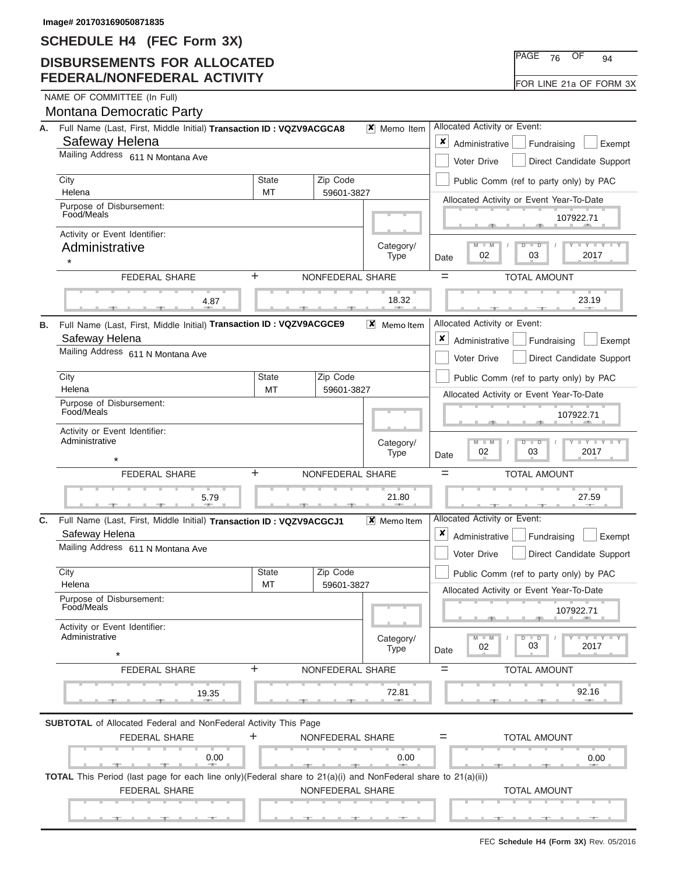# **DISBURSEMENTS FOR ALLOCATED FEDERAL/NONFEDERAL ACTIVITY**

| NAME OF COMMITTEE (In Full) |  |  |  |
|-----------------------------|--|--|--|
|                             |  |  |  |

|    | Montana Democratic Party                                                                                                                          |              |                  |                           |                                                                           |
|----|---------------------------------------------------------------------------------------------------------------------------------------------------|--------------|------------------|---------------------------|---------------------------------------------------------------------------|
| А. | Full Name (Last, First, Middle Initial) Transaction ID: VQZV9ACGCA8                                                                               |              |                  | $\vert x \vert$ Memo Item | Allocated Activity or Event:                                              |
|    | Safeway Helena                                                                                                                                    |              |                  |                           | $\pmb{\times}$<br>Administrative<br>Fundraising<br>Exempt                 |
|    | Mailing Address 611 N Montana Ave                                                                                                                 |              |                  |                           | Voter Drive<br>Direct Candidate Support                                   |
|    | City                                                                                                                                              | <b>State</b> | Zip Code         |                           | Public Comm (ref to party only) by PAC                                    |
|    | Helena<br>Purpose of Disbursement:                                                                                                                | MT           | 59601-3827       |                           | Allocated Activity or Event Year-To-Date                                  |
|    | Food/Meals                                                                                                                                        |              |                  |                           | 107922.71                                                                 |
|    | Activity or Event Identifier:                                                                                                                     |              |                  | Category/                 | $M - M$<br>$\Box$                                                         |
|    | Administrative                                                                                                                                    |              |                  | <b>Type</b>               | 2017<br>02<br>03<br>Date                                                  |
|    | <b>FEDERAL SHARE</b>                                                                                                                              | $\ddot{}$    | NONFEDERAL SHARE |                           | $=$<br><b>TOTAL AMOUNT</b>                                                |
|    | 4.87                                                                                                                                              |              |                  | 18.32                     | 23.19                                                                     |
| В. | Full Name (Last, First, Middle Initial) Transaction ID: VQZV9ACGCE9                                                                               |              |                  | x<br>Memo Item            | Allocated Activity or Event:                                              |
|    | Safeway Helena                                                                                                                                    |              |                  |                           | $\pmb{\times}$<br>Administrative<br>Fundraising<br>Exempt                 |
|    | Mailing Address 611 N Montana Ave                                                                                                                 |              |                  |                           | Voter Drive<br>Direct Candidate Support                                   |
|    | City                                                                                                                                              | <b>State</b> | Zip Code         |                           | Public Comm (ref to party only) by PAC                                    |
|    | Helena                                                                                                                                            | MT           | 59601-3827       |                           | Allocated Activity or Event Year-To-Date                                  |
|    | Purpose of Disbursement:<br>Food/Meals                                                                                                            |              |                  |                           | 107922.71                                                                 |
|    | Activity or Event Identifier:                                                                                                                     |              |                  |                           |                                                                           |
|    | Administrative<br>$\star$                                                                                                                         |              |                  | Category/<br><b>Type</b>  | $T - Y$ $T - Y$ $T - Y$<br>$M - M$<br>$D$ $D$<br>2017<br>02<br>03<br>Date |
|    |                                                                                                                                                   |              |                  |                           |                                                                           |
|    | FEDERAL SHARE                                                                                                                                     | $\ddot{}$    | NONFEDERAL SHARE |                           | $=$<br><b>TOTAL AMOUNT</b>                                                |
|    | 5.79                                                                                                                                              |              |                  | 21.80                     | 27.59                                                                     |
|    | Full Name (Last, First, Middle Initial) Transaction ID: VQZV9ACGCJ1                                                                               |              |                  | X Memoltem                | Allocated Activity or Event:                                              |
|    | Safeway Helena                                                                                                                                    |              |                  |                           | ×<br>Administrative<br>Fundraising                                        |
|    | Mailing Address 611 N Montana Ave                                                                                                                 |              |                  |                           | Voter Drive                                                               |
|    | City                                                                                                                                              | <b>State</b> | Zip Code         |                           | Direct Candidate Support<br>Public Comm (ref to party only) by PAC        |
|    | Helena                                                                                                                                            | МT           | 59601-3827       |                           | Allocated Activity or Event Year-To-Date                                  |
| C. | Purpose of Disbursement:<br>Food/Meals                                                                                                            |              |                  |                           | 107922.71                                                                 |
|    | Activity or Event Identifier:<br>Administrative                                                                                                   |              |                  |                           | $M - M$<br>$Y - Y$<br>ு                                                   |
|    | $\star$                                                                                                                                           |              |                  | Category/<br><b>Type</b>  | 03<br>2017<br>02<br>Date                                                  |
|    | FEDERAL SHARE                                                                                                                                     | ÷            | NONFEDERAL SHARE |                           | <b>TOTAL AMOUNT</b><br>$=$                                                |
|    | 19.35                                                                                                                                             |              |                  | 72.81                     | 92.16                                                                     |
|    |                                                                                                                                                   |              |                  |                           |                                                                           |
|    | <b>SUBTOTAL</b> of Allocated Federal and NonFederal Activity This Page<br><b>FEDERAL SHARE</b>                                                    | +            | NONFEDERAL SHARE |                           | <b>TOTAL AMOUNT</b><br>$=$                                                |
|    | 0.00                                                                                                                                              |              |                  | 0.00                      |                                                                           |
|    | <b>All Contracts</b>                                                                                                                              |              |                  |                           | 0.00                                                                      |
|    | <b>TOTAL</b> This Period (last page for each line only)(Federal share to $21(a)(i)$ and NonFederal share to $21(a)(ii)$ )<br><b>FEDERAL SHARE</b> |              | NONFEDERAL SHARE |                           | Exempt<br><b>TOTAL AMOUNT</b>                                             |

PAGE <sub>76</sub> OF 94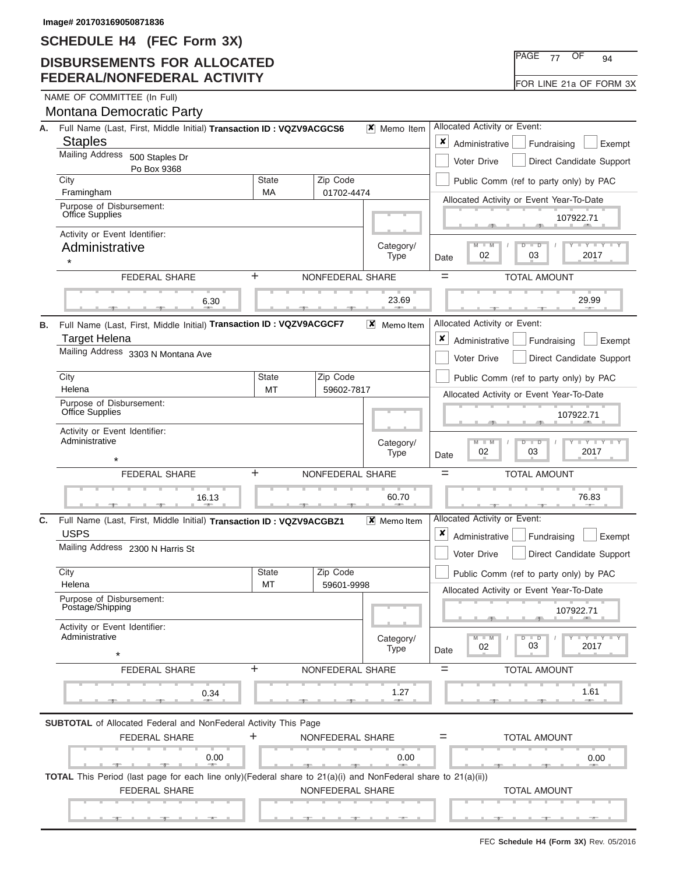# **DISBURSEMENTS FOR ALLOCATED FEDERAL/NONFEDERAL ACTIVITY**

| NAME OF COMMITTEE (In Full) |  |
|-----------------------------|--|
|-----------------------------|--|

|    | FLDLNALINONFLDLNAL AVIIVII I                                                                                                                     |                    |                         |                   |                                                                                          | IFOR LINE 21a OF FORM 3)                                             |
|----|--------------------------------------------------------------------------------------------------------------------------------------------------|--------------------|-------------------------|-------------------|------------------------------------------------------------------------------------------|----------------------------------------------------------------------|
|    | NAME OF COMMITTEE (In Full)<br>Montana Democratic Party                                                                                          |                    |                         |                   |                                                                                          |                                                                      |
| А. | Full Name (Last, First, Middle Initial) Transaction ID: VQZV9ACGCS6<br><b>Staples</b><br><b>Mailing Address</b><br>500 Staples Dr<br>Po Box 9368 |                    | $\overline{\mathbf{x}}$ | Memo Item         | Allocated Activity or Event:<br>$\boldsymbol{x}$<br>Administrative<br><b>Voter Drive</b> | Fundraising<br>Exempt<br>Direct Candidate Support                    |
|    | City<br>Framingham                                                                                                                               | <b>State</b><br>МA | Zip Code<br>01702-4474  |                   |                                                                                          | Public Comm (ref to party only) by PAC                               |
|    | Purpose of Disbursement:<br><b>Office Supplies</b>                                                                                               |                    |                         |                   |                                                                                          | Allocated Activity or Event Year-To-Date<br>107922.71<br><b>AREA</b> |
|    | Activity or Event Identifier:<br>Administrative                                                                                                  |                    |                         | Category/<br>Type | $M - M$<br>02<br>Date                                                                    | Y = Y = Y = Y<br>$D$ $D$<br>03<br>2017                               |
|    | <b>FEDERAL SHARE</b><br>6.30                                                                                                                     | +                  | NONFEDERAL SHARE        | 23.69             | =                                                                                        | <b>TOTAL AMOUNT</b><br>29.99                                         |
| В. | Full Name (Last, First, Middle Initial) Transaction ID: VQZV9ACGCF7<br>Target Helena<br>Mailing Address 3303 N Montana Ave                       |                    | x                       | Memo Item         | Allocated Activity or Event:<br>×<br>Administrative<br>$\cdots$ $\cdots$                 | Fundraising<br>Exempt                                                |

| В. | Full Name (Last, First, Middle Initial) Transaction ID: VQZV9ACGCF7 |              |                  | x<br>Memo Item           | Allocated Activity or Event:                                 |
|----|---------------------------------------------------------------------|--------------|------------------|--------------------------|--------------------------------------------------------------|
|    | <b>Target Helena</b>                                                |              |                  |                          | ×<br>Administrative<br>Fundraising<br>Exempt                 |
|    | Mailing Address 3303 N Montana Ave                                  |              |                  |                          | <b>Voter Drive</b><br>Direct Candidate Support               |
|    | City                                                                | <b>State</b> | Zip Code         |                          | Public Comm (ref to party only) by PAC                       |
|    | Helena                                                              | <b>MT</b>    | 59602-7817       |                          | Allocated Activity or Event Year-To-Date                     |
|    | Purpose of Disbursement:<br><b>Office Supplies</b>                  |              |                  |                          | 107922.71                                                    |
|    | Activity or Event Identifier:                                       |              |                  |                          |                                                              |
|    | Administrative<br>$\star$                                           |              |                  | Category/<br><b>Type</b> | Y TY TY TY<br>$M - M$<br>$D - D$<br>02<br>03<br>2017<br>Date |
|    | <b>FEDERAL SHARE</b>                                                | $\ddot{}$    | NONFEDERAL SHARE |                          | <b>TOTAL AMOUNT</b><br>$=$                                   |
|    | 16.13                                                               |              |                  | 60.70                    | 76.83                                                        |
| C. | Full Name (Last, First, Middle Initial) Transaction ID: VQZV9ACGBZ1 |              |                  | X Memoltem               | Allocated Activity or Event:                                 |
|    | <b>USPS</b>                                                         |              |                  |                          | ×<br>Administrative<br>Fundraising<br>Exempt                 |
|    | Mailing Address 2300 N Harris St                                    |              |                  |                          | Voter Drive<br>Direct Candidate Support                      |
|    | City                                                                | <b>State</b> | Zip Code         |                          | Public Comm (ref to party only) by PAC                       |
|    | Helena                                                              | <b>MT</b>    | 59601-9998       |                          | Allocated Activity or Event Year-To-Date                     |
|    | Purpose of Disbursement:<br>Postage/Shipping                        |              |                  |                          | 107922.71<br>$\sqrt{2}$                                      |
|    | Activity or Event Identifier:                                       |              |                  |                          |                                                              |
|    | Administrative<br>$\star$                                           |              |                  | Category/<br><b>Type</b> | Y FY FY FY<br>$M$ $M$<br>$D$ $D$<br>03<br>2017<br>02<br>Date |
|    | <b>FEDERAL SHARE</b>                                                | +            | NONFEDERAL SHARE |                          | <b>TOTAL AMOUNT</b><br>$=$                                   |
|    | 0.34                                                                |              |                  | 1.27                     | 1.61                                                         |
|    | SUBTOTAL of Allocated Federal and NonFederal Activity This Page     |              |                  |                          |                                                              |
|    | FEDERAL SHARE                                                       | +            | NONFEDERAL SHARE |                          | <b>TOTAL AMOUNT</b><br>$=$                                   |
|    | 0.00                                                                |              |                  | 0.00                     | 0.00                                                         |

| 0.34                                                                              | 1.27                                                                                                        | .61                 |
|-----------------------------------------------------------------------------------|-------------------------------------------------------------------------------------------------------------|---------------------|
| AL of Allocated Federal and NonFederal Activity This Page<br><b>FEDERAL SHARE</b> | NONFEDERAL SHARE                                                                                            | <b>TOTAL AMOUNT</b> |
| 0.00                                                                              | 0.00                                                                                                        | 0.00                |
|                                                                                   | (a) This Deriod (last nage for each line only)(Federal share to 21/a)(i) and NonFederal share to 21/a)(iii) |                     |

| <b>TOTAL</b> This Period (last page for each line only)(Federal share to 21(a)(i) and NonFederal share to 21(a)(ii)) |  |                  |  |  |  |  |  |  |
|----------------------------------------------------------------------------------------------------------------------|--|------------------|--|--|--|--|--|--|
| FEDERAL SHARE                                                                                                        |  | TOTAL AMOUNT     |  |  |  |  |  |  |
|                                                                                                                      |  |                  |  |  |  |  |  |  |
|                                                                                                                      |  | NONFEDERAL SHARE |  |  |  |  |  |  |

PAGE <sub>77</sub> OF 94

 $M$  3X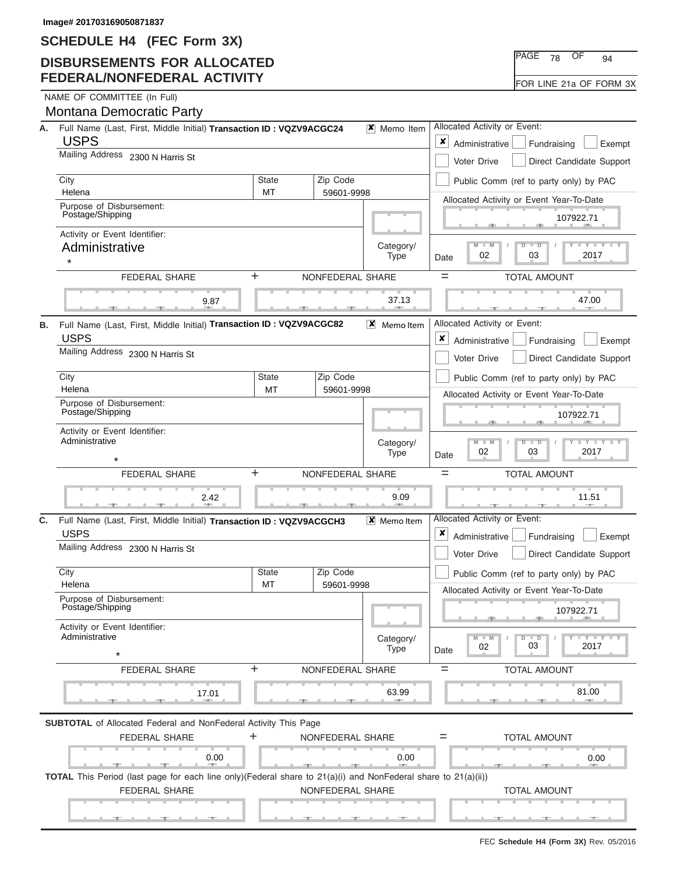# **DISBURSEMENTS FOR ALLOCATED FEDERAL/NONFEDERAL ACTIVITY**

|  | NAME OF COMMITTEE (In Full) |  |
|--|-----------------------------|--|
|  |                             |  |

|    | <b>Montana Democratic Party</b>                                                                                                                   |                                         |                  |                           |                                                                                         |  |  |  |
|----|---------------------------------------------------------------------------------------------------------------------------------------------------|-----------------------------------------|------------------|---------------------------|-----------------------------------------------------------------------------------------|--|--|--|
| А. | Full Name (Last, First, Middle Initial) Transaction ID: VQZV9ACGC24                                                                               | Allocated Activity or Event:            |                  |                           |                                                                                         |  |  |  |
|    | <b>USPS</b><br>Mailing Address 2300 N Harris St                                                                                                   |                                         |                  |                           | ×<br>Administrative<br>Fundraising<br>Exempt                                            |  |  |  |
|    |                                                                                                                                                   |                                         |                  |                           | Voter Drive<br>Direct Candidate Support                                                 |  |  |  |
|    | City                                                                                                                                              | <b>State</b>                            | Zip Code         |                           | Public Comm (ref to party only) by PAC                                                  |  |  |  |
|    | Helena<br>Purpose of Disbursement:                                                                                                                | MT                                      | 59601-9998       |                           | Allocated Activity or Event Year-To-Date                                                |  |  |  |
|    | Postage/Shipping                                                                                                                                  |                                         |                  |                           | 107922.71                                                                               |  |  |  |
|    | Activity or Event Identifier:<br>Administrative                                                                                                   |                                         |                  | Category/                 | W<br>$\blacksquare$                                                                     |  |  |  |
|    | <b>Type</b>                                                                                                                                       |                                         |                  |                           | 2017<br>02<br>03<br>Date                                                                |  |  |  |
|    | <b>FEDERAL SHARE</b>                                                                                                                              | $\pm$                                   | NONFEDERAL SHARE |                           | $=$<br><b>TOTAL AMOUNT</b>                                                              |  |  |  |
|    | 9.87                                                                                                                                              |                                         |                  | 37.13                     | 47.00                                                                                   |  |  |  |
| В. | Full Name (Last, First, Middle Initial) Transaction ID: VQZV9ACGC82                                                                               |                                         |                  | $\mathbf{x}$<br>Memo Item | Allocated Activity or Event:                                                            |  |  |  |
|    | <b>USPS</b>                                                                                                                                       |                                         |                  |                           | ×<br>Administrative<br>Fundraising<br>Exempt                                            |  |  |  |
|    | Mailing Address 2300 N Harris St                                                                                                                  | Voter Drive<br>Direct Candidate Support |                  |                           |                                                                                         |  |  |  |
|    | City<br>State<br>Zip Code                                                                                                                         |                                         |                  |                           | Public Comm (ref to party only) by PAC                                                  |  |  |  |
|    | Helena                                                                                                                                            | MT                                      | 59601-9998       |                           | Allocated Activity or Event Year-To-Date                                                |  |  |  |
|    | Purpose of Disbursement:<br>Postage/Shipping                                                                                                      |                                         |                  |                           | 107922.71                                                                               |  |  |  |
|    | Activity or Event Identifier:<br>Administrative                                                                                                   |                                         |                  | Category/                 | $T - Y - T - Y$<br>$M - M$<br>$D$ $D$                                                   |  |  |  |
|    | $\star$                                                                                                                                           |                                         |                  |                           | 2017<br>02<br>03<br>Date                                                                |  |  |  |
|    | $\pm$<br><b>FEDERAL SHARE</b><br>NONFEDERAL SHARE                                                                                                 |                                         |                  |                           |                                                                                         |  |  |  |
|    |                                                                                                                                                   |                                         |                  |                           | $=$<br><b>TOTAL AMOUNT</b>                                                              |  |  |  |
|    | 2.42                                                                                                                                              |                                         |                  | 9.09                      | 11.51                                                                                   |  |  |  |
|    | Full Name (Last, First, Middle Initial) Transaction ID: VQZV9ACGCH3<br><b>USPS</b>                                                                |                                         |                  | $ \mathbf{X} $ Memo Item  | Allocated Activity or Event:                                                            |  |  |  |
|    | Mailing Address 2300 N Harris St                                                                                                                  |                                         |                  |                           | ×<br>Administrative<br>Fundraising<br>Exempt<br>Voter Drive<br>Direct Candidate Support |  |  |  |
|    | City                                                                                                                                              | <b>State</b>                            | Zip Code         |                           | Public Comm (ref to party only) by PAC                                                  |  |  |  |
|    | Helena                                                                                                                                            | МT                                      | 59601-9998       |                           | Allocated Activity or Event Year-To-Date                                                |  |  |  |
|    | Purpose of Disbursement:<br>Postage/Shipping                                                                                                      |                                         |                  |                           | 107922.71                                                                               |  |  |  |
|    | Activity or Event Identifier:<br>Administrative                                                                                                   |                                         |                  | Category/                 | $M - M$<br><b>LEY LEY LE</b><br>$\overline{\mathsf{D}}$<br>$\overline{\phantom{a}}$     |  |  |  |
|    | $\star$                                                                                                                                           |                                         |                  | <b>Type</b>               | 03<br>2017<br>02<br>Date                                                                |  |  |  |
|    | <b>FEDERAL SHARE</b>                                                                                                                              | +                                       | NONFEDERAL SHARE |                           | TOTAL AMOUNT<br>$=$                                                                     |  |  |  |
|    | 17.01                                                                                                                                             |                                         |                  | 63.99                     | 81.00                                                                                   |  |  |  |
|    |                                                                                                                                                   |                                         |                  |                           |                                                                                         |  |  |  |
|    | <b>SUBTOTAL</b> of Allocated Federal and NonFederal Activity This Page<br><b>FEDERAL SHARE</b>                                                    | +                                       | NONFEDERAL SHARE |                           | <b>TOTAL AMOUNT</b><br>$=$                                                              |  |  |  |
|    |                                                                                                                                                   |                                         |                  | 0.00                      |                                                                                         |  |  |  |
|    | 0.00<br><b>Allen</b>                                                                                                                              |                                         |                  |                           | 0.00                                                                                    |  |  |  |
| C. | <b>TOTAL</b> This Period (last page for each line only)(Federal share to $21(a)(i)$ and NonFederal share to $21(a)(ii)$ )<br><b>FEDERAL SHARE</b> |                                         | NONFEDERAL SHARE |                           | <b>TOTAL AMOUNT</b>                                                                     |  |  |  |

PAGE <sub>78</sub> OF 94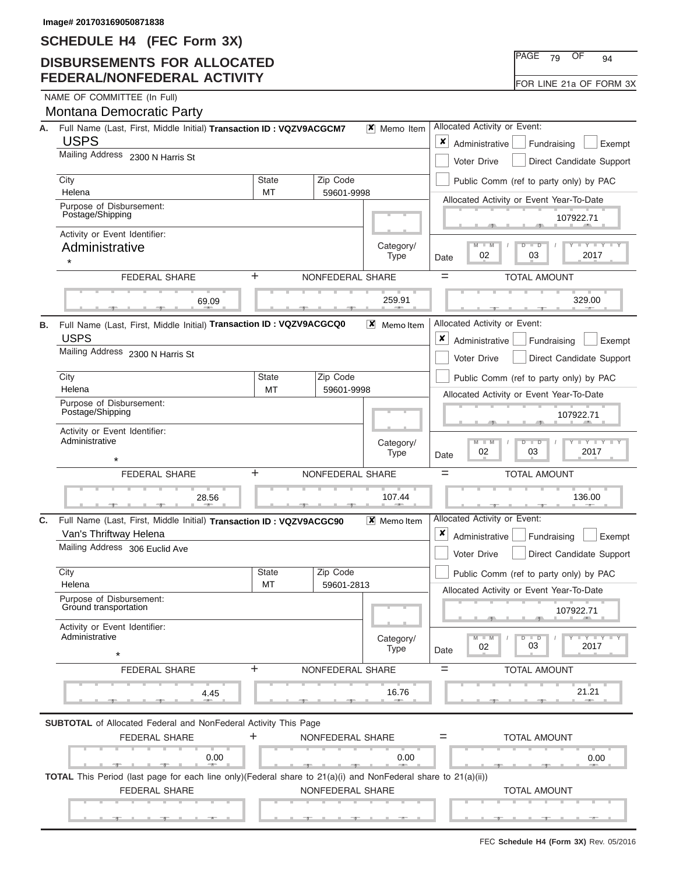### **DISBURSEMENTS FOR ALLOCATED FEDERAL/NONFEDERAL ACTIVITY**

| NAME OF COMMITTEE (In Full) |  |
|-----------------------------|--|
|                             |  |

|    | Montana Democratic Party                                                                                                                          |                                         |                  |                              |                                                                                                           |  |  |
|----|---------------------------------------------------------------------------------------------------------------------------------------------------|-----------------------------------------|------------------|------------------------------|-----------------------------------------------------------------------------------------------------------|--|--|
| А. | Full Name (Last, First, Middle Initial) Transaction ID: VQZV9ACGCM7<br>$\vert x \vert$ Memo Item                                                  |                                         |                  |                              | Allocated Activity or Event:                                                                              |  |  |
|    | <b>USPS</b>                                                                                                                                       |                                         |                  |                              | ×<br>Administrative<br>Fundraising<br>Exempt                                                              |  |  |
|    | Mailing Address 2300 N Harris St                                                                                                                  | Voter Drive<br>Direct Candidate Support |                  |                              |                                                                                                           |  |  |
|    | City                                                                                                                                              | <b>State</b>                            | Zip Code         |                              | Public Comm (ref to party only) by PAC                                                                    |  |  |
|    | Helena                                                                                                                                            | MT                                      | 59601-9998       |                              | Allocated Activity or Event Year-To-Date                                                                  |  |  |
|    | Purpose of Disbursement:<br>Postage/Shipping                                                                                                      |                                         |                  |                              | 107922.71                                                                                                 |  |  |
|    | Activity or Event Identifier:                                                                                                                     |                                         |                  | Category/                    | $\blacksquare$                                                                                            |  |  |
|    | Administrative                                                                                                                                    |                                         |                  | <b>Type</b>                  | 2017<br>02<br>03<br>Date                                                                                  |  |  |
|    | <b>FEDERAL SHARE</b>                                                                                                                              | $\pm$                                   | NONFEDERAL SHARE |                              | $=$<br><b>TOTAL AMOUNT</b>                                                                                |  |  |
|    | 69.09                                                                                                                                             |                                         |                  | 259.91                       | 329.00                                                                                                    |  |  |
| В. | Full Name (Last, First, Middle Initial) Transaction ID: VQZV9ACGCQ0                                                                               |                                         |                  | $\vert x \vert$<br>Memo Item | Allocated Activity or Event:                                                                              |  |  |
|    | <b>USPS</b>                                                                                                                                       |                                         |                  |                              | ×<br>Administrative<br>Fundraising<br>Exempt                                                              |  |  |
|    | Mailing Address 2300 N Harris St                                                                                                                  |                                         |                  |                              | Voter Drive<br>Direct Candidate Support                                                                   |  |  |
|    | City<br>State<br>Zip Code                                                                                                                         |                                         |                  |                              | Public Comm (ref to party only) by PAC                                                                    |  |  |
|    | Helena                                                                                                                                            | MT                                      | 59601-9998       |                              | Allocated Activity or Event Year-To-Date                                                                  |  |  |
|    | Purpose of Disbursement:                                                                                                                          |                                         |                  |                              |                                                                                                           |  |  |
|    | Postage/Shipping                                                                                                                                  |                                         |                  |                              | 107922.71                                                                                                 |  |  |
|    | Activity or Event Identifier:<br>Administrative                                                                                                   |                                         |                  | Category/<br><b>Type</b>     | $T - Y - T - Y$<br>$M - M$<br>$D$ $D$<br>2017<br>02<br>03<br>Date                                         |  |  |
|    | $\star$                                                                                                                                           |                                         |                  |                              |                                                                                                           |  |  |
|    |                                                                                                                                                   |                                         |                  |                              |                                                                                                           |  |  |
|    | FEDERAL SHARE                                                                                                                                     | $\pm$                                   | NONFEDERAL SHARE |                              | $=$<br><b>TOTAL AMOUNT</b>                                                                                |  |  |
|    | 28.56                                                                                                                                             |                                         |                  | 107.44                       | 136.00                                                                                                    |  |  |
|    |                                                                                                                                                   |                                         |                  |                              | Allocated Activity or Event:                                                                              |  |  |
|    | Full Name (Last, First, Middle Initial) Transaction ID: VQZV9ACGC90<br>Van's Thriftway Helena                                                     |                                         |                  | X Memoltem                   | ×<br>Administrative<br>Exempt                                                                             |  |  |
|    | Mailing Address 306 Euclid Ave                                                                                                                    |                                         |                  |                              | Fundraising<br>Voter Drive<br>Direct Candidate Support                                                    |  |  |
|    | City                                                                                                                                              | <b>State</b>                            | Zip Code         |                              | Public Comm (ref to party only) by PAC                                                                    |  |  |
|    | Helena                                                                                                                                            | МT                                      | 59601-2813       |                              | Allocated Activity or Event Year-To-Date                                                                  |  |  |
|    | Purpose of Disbursement:<br>Ground transportation                                                                                                 |                                         |                  |                              | 107922.71                                                                                                 |  |  |
|    | Activity or Event Identifier:<br>Administrative                                                                                                   |                                         |                  | Category/                    | $M - M$<br>$\Box$ $\Upsilon$ $\Box$ $\Upsilon$ $\Upsilon$<br>$\overline{\phantom{a}}$<br>03<br>2017<br>02 |  |  |
|    | $\star$                                                                                                                                           |                                         |                  | <b>Type</b>                  | Date                                                                                                      |  |  |
|    | <b>FEDERAL SHARE</b>                                                                                                                              | +                                       | NONFEDERAL SHARE |                              | TOTAL AMOUNT<br>$=$                                                                                       |  |  |
|    | 4.45                                                                                                                                              |                                         |                  | 16.76                        | 21.21                                                                                                     |  |  |
|    |                                                                                                                                                   |                                         |                  |                              |                                                                                                           |  |  |
|    | <b>SUBTOTAL</b> of Allocated Federal and NonFederal Activity This Page<br><b>FEDERAL SHARE</b>                                                    | +                                       | NONFEDERAL SHARE |                              | <b>TOTAL AMOUNT</b><br>$=$                                                                                |  |  |
|    |                                                                                                                                                   |                                         |                  |                              |                                                                                                           |  |  |
|    | 0.00<br><b>All Contracts</b>                                                                                                                      |                                         |                  | 0.00                         | 0.00                                                                                                      |  |  |
| C. | <b>TOTAL</b> This Period (last page for each line only)(Federal share to $21(a)(i)$ and NonFederal share to $21(a)(ii)$ )<br><b>FEDERAL SHARE</b> |                                         | NONFEDERAL SHARE |                              | <b>TOTAL AMOUNT</b>                                                                                       |  |  |

PAGE <sub>79</sub> OF 94 FOR LINE 21a OF FORM 3X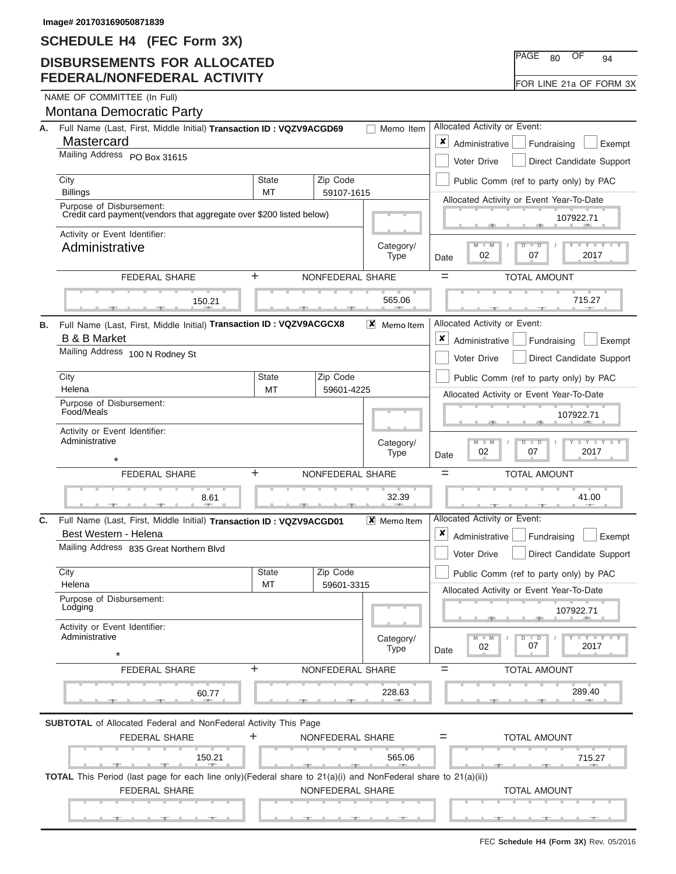# **DISBURSEMENTS FOR ALLOCATED FEDERAL/NONFEDERAL ACTIVITY**

| $IPAGE$ 80              |  | 94 |  |
|-------------------------|--|----|--|
| FOR LINE 21a OF FORM 3X |  |    |  |

NAME OF COMMITTEE (In Full)

|    | Montana Democratic Party                                                                                                                          |                                                                                         |                        |                          |                                                                                                                    |
|----|---------------------------------------------------------------------------------------------------------------------------------------------------|-----------------------------------------------------------------------------------------|------------------------|--------------------------|--------------------------------------------------------------------------------------------------------------------|
| А. | Full Name (Last, First, Middle Initial) Transaction ID: VQZV9ACGD69                                                                               |                                                                                         |                        | Memo Item                | Allocated Activity or Event:                                                                                       |
|    | Mastercard                                                                                                                                        |                                                                                         |                        |                          | ×<br>Administrative<br>Fundraising<br>Exempt                                                                       |
|    | Mailing Address PO Box 31615                                                                                                                      | Voter Drive<br>Direct Candidate Support                                                 |                        |                          |                                                                                                                    |
|    | City                                                                                                                                              | <b>State</b>                                                                            | Zip Code               |                          | Public Comm (ref to party only) by PAC                                                                             |
|    | <b>Billings</b>                                                                                                                                   | МT                                                                                      | 59107-1615             |                          | Allocated Activity or Event Year-To-Date                                                                           |
|    | Purpose of Disbursement:<br>Credit card payment(vendors that aggregate over \$200 listed below)                                                   |                                                                                         | 107922.71              |                          |                                                                                                                    |
|    | Activity or Event Identifier:                                                                                                                     |                                                                                         |                        |                          |                                                                                                                    |
|    | Administrative                                                                                                                                    | $M - M$<br>$\overline{D}$<br>$\overline{D}$<br>2017<br>02<br>07<br>Date                 |                        |                          |                                                                                                                    |
|    | <b>FEDERAL SHARE</b>                                                                                                                              | +                                                                                       | NONFEDERAL SHARE       |                          | $=$<br><b>TOTAL AMOUNT</b>                                                                                         |
|    | 150.21                                                                                                                                            |                                                                                         |                        | 565.06                   | 715.27                                                                                                             |
| В. | Full Name (Last, First, Middle Initial) Transaction ID: VQZV9ACGCX8                                                                               |                                                                                         |                        | ×<br>Memo Item           | Allocated Activity or Event:                                                                                       |
|    | <b>B &amp; B Market</b>                                                                                                                           |                                                                                         |                        |                          | ×<br>Administrative<br>Fundraising<br>Exempt                                                                       |
|    | Mailing Address 100 N Rodney St                                                                                                                   |                                                                                         |                        |                          | Voter Drive<br>Direct Candidate Support                                                                            |
|    | City<br><b>State</b><br>Zip Code                                                                                                                  |                                                                                         |                        |                          | Public Comm (ref to party only) by PAC                                                                             |
|    | Helena                                                                                                                                            | МT                                                                                      | 59601-4225             |                          | Allocated Activity or Event Year-To-Date                                                                           |
|    | Purpose of Disbursement:<br>Food/Meals                                                                                                            |                                                                                         | 107922.71              |                          |                                                                                                                    |
|    | Activity or Event Identifier:<br>Administrative<br>Category/<br><b>Type</b><br>$\star$                                                            |                                                                                         |                        |                          | $\mathbf{I} = \mathbf{Y} - \mathbf{I} - \mathbf{Y} - \mathbf{I}$<br>$M - M$<br>$D$ $D$<br>2017<br>02<br>07<br>Date |
|    | FEDERAL SHARE                                                                                                                                     | ٠                                                                                       | NONFEDERAL SHARE       |                          | $=$<br><b>TOTAL AMOUNT</b>                                                                                         |
|    | 8.61                                                                                                                                              |                                                                                         |                        | 32.39                    | 41.00                                                                                                              |
| C. | Best Western - Helena                                                                                                                             | Full Name (Last, First, Middle Initial) Transaction ID: VQZV9ACGD01<br>∣x∣<br>Memo Item |                        |                          |                                                                                                                    |
|    | Mailing Address 835 Great Northern Blvd                                                                                                           |                                                                                         |                        |                          | Administrative<br>Fundraising<br>Exempt<br>Voter Drive<br>Direct Candidate Support                                 |
|    | City<br>Helena                                                                                                                                    | State<br>МT                                                                             | Zip Code<br>59601-3315 |                          | Public Comm (ref to party only) by PAC                                                                             |
|    | Purpose of Disbursement:                                                                                                                          |                                                                                         |                        |                          | Allocated Activity or Event Year-To-Date                                                                           |
|    | Lodging                                                                                                                                           |                                                                                         |                        |                          | 107922.71                                                                                                          |
|    | Activity or Event Identifier:<br>Administrative                                                                                                   |                                                                                         |                        | Category/<br><b>Type</b> | $M - M$<br>$\Box$<br>Y TY<br>07<br>2017<br>02<br>Date                                                              |
|    | FEDERAL SHARE                                                                                                                                     | ÷                                                                                       | NONFEDERAL SHARE       |                          | <b>TOTAL AMOUNT</b><br>$=$                                                                                         |
|    |                                                                                                                                                   |                                                                                         |                        |                          |                                                                                                                    |
|    | 60.77                                                                                                                                             |                                                                                         |                        | 228.63                   | 289.40                                                                                                             |
|    | <b>SUBTOTAL</b> of Allocated Federal and NonFederal Activity This Page                                                                            |                                                                                         |                        |                          |                                                                                                                    |
|    | <b>FEDERAL SHARE</b>                                                                                                                              | +                                                                                       | NONFEDERAL SHARE       |                          | <b>TOTAL AMOUNT</b><br>=                                                                                           |
|    | 150.21<br>$-7-$                                                                                                                                   |                                                                                         |                        | 565.06                   | 715.27                                                                                                             |
|    | <b>TOTAL</b> This Period (last page for each line only)(Federal share to $21(a)(i)$ and NonFederal share to $21(a)(ii)$ )<br><b>FEDERAL SHARE</b> |                                                                                         | NONFEDERAL SHARE       |                          | <b>TOTAL AMOUNT</b>                                                                                                |
|    |                                                                                                                                                   |                                                                                         |                        |                          |                                                                                                                    |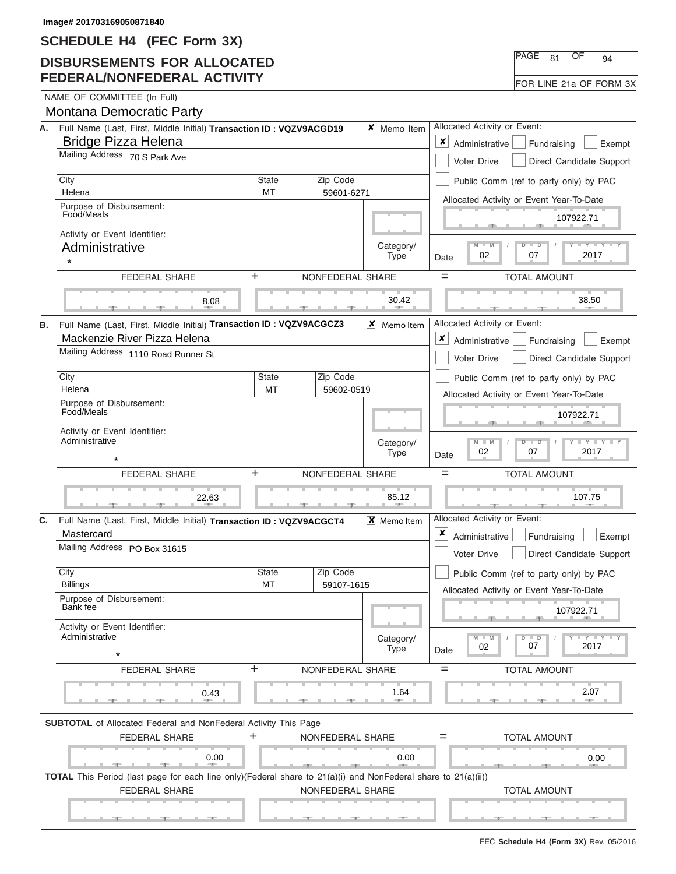# **DISBURSEMENTS FOR ALLOCATED FEDERAL/NONFEDERAL ACTIVITY**

| NAME OF COMMITTEE (In Full) |  |  |  |
|-----------------------------|--|--|--|
|                             |  |  |  |

| А. | Full Name (Last, First, Middle Initial) Transaction ID: VQZV9ACGD19<br>$X$ Memo Item                                      |                                         |                          |                                                                     | Allocated Activity or Event:                                                                                                       |  |  |
|----|---------------------------------------------------------------------------------------------------------------------------|-----------------------------------------|--------------------------|---------------------------------------------------------------------|------------------------------------------------------------------------------------------------------------------------------------|--|--|
|    | Bridge Pizza Helena                                                                                                       |                                         |                          |                                                                     | x<br>Administrative<br>Fundraising<br>Exempt                                                                                       |  |  |
|    | Mailing Address 70 S Park Ave                                                                                             |                                         |                          |                                                                     | Voter Drive<br>Direct Candidate Support                                                                                            |  |  |
|    | City                                                                                                                      | State                                   | Zip Code                 |                                                                     | Public Comm (ref to party only) by PAC                                                                                             |  |  |
|    | Helena                                                                                                                    | MT                                      | 59601-6271               |                                                                     | Allocated Activity or Event Year-To-Date                                                                                           |  |  |
|    | Purpose of Disbursement:<br>Food/Meals                                                                                    |                                         |                          | 107922.71                                                           |                                                                                                                                    |  |  |
|    | Activity or Event Identifier:                                                                                             |                                         |                          |                                                                     |                                                                                                                                    |  |  |
|    | Administrative<br>$\star$                                                                                                 |                                         | Category/<br><b>Type</b> | $M - M$<br><b>LEYTHEY LE</b><br>$D$ $D$<br>02<br>2017<br>07<br>Date |                                                                                                                                    |  |  |
|    | FEDERAL SHARE                                                                                                             | ÷.                                      | NONFEDERAL SHARE         |                                                                     | $=$<br><b>TOTAL AMOUNT</b>                                                                                                         |  |  |
|    | 8.08                                                                                                                      |                                         |                          | 30.42                                                               | 38.50                                                                                                                              |  |  |
| В. | Full Name (Last, First, Middle Initial) Transaction ID: VQZV9ACGCZ3                                                       |                                         |                          | $X$ Memoltem                                                        | Allocated Activity or Event:                                                                                                       |  |  |
|    | Mackenzie River Pizza Helena                                                                                              |                                         |                          |                                                                     | $\pmb{\times}$<br>Administrative<br>Fundraising<br>Exempt                                                                          |  |  |
|    | Mailing Address 1110 Road Runner St                                                                                       | Voter Drive<br>Direct Candidate Support |                          |                                                                     |                                                                                                                                    |  |  |
|    | City                                                                                                                      | State                                   | Zip Code                 |                                                                     | Public Comm (ref to party only) by PAC                                                                                             |  |  |
|    | Helena                                                                                                                    | MT                                      | 59602-0519               |                                                                     | Allocated Activity or Event Year-To-Date                                                                                           |  |  |
|    | Purpose of Disbursement:<br>Food/Meals                                                                                    |                                         |                          |                                                                     | 107922.71                                                                                                                          |  |  |
|    | Activity or Event Identifier:<br>Administrative<br>Category/<br><b>Type</b><br>$\star$                                    |                                         |                          |                                                                     | $M - M$<br>Y TY TY T<br>$D$ $\Box$ $D$                                                                                             |  |  |
|    |                                                                                                                           |                                         |                          |                                                                     | 02<br>2017<br>07<br>Date                                                                                                           |  |  |
|    | ÷<br><b>FEDERAL SHARE</b>                                                                                                 | $=$<br><b>TOTAL AMOUNT</b>              |                          |                                                                     |                                                                                                                                    |  |  |
|    | 22.63                                                                                                                     |                                         |                          | 85.12                                                               | 107.75                                                                                                                             |  |  |
| C. | Full Name (Last, First, Middle Initial) Transaction ID: VQZV9ACGCT4<br>Mastercard                                         |                                         |                          | $ X $ Memo Item                                                     | Allocated Activity or Event:<br>x                                                                                                  |  |  |
|    | Mailing Address PO Box 31615                                                                                              |                                         |                          |                                                                     | Administrative<br>Fundraising<br>Exempt<br>Voter Drive<br>Direct Candidate Support                                                 |  |  |
|    | City                                                                                                                      | State                                   | Zip Code                 |                                                                     | Public Comm (ref to party only) by PAC                                                                                             |  |  |
|    | <b>Billings</b>                                                                                                           | MT                                      | 59107-1615               |                                                                     | Allocated Activity or Event Year-To-Date                                                                                           |  |  |
|    | Purpose of Disbursement:<br>Bank fee                                                                                      |                                         |                          |                                                                     | 107922.71                                                                                                                          |  |  |
|    | Activity or Event Identifier:                                                                                             |                                         |                          |                                                                     |                                                                                                                                    |  |  |
|    | Administrative                                                                                                            |                                         |                          | Category/<br><b>Type</b>                                            | $M - M$<br>$\blacksquare$ $\vdash$ $\vdash$ $\vdash$ $\vdash$ $\vdash$ $\vdash$<br>ъ<br>$\blacksquare$<br>07<br>2017<br>02<br>Date |  |  |
|    | FEDERAL SHARE                                                                                                             | ÷                                       | NONFEDERAL SHARE         |                                                                     | <b>TOTAL AMOUNT</b><br>$=$                                                                                                         |  |  |
|    | 0.43                                                                                                                      |                                         |                          | 1.64                                                                | 2.07                                                                                                                               |  |  |
|    | <b>SUBTOTAL</b> of Allocated Federal and NonFederal Activity This Page                                                    |                                         |                          |                                                                     |                                                                                                                                    |  |  |
|    | <b>FEDERAL SHARE</b>                                                                                                      | +                                       | NONFEDERAL SHARE         |                                                                     | <b>TOTAL AMOUNT</b><br>$=$                                                                                                         |  |  |
|    | 0.00                                                                                                                      |                                         |                          | 0.00                                                                | 0.00                                                                                                                               |  |  |
|    | <b>TOTAL</b> This Period (last page for each line only)(Federal share to $21(a)(i)$ and NonFederal share to $21(a)(ii)$ ) |                                         |                          |                                                                     |                                                                                                                                    |  |  |
|    | <b>FEDERAL SHARE</b>                                                                                                      |                                         | NONFEDERAL SHARE         |                                                                     | <b>TOTAL AMOUNT</b>                                                                                                                |  |  |
|    |                                                                                                                           |                                         |                          |                                                                     |                                                                                                                                    |  |  |
|    |                                                                                                                           |                                         |                          |                                                                     |                                                                                                                                    |  |  |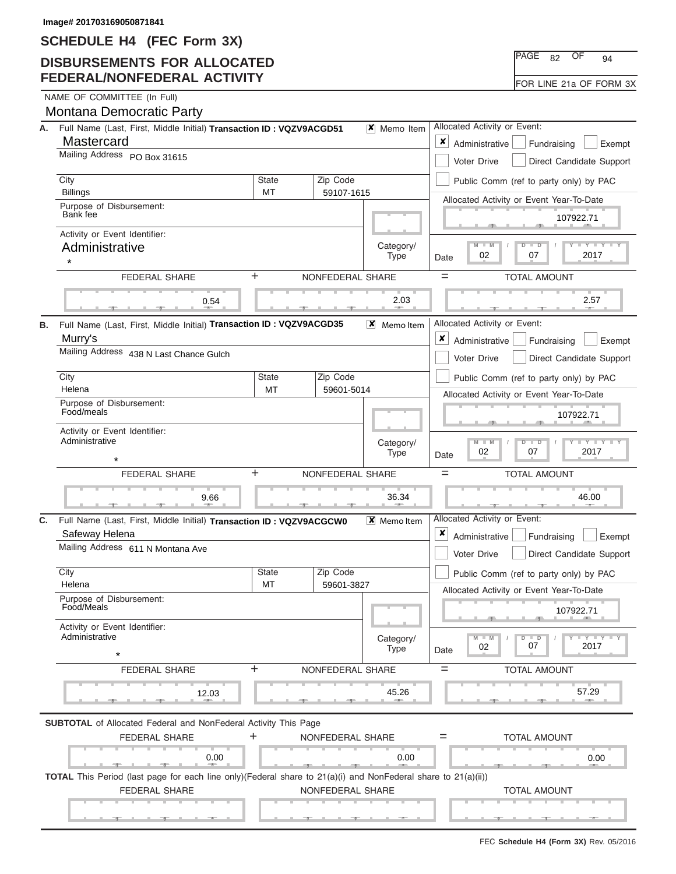### **DISBURSEMENTS FOR ALLOCATED FEDERAL/NONFEDERAL ACTIVITY**

| Allocated Activity or Event:<br>Full Name (Last, First, Middle Initial) Transaction ID: VQZV9ACGD51<br>А.<br>$\vert x \vert$ Memo Item<br>Mastercard<br>$\pmb{\times}$<br>Administrative<br>Mailing Address PO Box 31615<br>Voter Drive<br>City<br>Zip Code<br><b>State</b><br>Public Comm (ref to party only) by PAC<br><b>Billings</b><br>MT<br>59107-1615<br>Allocated Activity or Event Year-To-Date<br>Purpose of Disbursement:<br>Bank fee<br>Activity or Event Identifier:<br>Category/<br>$M - M$<br>Administrative<br>ъ<br>ு<br>02<br>07<br><b>Type</b><br>Date | Fundraising<br>Exempt<br>Direct Candidate Support<br>107922.71   |
|--------------------------------------------------------------------------------------------------------------------------------------------------------------------------------------------------------------------------------------------------------------------------------------------------------------------------------------------------------------------------------------------------------------------------------------------------------------------------------------------------------------------------------------------------------------------------|------------------------------------------------------------------|
|                                                                                                                                                                                                                                                                                                                                                                                                                                                                                                                                                                          |                                                                  |
|                                                                                                                                                                                                                                                                                                                                                                                                                                                                                                                                                                          |                                                                  |
|                                                                                                                                                                                                                                                                                                                                                                                                                                                                                                                                                                          |                                                                  |
|                                                                                                                                                                                                                                                                                                                                                                                                                                                                                                                                                                          |                                                                  |
|                                                                                                                                                                                                                                                                                                                                                                                                                                                                                                                                                                          |                                                                  |
|                                                                                                                                                                                                                                                                                                                                                                                                                                                                                                                                                                          |                                                                  |
|                                                                                                                                                                                                                                                                                                                                                                                                                                                                                                                                                                          |                                                                  |
|                                                                                                                                                                                                                                                                                                                                                                                                                                                                                                                                                                          | 2017                                                             |
| +<br><b>FEDERAL SHARE</b><br>NONFEDERAL SHARE<br>$=$<br><b>TOTAL AMOUNT</b>                                                                                                                                                                                                                                                                                                                                                                                                                                                                                              |                                                                  |
| 2.03<br>0.54                                                                                                                                                                                                                                                                                                                                                                                                                                                                                                                                                             | 2.57                                                             |
| Allocated Activity or Event:                                                                                                                                                                                                                                                                                                                                                                                                                                                                                                                                             |                                                                  |
| Full Name (Last, First, Middle Initial) Transaction ID: VQZV9ACGD35<br>$\vert x \vert$<br>В.<br>Memo Item<br>Murry's<br>$\pmb{\times}$                                                                                                                                                                                                                                                                                                                                                                                                                                   |                                                                  |
| Administrative<br>Mailing Address 438 N Last Chance Gulch<br>Voter Drive                                                                                                                                                                                                                                                                                                                                                                                                                                                                                                 | Fundraising<br>Exempt<br>Direct Candidate Support                |
|                                                                                                                                                                                                                                                                                                                                                                                                                                                                                                                                                                          |                                                                  |
| City<br>Zip Code<br><b>State</b><br>Public Comm (ref to party only) by PAC<br>Helena<br>МT                                                                                                                                                                                                                                                                                                                                                                                                                                                                               |                                                                  |
| 59601-5014<br>Allocated Activity or Event Year-To-Date<br>Purpose of Disbursement:                                                                                                                                                                                                                                                                                                                                                                                                                                                                                       |                                                                  |
| Food/meals                                                                                                                                                                                                                                                                                                                                                                                                                                                                                                                                                               | 107922.71                                                        |
| Activity or Event Identifier:<br>Administrative<br>$M - M$<br>$D$ $D$                                                                                                                                                                                                                                                                                                                                                                                                                                                                                                    | $\mathbf{I} = \mathbf{Y} - \mathbf{I} - \mathbf{Y} - \mathbf{I}$ |
| Category/<br>02<br>07<br><b>Type</b><br>Date<br>$\star$                                                                                                                                                                                                                                                                                                                                                                                                                                                                                                                  | 2017                                                             |
| +<br>FEDERAL SHARE<br>NONFEDERAL SHARE<br>$=$<br><b>TOTAL AMOUNT</b>                                                                                                                                                                                                                                                                                                                                                                                                                                                                                                     |                                                                  |
| 36.34<br>9.66                                                                                                                                                                                                                                                                                                                                                                                                                                                                                                                                                            | 46.00                                                            |
| Allocated Activity or Event:<br>C.<br>Full Name (Last, First, Middle Initial) Transaction ID: VQZV9ACGCW0<br>X Memo Item                                                                                                                                                                                                                                                                                                                                                                                                                                                 |                                                                  |
| Safeway Helena<br>×<br>Administrative                                                                                                                                                                                                                                                                                                                                                                                                                                                                                                                                    | Fundraising<br>Exempt                                            |
| Mailing Address 611 N Montana Ave<br>Voter Drive                                                                                                                                                                                                                                                                                                                                                                                                                                                                                                                         | Direct Candidate Support                                         |
| City<br><b>State</b><br>Zip Code<br>Public Comm (ref to party only) by PAC                                                                                                                                                                                                                                                                                                                                                                                                                                                                                               |                                                                  |
| Helena<br>МT<br>59601-3827<br>Allocated Activity or Event Year-To-Date                                                                                                                                                                                                                                                                                                                                                                                                                                                                                                   |                                                                  |
| Purpose of Disbursement:<br>Food/Meals                                                                                                                                                                                                                                                                                                                                                                                                                                                                                                                                   | 107922.71                                                        |
| Activity or Event Identifier:<br>Administrative<br>Category/<br>$M - M$<br>$\blacksquare$                                                                                                                                                                                                                                                                                                                                                                                                                                                                                | $Y \perp Y \perp$                                                |
| 07<br>02<br><b>Type</b><br>Date                                                                                                                                                                                                                                                                                                                                                                                                                                                                                                                                          | 2017                                                             |
| ÷.<br>NONFEDERAL SHARE<br><b>TOTAL AMOUNT</b><br><b>FEDERAL SHARE</b><br>$=$                                                                                                                                                                                                                                                                                                                                                                                                                                                                                             |                                                                  |
|                                                                                                                                                                                                                                                                                                                                                                                                                                                                                                                                                                          |                                                                  |
|                                                                                                                                                                                                                                                                                                                                                                                                                                                                                                                                                                          | 57.29                                                            |
| 45.26<br>12.03                                                                                                                                                                                                                                                                                                                                                                                                                                                                                                                                                           |                                                                  |
| <b>SUBTOTAL</b> of Allocated Federal and NonFederal Activity This Page                                                                                                                                                                                                                                                                                                                                                                                                                                                                                                   |                                                                  |
| <b>FEDERAL SHARE</b><br>+<br>NONFEDERAL SHARE<br><b>TOTAL AMOUNT</b><br>$=$                                                                                                                                                                                                                                                                                                                                                                                                                                                                                              |                                                                  |
| 0.00<br>0.00<br>$-11-$                                                                                                                                                                                                                                                                                                                                                                                                                                                                                                                                                   | 0.00                                                             |
| <b>TOTAL</b> This Period (last page for each line only)(Federal share to $21(a)(i)$ and NonFederal share to $21(a)(ii)$ )<br><b>FEDERAL SHARE</b><br>NONFEDERAL SHARE<br><b>TOTAL AMOUNT</b>                                                                                                                                                                                                                                                                                                                                                                             |                                                                  |

PAGE <sub>82</sub> OF 94 FOR LINE 21a OF FORM 3X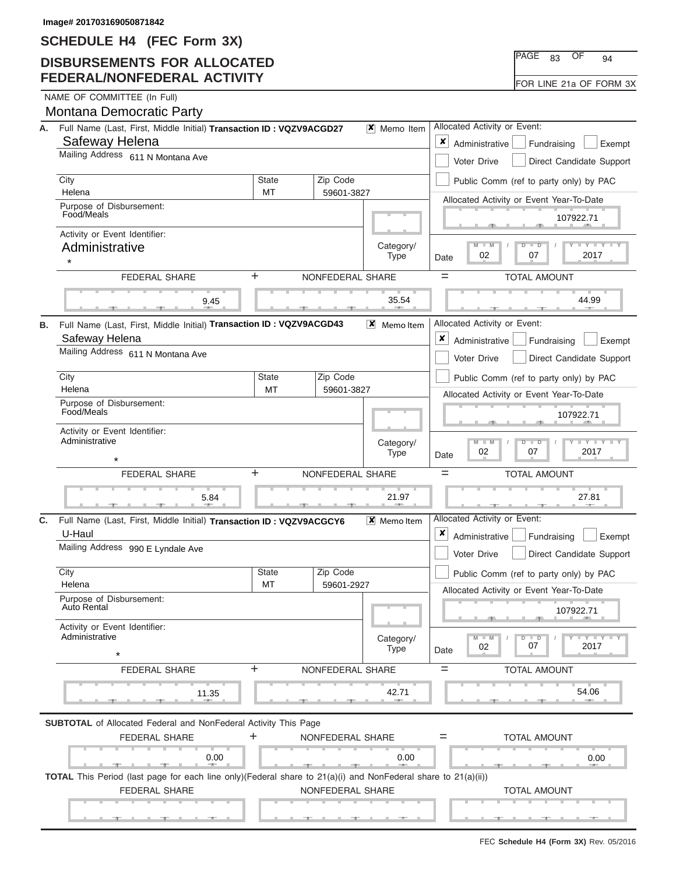# **DISBURSEMENTS FOR ALLOCATED FEDERAL/NONFEDERAL ACTIVITY**

| NAME OF COMMITTEE (In Full) |  |  |  |
|-----------------------------|--|--|--|
|                             |  |  |  |

|    | INAINE OF COMMITTEE (III FUII)<br><b>Montana Democratic Party</b>                                                         |              |                  |                                       |      |                                                |                                                 |                                                                          |
|----|---------------------------------------------------------------------------------------------------------------------------|--------------|------------------|---------------------------------------|------|------------------------------------------------|-------------------------------------------------|--------------------------------------------------------------------------|
| А. | Full Name (Last, First, Middle Initial) Transaction ID: VQZV9ACGD27<br>Safeway Helena                                     |              |                  | $\vert \mathbf{x} \vert$<br>Memo Item | ×    | Allocated Activity or Event:<br>Administrative | Fundraising                                     | Exempt                                                                   |
|    | Mailing Address 611 N Montana Ave                                                                                         |              |                  |                                       |      | Voter Drive                                    |                                                 | Direct Candidate Support                                                 |
|    | City                                                                                                                      | <b>State</b> | Zip Code         |                                       |      |                                                | Public Comm (ref to party only) by PAC          |                                                                          |
|    | Helena                                                                                                                    | МT           | 59601-3827       |                                       |      |                                                |                                                 |                                                                          |
|    | Purpose of Disbursement:<br>Food/Meals                                                                                    |              |                  |                                       |      |                                                | Allocated Activity or Event Year-To-Date        | 107922.71                                                                |
|    | Activity or Event Identifier:                                                                                             |              |                  |                                       |      |                                                |                                                 |                                                                          |
|    | Administrative<br>$\star$                                                                                                 |              |                  | Category/<br><b>Type</b>              | Date | $M - M$<br>02                                  | $\overline{\mathsf{D}}$<br>$\blacksquare$<br>07 | Y I Y<br>2017                                                            |
|    | FEDERAL SHARE                                                                                                             | +            | NONFEDERAL SHARE |                                       | $=$  |                                                | <b>TOTAL AMOUNT</b>                             |                                                                          |
|    | 9.45                                                                                                                      |              |                  | 35.54                                 |      |                                                |                                                 | 44.99                                                                    |
| В. | Full Name (Last, First, Middle Initial) Transaction ID: VQZV9ACGD43                                                       |              |                  | $\vert x \vert$<br>Memo Item          |      | Allocated Activity or Event:                   |                                                 |                                                                          |
|    | Safeway Helena                                                                                                            |              |                  |                                       | ×    | Administrative                                 | Fundraising                                     | Exempt                                                                   |
|    | Mailing Address 611 N Montana Ave                                                                                         |              |                  |                                       |      | Voter Drive                                    |                                                 | Direct Candidate Support                                                 |
|    | City                                                                                                                      | <b>State</b> | Zip Code         |                                       |      |                                                | Public Comm (ref to party only) by PAC          |                                                                          |
|    | Helena                                                                                                                    | MT           | 59601-3827       |                                       |      |                                                | Allocated Activity or Event Year-To-Date        |                                                                          |
|    | Purpose of Disbursement:<br>Food/Meals                                                                                    |              |                  |                                       |      |                                                |                                                 | 107922.71                                                                |
|    | Activity or Event Identifier:<br>Administrative<br>$\star$                                                                |              |                  | Category/<br><b>Type</b>              | Date | 02                                             | ъ<br>$\overline{D}$<br>07                       | $\Box$ $\Upsilon$ $\Upsilon$ $\Box$ $\Upsilon$ $\Upsilon$ $\Box$<br>2017 |
|    | <b>FEDERAL SHARE</b>                                                                                                      | +            | NONFEDERAL SHARE |                                       | $=$  |                                                | <b>TOTAL AMOUNT</b>                             |                                                                          |
|    | 5.84                                                                                                                      |              |                  | 21.97                                 |      |                                                |                                                 | 27.81                                                                    |
| C. | Full Name (Last, First, Middle Initial) Transaction ID: VQZV9ACGCY6                                                       |              |                  | $\vert$ Memo Item                     |      | Allocated Activity or Event:                   |                                                 |                                                                          |
|    | U-Haul                                                                                                                    |              |                  |                                       | ×    | Administrative                                 | Fundraising                                     | Exempt                                                                   |
|    | Mailing Address 990 E Lyndale Ave                                                                                         |              |                  |                                       |      | Voter Drive                                    |                                                 | Direct Candidate Support                                                 |
|    | City                                                                                                                      | <b>State</b> | Zip Code         |                                       |      |                                                | Public Comm (ref to party only) by PAC          |                                                                          |
|    | Helena<br>Purpose of Disbursement:                                                                                        | МT           | 59601-2927       |                                       |      |                                                | Allocated Activity or Event Year-To-Date        |                                                                          |
|    | Auto Rental                                                                                                               |              |                  |                                       |      |                                                |                                                 | 107922.71                                                                |
|    | Activity or Event Identifier:<br>Administrative                                                                           |              |                  | Category/                             |      | $M - M$                                        | D<br>$\Box$                                     | $T$ $Y$ $T$ $Y$ $T$ $Y$                                                  |
|    | $\star$                                                                                                                   |              |                  | <b>Type</b>                           | Date | 02                                             | 07                                              | 2017                                                                     |
|    | <b>FEDERAL SHARE</b>                                                                                                      | ÷            | NONFEDERAL SHARE |                                       | $=$  |                                                | <b>TOTAL AMOUNT</b>                             |                                                                          |
|    | 11.35                                                                                                                     |              |                  | 42.71                                 |      |                                                |                                                 | 54.06<br><b>CONTINUES</b>                                                |
|    | <b>SUBTOTAL</b> of Allocated Federal and NonFederal Activity This Page                                                    |              |                  |                                       |      |                                                |                                                 |                                                                          |
|    | FEDERAL SHARE                                                                                                             | +            | NONFEDERAL SHARE |                                       | $=$  |                                                | <b>TOTAL AMOUNT</b>                             |                                                                          |
|    | 0.00                                                                                                                      |              |                  | 0.00                                  |      |                                                |                                                 | 0.00                                                                     |
|    | <b>TOTAL</b> This Period (last page for each line only)(Federal share to $21(a)(i)$ and NonFederal share to $21(a)(ii)$ ) |              |                  |                                       |      |                                                |                                                 |                                                                          |

 ▲ ▲ ▲ , , . ▲ ▲ ▲ , , .

 ▲ ▲ ▲ , , .

FEDERAL SHARE TOTAL AMOUNT NONFEDERAL SHARE

PAGE <sub>83</sub> OF 94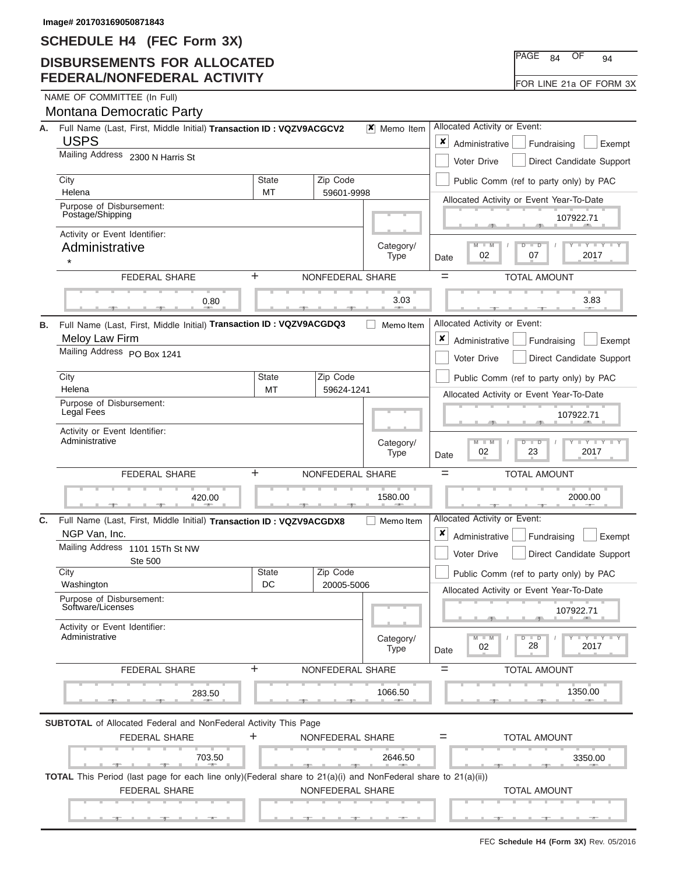### **DISBURSEMENTS FOR ALLOCATED FEDERAL/NONFEDERAL ACTIVITY**

|  | NAME OF COMMITTEE (In Full) |  |
|--|-----------------------------|--|
|  |                             |  |

|    | Montana Democratic Party                                                                                                                                                  |              |                          |                           | Allocated Activity or Event:                                                        |
|----|---------------------------------------------------------------------------------------------------------------------------------------------------------------------------|--------------|--------------------------|---------------------------|-------------------------------------------------------------------------------------|
| А. | Full Name (Last, First, Middle Initial) Transaction ID: VQZV9ACGCV2<br><b>USPS</b>                                                                                        |              |                          | $\vert x \vert$ Memo Item | $\pmb{\times}$<br>Administrative<br>Fundraising<br>Exempt                           |
|    | Mailing Address 2300 N Harris St                                                                                                                                          |              |                          |                           | Voter Drive<br>Direct Candidate Support                                             |
|    | City                                                                                                                                                                      | <b>State</b> | Zip Code                 |                           | Public Comm (ref to party only) by PAC                                              |
|    | Helena                                                                                                                                                                    | MT           | 59601-9998               |                           |                                                                                     |
|    | Purpose of Disbursement:<br>Postage/Shipping                                                                                                                              |              |                          |                           | Allocated Activity or Event Year-To-Date<br>107922.71                               |
|    | Activity or Event Identifier:                                                                                                                                             |              |                          |                           |                                                                                     |
|    | Administrative                                                                                                                                                            |              |                          | Category/<br><b>Type</b>  | $M - M$<br>$\blacksquare$<br>2017<br>02<br>07<br>Date                               |
|    | <b>FEDERAL SHARE</b>                                                                                                                                                      | $\ddot{}$    | NONFEDERAL SHARE         |                           | $=$<br><b>TOTAL AMOUNT</b>                                                          |
|    | 0.80                                                                                                                                                                      |              |                          | 3.03                      | 3.83                                                                                |
| В. | Full Name (Last, First, Middle Initial) Transaction ID: VQZV9ACGDQ3                                                                                                       |              |                          | Memo Item                 | Allocated Activity or Event:                                                        |
|    | Meloy Law Firm                                                                                                                                                            |              |                          |                           | $\pmb{\times}$<br>Administrative<br>Fundraising<br>Exempt                           |
|    | Mailing Address PO Box 1241                                                                                                                                               |              |                          |                           | Voter Drive<br>Direct Candidate Support                                             |
|    | City                                                                                                                                                                      | <b>State</b> | Zip Code                 |                           | Public Comm (ref to party only) by PAC                                              |
|    | Helena                                                                                                                                                                    | MT           | 59624-1241               |                           | Allocated Activity or Event Year-To-Date                                            |
|    | Purpose of Disbursement:<br>Legal Fees                                                                                                                                    |              |                          |                           | 107922.71                                                                           |
|    | Activity or Event Identifier:<br>Administrative                                                                                                                           |              |                          | Category/<br><b>Type</b>  | $T - Y$ $T - Y$ $T - Y$<br>$M - M$<br>$D$ $D$<br>23<br>2017<br>02<br>Date           |
|    |                                                                                                                                                                           |              |                          |                           |                                                                                     |
|    | FEDERAL SHARE                                                                                                                                                             | $\ddot{}$    | NONFEDERAL SHARE         |                           | $=$<br><b>TOTAL AMOUNT</b>                                                          |
|    | 420.00                                                                                                                                                                    |              |                          | 1580.00                   | 2000.00                                                                             |
|    | Full Name (Last, First, Middle Initial) Transaction ID: VQZV9ACGDX8                                                                                                       |              |                          | Memo Item                 | Allocated Activity or Event:                                                        |
|    | NGP Van, Inc.                                                                                                                                                             |              |                          |                           | ×<br>Administrative<br>Fundraising<br>Exempt                                        |
|    | Mailing Address 1101 15Th St NW                                                                                                                                           |              |                          |                           | Voter Drive<br>Direct Candidate Support                                             |
|    | <b>Ste 500</b><br>City                                                                                                                                                    | <b>State</b> | Zip Code                 |                           | Public Comm (ref to party only) by PAC                                              |
| C. | Washington                                                                                                                                                                | DC           | 20005-5006               |                           | Allocated Activity or Event Year-To-Date                                            |
|    | Purpose of Disbursement:<br>Software/Licenses                                                                                                                             |              |                          |                           | 107922.71                                                                           |
|    | Activity or Event Identifier:<br>Administrative                                                                                                                           |              |                          | Category/<br><b>Type</b>  | $M - M$<br>$\overline{\mathsf{D}}$<br>$\Box$<br>$Y - Y$<br>28<br>2017<br>02<br>Date |
|    | <b>FEDERAL SHARE</b>                                                                                                                                                      | ÷            | NONFEDERAL SHARE         |                           | <b>TOTAL AMOUNT</b><br>$=$                                                          |
|    | 283.50                                                                                                                                                                    |              |                          | 1066.50                   | 1350.00                                                                             |
|    |                                                                                                                                                                           |              |                          |                           |                                                                                     |
|    | <b>SUBTOTAL</b> of Allocated Federal and NonFederal Activity This Page<br><b>FEDERAL SHARE</b>                                                                            | +            | NONFEDERAL SHARE         |                           | <b>TOTAL AMOUNT</b><br>$=$                                                          |
|    | 703.50                                                                                                                                                                    |              |                          | 2646.50                   | 3350.00                                                                             |
|    | <b>All Contracts</b><br><b>TOTAL</b> This Period (last page for each line only)(Federal share to $21(a)(i)$ and NonFederal share to $21(a)(ii)$ )<br><b>FEDERAL SHARE</b> |              | $-1$<br>NONFEDERAL SHARE |                           | <b>TOTAL AMOUNT</b>                                                                 |

PAGE <sub>84</sub> OF 94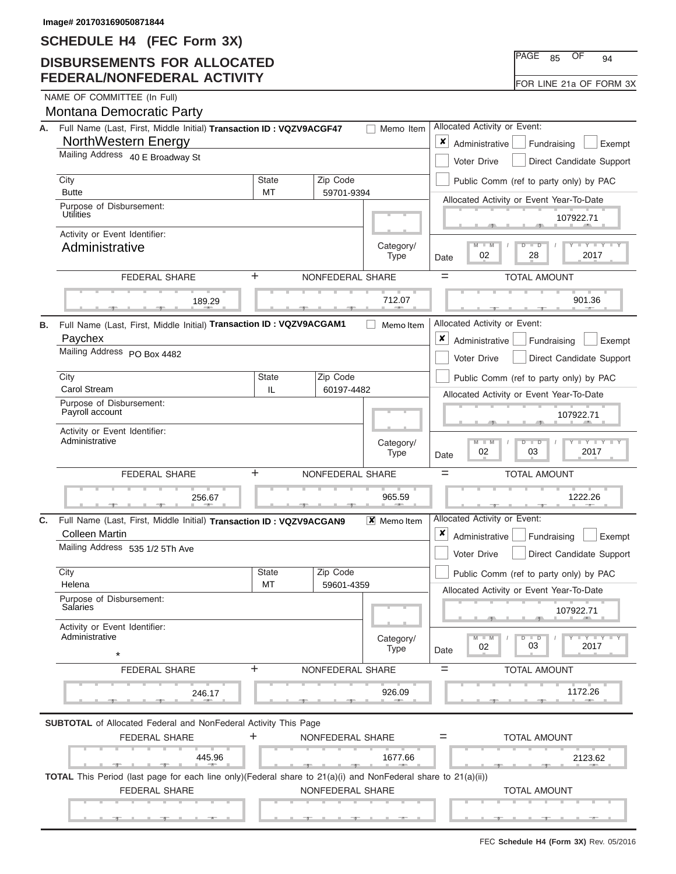# **DISBURSEMENTS FOR ALLOCATED FEDERAL/NONFEDERAL ACTIVITY**

| PAGE 85                 | OF | 94 |  |
|-------------------------|----|----|--|
| FOR LINE 21a OF FORM 3X |    |    |  |

NAME OF COMMITTEE (In Full)

|    | Montana Democratic Party                                                                                                                   |              |                  |                          |                                                                              |
|----|--------------------------------------------------------------------------------------------------------------------------------------------|--------------|------------------|--------------------------|------------------------------------------------------------------------------|
| А. | Full Name (Last, First, Middle Initial) Transaction ID: VQZV9ACGF47                                                                        |              |                  | Memo Item                | Allocated Activity or Event:                                                 |
|    | NorthWestern Energy                                                                                                                        |              |                  |                          | $\pmb{\times}$<br>Administrative<br>Fundraising<br>Exempt                    |
|    | Mailing Address 40 E Broadway St                                                                                                           |              |                  |                          | Voter Drive<br>Direct Candidate Support                                      |
|    | City                                                                                                                                       | State        | Zip Code         |                          | Public Comm (ref to party only) by PAC                                       |
|    | <b>Butte</b>                                                                                                                               | MT           | 59701-9394       |                          | Allocated Activity or Event Year-To-Date                                     |
|    | Purpose of Disbursement:<br>Utilities                                                                                                      |              |                  |                          | 107922.71                                                                    |
|    | Activity or Event Identifier:                                                                                                              |              |                  |                          | $M$ $M$<br>ъ<br>$\blacksquare$                                               |
|    | Administrative                                                                                                                             |              |                  | Category/<br><b>Type</b> | 2017<br>02<br>28<br>Date                                                     |
|    | FEDERAL SHARE                                                                                                                              | +            | NONFEDERAL SHARE |                          | $=$<br><b>TOTAL AMOUNT</b>                                                   |
|    | 189.29                                                                                                                                     |              |                  | 712.07                   | 901.36<br>- 1                                                                |
| В. | Full Name (Last, First, Middle Initial) Transaction ID: VQZV9ACGAM1                                                                        |              |                  | Memo Item                | Allocated Activity or Event:                                                 |
|    | Paychex                                                                                                                                    |              |                  |                          | ×<br>Administrative<br>Fundraising<br>Exempt                                 |
|    | Mailing Address PO Box 4482                                                                                                                |              |                  |                          | Voter Drive<br>Direct Candidate Support                                      |
|    | City                                                                                                                                       | State        | Zip Code         |                          | Public Comm (ref to party only) by PAC                                       |
|    | Carol Stream                                                                                                                               | IL           | 60197-4482       |                          | Allocated Activity or Event Year-To-Date                                     |
|    | Purpose of Disbursement:<br>Payroll account                                                                                                |              |                  |                          | 107922.71                                                                    |
|    | Activity or Event Identifier:<br>Administrative                                                                                            |              |                  | Category/<br><b>Type</b> | $T - Y$ $T - Y$ $T - Y$<br>$M - M$<br>$D - D$<br>2017<br>02<br>03<br>Date    |
|    | FEDERAL SHARE                                                                                                                              | +            | NONFEDERAL SHARE |                          | $=$<br><b>TOTAL AMOUNT</b>                                                   |
|    | 256.67                                                                                                                                     |              |                  | 965.59                   | 1222.26                                                                      |
| C. | Full Name (Last, First, Middle Initial) Transaction ID: VQZV9ACGAN9<br><b>Colleen Martin</b>                                               |              |                  | $ X $ Memo Item          | Allocated Activity or Event:<br>×<br>Administrative<br>Fundraising<br>Exempt |
|    | Mailing Address 535 1/2 5Th Ave                                                                                                            |              |                  |                          | Voter Drive<br>Direct Candidate Support                                      |
|    | City                                                                                                                                       | <b>State</b> | Zip Code         |                          | Public Comm (ref to party only) by PAC                                       |
|    | Helena                                                                                                                                     | MT           | 59601-4359       |                          | Allocated Activity or Event Year-To-Date                                     |
|    | Purpose of Disbursement:<br>Salaries                                                                                                       |              |                  |                          | 107922.71                                                                    |
|    | Activity or Event Identifier:<br>Administrative                                                                                            |              |                  | Category/<br><b>Type</b> | $M - M$<br>$Y - Y - I$<br>$\overline{D}$<br>03<br>2017<br>02<br>Date         |
|    | $\star$<br><b>FEDERAL SHARE</b>                                                                                                            | +            | NONFEDERAL SHARE |                          | <b>TOTAL AMOUNT</b><br>$=$                                                   |
|    |                                                                                                                                            |              |                  |                          |                                                                              |
|    | 246.17                                                                                                                                     |              |                  | 926.09                   | 1172.26                                                                      |
|    | <b>SUBTOTAL</b> of Allocated Federal and NonFederal Activity This Page                                                                     |              |                  |                          |                                                                              |
|    | <b>FEDERAL SHARE</b>                                                                                                                       | +            | NONFEDERAL SHARE |                          | <b>TOTAL AMOUNT</b><br>$=$                                                   |
|    | 445.96<br>$-7$                                                                                                                             |              |                  | 1677.66                  | 2123.62                                                                      |
|    | <b>TOTAL</b> This Period (last page for each line only)(Federal share to $21(a)(i)$ and NonFederal share to $21(a)(ii)$ )<br>FEDERAL SHARE |              | NONFEDERAL SHARE |                          | <b>TOTAL AMOUNT</b>                                                          |
|    |                                                                                                                                            |              |                  |                          |                                                                              |
|    |                                                                                                                                            |              |                  |                          |                                                                              |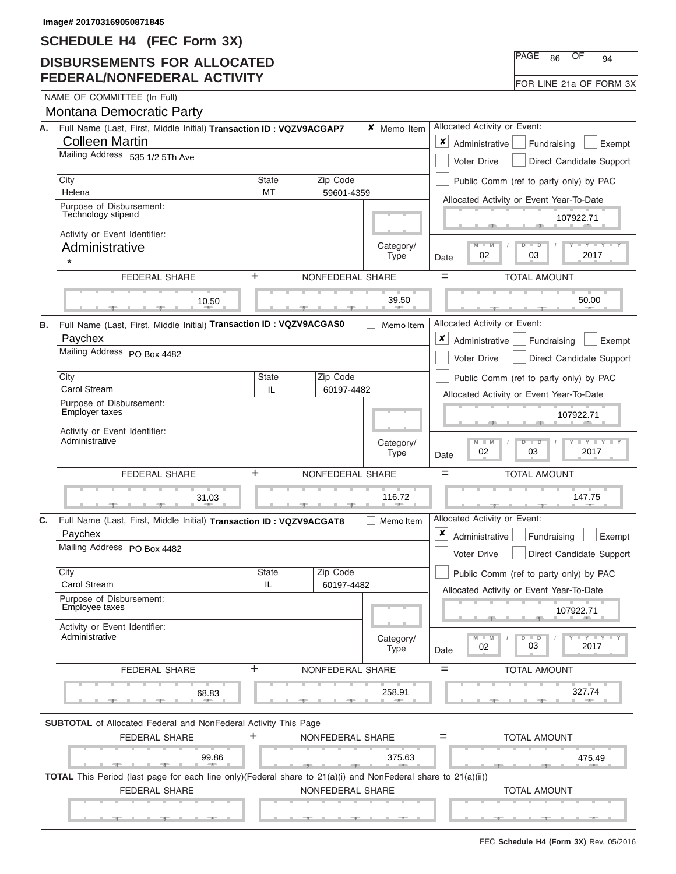# **DISBURSEMENTS FOR ALLOCATED FEDERAL/NONFEDERAL ACTIVITY**

| NAME OF COMMITTEE (In Full) |  |
|-----------------------------|--|
|                             |  |

|    | <b>Montana Democratic Party</b>                                                                                                                   |                                                                           |                  |                           |                                                           |
|----|---------------------------------------------------------------------------------------------------------------------------------------------------|---------------------------------------------------------------------------|------------------|---------------------------|-----------------------------------------------------------|
| А. | Full Name (Last, First, Middle Initial) Transaction ID: VQZV9ACGAP7<br><b>Colleen Martin</b>                                                      |                                                                           |                  | $\vert x \vert$ Memo Item | Allocated Activity or Event:                              |
|    | Mailing Address 535 1/2 5Th Ave                                                                                                                   |                                                                           |                  |                           | $\pmb{\times}$<br>Administrative<br>Fundraising<br>Exempt |
|    |                                                                                                                                                   |                                                                           |                  |                           | Voter Drive<br>Direct Candidate Support                   |
|    | City                                                                                                                                              | <b>State</b>                                                              | Zip Code         |                           | Public Comm (ref to party only) by PAC                    |
|    | Helena<br>Purpose of Disbursement:                                                                                                                | MT                                                                        | 59601-4359       |                           | Allocated Activity or Event Year-To-Date                  |
|    | Technology stipend                                                                                                                                |                                                                           |                  |                           | 107922.71                                                 |
|    | Activity or Event Identifier:<br>Administrative                                                                                                   |                                                                           |                  | Category/                 | $M - M$<br>$\blacksquare$                                 |
|    | $\star$                                                                                                                                           |                                                                           |                  | <b>Type</b>               | 2017<br>02<br>03<br>Date                                  |
|    | <b>FEDERAL SHARE</b>                                                                                                                              | $\ddot{}$                                                                 | NONFEDERAL SHARE |                           | $=$<br><b>TOTAL AMOUNT</b>                                |
|    | 10.50                                                                                                                                             |                                                                           |                  | 39.50                     | 50.00                                                     |
| В. | Full Name (Last, First, Middle Initial) Transaction ID: VQZV9ACGAS0                                                                               |                                                                           |                  | Memo Item                 | Allocated Activity or Event:                              |
|    | Paychex                                                                                                                                           |                                                                           |                  |                           | $\pmb{\times}$<br>Administrative<br>Fundraising<br>Exempt |
|    | Mailing Address PO Box 4482                                                                                                                       |                                                                           |                  |                           | Voter Drive<br>Direct Candidate Support                   |
|    | City                                                                                                                                              | <b>State</b>                                                              | Zip Code         |                           |                                                           |
|    | Carol Stream                                                                                                                                      | IL                                                                        | 60197-4482       |                           | Public Comm (ref to party only) by PAC                    |
|    | Purpose of Disbursement:                                                                                                                          |                                                                           |                  |                           | Allocated Activity or Event Year-To-Date                  |
|    | Employer taxes<br>Activity or Event Identifier:                                                                                                   |                                                                           |                  |                           | 107922.71                                                 |
|    | Administrative                                                                                                                                    | $T - Y$ $T - Y$ $T - Y$<br>$M - M$<br>$D$ $D$<br>2017<br>02<br>03<br>Date |                  |                           |                                                           |
|    | FEDERAL SHARE                                                                                                                                     | $\ddot{}$                                                                 | NONFEDERAL SHARE |                           | $=$<br><b>TOTAL AMOUNT</b>                                |
|    | 31.03                                                                                                                                             |                                                                           |                  | 116.72                    | 147.75                                                    |
| C. | Full Name (Last, First, Middle Initial) Transaction ID: VQZV9ACGAT8                                                                               |                                                                           |                  | Memo Item                 | Allocated Activity or Event:                              |
|    |                                                                                                                                                   |                                                                           |                  |                           | ×<br>Administrative<br>Fundraising<br>Exempt              |
|    | Paychex                                                                                                                                           |                                                                           |                  |                           |                                                           |
|    | Mailing Address PO Box 4482                                                                                                                       |                                                                           |                  |                           | Voter Drive<br>Direct Candidate Support                   |
|    | City                                                                                                                                              | <b>State</b>                                                              | Zip Code         |                           | Public Comm (ref to party only) by PAC                    |
|    | Carol Stream                                                                                                                                      | IL                                                                        | 60197-4482       |                           | Allocated Activity or Event Year-To-Date                  |
|    | Purpose of Disbursement:<br>Employee taxes                                                                                                        |                                                                           |                  |                           | 107922.71                                                 |
|    | Activity or Event Identifier:<br>Administrative                                                                                                   |                                                                           |                  | Category/                 | $M - M$<br>$Y - Y$<br>$\overline{\phantom{a}}$            |
|    |                                                                                                                                                   |                                                                           |                  | <b>Type</b>               | 03<br>2017<br>02<br>Date                                  |
|    | FEDERAL SHARE                                                                                                                                     | ÷                                                                         | NONFEDERAL SHARE |                           | <b>TOTAL AMOUNT</b><br>$=$                                |
|    | 68.83                                                                                                                                             |                                                                           |                  | 258.91                    | 327.74                                                    |
|    | <b>SUBTOTAL</b> of Allocated Federal and NonFederal Activity This Page                                                                            |                                                                           |                  |                           |                                                           |
|    | <b>FEDERAL SHARE</b>                                                                                                                              | +                                                                         | NONFEDERAL SHARE |                           | <b>TOTAL AMOUNT</b><br>$=$                                |
|    | 99.86                                                                                                                                             |                                                                           |                  | 375.63                    | 475.49                                                    |
|    | <b>All Contracts</b>                                                                                                                              |                                                                           |                  |                           |                                                           |
|    | <b>TOTAL</b> This Period (last page for each line only)(Federal share to $21(a)(i)$ and NonFederal share to $21(a)(ii)$ )<br><b>FEDERAL SHARE</b> |                                                                           | NONFEDERAL SHARE |                           | <b>TOTAL AMOUNT</b>                                       |
|    |                                                                                                                                                   |                                                                           |                  |                           |                                                           |

PAGE <sub>86</sub> OF 94

|  |  | FOR LINE 21a OF FORM 3X |  |
|--|--|-------------------------|--|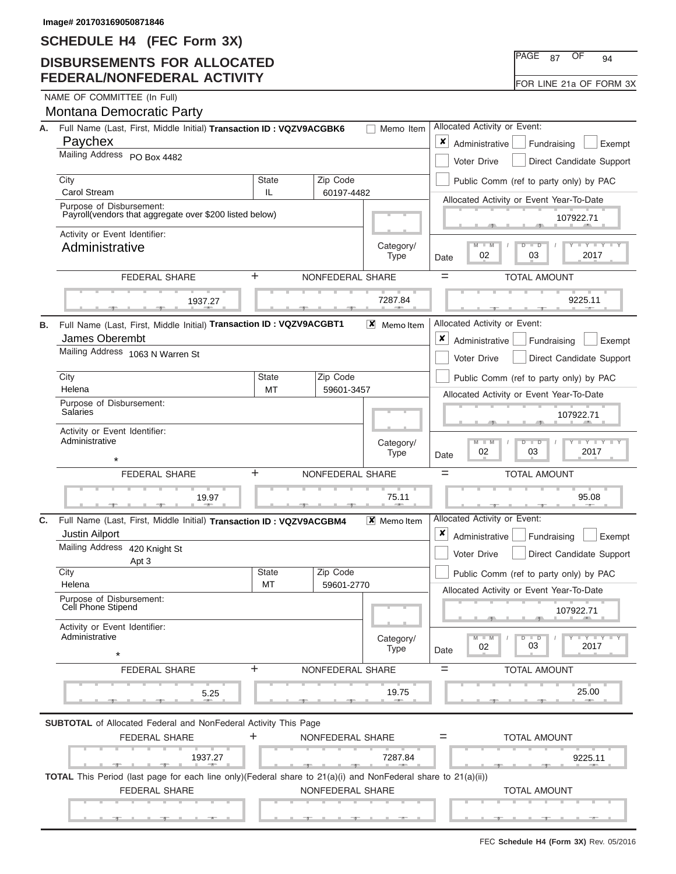# **DISBURSEMENTS FOR ALLOCATED FEDERAL/NONFEDERAL ACTIVITY**

| $PAGE$ 87               | OF | 94 |  |
|-------------------------|----|----|--|
| FOR LINE 21a OF FORM 3X |    |    |  |

NAME OF COMMITTEE (In Full)

|    | Montana Democratic Party                                                                                                  |                    |                        |                          |                                                                                                                                                                                                                                                                                                                                                                                                                                                                                                                                                     |
|----|---------------------------------------------------------------------------------------------------------------------------|--------------------|------------------------|--------------------------|-----------------------------------------------------------------------------------------------------------------------------------------------------------------------------------------------------------------------------------------------------------------------------------------------------------------------------------------------------------------------------------------------------------------------------------------------------------------------------------------------------------------------------------------------------|
| А. | Full Name (Last, First, Middle Initial) Transaction ID: VQZV9ACGBK6<br>Paychex                                            |                    |                        | Memo Item                | Allocated Activity or Event:<br>X<br>Administrative<br>Fundraising<br>Exempt                                                                                                                                                                                                                                                                                                                                                                                                                                                                        |
|    | Mailing Address PO Box 4482                                                                                               |                    |                        |                          | Voter Drive<br>Direct Candidate Support                                                                                                                                                                                                                                                                                                                                                                                                                                                                                                             |
|    | City                                                                                                                      | <b>State</b>       | Zip Code               |                          | Public Comm (ref to party only) by PAC                                                                                                                                                                                                                                                                                                                                                                                                                                                                                                              |
|    | <b>Carol Stream</b>                                                                                                       | IL                 | 60197-4482             |                          |                                                                                                                                                                                                                                                                                                                                                                                                                                                                                                                                                     |
|    | Purpose of Disbursement:<br>Payroll(vendors that aggregate over \$200 listed below)                                       |                    |                        |                          | Allocated Activity or Event Year-To-Date<br>107922.71                                                                                                                                                                                                                                                                                                                                                                                                                                                                                               |
|    | Activity or Event Identifier:                                                                                             |                    |                        |                          |                                                                                                                                                                                                                                                                                                                                                                                                                                                                                                                                                     |
|    | Administrative                                                                                                            |                    |                        | Category/<br><b>Type</b> | $\overline{\mathsf{M}}$<br>$\overline{\mathsf{D}}$<br>$\overline{\phantom{a}}$<br>2017<br>02<br>03<br>Date                                                                                                                                                                                                                                                                                                                                                                                                                                          |
|    | <b>FEDERAL SHARE</b>                                                                                                      | +                  | NONFEDERAL SHARE       |                          | $=$<br><b>TOTAL AMOUNT</b>                                                                                                                                                                                                                                                                                                                                                                                                                                                                                                                          |
|    | 1937.27                                                                                                                   |                    |                        | 7287.84                  | 9225.11                                                                                                                                                                                                                                                                                                                                                                                                                                                                                                                                             |
| В. | Full Name (Last, First, Middle Initial) Transaction ID: VQZV9ACGBT1                                                       |                    |                        | ∣x∣<br>Memo Item         | Allocated Activity or Event:                                                                                                                                                                                                                                                                                                                                                                                                                                                                                                                        |
|    | James Oberembt                                                                                                            |                    |                        |                          | ×<br>Administrative<br>Fundraising<br>Exempt                                                                                                                                                                                                                                                                                                                                                                                                                                                                                                        |
|    | Mailing Address 1063 N Warren St                                                                                          |                    |                        |                          | Voter Drive<br>Direct Candidate Support                                                                                                                                                                                                                                                                                                                                                                                                                                                                                                             |
|    | City                                                                                                                      | <b>State</b>       | Zip Code               |                          | Public Comm (ref to party only) by PAC                                                                                                                                                                                                                                                                                                                                                                                                                                                                                                              |
|    | Helena                                                                                                                    | МT                 | 59601-3457             |                          | Allocated Activity or Event Year-To-Date                                                                                                                                                                                                                                                                                                                                                                                                                                                                                                            |
|    | Purpose of Disbursement:<br>Salaries                                                                                      |                    |                        |                          | 107922.71                                                                                                                                                                                                                                                                                                                                                                                                                                                                                                                                           |
|    | Activity or Event Identifier:<br>Administrative<br>$\star$                                                                |                    |                        | Category/<br><b>Type</b> | $M - M$<br>$\blacksquare$ $\blacksquare$ $\blacksquare$ $\blacksquare$ $\blacksquare$ $\blacksquare$ $\blacksquare$ $\blacksquare$ $\blacksquare$ $\blacksquare$ $\blacksquare$ $\blacksquare$ $\blacksquare$ $\blacksquare$ $\blacksquare$ $\blacksquare$ $\blacksquare$ $\blacksquare$ $\blacksquare$ $\blacksquare$ $\blacksquare$ $\blacksquare$ $\blacksquare$ $\blacksquare$ $\blacksquare$ $\blacksquare$ $\blacksquare$ $\blacksquare$ $\blacksquare$ $\blacksquare$ $\blacksquare$ $\blacks$<br>$D$ $\Box$ $D$<br>2017<br>02<br>03<br>Date |
|    | FEDERAL SHARE                                                                                                             | +                  | NONFEDERAL SHARE       |                          | $=$<br><b>TOTAL AMOUNT</b>                                                                                                                                                                                                                                                                                                                                                                                                                                                                                                                          |
|    | 19.97                                                                                                                     |                    |                        | 75.11                    | 95.08                                                                                                                                                                                                                                                                                                                                                                                                                                                                                                                                               |
| C. | Full Name (Last, First, Middle Initial) Transaction ID: VQZV9ACGBM4                                                       |                    |                        | $ X $ Memo Item          | Allocated Activity or Event:                                                                                                                                                                                                                                                                                                                                                                                                                                                                                                                        |
|    | <b>Justin Ailport</b>                                                                                                     |                    |                        |                          | x<br>Administrative<br>Fundraising<br>Exempt                                                                                                                                                                                                                                                                                                                                                                                                                                                                                                        |
|    | Mailing Address 420 Knight St<br>Apt 3                                                                                    |                    |                        |                          | Voter Drive<br>Direct Candidate Support                                                                                                                                                                                                                                                                                                                                                                                                                                                                                                             |
|    | City<br>Helena                                                                                                            | <b>State</b><br>MT | Zip Code<br>59601-2770 |                          | Public Comm (ref to party only) by PAC                                                                                                                                                                                                                                                                                                                                                                                                                                                                                                              |
|    | Purpose of Disbursement:                                                                                                  |                    |                        |                          | Allocated Activity or Event Year-To-Date                                                                                                                                                                                                                                                                                                                                                                                                                                                                                                            |
|    | Cell Phone Stipend                                                                                                        |                    |                        |                          | 107922.71                                                                                                                                                                                                                                                                                                                                                                                                                                                                                                                                           |
|    | Activity or Event Identifier:<br>Administrative<br>$\star$                                                                |                    |                        | Category/<br><b>Type</b> | $M - M$<br>$\Box$<br>Y TY T<br>03<br>2017<br>02<br>Date                                                                                                                                                                                                                                                                                                                                                                                                                                                                                             |
|    | <b>FEDERAL SHARE</b>                                                                                                      | ÷                  | NONFEDERAL SHARE       |                          | TOTAL AMOUNT<br>$=$                                                                                                                                                                                                                                                                                                                                                                                                                                                                                                                                 |
|    |                                                                                                                           |                    |                        |                          |                                                                                                                                                                                                                                                                                                                                                                                                                                                                                                                                                     |
|    | 5.25                                                                                                                      |                    |                        | 19.75                    | 25.00                                                                                                                                                                                                                                                                                                                                                                                                                                                                                                                                               |
|    | SUBTOTAL of Allocated Federal and NonFederal Activity This Page                                                           |                    |                        |                          |                                                                                                                                                                                                                                                                                                                                                                                                                                                                                                                                                     |
|    | <b>FEDERAL SHARE</b>                                                                                                      | +                  | NONFEDERAL SHARE       |                          | <b>TOTAL AMOUNT</b><br>$=$                                                                                                                                                                                                                                                                                                                                                                                                                                                                                                                          |
|    | 1937.27                                                                                                                   |                    | <b>CONTINUES</b>       | 7287.84                  | 9225.11                                                                                                                                                                                                                                                                                                                                                                                                                                                                                                                                             |
|    | <b>TOTAL</b> This Period (last page for each line only)(Federal share to $21(a)(i)$ and NonFederal share to $21(a)(ii)$ ) |                    |                        |                          |                                                                                                                                                                                                                                                                                                                                                                                                                                                                                                                                                     |
|    | FEDERAL SHARE                                                                                                             |                    | NONFEDERAL SHARE       |                          | <b>TOTAL AMOUNT</b>                                                                                                                                                                                                                                                                                                                                                                                                                                                                                                                                 |
|    |                                                                                                                           |                    |                        |                          |                                                                                                                                                                                                                                                                                                                                                                                                                                                                                                                                                     |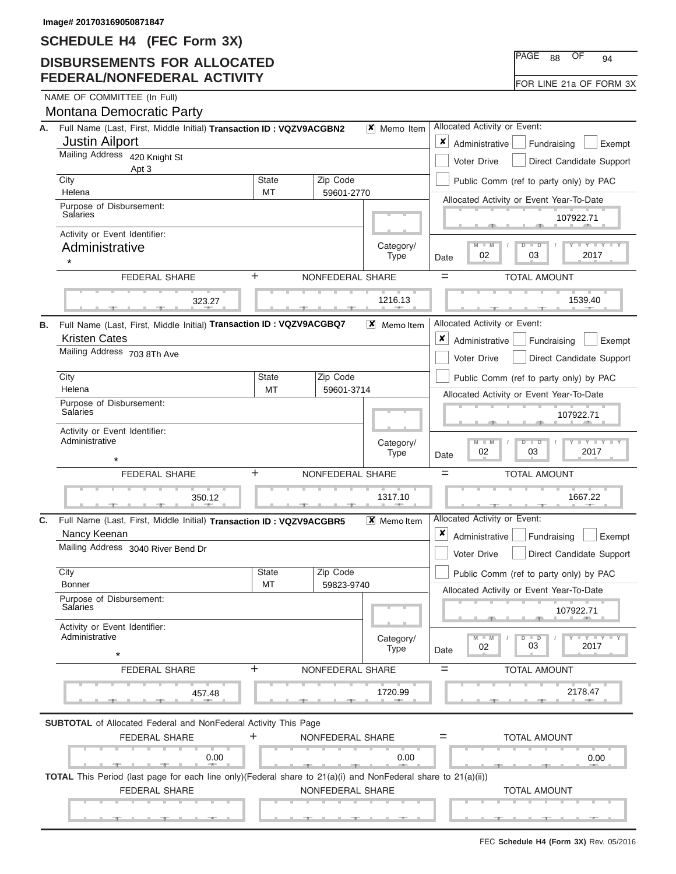# **DISBURSEMENTS FOR ALLOCATED FEDERAL/NONFEDERAL ACTIVITY**

| NAME OF COMMITTEE (In Full) |  |
|-----------------------------|--|
| $\blacksquare$              |  |

|    | Montana Democratic Party                                                                                                                          |                    |                        |                              |                                                            |
|----|---------------------------------------------------------------------------------------------------------------------------------------------------|--------------------|------------------------|------------------------------|------------------------------------------------------------|
| А. | Full Name (Last, First, Middle Initial) Transaction ID: VQZV9ACGBN2                                                                               |                    |                        | $\vert x \vert$ Memo Item    | Allocated Activity or Event:                               |
|    | <b>Justin Ailport</b>                                                                                                                             |                    |                        |                              | $\pmb{\times}$<br>Administrative<br>Fundraising<br>Exempt  |
|    | Mailing Address 420 Knight St<br>Apt 3                                                                                                            |                    |                        |                              | Voter Drive<br>Direct Candidate Support                    |
|    | City                                                                                                                                              | <b>State</b>       | Zip Code               |                              | Public Comm (ref to party only) by PAC                     |
|    | Helena<br>Purpose of Disbursement:                                                                                                                | MT                 | 59601-2770             |                              | Allocated Activity or Event Year-To-Date                   |
|    | Salaries                                                                                                                                          |                    |                        |                              | 107922.71                                                  |
|    | Activity or Event Identifier:                                                                                                                     |                    |                        |                              |                                                            |
|    | Administrative                                                                                                                                    |                    |                        | Category/<br><b>Type</b>     | $M - M$<br>Б<br>$\blacksquare$<br>2017<br>02<br>03<br>Date |
|    | <b>FEDERAL SHARE</b>                                                                                                                              | +                  | NONFEDERAL SHARE       |                              | $=$<br><b>TOTAL AMOUNT</b>                                 |
|    | 323.27                                                                                                                                            |                    |                        | 1216.13                      | 1539.40                                                    |
| В. | Full Name (Last, First, Middle Initial) Transaction ID: VQZV9ACGBQ7                                                                               |                    |                        | $\vert x \vert$<br>Memo Item | Allocated Activity or Event:                               |
|    | <b>Kristen Cates</b>                                                                                                                              |                    |                        |                              | $\pmb{\times}$<br>Administrative<br>Fundraising<br>Exempt  |
|    | Mailing Address 703 8Th Ave                                                                                                                       |                    |                        |                              | Voter Drive<br>Direct Candidate Support                    |
|    |                                                                                                                                                   |                    |                        |                              |                                                            |
|    | City<br>Helena                                                                                                                                    | <b>State</b><br>MT | Zip Code<br>59601-3714 |                              | Public Comm (ref to party only) by PAC                     |
|    | Purpose of Disbursement:                                                                                                                          |                    |                        |                              | Allocated Activity or Event Year-To-Date                   |
|    | Salaries                                                                                                                                          |                    |                        |                              | 107922.71                                                  |
|    | Activity or Event Identifier:<br>Administrative                                                                                                   |                    |                        | Category/                    | $\blacksquare$<br>$M - M$<br>$D$ $D$<br>2017<br>02<br>03   |
|    | $\star$                                                                                                                                           | <b>Type</b>        | Date                   |                              |                                                            |
|    |                                                                                                                                                   |                    |                        |                              |                                                            |
|    | FEDERAL SHARE                                                                                                                                     | +                  | NONFEDERAL SHARE       |                              | $=$<br><b>TOTAL AMOUNT</b>                                 |
|    | 350.12                                                                                                                                            |                    |                        | 1317.10                      | 1667.22                                                    |
|    | Full Name (Last, First, Middle Initial) Transaction ID: VQZV9ACGBR5                                                                               |                    |                        | X Memoltem                   | Allocated Activity or Event:                               |
| C. | Nancy Keenan                                                                                                                                      |                    |                        |                              | ×<br>Administrative<br>Fundraising<br>Exempt               |
|    | Mailing Address 3040 River Bend Dr                                                                                                                |                    |                        |                              | Voter Drive<br>Direct Candidate Support                    |
|    | City                                                                                                                                              | State              | Zip Code               |                              | Public Comm (ref to party only) by PAC                     |
|    | <b>Bonner</b>                                                                                                                                     | МT                 | 59823-9740             |                              | Allocated Activity or Event Year-To-Date                   |
|    | Purpose of Disbursement:<br>Salaries                                                                                                              |                    |                        |                              | 107922.71                                                  |
|    | Activity or Event Identifier:<br>Administrative                                                                                                   |                    |                        | Category/                    | $M - M$<br>Y I Y                                           |
|    | $\star$                                                                                                                                           |                    |                        | <b>Type</b>                  | 03<br>2017<br>02<br>Date                                   |
|    | <b>FEDERAL SHARE</b>                                                                                                                              | ÷                  | NONFEDERAL SHARE       |                              | <b>TOTAL AMOUNT</b><br>$=$                                 |
|    | 457.48                                                                                                                                            |                    |                        | 1720.99                      | 2178.47                                                    |
|    |                                                                                                                                                   |                    |                        |                              |                                                            |
|    | <b>SUBTOTAL</b> of Allocated Federal and NonFederal Activity This Page<br><b>FEDERAL SHARE</b>                                                    | +                  | NONFEDERAL SHARE       |                              | <b>TOTAL AMOUNT</b><br>$=$                                 |
|    | 0.00                                                                                                                                              |                    |                        | 0.00                         | 0.00                                                       |
|    | <b>All Contracts</b>                                                                                                                              |                    |                        |                              |                                                            |
|    | <b>TOTAL</b> This Period (last page for each line only)(Federal share to $21(a)(i)$ and NonFederal share to $21(a)(ii)$ )<br><b>FEDERAL SHARE</b> |                    | NONFEDERAL SHARE       |                              | <b>TOTAL AMOUNT</b>                                        |

PAGE <sub>88</sub> OF 94

|  |  | FOR LINE 21a OF FORM 3X |  |
|--|--|-------------------------|--|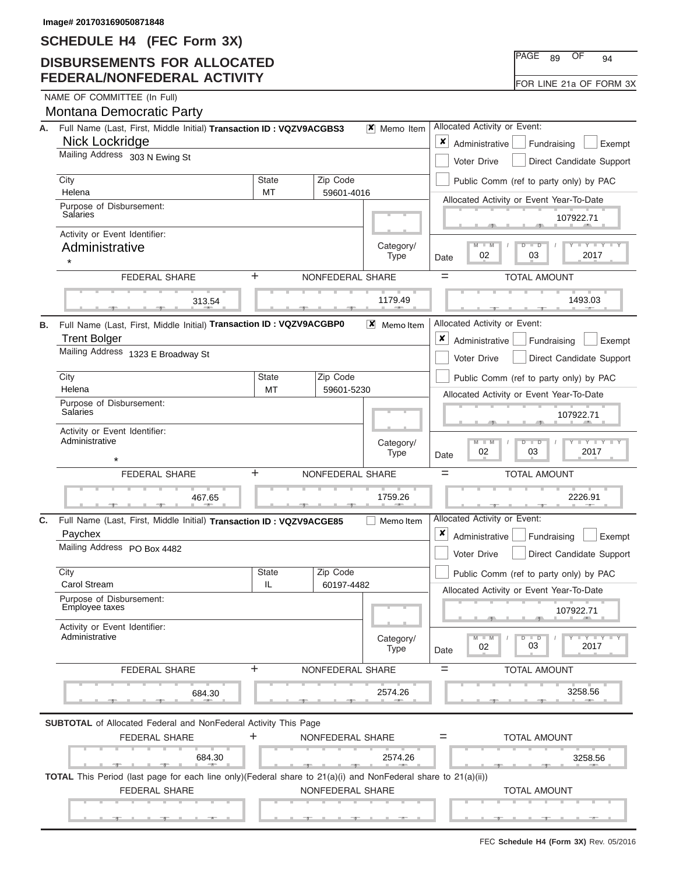### **DISBURSEMENTS FOR ALLOCATED FEDERAL/NONFEDERAL ACTIVITY**

| NAME OF COMMITTEE (In Full) |  |
|-----------------------------|--|
|                             |  |

|    | Montana Democratic Party                                                                                                                          |                                         |                  |                              |                                                                                            |
|----|---------------------------------------------------------------------------------------------------------------------------------------------------|-----------------------------------------|------------------|------------------------------|--------------------------------------------------------------------------------------------|
| А. | Full Name (Last, First, Middle Initial) Transaction ID: VQZV9ACGBS3                                                                               |                                         |                  | $\vert x \vert$ Memo Item    | Allocated Activity or Event:                                                               |
|    | Nick Lockridge                                                                                                                                    |                                         |                  |                              | $\pmb{\times}$<br>Administrative<br>Fundraising<br>Exempt                                  |
|    | Mailing Address 303 N Ewing St                                                                                                                    | Voter Drive<br>Direct Candidate Support |                  |                              |                                                                                            |
|    | City                                                                                                                                              | <b>State</b>                            | Zip Code         |                              | Public Comm (ref to party only) by PAC                                                     |
|    | Helena                                                                                                                                            | МT                                      | 59601-4016       |                              | Allocated Activity or Event Year-To-Date                                                   |
|    | Purpose of Disbursement:<br>Salaries                                                                                                              |                                         |                  | 107922.71                    |                                                                                            |
|    | Activity or Event Identifier:                                                                                                                     |                                         |                  |                              |                                                                                            |
|    | Administrative                                                                                                                                    |                                         |                  | Category/<br><b>Type</b>     | $M - M$<br>$\overline{\mathsf{D}}$<br>$\overline{\phantom{a}}$<br>2017<br>02<br>03<br>Date |
|    | <b>FEDERAL SHARE</b>                                                                                                                              | +                                       | NONFEDERAL SHARE |                              | $=$<br><b>TOTAL AMOUNT</b>                                                                 |
|    | 313.54                                                                                                                                            |                                         |                  | 1179.49                      | 1493.03                                                                                    |
| В. | Full Name (Last, First, Middle Initial) Transaction ID: VQZV9ACGBP0                                                                               |                                         |                  | $\vert x \vert$<br>Memo Item | Allocated Activity or Event:                                                               |
|    | <b>Trent Bolger</b>                                                                                                                               |                                         |                  |                              | ×<br>Administrative<br>Fundraising<br>Exempt                                               |
|    | Mailing Address 1323 E Broadway St                                                                                                                |                                         |                  |                              | Voter Drive<br>Direct Candidate Support                                                    |
|    | City                                                                                                                                              | <b>State</b>                            | Zip Code         |                              |                                                                                            |
|    | Helena                                                                                                                                            | MT                                      | 59601-5230       |                              | Public Comm (ref to party only) by PAC                                                     |
|    | Purpose of Disbursement:                                                                                                                          |                                         |                  |                              | Allocated Activity or Event Year-To-Date                                                   |
|    | Salaries<br>Activity or Event Identifier:                                                                                                         |                                         |                  | 107922.71                    |                                                                                            |
|    | Administrative                                                                                                                                    |                                         |                  | Category/<br><b>Type</b>     | $M - M$<br>$D$ $D$<br>2017<br>02<br>03<br>Date                                             |
|    | $\star$                                                                                                                                           |                                         |                  |                              |                                                                                            |
|    | $\pm$<br>FEDERAL SHARE<br>NONFEDERAL SHARE                                                                                                        |                                         |                  |                              |                                                                                            |
|    |                                                                                                                                                   |                                         |                  |                              | $=$<br><b>TOTAL AMOUNT</b>                                                                 |
|    | 467.65                                                                                                                                            |                                         |                  | 1759.26                      | 2226.91                                                                                    |
|    | Full Name (Last, First, Middle Initial) Transaction ID: VQZV9ACGE85                                                                               |                                         |                  | Memo Item                    | Allocated Activity or Event:                                                               |
|    | Paychex                                                                                                                                           |                                         |                  |                              | ×<br>Administrative<br>Fundraising<br>Exempt                                               |
|    | Mailing Address PO Box 4482                                                                                                                       |                                         |                  |                              | Voter Drive<br>Direct Candidate Support                                                    |
|    | City                                                                                                                                              | <b>State</b>                            | Zip Code         |                              | Public Comm (ref to party only) by PAC                                                     |
|    | Carol Stream                                                                                                                                      | IL                                      | 60197-4482       |                              | Allocated Activity or Event Year-To-Date                                                   |
| C. | Purpose of Disbursement:<br>Employee taxes                                                                                                        |                                         |                  |                              | 107922.71                                                                                  |
|    | Activity or Event Identifier:<br>Administrative                                                                                                   |                                         |                  | Category/<br><b>Type</b>     | $M$ $M$<br>$Y - Y - I$<br>⊪ D<br>03<br>2017<br>02<br>Date                                  |
|    |                                                                                                                                                   |                                         |                  |                              |                                                                                            |
|    | FEDERAL SHARE                                                                                                                                     | +                                       | NONFEDERAL SHARE |                              | TOTAL AMOUNT<br>$=$                                                                        |
|    | 684.30                                                                                                                                            |                                         |                  | 2574.26                      | 3258.56                                                                                    |
|    | <b>SUBTOTAL</b> of Allocated Federal and NonFederal Activity This Page                                                                            |                                         |                  |                              |                                                                                            |
|    | <b>FEDERAL SHARE</b>                                                                                                                              | +                                       | NONFEDERAL SHARE |                              | <b>TOTAL AMOUNT</b><br>$=$                                                                 |
|    | 684.30                                                                                                                                            |                                         |                  | 2574.26                      | 3258.56                                                                                    |
|    | <b>All Control</b>                                                                                                                                |                                         | $-1$             |                              |                                                                                            |
|    | <b>TOTAL</b> This Period (last page for each line only)(Federal share to $21(a)(i)$ and NonFederal share to $21(a)(ii)$ )<br><b>FEDERAL SHARE</b> |                                         | NONFEDERAL SHARE |                              | <b>TOTAL AMOUNT</b>                                                                        |

PAGE <sub>89</sub> OF 94 FOR LINE 21a OF FORM 3X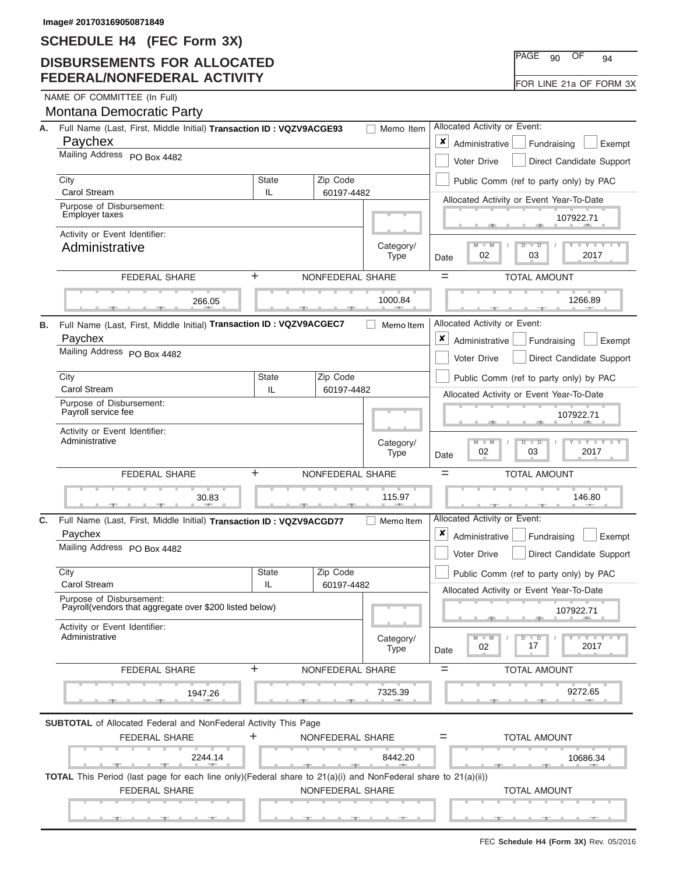# **DISBURSEMENTS FOR ALLOCATED FEDERAL/NONFEDERAL ACTIVITY**

|  | NAME OF COMMITTEE (In Full) |  |
|--|-----------------------------|--|

|    | Montana Democratic Party                                                                                                                                                                          |                                         |                          |                                                                   |                                                           |
|----|---------------------------------------------------------------------------------------------------------------------------------------------------------------------------------------------------|-----------------------------------------|--------------------------|-------------------------------------------------------------------|-----------------------------------------------------------|
| А. | Full Name (Last, First, Middle Initial) Transaction ID: VQZV9ACGE93                                                                                                                               |                                         |                          | Memo Item                                                         | Allocated Activity or Event:                              |
|    | Paychex<br>Mailing Address PO Box 4482                                                                                                                                                            |                                         |                          |                                                                   | $\pmb{\times}$<br>Administrative<br>Fundraising<br>Exempt |
|    |                                                                                                                                                                                                   | Voter Drive<br>Direct Candidate Support |                          |                                                                   |                                                           |
|    | City<br>Carol Stream                                                                                                                                                                              | <b>State</b><br>IL                      | Zip Code<br>60197-4482   |                                                                   | Public Comm (ref to party only) by PAC                    |
|    | Purpose of Disbursement:<br>Employer taxes                                                                                                                                                        |                                         |                          |                                                                   | Allocated Activity or Event Year-To-Date                  |
|    |                                                                                                                                                                                                   | 107922.71                               |                          |                                                                   |                                                           |
|    | Activity or Event Identifier:<br>Administrative                                                                                                                                                   |                                         |                          | Category/<br><b>Type</b>                                          | M<br>ு<br>02<br>2017<br>03<br>Date                        |
|    | <b>FEDERAL SHARE</b>                                                                                                                                                                              | +                                       | NONFEDERAL SHARE         |                                                                   | TOTAL AMOUNT<br>$=$                                       |
|    | 266.05                                                                                                                                                                                            |                                         |                          | 1000.84                                                           | 1266.89                                                   |
| В. | Full Name (Last, First, Middle Initial) Transaction ID: VQZV9ACGEC7                                                                                                                               |                                         |                          | Memo Item                                                         | Allocated Activity or Event:                              |
|    | Paychex<br>Mailing Address PO Box 4482                                                                                                                                                            |                                         |                          |                                                                   | $\pmb{\times}$<br>Administrative<br>Fundraising<br>Exempt |
|    |                                                                                                                                                                                                   |                                         |                          |                                                                   | Voter Drive<br>Direct Candidate Support                   |
|    | City<br><b>Carol Stream</b>                                                                                                                                                                       | <b>State</b><br>IL                      | Zip Code<br>60197-4482   |                                                                   | Public Comm (ref to party only) by PAC                    |
|    | Purpose of Disbursement:                                                                                                                                                                          |                                         |                          |                                                                   | Allocated Activity or Event Year-To-Date                  |
|    | Payroll service fee                                                                                                                                                                               |                                         | 107922.71                |                                                                   |                                                           |
|    | Activity or Event Identifier:<br>Administrative                                                                                                                                                   |                                         | Category/<br><b>Type</b> | $Y - I - Y$<br>$M - M$<br>D<br>$\Box$<br>02<br>03<br>2017<br>Date |                                                           |
|    |                                                                                                                                                                                                   | ٠                                       |                          |                                                                   | $=$                                                       |
|    | FEDERAL SHARE                                                                                                                                                                                     |                                         | NONFEDERAL SHARE         |                                                                   | <b>TOTAL AMOUNT</b>                                       |
|    | 30.83                                                                                                                                                                                             |                                         |                          | 115.97                                                            | 146.80                                                    |
|    | Full Name (Last, First, Middle Initial) Transaction ID: VQZV9ACGD77                                                                                                                               |                                         |                          | Memo Item                                                         | Allocated Activity or Event:                              |
|    | Paychex                                                                                                                                                                                           |                                         |                          |                                                                   | ×<br>Administrative<br>Fundraising<br>Exempt              |
| C. | Mailing Address PO Box 4482                                                                                                                                                                       |                                         |                          |                                                                   | Voter Drive<br>Direct Candidate Support                   |
|    | City<br>Carol Stream                                                                                                                                                                              | <b>State</b>                            | Zip Code                 |                                                                   | Public Comm (ref to party only) by PAC                    |
|    | Purpose of Disbursement:                                                                                                                                                                          | IL                                      | 60197-4482               |                                                                   | Allocated Activity or Event Year-To-Date                  |
|    | Payroll(vendors that aggregate over \$200 listed below)                                                                                                                                           |                                         |                          |                                                                   | 107922.71                                                 |
|    | Activity or Event Identifier:<br>Administrative                                                                                                                                                   |                                         |                          | Category/<br>Type                                                 | $Y = Y +$<br>17<br>2017<br>02<br>Date                     |
|    | FEDERAL SHARE                                                                                                                                                                                     | ÷                                       | NONFEDERAL SHARE         |                                                                   | <b>TOTAL AMOUNT</b><br>$=$                                |
|    | 1947.26                                                                                                                                                                                           |                                         |                          | 7325.39                                                           | 9272.65                                                   |
|    |                                                                                                                                                                                                   |                                         |                          |                                                                   |                                                           |
|    | <b>SUBTOTAL</b> of Allocated Federal and NonFederal Activity This Page<br><b>FEDERAL SHARE</b>                                                                                                    | +                                       | NONFEDERAL SHARE         |                                                                   | <b>TOTAL AMOUNT</b><br>$=$                                |
|    | 2244.14                                                                                                                                                                                           |                                         |                          | 8442.20                                                           | 10686.34                                                  |
|    | <b>The Contract Contract of the Contract</b><br><b>TOTAL</b> This Period (last page for each line only)(Federal share to $21(a)(i)$ and NonFederal share to $21(a)(ii)$ )<br><b>FEDERAL SHARE</b> |                                         | NONFEDERAL SHARE         |                                                                   | <b>TOTAL AMOUNT</b>                                       |

| FEC Schedule H4 (Form 3X) Rev. 05/2016 |  |  |  |
|----------------------------------------|--|--|--|

| <b>IPAGE</b> | Q۵ | AC. |  |
|--------------|----|-----|--|
|              |    |     |  |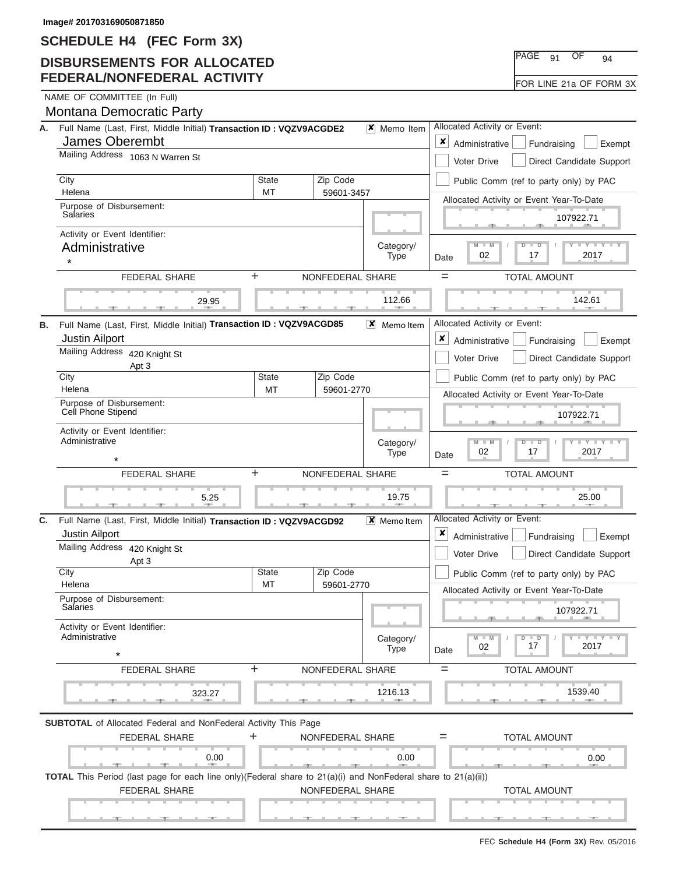# **DISBURSEMENTS FOR ALLOCATED FEDERAL/NONFEDERAL ACTIVITY**

| NAME OF COMMITTEE (In Full) |  |
|-----------------------------|--|
|                             |  |

|    | Montana Democratic Party                                                                                                                          |                                         |                  |                           |                                                                                            |
|----|---------------------------------------------------------------------------------------------------------------------------------------------------|-----------------------------------------|------------------|---------------------------|--------------------------------------------------------------------------------------------|
| А. | Full Name (Last, First, Middle Initial) Transaction ID: VQZV9ACGDE2                                                                               |                                         |                  | $\vert x \vert$ Memo Item | Allocated Activity or Event:                                                               |
|    | <b>James Oberembt</b>                                                                                                                             |                                         |                  |                           | $\pmb{\times}$<br>Administrative<br>Fundraising<br>Exempt                                  |
|    | Mailing Address 1063 N Warren St                                                                                                                  | Voter Drive<br>Direct Candidate Support |                  |                           |                                                                                            |
|    | City                                                                                                                                              | State                                   | Zip Code         |                           | Public Comm (ref to party only) by PAC                                                     |
|    | Helena                                                                                                                                            | МT                                      | 59601-3457       |                           | Allocated Activity or Event Year-To-Date                                                   |
|    | Purpose of Disbursement:<br>Salaries                                                                                                              |                                         |                  | 107922.71                 |                                                                                            |
|    | Activity or Event Identifier:                                                                                                                     |                                         |                  |                           |                                                                                            |
|    | Administrative                                                                                                                                    |                                         |                  | Category/<br><b>Type</b>  | $M - M$<br>$\overline{\mathsf{D}}$<br>$\overline{\phantom{a}}$<br>2017<br>02<br>17<br>Date |
|    | <b>FEDERAL SHARE</b>                                                                                                                              | +                                       |                  | NONFEDERAL SHARE          | $=$<br><b>TOTAL AMOUNT</b>                                                                 |
|    | 29.95                                                                                                                                             |                                         |                  | 112.66                    | 142.61                                                                                     |
|    |                                                                                                                                                   |                                         |                  |                           |                                                                                            |
| В. | Full Name (Last, First, Middle Initial) Transaction ID: VQZV9ACGD85                                                                               |                                         |                  | ×<br>Memo Item            | Allocated Activity or Event:                                                               |
|    | <b>Justin Ailport</b><br>Mailing Address 420 Knight St                                                                                            |                                         |                  |                           | ×<br>Administrative<br>Fundraising<br>Exempt                                               |
|    | Apt 3                                                                                                                                             |                                         |                  |                           | Voter Drive<br>Direct Candidate Support                                                    |
|    | City                                                                                                                                              | <b>State</b>                            | Zip Code         |                           | Public Comm (ref to party only) by PAC                                                     |
|    | Helena                                                                                                                                            | MT                                      | 59601-2770       |                           | Allocated Activity or Event Year-To-Date                                                   |
|    | Purpose of Disbursement:<br>Cell Phone Stipend                                                                                                    |                                         |                  | 107922.71                 |                                                                                            |
|    | Activity or Event Identifier:                                                                                                                     |                                         |                  |                           |                                                                                            |
|    | Administrative<br>$\star$                                                                                                                         |                                         |                  | Category/<br><b>Type</b>  | $-1$ $-1$ $-1$ $-1$ $-1$<br>$M - M$<br>$D$ $D$<br>02<br>2017<br>17<br>Date                 |
|    | +<br>FEDERAL SHARE<br>NONFEDERAL SHARE                                                                                                            |                                         |                  |                           |                                                                                            |
|    |                                                                                                                                                   |                                         |                  |                           | $=$<br><b>TOTAL AMOUNT</b>                                                                 |
|    | 5.25                                                                                                                                              |                                         |                  | 19.75                     | 25.00                                                                                      |
| C. |                                                                                                                                                   |                                         |                  |                           | Allocated Activity or Event:                                                               |
|    | Full Name (Last, First, Middle Initial) Transaction ID: VQZV9ACGD92<br>Justin Ailport                                                             |                                         |                  | X Memoltem                | ×                                                                                          |
|    | Mailing Address 420 Knight St<br>Apt 3                                                                                                            |                                         |                  |                           | Administrative<br>Fundraising<br>Exempt<br>Voter Drive<br>Direct Candidate Support         |
|    | City                                                                                                                                              | <b>State</b>                            | Zip Code         |                           | Public Comm (ref to party only) by PAC                                                     |
|    | Helena                                                                                                                                            | MT                                      | 59601-2770       |                           | Allocated Activity or Event Year-To-Date                                                   |
|    | Purpose of Disbursement:<br>Salaries                                                                                                              |                                         |                  |                           | 107922.71                                                                                  |
|    | Activity or Event Identifier:<br>Administrative                                                                                                   |                                         |                  | Category/                 | $M$ $M$<br>$Y - Y - I$<br>$\blacksquare$                                                   |
|    | $\star$                                                                                                                                           |                                         |                  | <b>Type</b>               | 17<br>2017<br>02<br>Date                                                                   |
|    | <b>FEDERAL SHARE</b>                                                                                                                              | +                                       |                  | NONFEDERAL SHARE          | TOTAL AMOUNT<br>$=$                                                                        |
|    | 323.27                                                                                                                                            |                                         |                  | 1216.13                   | 1539.40                                                                                    |
|    |                                                                                                                                                   |                                         |                  |                           |                                                                                            |
|    | <b>SUBTOTAL</b> of Allocated Federal and NonFederal Activity This Page<br><b>FEDERAL SHARE</b>                                                    | +                                       | NONFEDERAL SHARE |                           | <b>TOTAL AMOUNT</b><br>$=$                                                                 |
|    |                                                                                                                                                   |                                         |                  | 0.00                      |                                                                                            |
|    | 0.00<br><b>All Contracts</b>                                                                                                                      |                                         |                  |                           | 0.00                                                                                       |
|    | <b>TOTAL</b> This Period (last page for each line only)(Federal share to $21(a)(i)$ and NonFederal share to $21(a)(ii)$ )<br><b>FEDERAL SHARE</b> |                                         | NONFEDERAL SHARE |                           | <b>TOTAL AMOUNT</b>                                                                        |

PAGE 91 OF 94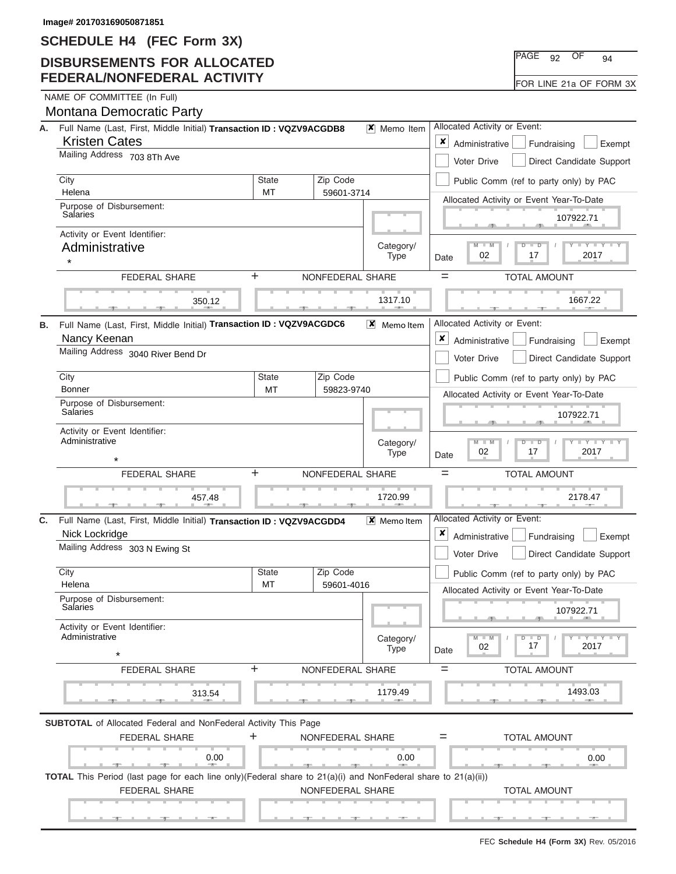# **DISBURSEMENTS FOR ALLOCATED FEDERAL/NONFEDERAL ACTIVITY**

| NAME OF COMMITTEE (In Full) |  |
|-----------------------------|--|
|-----------------------------|--|

|    | Montana Democratic Party                                                                                                                          |                                         |                          |                                                           |                                                                            |
|----|---------------------------------------------------------------------------------------------------------------------------------------------------|-----------------------------------------|--------------------------|-----------------------------------------------------------|----------------------------------------------------------------------------|
| А. | Full Name (Last, First, Middle Initial) Transaction ID: VQZV9ACGDB8                                                                               |                                         |                          | $\vert x \vert$ Memo Item                                 | Allocated Activity or Event:                                               |
|    | <b>Kristen Cates</b>                                                                                                                              |                                         |                          |                                                           | ×<br>Administrative<br>Fundraising<br>Exempt                               |
|    | Mailing Address 703 8Th Ave                                                                                                                       | Voter Drive<br>Direct Candidate Support |                          |                                                           |                                                                            |
|    | City                                                                                                                                              | <b>State</b>                            | Zip Code                 |                                                           | Public Comm (ref to party only) by PAC                                     |
|    | Helena                                                                                                                                            | МT                                      | 59601-3714               |                                                           | Allocated Activity or Event Year-To-Date                                   |
|    | Purpose of Disbursement:<br>Salaries                                                                                                              |                                         |                          | 107922.71                                                 |                                                                            |
|    | Activity or Event Identifier:                                                                                                                     |                                         | Category/                | W<br>⊃                                                    |                                                                            |
|    | Administrative                                                                                                                                    |                                         |                          | <b>Type</b>                                               | 2017<br>02<br>17<br>Date                                                   |
|    | <b>FEDERAL SHARE</b>                                                                                                                              | $\pm$                                   | NONFEDERAL SHARE         |                                                           | $=$<br><b>TOTAL AMOUNT</b>                                                 |
|    | 350.12                                                                                                                                            |                                         |                          | 1317.10                                                   | 1667.22                                                                    |
| В. | Full Name (Last, First, Middle Initial) Transaction ID: VQZV9ACGDC6                                                                               |                                         |                          | $\vert x \vert$<br>Memo Item                              | Allocated Activity or Event:                                               |
|    | Nancy Keenan                                                                                                                                      |                                         |                          |                                                           | $\pmb{\times}$<br>Administrative<br>Fundraising<br>Exempt                  |
|    | Mailing Address 3040 River Bend Dr                                                                                                                |                                         |                          |                                                           | Voter Drive<br>Direct Candidate Support                                    |
|    | City                                                                                                                                              | State                                   | Zip Code                 |                                                           |                                                                            |
|    | <b>Bonner</b>                                                                                                                                     | MT                                      | 59823-9740               |                                                           | Public Comm (ref to party only) by PAC                                     |
|    | Purpose of Disbursement:                                                                                                                          |                                         |                          |                                                           | Allocated Activity or Event Year-To-Date                                   |
|    | Salaries<br>Activity or Event Identifier:                                                                                                         |                                         | 107922.71                |                                                           |                                                                            |
|    | Administrative<br>$\star$                                                                                                                         |                                         | Category/<br><b>Type</b> | $T - Y$<br>$M - M$<br>$D$ $D$<br>02<br>17<br>2017<br>Date |                                                                            |
|    | $\pm$<br>FEDERAL SHARE<br>NONFEDERAL SHARE                                                                                                        |                                         |                          |                                                           |                                                                            |
|    |                                                                                                                                                   |                                         |                          |                                                           | $=$<br><b>TOTAL AMOUNT</b>                                                 |
|    | 457.48                                                                                                                                            |                                         |                          | 1720.99                                                   | 2178.47                                                                    |
|    | Full Name (Last, First, Middle Initial) Transaction ID: VQZV9ACGDD4                                                                               |                                         |                          | X Memoltem                                                | Allocated Activity or Event:                                               |
|    | Nick Lockridge                                                                                                                                    |                                         |                          |                                                           | ×<br>Administrative<br>Fundraising<br>Exempt                               |
|    | Mailing Address 303 N Ewing St                                                                                                                    |                                         |                          |                                                           | Voter Drive<br>Direct Candidate Support                                    |
|    | City                                                                                                                                              | <b>State</b>                            | Zip Code                 |                                                           | Public Comm (ref to party only) by PAC                                     |
|    | Helena                                                                                                                                            | МT                                      | 59601-4016               |                                                           | Allocated Activity or Event Year-To-Date                                   |
| C. | Purpose of Disbursement:<br>Salaries                                                                                                              |                                         |                          |                                                           | 107922.71                                                                  |
|    | Activity or Event Identifier:<br>Administrative                                                                                                   |                                         |                          | Category/                                                 | $M - M$<br>$\Box$ $\Upsilon$ $\Box$ $\Upsilon$ $\Upsilon$<br>$D$ $D$<br>17 |
|    | $\star$                                                                                                                                           |                                         |                          | <b>Type</b>                                               | 2017<br>02<br>Date                                                         |
|    | <b>FEDERAL SHARE</b>                                                                                                                              | +                                       | NONFEDERAL SHARE         |                                                           | TOTAL AMOUNT<br>$=$                                                        |
|    | 313.54                                                                                                                                            |                                         |                          | 1179.49                                                   | 1493.03                                                                    |
|    |                                                                                                                                                   |                                         |                          |                                                           |                                                                            |
|    | <b>SUBTOTAL</b> of Allocated Federal and NonFederal Activity This Page<br><b>FEDERAL SHARE</b>                                                    | +                                       | NONFEDERAL SHARE         |                                                           | <b>TOTAL AMOUNT</b><br>$=$                                                 |
|    | 0.00                                                                                                                                              |                                         |                          | 0.00                                                      | 0.00                                                                       |
|    | <b>All Contracts</b>                                                                                                                              |                                         |                          |                                                           |                                                                            |
|    | <b>TOTAL</b> This Period (last page for each line only)(Federal share to $21(a)(i)$ and NonFederal share to $21(a)(ii)$ )<br><b>FEDERAL SHARE</b> |                                         | NONFEDERAL SHARE         |                                                           | <b>TOTAL AMOUNT</b>                                                        |

PAGE <sub>92</sub> OF <sub>94</sub>

|  |  |  |  |  | FOR LINE 21a OF FORM 3X |  |
|--|--|--|--|--|-------------------------|--|
|--|--|--|--|--|-------------------------|--|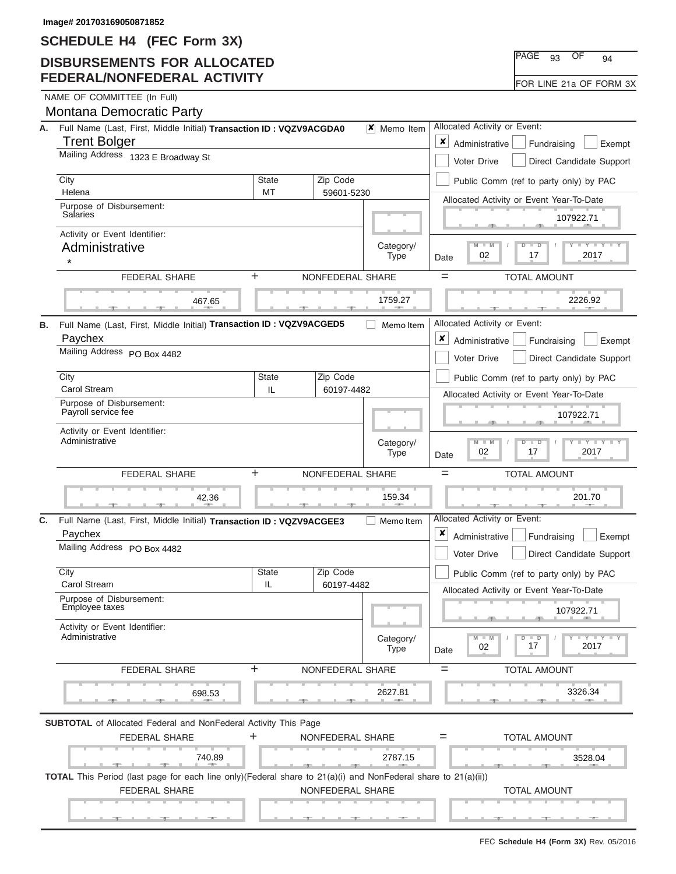# **DISBURSEMENTS FOR ALLOCATED FEDERAL/NONFEDERAL ACTIVITY**

NAME OF COMMITTEE (In Full)

|    | Montana Democratic Party                                                                                                                                                  |                                                           |                        |                          |                                                                                               |
|----|---------------------------------------------------------------------------------------------------------------------------------------------------------------------------|-----------------------------------------------------------|------------------------|--------------------------|-----------------------------------------------------------------------------------------------|
| А. | Full Name (Last, First, Middle Initial) Transaction ID: VQZV9ACGDA0                                                                                                       | Allocated Activity or Event:<br>$\vert x \vert$ Memo Item |                        |                          |                                                                                               |
|    | <b>Trent Bolger</b>                                                                                                                                                       | x<br>Administrative<br>Fundraising<br>Exempt              |                        |                          |                                                                                               |
|    | Mailing Address 1323 E Broadway St                                                                                                                                        | Voter Drive<br>Direct Candidate Support                   |                        |                          |                                                                                               |
|    | City                                                                                                                                                                      | <b>State</b>                                              | Zip Code               |                          | Public Comm (ref to party only) by PAC                                                        |
|    | Helena<br>MT<br>59601-5230<br>Purpose of Disbursement:                                                                                                                    |                                                           |                        |                          | Allocated Activity or Event Year-To-Date                                                      |
|    | Salaries                                                                                                                                                                  | 107922.71                                                 |                        |                          |                                                                                               |
|    | Activity or Event Identifier:                                                                                                                                             |                                                           |                        |                          | W<br>⊃                                                                                        |
|    | Administrative                                                                                                                                                            |                                                           |                        | Category/<br><b>Type</b> | 2017<br>02<br>17<br>Date                                                                      |
|    | <b>FEDERAL SHARE</b>                                                                                                                                                      | $\pm$                                                     | NONFEDERAL SHARE       |                          | $=$<br><b>TOTAL AMOUNT</b>                                                                    |
|    | 467.65                                                                                                                                                                    |                                                           |                        | 1759.27                  | 2226.92                                                                                       |
| В. | Full Name (Last, First, Middle Initial) Transaction ID: VQZV9ACGED5                                                                                                       |                                                           |                        | Memo Item                | Allocated Activity or Event:                                                                  |
|    | Paychex                                                                                                                                                                   | $\pmb{\times}$<br>Administrative<br>Fundraising<br>Exempt |                        |                          |                                                                                               |
|    | Mailing Address PO Box 4482                                                                                                                                               | Voter Drive<br>Direct Candidate Support                   |                        |                          |                                                                                               |
|    |                                                                                                                                                                           |                                                           |                        |                          |                                                                                               |
|    | City<br>Carol Stream                                                                                                                                                      | State<br>IL                                               | Zip Code<br>60197-4482 |                          | Public Comm (ref to party only) by PAC                                                        |
|    | Purpose of Disbursement:                                                                                                                                                  |                                                           |                        |                          | Allocated Activity or Event Year-To-Date                                                      |
|    | Payroll service fee                                                                                                                                                       |                                                           |                        |                          | 107922.71                                                                                     |
|    | Activity or Event Identifier:<br>Administrative                                                                                                                           |                                                           |                        | Category/<br><b>Type</b> | $T - Y$<br>$M - M$<br>$D$ $D$<br>2017<br>02<br>17<br>Date                                     |
|    |                                                                                                                                                                           | $\pm$<br>NONFEDERAL SHARE                                 |                        |                          |                                                                                               |
|    | FEDERAL SHARE                                                                                                                                                             |                                                           |                        |                          | $=$<br><b>TOTAL AMOUNT</b>                                                                    |
|    | 42.36                                                                                                                                                                     |                                                           |                        | 159.34                   | 201.70                                                                                        |
|    | Full Name (Last, First, Middle Initial) Transaction ID: VQZV9ACGEE3                                                                                                       |                                                           |                        | Memo Item                | Allocated Activity or Event:                                                                  |
|    | Paychex                                                                                                                                                                   |                                                           |                        |                          | ×<br>Administrative<br>Fundraising<br>Exempt                                                  |
|    | Mailing Address PO Box 4482                                                                                                                                               |                                                           |                        |                          | Voter Drive<br>Direct Candidate Support                                                       |
|    | City                                                                                                                                                                      | <b>State</b>                                              | Zip Code               |                          | Public Comm (ref to party only) by PAC                                                        |
|    | Carol Stream                                                                                                                                                              | IL                                                        | 60197-4482             |                          | Allocated Activity or Event Year-To-Date                                                      |
| C. | Purpose of Disbursement:<br>Employee taxes                                                                                                                                |                                                           |                        |                          | 107922.71                                                                                     |
|    | Activity or Event Identifier:<br>Administrative                                                                                                                           |                                                           |                        | Category/<br><b>Type</b> | $M - M$<br><b>LEY LEY LE</b><br>$\overline{\mathsf{D}}$<br>$\Box$<br>17<br>2017<br>02<br>Date |
|    | <b>FEDERAL SHARE</b>                                                                                                                                                      | +                                                         |                        |                          | $=$                                                                                           |
|    |                                                                                                                                                                           |                                                           | NONFEDERAL SHARE       | 2627.81                  | TOTAL AMOUNT<br>3326.34                                                                       |
|    | 698.53                                                                                                                                                                    |                                                           |                        |                          |                                                                                               |
|    | <b>SUBTOTAL</b> of Allocated Federal and NonFederal Activity This Page                                                                                                    |                                                           |                        |                          |                                                                                               |
|    | <b>FEDERAL SHARE</b>                                                                                                                                                      | +                                                         | NONFEDERAL SHARE       |                          | <b>TOTAL AMOUNT</b><br>$=$                                                                    |
|    | 740.89                                                                                                                                                                    |                                                           |                        | 2787.15                  | 3528.04                                                                                       |
|    | <b>All Contracts</b><br><b>TOTAL</b> This Period (last page for each line only)(Federal share to $21(a)(i)$ and NonFederal share to $21(a)(ii)$ )<br><b>FEDERAL SHARE</b> |                                                           | NONFEDERAL SHARE       |                          | <b>TOTAL AMOUNT</b>                                                                           |

PAGE <sub>93</sub> OF 94